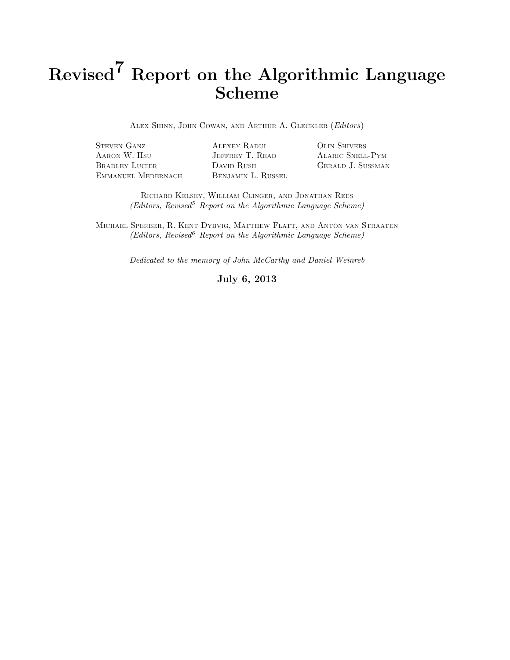# Revised<sup>7</sup> Report on the Algorithmic Language Scheme

ALEX SHINN, JOHN COWAN, AND ARTHUR A. GLECKLER (Editors)

STEVEN GANZ ALEXEY RADUL OLIN SHIVERS AARON W. HSU JEFFREY T. READ ALARIC SNELL-PYM BRADLEY LUCIER DAVID RUSH GERALD J. SUSSMAN EMMANUEL MEDERNACH BENJAMIN L. RUSSEL

RICHARD KELSEY, WILLIAM CLINGER, AND JONATHAN REES  $(Editors, Revised<sup>5</sup> Report on the Algorithmic Language Scheme)$ 

MICHAEL SPERBER, R. KENT DYBVIG, MATTHEW FLATT, AND ANTON VAN STRAATEN  $(Editors, Revised<sup>6</sup>$  Report on the Algorithmic Language Scheme)

Dedicated to the memory of John McCarthy and Daniel Weinreb

July 6, 2013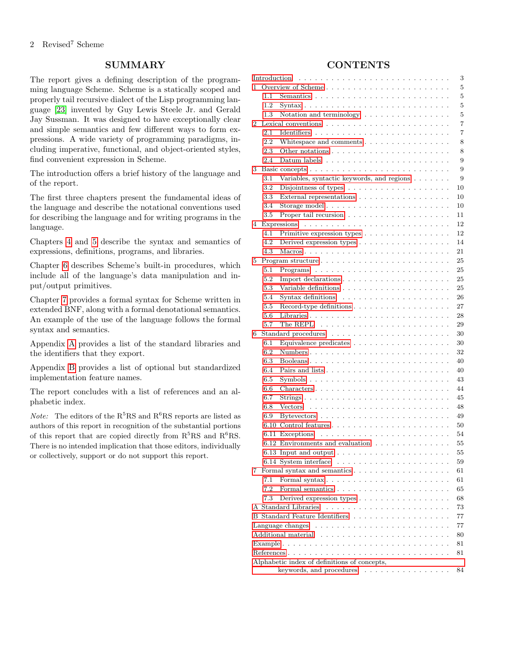# SUMMARY

The report gives a defining description of the programming language Scheme. Scheme is a statically scoped and properly tail recursive dialect of the Lisp programming language [\[23\]](#page-81-0) invented by Guy Lewis Steele Jr. and Gerald Jay Sussman. It was designed to have exceptionally clear and simple semantics and few different ways to form expressions. A wide variety of programming paradigms, including imperative, functional, and object-oriented styles, find convenient expression in Scheme.

The introduction offers a brief history of the language and of the report.

The first three chapters present the fundamental ideas of the language and describe the notational conventions used for describing the language and for writing programs in the language.

Chapters [4](#page-11-0) and [5](#page-24-0) describe the syntax and semantics of expressions, definitions, programs, and libraries.

Chapter [6](#page-29-0) describes Scheme's built-in procedures, which include all of the language's data manipulation and input/output primitives.

Chapter [7](#page-60-0) provides a formal syntax for Scheme written in extended BNF, along with a formal denotational semantics. An example of the use of the language follows the formal syntax and semantics.

Appendix [A](#page-72-0) provides a list of the standard libraries and the identifiers that they export.

Appendix [B](#page-76-0) provides a list of optional but standardized implementation feature names.

The report concludes with a list of references and an alphabetic index.

*Note:* The editors of the  $R^5RS$  and  $R^6RS$  reports are listed as authors of this report in recognition of the substantial portions of this report that are copied directly from  $R<sup>5</sup>RS$  and  $R<sup>6</sup>RS$ . There is no intended implication that those editors, individually or collectively, support or do not support this report.

# **CONTENTS**

<span id="page-1-0"></span>

|                | Introduction | 3                                                                                                                                                                                                                                |
|----------------|--------------|----------------------------------------------------------------------------------------------------------------------------------------------------------------------------------------------------------------------------------|
| 1              |              | 5                                                                                                                                                                                                                                |
|                | 1.1          | 5<br>Semantics $\ldots \ldots \ldots \ldots \ldots \ldots \ldots \ldots$                                                                                                                                                         |
|                | $1.2\,$      | 5<br>Syntax $\ldots$<br>$\ddot{\phantom{a}}$<br>$\ddot{\phantom{a}}$<br>$\sim 10$                                                                                                                                                |
|                | 1.3          | 5<br>Notation and terminology $\ldots$ .<br>$\sim$ $\sim$<br>and a series of                                                                                                                                                     |
| $\overline{2}$ |              | 7<br>Lexical conventions $\ldots$<br>$\ddot{\phantom{a}}$<br>$\mathbf{r}$ . The set of $\mathbf{r}$<br>$\sim$ $\sim$ $\sim$                                                                                                      |
|                | 2.1          | Identifiers<br>7                                                                                                                                                                                                                 |
|                | 2.2          | 8                                                                                                                                                                                                                                |
|                | 2.3          | 8                                                                                                                                                                                                                                |
|                | 2.4          | 9<br>Datum labels                                                                                                                                                                                                                |
| 3              |              | 9                                                                                                                                                                                                                                |
|                | 3.1          | 9<br>Variables, syntactic keywords, and regions                                                                                                                                                                                  |
|                | 3.2          | 10<br>Disjointness of types $\dots \dots \dots \dots \dots$                                                                                                                                                                      |
|                | 3.3          | External representations $\ldots \ldots \ldots \ldots$<br>10                                                                                                                                                                     |
|                | 3.4          | 10                                                                                                                                                                                                                               |
|                | 3.5          | Storage model $\ldots \ldots \ldots \ldots \ldots \ldots$<br>11                                                                                                                                                                  |
|                |              | Proper tail recursion<br>$\ddot{\phantom{a}}$<br>$\ddot{\phantom{a}}$<br>$\sim 10$                                                                                                                                               |
| 4              |              | 12<br>Expressions                                                                                                                                                                                                                |
|                | 4.1          | 12<br>Primitive expression types                                                                                                                                                                                                 |
|                | 4.2          | 14<br>Derived expression types $\ldots \ldots \ldots \ldots \ldots$                                                                                                                                                              |
|                | 4.3          | 21                                                                                                                                                                                                                               |
| 5              |              | 25<br>$\mathcal{L}$ , and $\mathcal{L}$                                                                                                                                                                                          |
|                | 5.1          | 25<br>Programs<br>.<br>$\ddot{\phantom{a}}$                                                                                                                                                                                      |
|                | 5.2          | 25<br>Import declarations<br>$\sim$<br>$\overline{\phantom{a}}$<br>$\sim$                                                                                                                                                        |
|                | 5.3          | Variable definitions<br>25                                                                                                                                                                                                       |
|                | 5.4          | 26<br>Syntax definitions                                                                                                                                                                                                         |
|                | 5.5          | 27<br>Record-type definitions                                                                                                                                                                                                    |
|                | 5.6          | Libraries<br>28<br>$\ddot{\phantom{a}}$ .<br>$\mathcal{L}_{\mathbf{z}}$<br>$\ddot{\phantom{a}}$<br>$\sim 100$ $\sim$                                                                                                             |
|                | 5.7          | The REPL<br>29<br>.<br>$\ddot{\phantom{a}}$<br>$\cdot$<br>$\ddot{\phantom{a}}$                                                                                                                                                   |
| 6              |              | Standard procedures<br>30<br>.<br>$\sim 100$ $\sim$                                                                                                                                                                              |
|                | 6.1          | Equivalence predicates<br>30                                                                                                                                                                                                     |
|                | 6.2          | 32                                                                                                                                                                                                                               |
|                | 6.3          | 40                                                                                                                                                                                                                               |
|                | 6.4          | Pairs and lists<br>40<br>$\sim$ $\sim$ $\sim$<br>$\sim 100$ $\mu$                                                                                                                                                                |
|                | 6.5          | 43<br>Symbols<br>$\ddot{\phantom{a}}$<br>$\mathbf{r}$ and $\mathbf{r}$ and $\mathbf{r}$ and $\mathbf{r}$<br>$\overline{\phantom{a}}$<br>$\ddot{\phantom{a}}$                                                                     |
|                | 6.6          | 44<br>Characters.<br>$\mathbf{r}$ , $\mathbf{r}$ , $\mathbf{r}$ , $\mathbf{r}$ , $\mathbf{r}$ , $\mathbf{r}$<br>$\cdot$<br>$\ddot{\phantom{a}}$<br>$\ddot{\phantom{a}}$<br>$\cdot$<br>$\overline{a}$<br>$\overline{\phantom{a}}$ |
|                | 6.7          | 45<br>Strings<br>$\mathbf{r}$<br>$\overline{\phantom{a}}$                                                                                                                                                                        |
|                | 6.8          | 48<br><b>Vectors</b><br>$\sim$ $\sim$ $\sim$ $\sim$<br>.<br>$\ddot{\phantom{a}}$                                                                                                                                                 |
|                | 6.9          | 49<br><b>Bytevectors</b><br>$\mathcal{L}_{\mathbf{a}}$<br>$\ddot{\phantom{a}}$<br>and a series of the series                                                                                                                     |
|                |              | $\sim$ $\sim$ $\sim$<br>$\ddot{\phantom{1}}$ .<br>$\ddot{\phantom{a}}$<br>$\sim$ $\sim$ $\sim$<br>50<br>6.10 Control features.<br>$\mathbf{r}$<br>$\mathbf{r}$ , $\mathbf{r}$ , $\mathbf{r}$ , $\mathbf{r}$ , $\mathbf{r}$       |
|                |              | $\ddot{\phantom{a}}$<br>54                                                                                                                                                                                                       |
|                | $6.11\,$     | Exceptions<br>.                                                                                                                                                                                                                  |
|                |              | $6.12$ Environments and evaluation $\dots \dots \dots$<br>55                                                                                                                                                                     |
|                |              | 55                                                                                                                                                                                                                               |
|                |              | 6.14 System interface<br>59                                                                                                                                                                                                      |
| 7              |              | Formal syntax and semantics $\ldots \ldots \ldots$<br>61                                                                                                                                                                         |
|                | 7.1          | Formal syntax<br>61                                                                                                                                                                                                              |
|                | 7.2          | Formal semantics $\ldots$ , $\ldots$ , $\ldots$ , $\ldots$ , $\ldots$<br>65                                                                                                                                                      |
|                | 7.3          | Derived expression types<br>68                                                                                                                                                                                                   |
|                |              | A Standard Libraries<br>73                                                                                                                                                                                                       |
|                |              | 77                                                                                                                                                                                                                               |
|                |              | Language changes<br>77                                                                                                                                                                                                           |
|                |              | Additional material<br>80<br>and a straight and a straight<br>and a series and a series                                                                                                                                          |
|                |              | Example<br>81<br><u>.</u>                                                                                                                                                                                                        |
|                |              | 81                                                                                                                                                                                                                               |
|                |              | Alphabetic index of definitions of concepts,                                                                                                                                                                                     |
|                |              | keywords, and procedures<br>84                                                                                                                                                                                                   |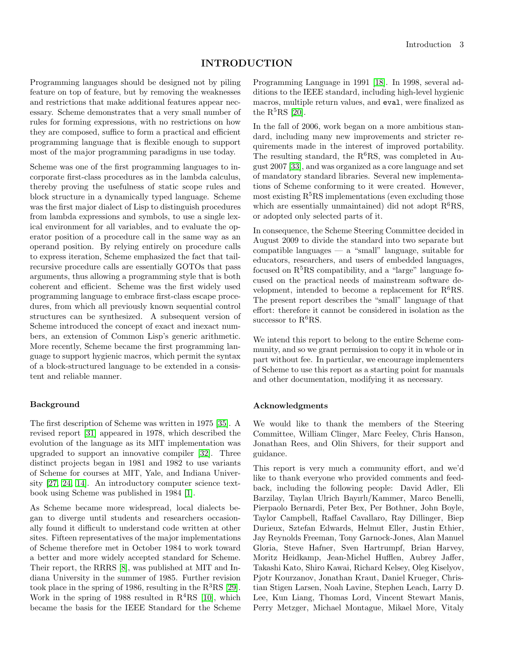## INTRODUCTION

Programming languages should be designed not by piling feature on top of feature, but by removing the weaknesses and restrictions that make additional features appear necessary. Scheme demonstrates that a very small number of rules for forming expressions, with no restrictions on how they are composed, suffice to form a practical and efficient programming language that is flexible enough to support most of the major programming paradigms in use today.

Scheme was one of the first programming languages to incorporate first-class procedures as in the lambda calculus, thereby proving the usefulness of static scope rules and block structure in a dynamically typed language. Scheme was the first major dialect of Lisp to distinguish procedures from lambda expressions and symbols, to use a single lexical environment for all variables, and to evaluate the operator position of a procedure call in the same way as an operand position. By relying entirely on procedure calls to express iteration, Scheme emphasized the fact that tailrecursive procedure calls are essentially GOTOs that pass arguments, thus allowing a programming style that is both coherent and efficient. Scheme was the first widely used programming language to embrace first-class escape procedures, from which all previously known sequential control structures can be synthesized. A subsequent version of Scheme introduced the concept of exact and inexact numbers, an extension of Common Lisp's generic arithmetic. More recently, Scheme became the first programming language to support hygienic macros, which permit the syntax of a block-structured language to be extended in a consistent and reliable manner.

#### Background

The first description of Scheme was written in 1975 [\[35\]](#page-82-0). A revised report [\[31\]](#page-82-1) appeared in 1978, which described the evolution of the language as its MIT implementation was upgraded to support an innovative compiler [\[32\]](#page-82-2). Three distinct projects began in 1981 and 1982 to use variants of Scheme for courses at MIT, Yale, and Indiana University [\[27,](#page-81-1) [24,](#page-81-2) [14\]](#page-81-3). An introductory computer science textbook using Scheme was published in 1984 [\[1\]](#page-80-2).

As Scheme became more widespread, local dialects began to diverge until students and researchers occasionally found it difficult to understand code written at other sites. Fifteen representatives of the major implementations of Scheme therefore met in October 1984 to work toward a better and more widely accepted standard for Scheme. Their report, the RRRS [\[8\]](#page-81-4), was published at MIT and Indiana University in the summer of 1985. Further revision took place in the spring of 1986, resulting in the  $R^{3}RS$  [\[29\]](#page-82-3). Work in the spring of 1988 resulted in  $R<sup>4</sup>RS$  [\[10\]](#page-81-5), which became the basis for the IEEE Standard for the Scheme Programming Language in 1991 [\[18\]](#page-81-6). In 1998, several additions to the IEEE standard, including high-level hygienic macros, multiple return values, and eval, were finalized as the  $R^5RS$  [\[20\]](#page-81-7).

In the fall of 2006, work began on a more ambitious standard, including many new improvements and stricter requirements made in the interest of improved portability. The resulting standard, the  $R^6RS$ , was completed in August 2007 [\[33\]](#page-82-4), and was organized as a core language and set of mandatory standard libraries. Several new implementations of Scheme conforming to it were created. However, most existing  $R<sup>5</sup>RS$  implementations (even excluding those which are essentially unmaintained) did not adopt  $R^6RS$ , or adopted only selected parts of it.

In consequence, the Scheme Steering Committee decided in August 2009 to divide the standard into two separate but compatible languages — a "small" language, suitable for educators, researchers, and users of embedded languages, focused on  $R<sup>5</sup>RS$  compatibility, and a "large" language focused on the practical needs of mainstream software development, intended to become a replacement for  $R^6RS$ . The present report describes the "small" language of that effort: therefore it cannot be considered in isolation as the successor to  ${\rm R^6RS}.$ 

We intend this report to belong to the entire Scheme community, and so we grant permission to copy it in whole or in part without fee. In particular, we encourage implementers of Scheme to use this report as a starting point for manuals and other documentation, modifying it as necessary.

#### Acknowledgments

We would like to thank the members of the Steering Committee, William Clinger, Marc Feeley, Chris Hanson, Jonathan Rees, and Olin Shivers, for their support and guidance.

This report is very much a community effort, and we'd like to thank everyone who provided comments and feedback, including the following people: David Adler, Eli Barzilay, Taylan Ulrich Bayırlı/Kammer, Marco Benelli, Pierpaolo Bernardi, Peter Bex, Per Bothner, John Boyle, Taylor Campbell, Raffael Cavallaro, Ray Dillinger, Biep Durieux, Sztefan Edwards, Helmut Eller, Justin Ethier, Jay Reynolds Freeman, Tony Garnock-Jones, Alan Manuel Gloria, Steve Hafner, Sven Hartrumpf, Brian Harvey, Moritz Heidkamp, Jean-Michel Hufflen, Aubrey Jaffer, Takashi Kato, Shiro Kawai, Richard Kelsey, Oleg Kiselyov, Pjotr Kourzanov, Jonathan Kraut, Daniel Krueger, Christian Stigen Larsen, Noah Lavine, Stephen Leach, Larry D. Lee, Kun Liang, Thomas Lord, Vincent Stewart Manis, Perry Metzger, Michael Montague, Mikael More, Vitaly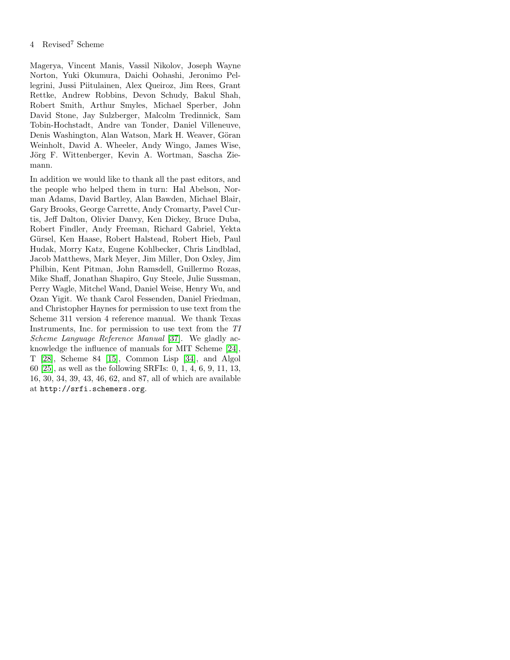### 4 Revised<sup>7</sup> Scheme

Magerya, Vincent Manis, Vassil Nikolov, Joseph Wayne Norton, Yuki Okumura, Daichi Oohashi, Jeronimo Pellegrini, Jussi Piitulainen, Alex Queiroz, Jim Rees, Grant Rettke, Andrew Robbins, Devon Schudy, Bakul Shah, Robert Smith, Arthur Smyles, Michael Sperber, John David Stone, Jay Sulzberger, Malcolm Tredinnick, Sam Tobin-Hochstadt, Andre van Tonder, Daniel Villeneuve, Denis Washington, Alan Watson, Mark H. Weaver, Göran Weinholt, David A. Wheeler, Andy Wingo, James Wise, Jörg F. Wittenberger, Kevin A. Wortman, Sascha Ziemann.

In addition we would like to thank all the past editors, and the people who helped them in turn: Hal Abelson, Norman Adams, David Bartley, Alan Bawden, Michael Blair, Gary Brooks, George Carrette, Andy Cromarty, Pavel Curtis, Jeff Dalton, Olivier Danvy, Ken Dickey, Bruce Duba, Robert Findler, Andy Freeman, Richard Gabriel, Yekta Gürsel, Ken Haase, Robert Halstead, Robert Hieb, Paul Hudak, Morry Katz, Eugene Kohlbecker, Chris Lindblad, Jacob Matthews, Mark Meyer, Jim Miller, Don Oxley, Jim Philbin, Kent Pitman, John Ramsdell, Guillermo Rozas, Mike Shaff, Jonathan Shapiro, Guy Steele, Julie Sussman, Perry Wagle, Mitchel Wand, Daniel Weise, Henry Wu, and Ozan Yigit. We thank Carol Fessenden, Daniel Friedman, and Christopher Haynes for permission to use text from the Scheme 311 version 4 reference manual. We thank Texas Instruments, Inc. for permission to use text from the TI Scheme Language Reference Manual [\[37\]](#page-82-5). We gladly acknowledge the influence of manuals for MIT Scheme [\[24\]](#page-81-2), T [\[28\]](#page-82-6), Scheme 84 [\[15\]](#page-81-8), Common Lisp [\[34\]](#page-82-7), and Algol 60 [\[25\]](#page-81-9), as well as the following SRFIs: 0, 1, 4, 6, 9, 11, 13, 16, 30, 34, 39, 43, 46, 62, and 87, all of which are available at http://srfi.schemers.org.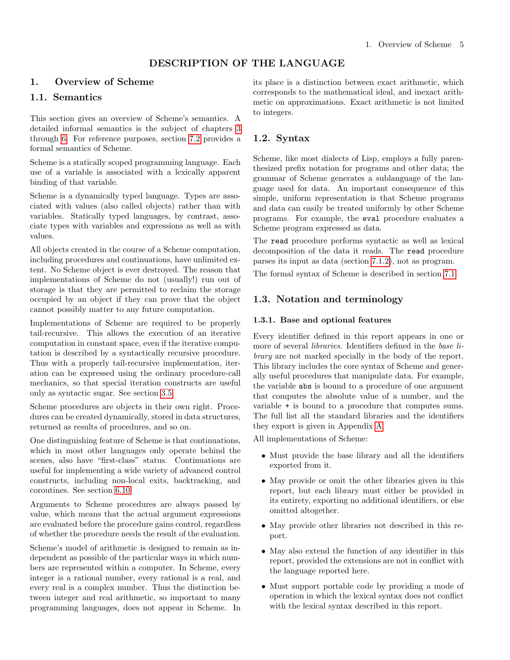# DESCRIPTION OF THE LANGUAGE

# <span id="page-4-1"></span><span id="page-4-0"></span>1. Overview of Scheme

# 1.1. Semantics

This section gives an overview of Scheme's semantics. A detailed informal semantics is the subject of chapters [3](#page-8-1) through [6.](#page-29-0) For reference purposes, section [7.2](#page-64-0) provides a formal semantics of Scheme.

Scheme is a statically scoped programming language. Each use of a variable is associated with a lexically apparent binding of that variable.

Scheme is a dynamically typed language. Types are associated with values (also called objects) rather than with variables. Statically typed languages, by contrast, associate types with variables and expressions as well as with values.

All objects created in the course of a Scheme computation, including procedures and continuations, have unlimited extent. No Scheme object is ever destroyed. The reason that implementations of Scheme do not (usually!) run out of storage is that they are permitted to reclaim the storage occupied by an object if they can prove that the object cannot possibly matter to any future computation.

Implementations of Scheme are required to be properly tail-recursive. This allows the execution of an iterative computation in constant space, even if the iterative computation is described by a syntactically recursive procedure. Thus with a properly tail-recursive implementation, iteration can be expressed using the ordinary procedure-call mechanics, so that special iteration constructs are useful only as syntactic sugar. See section [3.5.](#page-10-0)

Scheme procedures are objects in their own right. Procedures can be created dynamically, stored in data structures, returned as results of procedures, and so on.

One distinguishing feature of Scheme is that continuations, which in most other languages only operate behind the scenes, also have "first-class" status. Continuations are useful for implementing a wide variety of advanced control constructs, including non-local exits, backtracking, and coroutines. See section [6.10.](#page-49-0)

Arguments to Scheme procedures are always passed by value, which means that the actual argument expressions are evaluated before the procedure gains control, regardless of whether the procedure needs the result of the evaluation.

Scheme's model of arithmetic is designed to remain as independent as possible of the particular ways in which numbers are represented within a computer. In Scheme, every integer is a rational number, every rational is a real, and every real is a complex number. Thus the distinction between integer and real arithmetic, so important to many programming languages, does not appear in Scheme. In its place is a distinction between exact arithmetic, which corresponds to the mathematical ideal, and inexact arithmetic on approximations. Exact arithmetic is not limited to integers.

# <span id="page-4-2"></span>1.2. Syntax

Scheme, like most dialects of Lisp, employs a fully parenthesized prefix notation for programs and other data; the grammar of Scheme generates a sublanguage of the language used for data. An important consequence of this simple, uniform representation is that Scheme programs and data can easily be treated uniformly by other Scheme programs. For example, the eval procedure evaluates a Scheme program expressed as data.

The read procedure performs syntactic as well as lexical decomposition of the data it reads. The read procedure parses its input as data (section [7.1.2\)](#page-62-0), not as program.

The formal syntax of Scheme is described in section [7.1.](#page-60-1)

# <span id="page-4-3"></span>1.3. Notation and terminology

#### 1.3.1. Base and optional features

Every identifier defined in this report appears in one or more of several libraries. Identifiers defined in the base library are not marked specially in the body of the report. This library includes the core syntax of Scheme and generally useful procedures that manipulate data. For example, the variable abs is bound to a procedure of one argument that computes the absolute value of a number, and the variable + is bound to a procedure that computes sums. The full list all the standard libraries and the identifiers they export is given in Appendix [A.](#page-72-0)

All implementations of Scheme:

- Must provide the base library and all the identifiers exported from it.
- May provide or omit the other libraries given in this report, but each library must either be provided in its entirety, exporting no additional identifiers, or else omitted altogether.
- May provide other libraries not described in this report.
- May also extend the function of any identifier in this report, provided the extensions are not in conflict with the language reported here.
- Must support portable code by providing a mode of operation in which the lexical syntax does not conflict with the lexical syntax described in this report.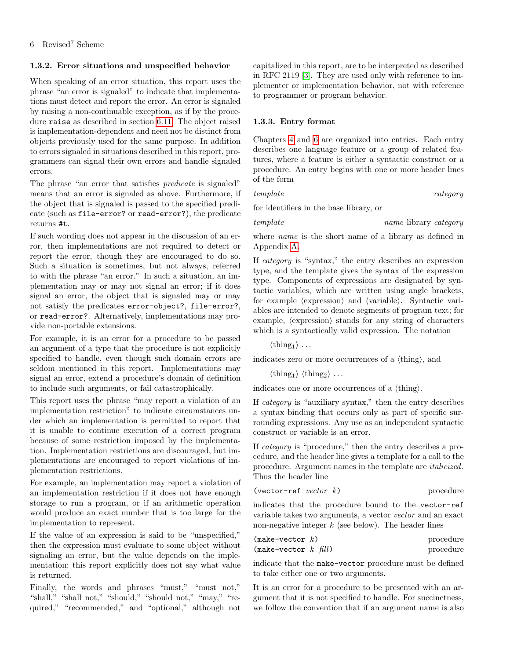# 1.3.2. Error situations and unspecified behavior

When speaking of an error situation, this report uses the phrase "an error is signaled" to indicate that implementations must detect and report the error. An error is signaled by raising a non-continuable exception, as if by the procedure raise as described in section [6.11.](#page-53-0) The object raised is implementation-dependent and need not be distinct from objects previously used for the same purpose. In addition to errors signaled in situations described in this report, programmers can signal their own errors and handle signaled errors.

The phrase "an error that satisfies *predicate* is signaled" means that an error is signaled as above. Furthermore, if the object that is signaled is passed to the specified predicate (such as file-error? or read-error?), the predicate returns #t.

If such wording does not appear in the discussion of an error, then implementations are not required to detect or report the error, though they are encouraged to do so. Such a situation is sometimes, but not always, referred to with the phrase "an error." In such a situation, an implementation may or may not signal an error; if it does signal an error, the object that is signaled may or may not satisfy the predicates error-object?, file-error?, or read-error?. Alternatively, implementations may provide non-portable extensions.

For example, it is an error for a procedure to be passed an argument of a type that the procedure is not explicitly specified to handle, even though such domain errors are seldom mentioned in this report. Implementations may signal an error, extend a procedure's domain of definition to include such arguments, or fail catastrophically.

This report uses the phrase "may report a violation of an implementation restriction" to indicate circumstances under which an implementation is permitted to report that it is unable to continue execution of a correct program because of some restriction imposed by the implementation. Implementation restrictions are discouraged, but implementations are encouraged to report violations of implementation restrictions.

For example, an implementation may report a violation of an implementation restriction if it does not have enough storage to run a program, or if an arithmetic operation would produce an exact number that is too large for the implementation to represent.

If the value of an expression is said to be "unspecified," then the expression must evaluate to some object without signaling an error, but the value depends on the implementation; this report explicitly does not say what value is returned.

Finally, the words and phrases "must," "must not," "shall," "shall not," "should," "should not," "may," "required," "recommended," and "optional," although not capitalized in this report, are to be interpreted as described in RFC 2119 [\[3\]](#page-81-10). They are used only with reference to implementer or implementation behavior, not with reference to programmer or program behavior.

# <span id="page-5-0"></span>1.3.3. Entry format

Chapters [4](#page-11-0) and [6](#page-29-0) are organized into entries. Each entry describes one language feature or a group of related features, where a feature is either a syntactic construct or a procedure. An entry begins with one or more header lines of the form

template category

for identifiers in the base library, or

template name library category

where name is the short name of a library as defined in Appendix [A.](#page-72-0)

If category is "syntax," the entry describes an expression type, and the template gives the syntax of the expression type. Components of expressions are designated by syntactic variables, which are written using angle brackets, for example  $\langle$  expression $\rangle$  and  $\langle$  variable $\rangle$ . Syntactic variables are intended to denote segments of program text; for example,  $\langle$  expression $\rangle$  stands for any string of characters which is a syntactically valid expression. The notation

```
\langle \text{thing}_1 \rangle \dots
```
indicates zero or more occurrences of a  $\{\text{thing}\},$  and

 $\langle \text{thing}_1 \rangle$   $\langle \text{thing}_2 \rangle$  ...

indicates one or more occurrences of a  $\{\text{thing}\}.$ 

If category is "auxiliary syntax," then the entry describes a syntax binding that occurs only as part of specific surrounding expressions. Any use as an independent syntactic construct or variable is an error.

If category is "procedure," then the entry describes a procedure, and the header line gives a template for a call to the procedure. Argument names in the template are italicized. Thus the header line

```
(\text{vector-ref } vector k) procedure
```
indicates that the procedure bound to the vector-ref variable takes two arguments, a vector vector and an exact non-negative integer  $k$  (see below). The header lines

| $(make-vector k)$       | procedure |
|-------------------------|-----------|
| (make-vector k $fill$ ) | procedure |

indicate that the make-vector procedure must be defined to take either one or two arguments.

It is an error for a procedure to be presented with an argument that it is not specified to handle. For succinctness, we follow the convention that if an argument name is also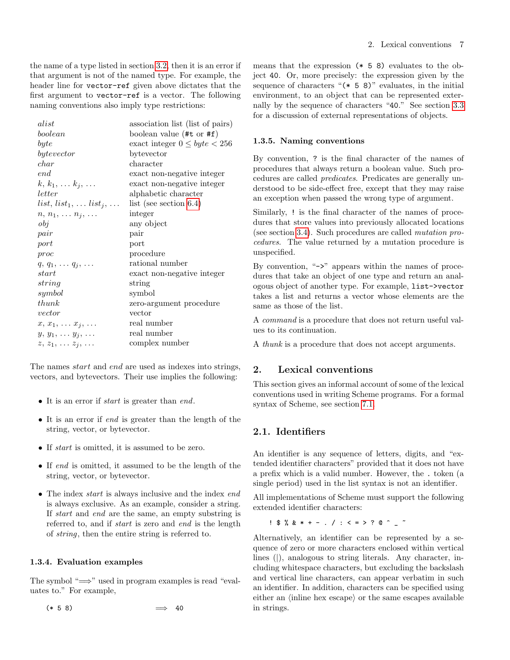the name of a type listed in section [3.2,](#page-9-0) then it is an error if that argument is not of the named type. For example, the header line for vector-ref given above dictates that the first argument to vector-ref is a vector. The following naming conventions also imply type restrictions:

| alist                                     | association list (list of pairs)                 |
|-------------------------------------------|--------------------------------------------------|
| boolean                                   | boolean value $(\texttt{\#t}$ or $\texttt{\#f})$ |
| byte                                      | exact integer $0 \leq byte < 256$                |
| bytevector                                | bytevector                                       |
| char                                      | character                                        |
| end                                       | exact non-negative integer                       |
| $k, k_1, \ldots k_j, \ldots$              | exact non-negative integer                       |
| letter                                    | alphabetic character                             |
| list, list $_1, \ldots$ list $_j, \ldots$ | list (see section $6.4$ )                        |
| $n, n_1, \ldots n_j, \ldots$              | integer                                          |
| obj                                       | any object                                       |
| pair                                      | pair                                             |
| $_{port}$                                 | port                                             |
| proc                                      | procedure                                        |
| $q, q_1, \ldots q_j, \ldots$              | rational number                                  |
| start                                     | exact non-negative integer                       |
| string                                    | string                                           |
| symbol                                    | symbol                                           |
| thunk                                     | zero-argument procedure                          |
| vector                                    | vector                                           |
| $x, x_1, \ldots x_j, \ldots$              | real number                                      |
| $y, y_1, \ldots y_i, \ldots$              | real number                                      |
| $z, z_1, \ldots z_j, \ldots$              | complex number                                   |
|                                           |                                                  |

The names start and end are used as indexes into strings, vectors, and bytevectors. Their use implies the following:

- It is an error if *start* is greater than *end*.
- It is an error if *end* is greater than the length of the string, vector, or bytevector.
- If *start* is omitted, it is assumed to be zero.
- If end is omitted, it assumed to be the length of the string, vector, or bytevector.
- The index *start* is always inclusive and the index *end* is always exclusive. As an example, consider a string. If start and end are the same, an empty substring is referred to, and if start is zero and end is the length of string, then the entire string is referred to.

#### 1.3.4. Evaluation examples

The symbol " $\Longrightarrow$ " used in program examples is read "evaluates to." For example,

$$
(* 5 8) \qquad \qquad \Longrightarrow \qquad 40
$$

means that the expression (\* 5 8) evaluates to the object 40. Or, more precisely: the expression given by the sequence of characters " $(* 5 8)$ " evaluates, in the initial environment, to an object that can be represented externally by the sequence of characters "40." See section [3.3](#page-9-1) for a discussion of external representations of objects.

#### 1.3.5. Naming conventions

By convention, ? is the final character of the names of procedures that always return a boolean value. Such procedures are called predicates. Predicates are generally understood to be side-effect free, except that they may raise an exception when passed the wrong type of argument.

Similarly, ! is the final character of the names of procedures that store values into previously allocated locations (see section [3.4\)](#page-9-2). Such procedures are called mutation procedures. The value returned by a mutation procedure is unspecified.

By convention, " $\rightarrow$ " appears within the names of procedures that take an object of one type and return an analogous object of another type. For example, list->vector takes a list and returns a vector whose elements are the same as those of the list.

A command is a procedure that does not return useful values to its continuation.

<span id="page-6-0"></span>A thunk is a procedure that does not accept arguments.

#### 2. Lexical conventions

This section gives an informal account of some of the lexical conventions used in writing Scheme programs. For a formal syntax of Scheme, see section [7.1.](#page-60-1)

# <span id="page-6-1"></span>2.1. Identifiers

An identifier is any sequence of letters, digits, and "extended identifier characters" provided that it does not have a prefix which is a valid number. However, the . token (a single period) used in the list syntax is not an identifier.

All implementations of Scheme must support the following extended identifier characters:

!  $$ % 8 * + - . / : < = > ? @$  ^ \_ ~

Alternatively, an identifier can be represented by a sequence of zero or more characters enclosed within vertical lines (|), analogous to string literals. Any character, including whitespace characters, but excluding the backslash and vertical line characters, can appear verbatim in such an identifier. In addition, characters can be specified using either an  $\langle$ inline hex escape $\rangle$  or the same escapes available in strings.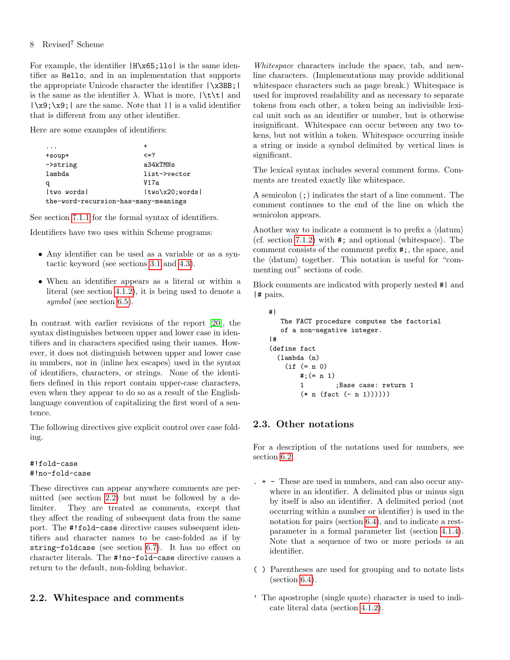#### 8 Revised<sup>7</sup> Scheme

For example, the identifier  $|H\x65;110|$  is the same identifier as Hello, and in an implementation that supports the appropriate Unicode character the identifier |\x3BB;| is the same as the identifier  $\lambda$ . What is more,  $|\cdot\|$  and  $|\x0\rangle$ :  $|x9\rangle$  are the same. Note that  $| \cdot |$  is a valid identifier that is different from any other identifier.

Here are some examples of identifiers:

| $\leq$ = ?                           |
|--------------------------------------|
| a34kTMNs                             |
| list->vector                         |
| V17a                                 |
| $ two\angle x20; words $             |
| the-word-recursion-has-many-meanings |
|                                      |

See section [7.1.1](#page-60-2) for the formal syntax of identifiers.

Identifiers have two uses within Scheme programs:

- Any identifier can be used as a variable or as a syntactic keyword (see sections [3.1](#page-8-2) and [4.3\)](#page-20-0).
- When an identifier appears as a literal or within a literal (see section [4.1.2\)](#page-11-2), it is being used to denote a symbol (see section [6.5\)](#page-42-0).

In contrast with earlier revisions of the report [\[20\]](#page-81-7), the syntax distinguishes between upper and lower case in identifiers and in characters specified using their names. However, it does not distinguish between upper and lower case in numbers, nor in  $\langle$  indine hex escapes $\rangle$  used in the syntax of identifiers, characters, or strings. None of the identifiers defined in this report contain upper-case characters, even when they appear to do so as a result of the Englishlanguage convention of capitalizing the first word of a sentence.

The following directives give explicit control over case folding.

## #!fold-case #!no-fold-case

These directives can appear anywhere comments are permitted (see section [2.2\)](#page-7-0) but must be followed by a delimiter. They are treated as comments, except that they affect the reading of subsequent data from the same port. The #!fold-case directive causes subsequent identifiers and character names to be case-folded as if by string-foldcase (see section [6.7\)](#page-44-0). It has no effect on character literals. The #!no-fold-case directive causes a return to the default, non-folding behavior.

# <span id="page-7-0"></span>2.2. Whitespace and comments

Whitespace characters include the space, tab, and newline characters. (Implementations may provide additional whitespace characters such as page break.) Whitespace is used for improved readability and as necessary to separate tokens from each other, a token being an indivisible lexical unit such as an identifier or number, but is otherwise insignificant. Whitespace can occur between any two tokens, but not within a token. Whitespace occurring inside a string or inside a symbol delimited by vertical lines is significant.

The lexical syntax includes several comment forms. Comments are treated exactly like whitespace.

A semicolon (;) indicates the start of a line comment. The comment continues to the end of the line on which the semicolon appears.

Another way to indicate a comment is to prefix a  $\langle \text{datum} \rangle$ (cf. section [7.1.2\)](#page-62-0) with  $\#$ ; and optional  $\langle$  whitespace $\rangle$ . The comment consists of the comment prefix #;, the space, and the  $\langle \text{datum} \rangle$  together. This notation is useful for "commenting out" sections of code.

Block comments are indicated with properly nested #| and |# pairs.

```
#|
  The FACT procedure computes the factorial
   of a non-negative integer.
|#
(define fact
  (lambda (n)
    (if (= n 0)
       #; (= n 1)
       1 ;Base case: return 1
        (* n (fact (- n 1))))))
```
# <span id="page-7-1"></span>2.3. Other notations

For a description of the notations used for numbers, see section [6.2.](#page-31-0)

- . + These are used in numbers, and can also occur anywhere in an identifier. A delimited plus or minus sign by itself is also an identifier. A delimited period (not occurring within a number or identifier) is used in the notation for pairs (section [6.4\)](#page-39-1), and to indicate a restparameter in a formal parameter list (section [4.1.4\)](#page-12-0). Note that a sequence of two or more periods is an identifier.
- ( ) Parentheses are used for grouping and to notate lists (section [6.4\)](#page-39-1).
- ' The apostrophe (single quote) character is used to indicate literal data (section [4.1.2\)](#page-11-2).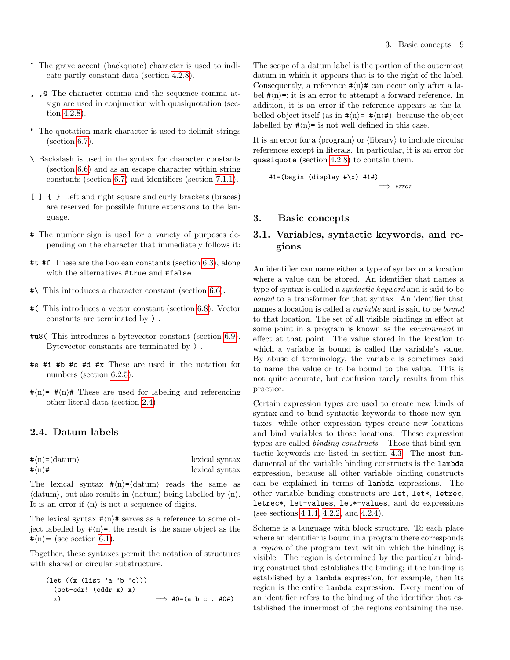- ` The grave accent (backquote) character is used to indicate partly constant data (section [4.2.8\)](#page-19-0).
- , ,@ The character comma and the sequence comma atsign are used in conjunction with quasiquotation (section [4.2.8\)](#page-19-0).
- " The quotation mark character is used to delimit strings (section [6.7\)](#page-44-0).
- \ Backslash is used in the syntax for character constants (section [6.6\)](#page-43-0) and as an escape character within string constants (section [6.7\)](#page-44-0) and identifiers (section [7.1.1\)](#page-60-2).
- [ ] { } Left and right square and curly brackets (braces) are reserved for possible future extensions to the language.
- # The number sign is used for a variety of purposes depending on the character that immediately follows it:
- #t #f These are the boolean constants (section [6.3\)](#page-39-0), along with the alternatives #true and #false.
- $\#$  This introduces a character constant (section [6.6\)](#page-43-0).
- #( This introduces a vector constant (section [6.8\)](#page-47-0). Vector constants are terminated by ) .
- #u8( This introduces a bytevector constant (section [6.9\)](#page-48-0). Bytevector constants are terminated by ) .
- #e #i #b #o #d #x These are used in the notation for numbers (section [6.2.5\)](#page-33-0).
- $\sharp\langle n \rangle$  =  $\sharp\langle n \rangle$  These are used for labeling and referencing other literal data (section [2.4\)](#page-8-0).

# <span id="page-8-0"></span>2.4. Datum labels

| $\#\langle n\rangle = \langle \text{datum}\rangle$ | lexical syntax |
|----------------------------------------------------|----------------|
| # $\langle n \rangle$ #                            | lexical syntax |

The lexical syntax  $\# \langle n \rangle = \langle \text{datum} \rangle$  reads the same as  $\langle \text{datum} \rangle$ , but also results in  $\langle \text{datum} \rangle$  being labelled by  $\langle n \rangle$ . It is an error if  $\langle n \rangle$  is not a sequence of digits.

The lexical syntax  $\# \langle n \rangle \#$  serves as a reference to some object labelled by  $\sharp\langle n\rangle$ =; the result is the same object as the  $\sharp\langle n\rangle =$  (see section [6.1\)](#page-29-1).

Together, these syntaxes permit the notation of structures with shared or circular substructure.

```
(let ((x (list 'a 'b 'c)))
 (set-cdr! (cddr x) x)
 x) \implies #0=(a b c . #0#)
```
The scope of a datum label is the portion of the outermost datum in which it appears that is to the right of the label. Consequently, a reference  $\#(n)\#$  can occur only after a label  $\#(n)=$ ; it is an error to attempt a forward reference. In addition, it is an error if the reference appears as the labelled object itself (as in  $\#(n) = \#(n)\#$ ), because the object labelled by  $\#(n)$ = is not well defined in this case.

It is an error for a  $\langle$ program $\rangle$  or  $\langle$ library $\rangle$  to include circular references except in literals. In particular, it is an error for quasiquote (section [4.2.8\)](#page-19-0) to contain them.

#1=(begin (display #\x) #1#)  $\implies$  error

#### <span id="page-8-1"></span>3. Basic concepts

# <span id="page-8-2"></span>3.1. Variables, syntactic keywords, and regions

An identifier can name either a type of syntax or a location where a value can be stored. An identifier that names a type of syntax is called a *syntactic keyword* and is said to be bound to a transformer for that syntax. An identifier that names a location is called a variable and is said to be bound to that location. The set of all visible bindings in effect at some point in a program is known as the environment in effect at that point. The value stored in the location to which a variable is bound is called the variable's value. By abuse of terminology, the variable is sometimes said to name the value or to be bound to the value. This is not quite accurate, but confusion rarely results from this practice.

Certain expression types are used to create new kinds of syntax and to bind syntactic keywords to those new syntaxes, while other expression types create new locations and bind variables to those locations. These expression types are called binding constructs. Those that bind syntactic keywords are listed in section [4.3.](#page-20-0) The most fundamental of the variable binding constructs is the lambda expression, because all other variable binding constructs can be explained in terms of lambda expressions. The other variable binding constructs are let, let\*, letrec, letrec\*, let-values, let\*-values, and do expressions (see sections [4.1.4,](#page-12-0) [4.2.2,](#page-15-0) and [4.2.4\)](#page-17-0).

Scheme is a language with block structure. To each place where an identifier is bound in a program there corresponds a region of the program text within which the binding is visible. The region is determined by the particular binding construct that establishes the binding; if the binding is established by a lambda expression, for example, then its region is the entire lambda expression. Every mention of an identifier refers to the binding of the identifier that established the innermost of the regions containing the use.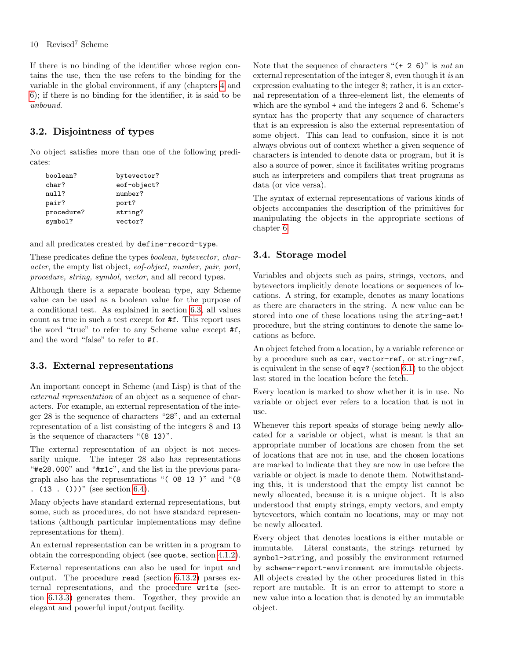If there is no binding of the identifier whose region contains the use, then the use refers to the binding for the variable in the global environment, if any (chapters [4](#page-11-0) and [6\)](#page-29-0); if there is no binding for the identifier, it is said to be unbound.

# <span id="page-9-0"></span>3.2. Disjointness of types

No object satisfies more than one of the following predicates:

| boolean?   | bytevector? |
|------------|-------------|
| char?      | eof-object? |
| null?      | number?     |
| pair?      | port?       |
| procedure? | string?     |
| symbol?    | vector?     |
|            |             |

and all predicates created by define-record-type.

These predicates define the types boolean, bytevector, character, the empty list object, eof-object, number, pair, port, procedure, string, symbol, vector, and all record types.

Although there is a separate boolean type, any Scheme value can be used as a boolean value for the purpose of a conditional test. As explained in section [6.3,](#page-39-0) all values count as true in such a test except for #f. This report uses the word "true" to refer to any Scheme value except #f, and the word "false" to refer to #f.

# <span id="page-9-1"></span>3.3. External representations

An important concept in Scheme (and Lisp) is that of the external representation of an object as a sequence of characters. For example, an external representation of the integer 28 is the sequence of characters "28", and an external representation of a list consisting of the integers 8 and 13 is the sequence of characters "(8 13)".

The external representation of an object is not necessarily unique. The integer 28 also has representations "#e28.000" and "#x1c", and the list in the previous paragraph also has the representations "( 08 13 )" and "(8 .  $(13$  .  $($ ))<sup>"</sup> (see section [6.4\)](#page-39-1).

Many objects have standard external representations, but some, such as procedures, do not have standard representations (although particular implementations may define representations for them).

An external representation can be written in a program to obtain the corresponding object (see quote, section [4.1.2\)](#page-11-2).

External representations can also be used for input and output. The procedure read (section [6.13.2\)](#page-56-0) parses external representations, and the procedure write (section [6.13.3\)](#page-57-0) generates them. Together, they provide an elegant and powerful input/output facility.

Note that the sequence of characters " $(+ 2 6)$ " is not an external representation of the integer 8, even though it is an expression evaluating to the integer 8; rather, it is an external representation of a three-element list, the elements of which are the symbol + and the integers 2 and 6. Scheme's syntax has the property that any sequence of characters that is an expression is also the external representation of some object. This can lead to confusion, since it is not always obvious out of context whether a given sequence of characters is intended to denote data or program, but it is also a source of power, since it facilitates writing programs such as interpreters and compilers that treat programs as data (or vice versa).

The syntax of external representations of various kinds of objects accompanies the description of the primitives for manipulating the objects in the appropriate sections of chapter [6.](#page-29-0)

# <span id="page-9-2"></span>3.4. Storage model

Variables and objects such as pairs, strings, vectors, and bytevectors implicitly denote locations or sequences of locations. A string, for example, denotes as many locations as there are characters in the string. A new value can be stored into one of these locations using the string-set! procedure, but the string continues to denote the same locations as before.

An object fetched from a location, by a variable reference or by a procedure such as car, vector-ref, or string-ref, is equivalent in the sense of eqv? (section [6.1\)](#page-29-1) to the object last stored in the location before the fetch.

Every location is marked to show whether it is in use. No variable or object ever refers to a location that is not in use.

Whenever this report speaks of storage being newly allocated for a variable or object, what is meant is that an appropriate number of locations are chosen from the set of locations that are not in use, and the chosen locations are marked to indicate that they are now in use before the variable or object is made to denote them. Notwithstanding this, it is understood that the empty list cannot be newly allocated, because it is a unique object. It is also understood that empty strings, empty vectors, and empty bytevectors, which contain no locations, may or may not be newly allocated.

Every object that denotes locations is either mutable or immutable. Literal constants, the strings returned by symbol->string, and possibly the environment returned by scheme-report-environment are immutable objects. All objects created by the other procedures listed in this report are mutable. It is an error to attempt to store a new value into a location that is denoted by an immutable object.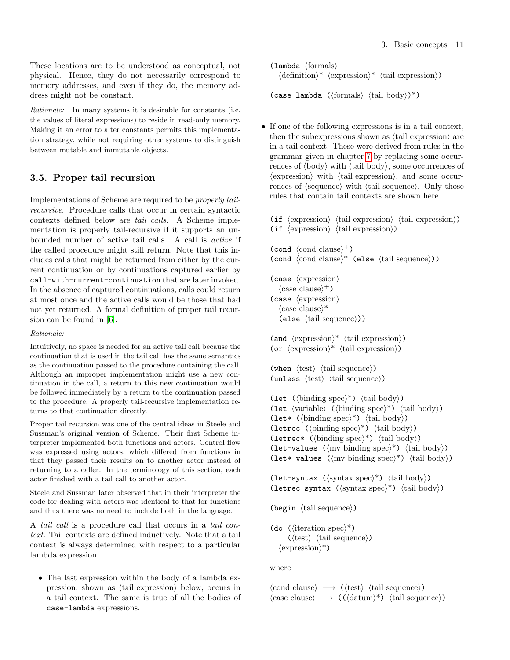These locations are to be understood as conceptual, not physical. Hence, they do not necessarily correspond to memory addresses, and even if they do, the memory address might not be constant.

Rationale: In many systems it is desirable for constants (i.e. the values of literal expressions) to reside in read-only memory. Making it an error to alter constants permits this implementation strategy, while not requiring other systems to distinguish between mutable and immutable objects.

# <span id="page-10-0"></span>3.5. Proper tail recursion

Implementations of Scheme are required to be properly tailrecursive. Procedure calls that occur in certain syntactic contexts defined below are tail calls. A Scheme implementation is properly tail-recursive if it supports an unbounded number of active tail calls. A call is active if the called procedure might still return. Note that this includes calls that might be returned from either by the current continuation or by continuations captured earlier by call-with-current-continuation that are later invoked. In the absence of captured continuations, calls could return at most once and the active calls would be those that had not yet returned. A formal definition of proper tail recursion can be found in [\[6\]](#page-81-11).

#### Rationale:

Intuitively, no space is needed for an active tail call because the continuation that is used in the tail call has the same semantics as the continuation passed to the procedure containing the call. Although an improper implementation might use a new continuation in the call, a return to this new continuation would be followed immediately by a return to the continuation passed to the procedure. A properly tail-recursive implementation returns to that continuation directly.

Proper tail recursion was one of the central ideas in Steele and Sussman's original version of Scheme. Their first Scheme interpreter implemented both functions and actors. Control flow was expressed using actors, which differed from functions in that they passed their results on to another actor instead of returning to a caller. In the terminology of this section, each actor finished with a tail call to another actor.

Steele and Sussman later observed that in their interpreter the code for dealing with actors was identical to that for functions and thus there was no need to include both in the language.

A tail call is a procedure call that occurs in a tail context. Tail contexts are defined inductively. Note that a tail context is always determined with respect to a particular lambda expression.

• The last expression within the body of a lambda expression, shown as  $\langle \text{tail expression} \rangle$  below, occurs in a tail context. The same is true of all the bodies of case-lambda expressions.

```
\langle1ambda \langleformals\rangle\langle \text{definition} \rangle^* \langle \text{expression} \rangle^* \langle \text{tail expression} \rangle
```
(case-lambda ( $\langle$ formals $\rangle$   $\langle$ tail body $\rangle$ )\*)

• If one of the following expressions is in a tail context, then the subexpressions shown as  $\langle \text{tail expression} \rangle$  are in a tail context. These were derived from rules in the grammar given in chapter [7](#page-60-0) by replacing some occurrences of  $\langle \text{body} \rangle$  with  $\langle \text{tail body} \rangle$ , some occurrences of  $\langle$  expression $\rangle$  with  $\langle$  tail expression $\rangle$ , and some occurrences of  $\langle$  sequence $\rangle$  with  $\langle$  tail sequence $\rangle$ . Only those rules that contain tail contexts are shown here.

(if  $\langle$  expression $\rangle$   $\langle$  tail expression $\rangle$ ) (if  $\langle$  expression $\rangle$   $\langle$  tail expression $\rangle$ )

```
(\text{cond } \langle \text{cond } \text{clause} \rangle^+)(cond \langlecond clause)<sup>*</sup> (else \langletail sequence)))
```

```
(case \langle expression)
    \langle \text{case clause} \rangle^+)
(case \langle expression)
    \langle \text{case clause} \rangle^*(else \langle tail \text{ sequence} \rangle)
```

```
(and \langle expression\rangle^* \langle tail expression\rangle)
(or \langle expression\rangle^* \langle tail expression\rangle)
```

```
(when \langle \text{test} \rangle \langle \text{tail sequence} \rangle)
(unless \langle test \rangle \langle tail \ sequence \rangle)
```

```
(let (\langle \text{binding spec} \rangle^*) \langle \text{tail body} \rangle)
(let \langle \text{variable} \rangle (\langle \text{binding spec} \rangle^*) \langle \text{tail body} \rangle)
(let* (\langle \text{binding spec} \rangle^*) \langle \text{tail body} \rangle)
(letrec (\langle \text{binding spec} \rangle^*) \langle \text{tail body} \rangle)
(letrec* (\langle \text{binding spec} \rangle^*) \langle \text{tail body} \rangle)
(let-values (\langle \text{mv binding spec} \rangle^*) \langle \text{tail body} \rangle)
(let*-values (\langle \text{mv binding spec} \rangle^*) \langle \text{tail body} \rangle)
```

```
(let-syntax (\langlesyntax spec\rangle^*) \langletail body\rangle)
(letrec-syntax (\langlesyntax spec\rangle^*) \langletail body\rangle)
```
(begin  $\langle \text{tail sequence} \rangle$ )

(do ( $\langle$ iteration spec $\rangle^*$ )  $(\langle test \rangle \langle tail \rangle)$  $\langle$  expression $\rangle^*$ )

where

 $\langle \text{cond clause} \rangle \longrightarrow (\langle \text{test} \rangle \langle \text{tail sequence} \rangle)$  $\langle \text{case clause} \rangle \rightarrow (\langle \text{datum} \rangle^*) \langle \text{tail sequence} \rangle$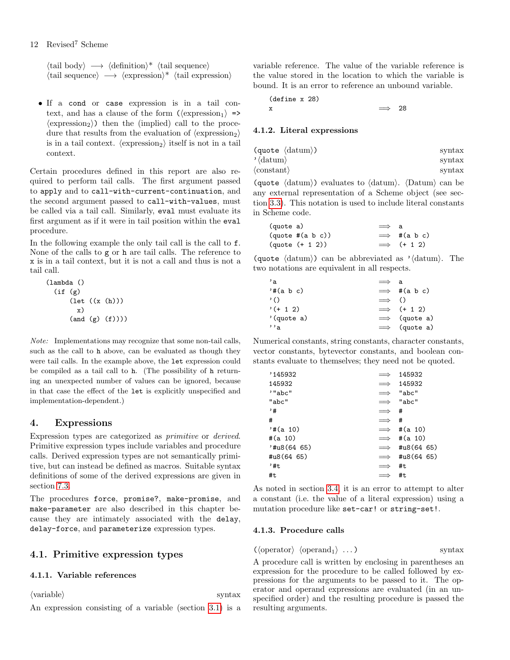#### 12 Revised<sup>7</sup> Scheme

 $\langle \text{tail body} \rangle \longrightarrow \langle \text{definition} \rangle^*$   $\langle \text{tail sequence} \rangle$  $\langle \text{tail sequence} \rangle \longrightarrow \langle \text{expression} \rangle^*$   $\langle \text{tail expression} \rangle$ 

• If a cond or case expression is in a tail context, and has a clause of the form  $(\langle$ expression<sub>1</sub> $\rangle$  =>  $\langle$  expression<sub>2</sub> $\rangle$ ) then the (implied) call to the procedure that results from the evaluation of  $\langle$  expression<sub>2</sub> $\rangle$ is in a tail context.  $\langle$  expression<sub>2</sub> $\rangle$  itself is not in a tail context.

Certain procedures defined in this report are also required to perform tail calls. The first argument passed to apply and to call-with-current-continuation, and the second argument passed to call-with-values, must be called via a tail call. Similarly, eval must evaluate its first argument as if it were in tail position within the eval procedure.

In the following example the only tail call is the call to f. None of the calls to g or h are tail calls. The reference to x is in a tail context, but it is not a call and thus is not a tail call.

$$
\begin{array}{c} \text{(lambda ()} \\ \text{(if (g))} \\ \text{(let ((x (h)))} \\ \text{x)} \\ \text{(and (g) (f))))} \end{array}
$$

Note: Implementations may recognize that some non-tail calls, such as the call to h above, can be evaluated as though they were tail calls. In the example above, the let expression could be compiled as a tail call to h. (The possibility of h returning an unexpected number of values can be ignored, because in that case the effect of the let is explicitly unspecified and implementation-dependent.)

#### <span id="page-11-0"></span>4. Expressions

Expression types are categorized as primitive or derived. Primitive expression types include variables and procedure calls. Derived expression types are not semantically primitive, but can instead be defined as macros. Suitable syntax definitions of some of the derived expressions are given in section [7.3.](#page-67-0)

The procedures force, promise?, make-promise, and make-parameter are also described in this chapter because they are intimately associated with the delay, delay-force, and parameterize expression types.

# <span id="page-11-1"></span>4.1. Primitive expression types

#### 4.1.1. Variable references

 $\langle \text{variable} \rangle$  syntax

An expression consisting of a variable (section [3.1\)](#page-8-2) is a

variable reference. The value of the variable reference is the value stored in the location to which the variable is bound. It is an error to reference an unbound variable.

| (define x 28) |  |  |               |  |
|---------------|--|--|---------------|--|
|               |  |  | $\implies$ 28 |  |

#### <span id="page-11-2"></span>4.1.2. Literal expressions

| $\langle \text{quote} \rangle$ | syntax |
|--------------------------------|--------|
| $\prime$ (datum)               | syntax |
| $\langle constant \rangle$     | syntax |

(quote  $\langle \text{datum} \rangle$ ) evaluates to  $\langle \text{datum} \rangle$ .  $\langle \text{Datum} \rangle$  can be any external representation of a Scheme object (see section [3.3\)](#page-9-1). This notation is used to include literal constants in Scheme code.

| (quote a) |                         | $\implies$ a |                     |
|-----------|-------------------------|--------------|---------------------|
|           | $(quote \#(a \ b \ c))$ |              | $\implies$ #(a b c) |
|           | $(quote (+ 1 2))$       |              | $\implies$ (+ 1 2)  |

(quote  $\langle \text{datum} \rangle$ ) can be abbreviated as ' $\langle \text{datum} \rangle$ . The two notations are equivalent in all respects.

| 'a          | $\implies$ a  |                      |
|-------------|---------------|----------------------|
| '#(a b c)   |               | $\implies$ #(a b c)  |
| $\prime$ () | $\implies$ () |                      |
| $'(+ 1 2)$  |               | $\implies$ (+ 1 2)   |
| '(quote a)  |               | $\implies$ (quote a) |
| e''         |               | $\implies$ (quote a) |
|             |               |                      |

Numerical constants, string constants, character constants, vector constants, bytevector constants, and boolean constants evaluate to themselves; they need not be quoted.

| 145932      |            | 145932                 |
|-------------|------------|------------------------|
| 145932      |            | 145932                 |
| '"abc"      | $\implies$ | "abc"                  |
| "abc"       | $\implies$ | "abc"                  |
| '#          | $\implies$ | #                      |
| #           | $\implies$ | #                      |
| '#(a 10)    | $\implies$ | # $(a 10)$             |
| # $(a 10)$  | $\implies$ | # $(a 10)$             |
| '#u8(64 65) | $\implies$ | $\texttt{#u8}(64 65)$  |
| #u8(64 65)  | $\implies$ | $\texttt{\#u8(64 65)}$ |
| '#t         | $\implies$ | #t                     |
| #t          |            | #t                     |

As noted in section [3.4,](#page-9-2) it is an error to attempt to alter a constant (i.e. the value of a literal expression) using a mutation procedure like set-car! or string-set!.

#### 4.1.3. Procedure calls

$$
(\langle operator \rangle \langle operator, \rangle \ldots) \qquad \qquad \text{syntax}
$$

A procedure call is written by enclosing in parentheses an expression for the procedure to be called followed by expressions for the arguments to be passed to it. The operator and operand expressions are evaluated (in an unspecified order) and the resulting procedure is passed the resulting arguments.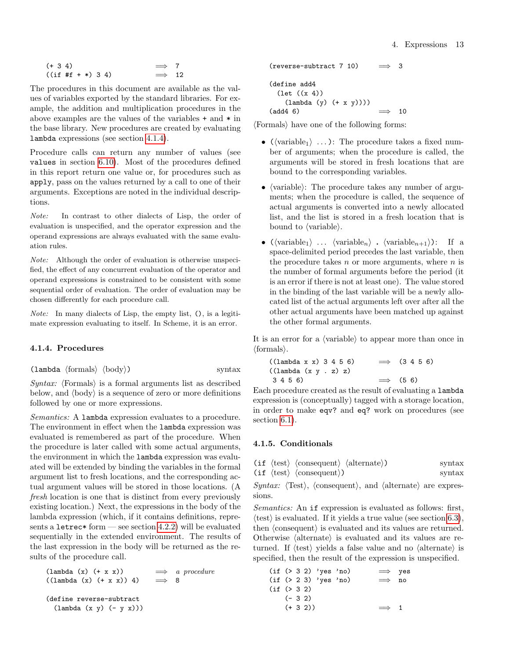| $(+ 3 4)$           |  |  | $\implies$ 7  |  |
|---------------------|--|--|---------------|--|
| $((if #f + *) 3 4)$ |  |  | $\implies$ 12 |  |

The procedures in this document are available as the values of variables exported by the standard libraries. For example, the addition and multiplication procedures in the above examples are the values of the variables + and \* in the base library. New procedures are created by evaluating lambda expressions (see section [4.1.4\)](#page-12-0).

Procedure calls can return any number of values (see values in section [6.10\)](#page-49-0). Most of the procedures defined in this report return one value or, for procedures such as apply, pass on the values returned by a call to one of their arguments. Exceptions are noted in the individual descriptions.

Note: In contrast to other dialects of Lisp, the order of evaluation is unspecified, and the operator expression and the operand expressions are always evaluated with the same evaluation rules.

Note: Although the order of evaluation is otherwise unspecified, the effect of any concurrent evaluation of the operator and operand expressions is constrained to be consistent with some sequential order of evaluation. The order of evaluation may be chosen differently for each procedure call.

Note: In many dialects of Lisp, the empty list,  $()$ , is a legitimate expression evaluating to itself. In Scheme, it is an error.

#### <span id="page-12-0"></span>4.1.4. Procedures

 $\text{(lambda} \ \langle \text{formals} \rangle \ \langle \text{body} \rangle)$  syntax

 $Syntax:$   $\langle$  Formals $\rangle$  is a formal arguments list as described below, and  $\langle \text{body} \rangle$  is a sequence of zero or more definitions followed by one or more expressions.

Semantics: A lambda expression evaluates to a procedure. The environment in effect when the lambda expression was evaluated is remembered as part of the procedure. When the procedure is later called with some actual arguments, the environment in which the lambda expression was evaluated will be extended by binding the variables in the formal argument list to fresh locations, and the corresponding actual argument values will be stored in those locations. (A fresh location is one that is distinct from every previously existing location.) Next, the expressions in the body of the lambda expression (which, if it contains definitions, repre-sents a letrec\* form — see section [4.2.2\)](#page-15-0) will be evaluated sequentially in the extended environment. The results of the last expression in the body will be returned as the results of the procedure call.

| $(\text{lambda } (x) (+ x x))$     |              | $\implies$ a procedure |
|------------------------------------|--------------|------------------------|
| $((\text{lambda } (x) (+ x x)) 4)$ | $\implies$ 8 |                        |
| (define reverse-subtract           |              |                        |
| $(\text{lambda } (x y) (- y x)))$  |              |                        |

```
(reverse-subtract 7 10) \implies 3
(define add4
 (let ((x 4))
   (lambda (y) (+ x y))))
(\text{add4 6}) \Rightarrow 10
```
 $\langle$ Formals $\rangle$  have one of the following forms:

- ( $\langle \text{variable}_1 \rangle$  ...): The procedure takes a fixed number of arguments; when the procedure is called, the arguments will be stored in fresh locations that are bound to the corresponding variables.
- $\langle \text{variable} \rangle$ : The procedure takes any number of arguments; when the procedure is called, the sequence of actual arguments is converted into a newly allocated list, and the list is stored in a fresh location that is bound to  $\langle variable \rangle$ .
- ( $\langle \text{variable}_1 \rangle$  ...  $\langle \text{variable}_n \rangle$  .  $\langle \text{variable}_{n+1} \rangle$ ): If a space-delimited period precedes the last variable, then the procedure takes  $n$  or more arguments, where  $n$  is the number of formal arguments before the period (it is an error if there is not at least one). The value stored in the binding of the last variable will be a newly allocated list of the actual arguments left over after all the other actual arguments have been matched up against the other formal arguments.

It is an error for a  $\langle$  variable $\rangle$  to appear more than once in  $\langle$  formals $\rangle$ .

$$
((lambda x x) 3 4 5 6) \implies (3 4 5 6)
$$
  

$$
((lambda (x y . z) z) \implies (5 6)
$$
  
3 4 5 6) 
$$
\implies (5 6)
$$

Each procedure created as the result of evaluating a lambda expression is (conceptually) tagged with a storage location, in order to make eqv? and eq? work on procedures (see section [6.1\)](#page-29-1).

#### 4.1.5. Conditionals

|  | $(if \langle test \rangle \langle consequent \rangle \langle alternate \rangle)$ | $\frac{1}{2}$ |
|--|----------------------------------------------------------------------------------|---------------|
|  | $(if \langle test \rangle \langle consequent \rangle)$                           | syntax        |

Syntax:  $\langle Test \rangle$ ,  $\langle consequent \rangle$ , and  $\langle alternate \rangle$  are expressions.

Semantics: An if expression is evaluated as follows: first,  $\langle$  test $\rangle$  is evaluated. If it yields a true value (see section [6.3\)](#page-39-0), then  $\langle$  consequent $\rangle$  is evaluated and its values are returned. Otherwise (alternate) is evaluated and its values are returned. If  $\langle test \rangle$  yields a false value and no  $\langle alternate \rangle$  is specified, then the result of the expression is unspecified.

$$
(if (> 3 2) 'yes 'no) \implies yes
$$
\n
$$
(if (> 2 3) 'yes 'no) \implies no
$$
\n
$$
(if (> 3 2)
$$
\n
$$
(-3 2)
$$
\n
$$
(+ 3 2)) \implies 1
$$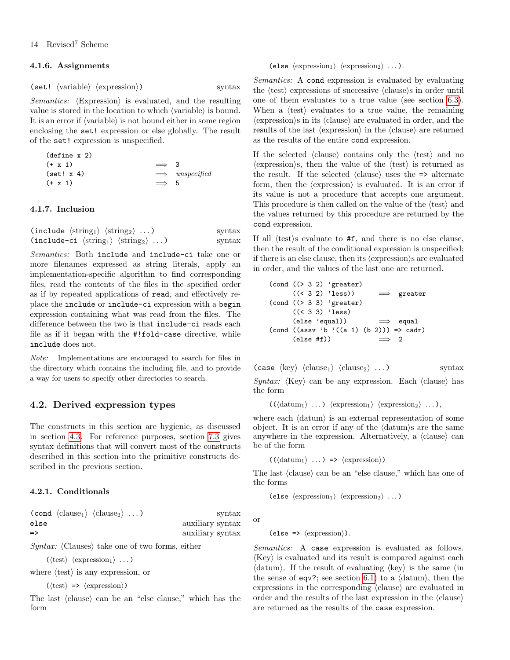#### <span id="page-13-1"></span>4.1.6. Assignments

(set! (variable) (expression)) syntax

Semantics:  $\langle$ Expression $\rangle$  is evaluated, and the resulting value is stored in the location to which  $\langle$  variable $\rangle$  is bound. It is an error if  $\langle \text{variable} \rangle$  is not bound either in some region enclosing the set! expression or else globally. The result of the set! expression is unspecified.

| (define x 2) |              |                        |
|--------------|--------------|------------------------|
| $(+ x 1)$    | $\implies$ 3 |                        |
| (set! x 4)   |              | $\implies$ unspecified |
| $(+ x 1)$    | $\implies$ 5 |                        |

#### 4.1.7. Inclusion

| (include $\langle \text{string}_1 \rangle$ $\langle \text{string}_2 \rangle$ ) | syntax |
|--------------------------------------------------------------------------------|--------|
| $(include-ci \langle string_1 \rangle \langle string_2 \rangle \dots)$         | syntax |

Semantics: Both include and include-ci take one or more filenames expressed as string literals, apply an implementation-specific algorithm to find corresponding files, read the contents of the files in the specified order as if by repeated applications of read, and effectively replace the include or include-ci expression with a begin expression containing what was read from the files. The difference between the two is that include-ci reads each file as if it began with the #!fold-case directive, while include does not.

Note: Implementations are encouraged to search for files in the directory which contains the including file, and to provide a way for users to specify other directories to search.

# <span id="page-13-0"></span>4.2. Derived expression types

The constructs in this section are hygienic, as discussed in section [4.3.](#page-20-0) For reference purposes, section [7.3](#page-67-0) gives syntax definitions that will convert most of the constructs described in this section into the primitive constructs described in the previous section.

# 4.2.1. Conditionals

| $\langle \text{cond } \langle \text{clause}_1 \rangle \langle \text{clause}_2 \rangle \dots \rangle$ | $\frac{1}{2}$    |
|------------------------------------------------------------------------------------------------------|------------------|
| else                                                                                                 | auxiliary syntax |
| $\Rightarrow$                                                                                        | auxiliary syntax |

Syntax:  $\langle$ Clauses $\rangle$  take one of two forms, either

 $(\langle test \rangle \langle expression_1 \rangle \dots)$ 

where  $\langle \text{test} \rangle$  is any expression, or

 $(\langle test \rangle \Rightarrow \langle expression \rangle)$ 

The last  $\langle$  clause $\rangle$  can be an "else clause," which has the form

(else  $\langle$  expression<sub>1</sub></sub> $\rangle$   $\langle$  expression<sub>2</sub> $\rangle$  ...).

Semantics: A cond expression is evaluated by evaluating the  $\langle test \rangle$  expressions of successive  $\langle clause \rangle$ s in order until one of them evaluates to a true value (see section [6.3\)](#page-39-0). When a  $\langle \text{test} \rangle$  evaluates to a true value, the remaining  $\langle$  expression $\rangle$ s in its  $\langle$  clause $\rangle$  are evaluated in order, and the results of the last (expression) in the (clause) are returned as the results of the entire cond expression.

If the selected  $\langle$ clause $\rangle$  contains only the  $\langle$ test $\rangle$  and no  $\langle$  expression $\rangle$ s, then the value of the  $\langle$  test $\rangle$  is returned as the result. If the selected  $\langle$ clause $\rangle$  uses the  $\Rightarrow$  alternate form, then the  $\langle$  expression $\rangle$  is evaluated. It is an error if its value is not a procedure that accepts one argument. This procedure is then called on the value of the  $\langle \text{test} \rangle$  and the values returned by this procedure are returned by the cond expression.

If all  $\langle test \rangle$ s evaluate to #f, and there is no else clause, then the result of the conditional expression is unspecified; if there is an else clause, then its  $\langle$  expression $\rangle$ s are evaluated in order, and the values of the last one are returned.

```
(cond ((> 3 2) 'greater)
      ((< 3 2) 'less)) \implies greater
(cond ((> 3 3) 'greater)((< 3 3) 'less)
      (else 'equal)) \implies equal
\text{(cond } ((\text{assv } 'b'')((a 1) (b 2))) \Rightarrow \text{cadr})(else #f)) \implies 2
```
 $(\text{case } \langle \text{key} \rangle \langle \text{clause}_1 \rangle \langle \text{clause}_2 \rangle ...)$  syntax Syntax:  $\langle \text{Key} \rangle$  can be any expression. Each  $\langle \text{clause} \rangle$  has the form

 $((\langle \text{datum}_1 \rangle \dots) \langle \text{expression}_1 \rangle \langle \text{expression}_2 \rangle \dots),$ 

where each  $\langle \text{datum} \rangle$  is an external representation of some object. It is an error if any of the  $\langle \text{datum} \rangle$ s are the same anywhere in the expression. Alternatively, a  $\langle$ clause $\rangle$  can be of the form

 $((\langle \text{datum}_1 \rangle ...) \Rightarrow \langle \text{expression} \rangle)$ 

The last (clause) can be an "else clause," which has one of the forms

(else  $\langle$  expression<sub>1</sub></sub>  $\langle$  expression<sub>2</sub> $\rangle$  ...)

or

(else =>  $\langle$  expression $\rangle$ ).

Semantics: A case expression is evaluated as follows.  $\langle \text{Key} \rangle$  is evaluated and its result is compared against each  $\langle \text{datum} \rangle$ . If the result of evaluating  $\langle \text{key} \rangle$  is the same (in the sense of eqv?; see section [6.1\)](#page-29-1) to a  $\langle \text{datum} \rangle$ , then the expressions in the corresponding  $\langle$ clause $\rangle$  are evaluated in order and the results of the last expression in the  $\langle$ clause $\rangle$ are returned as the results of the case expression.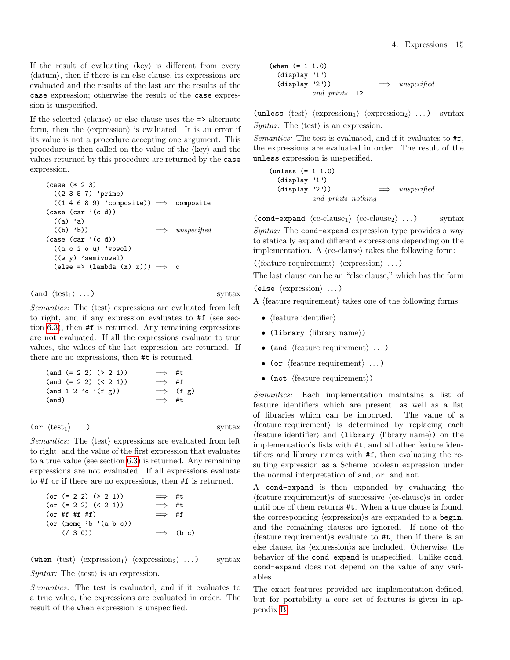If the result of evaluating  $\langle \text{key} \rangle$  is different from every  $\langle \text{datum} \rangle$ , then if there is an else clause, its expressions are evaluated and the results of the last are the results of the case expression; otherwise the result of the case expression is unspecified.

If the selected  $\langle$ clause $\rangle$  or else clause uses the => alternate form, then the  $\langle$  expression $\rangle$  is evaluated. It is an error if its value is not a procedure accepting one argument. This procedure is then called on the value of the  $\langle \text{key} \rangle$  and the values returned by this procedure are returned by the case expression.

```
(case (* 2 3)
  ((2 3 5 7) 'prime)
  ((1 4 6 8 9) 'composite)) \implies composite(\text{case } (\text{car } '(c d)))((a) 'a)
  ((b) 'b)) \implies unspecified
(\text{case } (\text{car } '(c d)))((a e i o u) 'vowel)
  ((w y) 'semivowel)
  (\text{else} \Rightarrow (\text{lambda } (x) x))) \implies c
```

```
(and \langle \text{test}_1 \rangle ...) syntax
```
Semantics: The  $\langle \text{test} \rangle$  expressions are evaluated from left to right, and if any expression evaluates to #f (see section [6.3\)](#page-39-0), then #f is returned. Any remaining expressions are not evaluated. If all the expressions evaluate to true values, the values of the last expression are returned. If there are no expressions, then #t is returned.

| $(and (= 2 2) (> 2 1))$ | $\implies$ #t |                  |
|-------------------------|---------------|------------------|
| $(and (= 2 2) (< 2 1))$ | $\implies$ #f |                  |
| (and 1 2 'c ' (f g))    |               | $\implies$ (f g) |
| (and)                   | $\implies$ #t |                  |

```
(or \langle \text{test}_1 \rangle ...) syntax
```
Semantics: The  $\langle test \rangle$  expressions are evaluated from left to right, and the value of the first expression that evaluates to a true value (see section [6.3\)](#page-39-0) is returned. Any remaining expressions are not evaluated. If all expressions evaluate to #f or if there are no expressions, then #f is returned.

| $(or (= 2 2) (> 2 1))$              | $\implies$ #t |                  |
|-------------------------------------|---------------|------------------|
| $(or (= 2 2) (< 2 1))$              | $\implies$ #t |                  |
| $(or$ #f #f #f)                     | $\implies$ #f |                  |
| (or $(\text{memq } b \lor (a b c))$ |               |                  |
| (730)                               |               | $\implies$ (b c) |
|                                     |               |                  |

(when  $\langle \text{test} \rangle$   $\langle \text{expression}_1 \rangle$   $\langle \text{expression}_2 \rangle$  ...) syntax Syntax: The  $\langle \text{test} \rangle$  is an expression.

Semantics: The test is evaluated, and if it evaluates to a true value, the expressions are evaluated in order. The result of the when expression is unspecified.

$$
\begin{array}{ll}\n\text{(when (= 1 1.0)}\\
\text{(display "1")}\\
\text{(display "2"))}\\
and \text{ prints 12}\n\end{array} \implies \text{unspecified}
$$

(unless  $\langle \text{test} \rangle$   $\langle \text{expression}_1 \rangle$   $\langle \text{expression}_2 \rangle$  ...) syntax Syntax: The  $\langle \text{test} \rangle$  is an expression.

Semantics: The test is evaluated, and if it evaluates to  $#f$ , the expressions are evaluated in order. The result of the unless expression is unspecified.

 $(unless (= 1 1.0)$ (display "1") (display "2"))  $\implies$  unspecified and prints nothing

 $\text{(cond-expand } \langle \text{ce-clause}_1 \rangle \langle \text{ce-clause}_2 \rangle \dots$  syntax

Syntax: The cond-expand expression type provides a way to statically expand different expressions depending on the implementation. A  $\langle$  ce-clause $\rangle$  takes the following form:

 $(\text{feature requirement}) \langle expression \rangle \dots)$ 

The last clause can be an "else clause," which has the form (else  $\langle$  expression $\rangle$  ...)

A  $\delta$  (feature requirement) takes one of the following forms:

- $\langle$  feature identifier $\rangle$
- (library  $\langle$ library name $\rangle$ )
- (and  $\langle$  feature requirement $\rangle \ldots$ )
- (or  $\langle$  feature requirement $\rangle \ldots$ )
- (not  $\langle$  feature requirement $\rangle$ )

Semantics: Each implementation maintains a list of feature identifiers which are present, as well as a list of libraries which can be imported. The value of a  $\{feature requirement\}$  is determined by replacing each  $\langle$  feature identifier $\rangle$  and (library  $\langle$  library name $\rangle$ ) on the implementation's lists with #t, and all other feature identifiers and library names with #f, then evaluating the resulting expression as a Scheme boolean expression under the normal interpretation of and, or, and not.

A cond-expand is then expanded by evaluating the  $\{feature requirement\}$  of successive  $\langle ce\text{-clause}\rangle$  in order until one of them returns #t. When a true clause is found, the corresponding  $\langle$  expression $\rangle$ s are expanded to a begin, and the remaining clauses are ignored. If none of the  $\{$ feature requirement $\$ s evaluate to #t, then if there is an else clause, its  $\langle$  expression $\rangle$ s are included. Otherwise, the behavior of the cond-expand is unspecified. Unlike cond, cond-expand does not depend on the value of any variables.

The exact features provided are implementation-defined, but for portability a core set of features is given in appendix [B.](#page-76-0)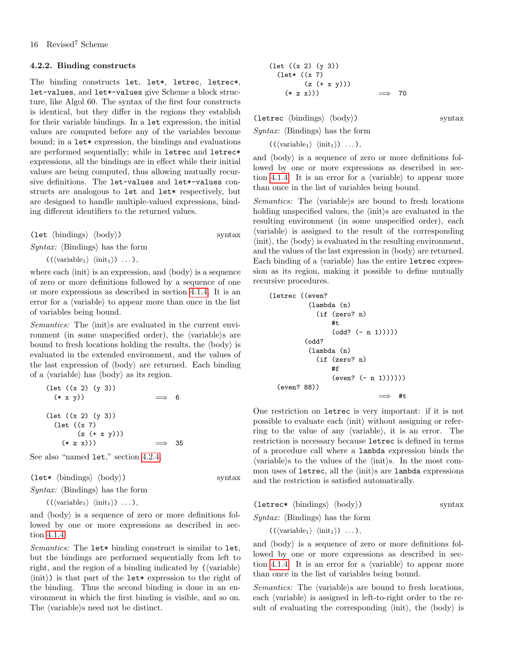#### <span id="page-15-0"></span>4.2.2. Binding constructs

The binding constructs let, let\*, letrec, letrec\*, let-values, and let\*-values give Scheme a block structure, like Algol 60. The syntax of the first four constructs is identical, but they differ in the regions they establish for their variable bindings. In a let expression, the initial values are computed before any of the variables become bound; in a let\* expression, the bindings and evaluations are performed sequentially; while in letrec and letrec\* expressions, all the bindings are in effect while their initial values are being computed, thus allowing mutually recursive definitions. The let-values and let\*-values constructs are analogous to let and let\* respectively, but are designed to handle multiple-valued expressions, binding different identifiers to the returned values.

 $(\text{let } \langle \text{bindings} \rangle \langle \text{body} \rangle)$  syntax

Syntax:  $\langle$ Bindings $\rangle$  has the form

 $(\langle \text{variable}_1 \rangle \langle \text{init}_1 \rangle) \dots$ ,

where each  $\langle \text{init} \rangle$  is an expression, and  $\langle \text{body} \rangle$  is a sequence of zero or more definitions followed by a sequence of one or more expressions as described in section [4.1.4.](#page-12-0) It is an error for a  $\langle \text{variable} \rangle$  to appear more than once in the list of variables being bound.

Semantics: The  $\langle \text{init} \rangle$ s are evaluated in the current environment (in some unspecified order), the  $\langle$ variable $\rangle$ s are bound to fresh locations holding the results, the  $\langle \text{body} \rangle$  is evaluated in the extended environment, and the values of the last expression of  $\langle \text{body} \rangle$  are returned. Each binding of a  $\langle \text{variable} \rangle$  has  $\langle \text{body} \rangle$  as its region.

$$
(let ((x 2) (y 3))
$$
  
\n
$$
(* y))
$$
\n
$$
(let ((x 2) (y 3))
$$
  
\n
$$
(let ((x 7)
$$
  
\n
$$
(z (+ x y)))
$$
  
\n
$$
(* z x)))
$$
\n
$$
35
$$

See also "named let," section [4.2.4.](#page-17-0)

 $(\text{let* } \langle \text{bindings} \rangle \langle \text{body} \rangle)$  syntax

Syntax:  $\langle$ Bindings $\rangle$  has the form

 $(\langle \text{variable}_1 \rangle \langle \text{init}_1 \rangle) \dots$ ,

and  $\langle$ body $\rangle$  is a sequence of zero or more definitions followed by one or more expressions as described in section [4.1.4.](#page-12-0)

Semantics: The let\* binding construct is similar to let, but the bindings are performed sequentially from left to right, and the region of a binding indicated by  $(\langle variable \rangle)$  $\langle \text{init} \rangle$  is that part of the let\* expression to the right of the binding. Thus the second binding is done in an environment in which the first binding is visible, and so on. The  $\langle variable \rangle$ s need not be distinct.

$$
(let ((x 2) (y 3))
$$
  
\n
$$
(let* ((x 7)
$$
  
\n
$$
(z (+ x y)))
$$
  
\n
$$
(* z x))) \implies 70
$$

(letrec  $\langle$ bindings $\rangle$   $\langle$ body $\rangle$ ) syntax

*Syntax:*  $\langle$ Bindings $\rangle$  has the form

 $(\langle \text{variable}_1 \rangle \langle \text{init}_1 \rangle) \dots$ ,

and  $\langle \text{body} \rangle$  is a sequence of zero or more definitions followed by one or more expressions as described in sec-tion [4.1.4.](#page-12-0) It is an error for a  $\langle$  variable $\rangle$  to appear more than once in the list of variables being bound.

Semantics: The  $\langle$ variable $\rangle$ s are bound to fresh locations holding unspecified values, the  $\langle \text{init} \rangle$ s are evaluated in the resulting environment (in some unspecified order), each  $\langle$  variable $\rangle$  is assigned to the result of the corresponding  $\langle \text{init} \rangle$ , the  $\langle \text{body} \rangle$  is evaluated in the resulting environment, and the values of the last expression in  $\langle \text{body} \rangle$  are returned. Each binding of a  $\langle$  variable $\rangle$  has the entire letrec expression as its region, making it possible to define mutually recursive procedures.

```
(letrec ((even?
          (lambda (n)
            (if (zero? n)
                #t
                 (odd? (- n 1))))(odd?
          (lambda (n)
            (if (zero? n)
                #f
                (even? (- n 1))))(even? 88))
                             \implies #t
```
One restriction on letrec is very important: if it is not possible to evaluate each  $\langle \text{init} \rangle$  without assigning or referring to the value of any  $\langle$  variable $\rangle$ , it is an error. The restriction is necessary because letrec is defined in terms of a procedure call where a lambda expression binds the  $\langle \text{variable} \rangle$  to the values of the  $\langle \text{init} \rangle$ . In the most common uses of letrec, all the  $\langle \text{init} \rangle$ s are lambda expressions and the restriction is satisfied automatically.

(**letrec** 
$$
\langle
$$
 bindings $\rangle$   $\langle$  body $\rangle$ ) syntax  
*Syntax:*  $\langle$  Bindings $\rangle$  has the form  
 $((\langle$ variable<sub>1</sub> $\rangle$   $\langle$ init<sub>1</sub> $\rangle$  $\rangle$  ...),

and  $\langle body \rangle$  is a sequence of zero or more definitions followed by one or more expressions as described in sec-tion [4.1.4.](#page-12-0) It is an error for a  $\langle$  variable $\rangle$  to appear more than once in the list of variables being bound.

Semantics: The  $\langle$  variable $\rangle$ s are bound to fresh locations, each  $\langle$  variable $\rangle$  is assigned in left-to-right order to the result of evaluating the corresponding  $\langle \text{init} \rangle$ , the  $\langle \text{body} \rangle$  is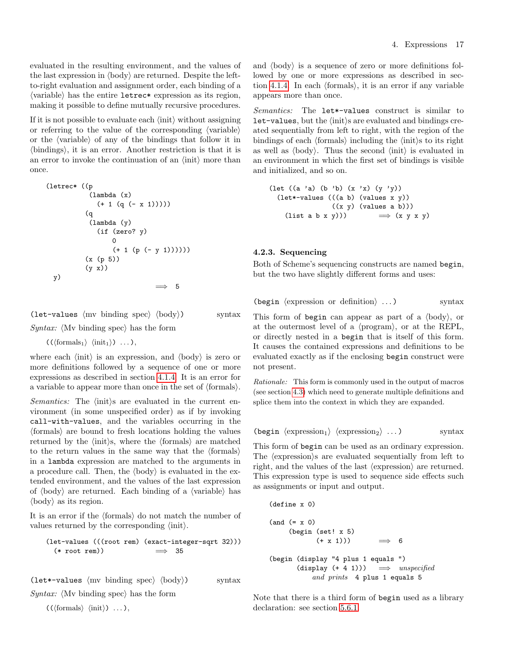evaluated in the resulting environment, and the values of the last expression in  $\langle \text{body} \rangle$  are returned. Despite the leftto-right evaluation and assignment order, each binding of a  $\langle$ variable $\rangle$  has the entire letrec\* expression as its region, making it possible to define mutually recursive procedures.

If it is not possible to evaluate each  $\langle \text{init} \rangle$  without assigning or referring to the value of the corresponding  $\langle \text{variable} \rangle$ or the  $\langle$ variable $\rangle$  of any of the bindings that follow it in  $\{\text{bindings}\}\$ , it is an error. Another restriction is that it is an error to invoke the continuation of an  $\langle \text{init} \rangle$  more than once.

```
(letrec* ((p
            (lambda (x)
              (+ 1 (q (- x 1))))(q
            (lambda (y)
              (if (zero? y)
                   \Omega(+ 1 (p (- y 1))))))
           (x (p 5))
           (y x))
 y)
                               \implies 5
```
(let-values  $\langle$ mv binding spec $\rangle$   $\langle$ body $\rangle$ ) syntax Syntax:  $\langle$ Mv binding spec $\rangle$  has the form

 $((\langle \text{formals}_1 \rangle \langle \text{init}_1 \rangle) \dots),$ 

where each  $\langle \text{init} \rangle$  is an expression, and  $\langle \text{body} \rangle$  is zero or more definitions followed by a sequence of one or more expressions as described in section [4.1.4.](#page-12-0) It is an error for a variable to appear more than once in the set of  $\{\text{formals}\}.$ 

*Semantics:* The  $\langle \text{init} \rangle$ s are evaluated in the current environment (in some unspecified order) as if by invoking call-with-values, and the variables occurring in the  $\langle$  formals $\rangle$  are bound to fresh locations holding the values returned by the  $\langle \text{init} \rangle$ s, where the  $\langle \text{formals} \rangle$  are matched to the return values in the same way that the  $\langle$  formals $\rangle$ in a lambda expression are matched to the arguments in a procedure call. Then, the  $\langle body \rangle$  is evaluated in the extended environment, and the values of the last expression of  $\langle \text{body} \rangle$  are returned. Each binding of a  $\langle \text{variable} \rangle$  has  $\langle \text{body} \rangle$  as its region.

It is an error if the  $\langle$  formals $\rangle$  do not match the number of values returned by the corresponding  $\langle \text{init} \rangle$ .

```
(let-values (((root rem) (exact-integer-sqrt 32)))\n(* root rem))  
$$
\implies
$$
 35
```

(let\*-values  $\langle \text{mv binding spec} \rangle$   $\langle \text{body} \rangle$ ) syntax *Syntax:*  $\langle Mv \rangle$  binding spec has the form

 $(\langle \text{formals} \rangle \langle \text{init} \rangle) \dots),$ 

and  $\langle$ body $\rangle$  is a sequence of zero or more definitions followed by one or more expressions as described in sec-tion [4.1.4.](#page-12-0) In each  $\langle$  formals $\rangle$ , it is an error if any variable appears more than once.

Semantics: The let\*-values construct is similar to  $let-values, but the \langle init \rangle$ s are evaluated and bindings created sequentially from left to right, with the region of the bindings of each  $\langle$  formals $\rangle$  including the  $\langle$  init $\rangle$ s to its right as well as  $\langle \text{body} \rangle$ . Thus the second  $\langle \text{init} \rangle$  is evaluated in an environment in which the first set of bindings is visible and initialized, and so on.

```
(let ((a 'a) (b 'b) (x 'x) (y 'y))
 (let*-values (((a b) (values x y))
               ((x y) (values a b)))(list a b x y))) \implies (x y x y)
```
#### <span id="page-16-0"></span>4.2.3. Sequencing

Both of Scheme's sequencing constructs are named begin, but the two have slightly different forms and uses:

$$
\textbf{(begin~} \langle \text{expression~or~definition} \rangle \ \ldots \text{)}
$$

This form of begin can appear as part of a  $\langle \text{body} \rangle$ , or at the outermost level of a  $\langle$ program $\rangle$ , or at the REPL, or directly nested in a begin that is itself of this form. It causes the contained expressions and definitions to be evaluated exactly as if the enclosing begin construct were not present.

Rationale: This form is commonly used in the output of macros (see section [4.3\)](#page-20-0) which need to generate multiple definitions and splice them into the context in which they are expanded.

(begin  $\langle$  expression<sub>1</sub>)  $\langle$  expression<sub>2</sub> $\rangle$  ...) syntax

This form of begin can be used as an ordinary expression. The *(expression)s* are evaluated sequentially from left to right, and the values of the last (expression) are returned. This expression type is used to sequence side effects such as assignments or input and output.

```
(define x 0)
(and (= x 0)(begin (set! x 5)
            (+ x 1)) \implies 6
(begin (display "4 plus 1 equals ")
       (display ( + 4 1)) \implies unspecified
           and prints 4 plus 1 equals 5
```
Note that there is a third form of begin used as a library declaration: see section [5.6.1.](#page-27-1)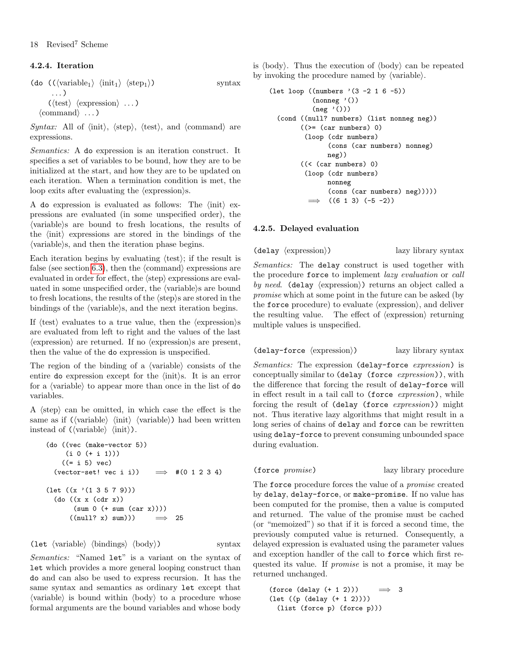#### <span id="page-17-0"></span>4.2.4. Iteration

(do (( $\langle \text{variable}_1 \rangle$   $\langle \text{init}_1 \rangle$   $\langle \text{step}_1 \rangle$ ) syntax . . . )  $(\langle test \rangle \langle expression \rangle \dots)$  $\langle \text{command} \rangle \dots \rangle$ 

Syntax: All of  $\langle \text{init} \rangle$ ,  $\langle \text{step} \rangle$ ,  $\langle \text{test} \rangle$ , and  $\langle \text{command} \rangle$  are expressions.

Semantics: A do expression is an iteration construct. It specifies a set of variables to be bound, how they are to be initialized at the start, and how they are to be updated on each iteration. When a termination condition is met, the loop exits after evaluating the  $\langle$  expression $\rangle$ s.

A do expression is evaluated as follows: The  $\langle \text{init} \rangle$  expressions are evaluated (in some unspecified order), the  $\langle \text{variable} \rangle$  are bound to fresh locations, the results of the  $\langle \text{init} \rangle$  expressions are stored in the bindings of the  $\langle$  variable $\rangle$ s, and then the iteration phase begins.

Each iteration begins by evaluating  $\langle test \rangle$ ; if the result is false (see section [6.3\)](#page-39-0), then the  $\langle$ command $\rangle$  expressions are evaluated in order for effect, the  $\langle$ step $\rangle$  expressions are evaluated in some unspecified order, the (variable)s are bound to fresh locations, the results of the  $\langle$ step $\rangle$ s are stored in the bindings of the  $\langle$ variable $\rangle$ s, and the next iteration begins.

If  $\langle test \rangle$  evaluates to a true value, then the  $\langle expression \rangle$ s are evaluated from left to right and the values of the last  $\langle$  expression $\rangle$  are returned. If no  $\langle$  expression $\rangle$ s are present, then the value of the do expression is unspecified.

The region of the binding of a  $\langle$  variable $\rangle$  consists of the entire do expression except for the  $\langle \text{init} \rangle$ s. It is an error for a  $\langle$  variable $\rangle$  to appear more than once in the list of do variables.

A  $\langle$ step $\rangle$  can be omitted, in which case the effect is the same as if  $(\langle variable \rangle \langle init \rangle \langle variable \rangle)$  had been written instead of  $(\langle \text{variable} \rangle \langle \text{init} \rangle)$ .

```
(do ((vec (make-vector 5))
     (i 0 (+ i 1)))
    ((= i 5) vec)
  (vector-set! vec i i)) \implies #(0 1 2 3 4)
(let ((x '(1 3 5 7 9)))
  (do ((x x (cdr x))
       (sum 0 (+ sum (car x))))
      ((null? x) sum))) \implies 25
```
(let  $\langle \text{variable} \rangle$   $\langle \text{bindings} \rangle$   $\langle \text{body} \rangle$ ) syntax

Semantics: "Named let" is a variant on the syntax of let which provides a more general looping construct than do and can also be used to express recursion. It has the same syntax and semantics as ordinary let except that  $\langle$  variable  $\rangle$  is bound within  $\langle$  body $\rangle$  to a procedure whose formal arguments are the bound variables and whose body is  $\langle \text{body} \rangle$ . Thus the execution of  $\langle \text{body} \rangle$  can be repeated by invoking the procedure named by  $\langle$  variable $\rangle$ .

```
(let loop ((numbers '(3 -2 1 6 -5))
           (\text{nonneg } '())(neg'()))(cond ((null? numbers) (list nonneg neg))
        ((\geq) (car numbers) 0)
         (loop (cdr numbers)
                (cons (car numbers) nonneg)
               neg))
        ((< (car numbers) 0)
         (loop (cdr numbers)
               nonneg
                (cons (car numbers) neg)))))
          \implies ((6 1 3) (-5 -2))
```
#### <span id="page-17-1"></span>4.2.5. Delayed evaluation

 $(\text{delay} \langle \text{expression} \rangle)$  lazy library syntax

Semantics: The delay construct is used together with the procedure force to implement lazy evaluation or call by need. (delay  $\langle$  expression $\rangle$ ) returns an object called a promise which at some point in the future can be asked (by the force procedure) to evaluate  $\langle$  expression $\rangle$ , and deliver the resulting value. The effect of  $\langle$  expression $\rangle$  returning multiple values is unspecified.

 $(delay-force \langle expression \rangle)$  lazy library syntax

Semantics: The expression (delay-force expression) is conceptually similar to (delay (force *expression*)), with the difference that forcing the result of delay-force will in effect result in a tail call to (force *expression*), while forcing the result of (delay (force *expression*)) might not. Thus iterative lazy algorithms that might result in a long series of chains of delay and force can be rewritten using delay-force to prevent consuming unbounded space during evaluation.

(force *promise*) lazy library procedure

The force procedure forces the value of a promise created by delay, delay-force, or make-promise. If no value has been computed for the promise, then a value is computed and returned. The value of the promise must be cached (or "memoized") so that if it is forced a second time, the previously computed value is returned. Consequently, a delayed expression is evaluated using the parameter values and exception handler of the call to force which first requested its value. If promise is not a promise, it may be returned unchanged.

```
(force (delay (+ 1 2))) \implies 3(let ((p (delay (+ 1 2))))
 (list (force p) (force p)))
```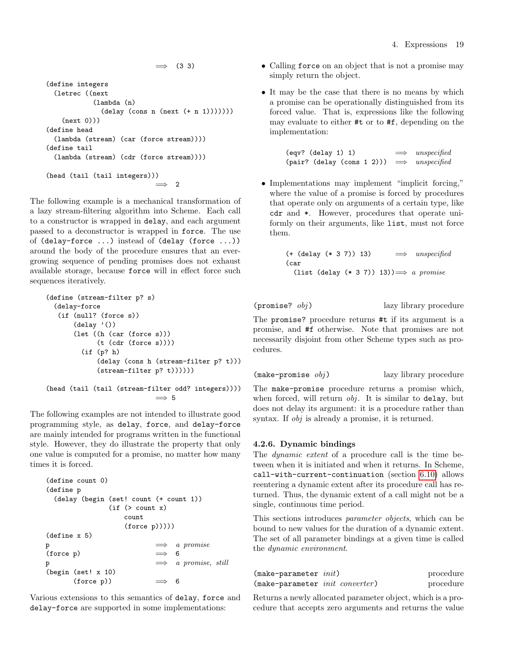$\implies$  (3 3)

```
(define integers
  (letrec ((next
            (lambda (n)
              (delay (cons n (next (+ n 1))))))(next 0)))
(define head
  (lambda (stream) (car (force stream))))
(define tail
  (lambda (stream) (cdr (force stream))))
(head (tail (tail integers)))
                                  =⇒ 2
```
The following example is a mechanical transformation of a lazy stream-filtering algorithm into Scheme. Each call to a constructor is wrapped in delay, and each argument passed to a deconstructor is wrapped in force. The use of (delay-force ...) instead of (delay (force ...)) around the body of the procedure ensures that an evergrowing sequence of pending promises does not exhaust available storage, because force will in effect force such sequences iteratively.

```
(define (stream-filter p? s)
  (delay-force
   (if (null? (force s))
       (delay '())
       (let ((h (car (force s)))
             (t (cdr (force s))))
         (if (p? h)
             (delay (cons h (stream-filter p? t)))
             (stream-filter p? t))))))
(head (tail (tail (stream-filter odd? integers))))
```
 $\implies$  5

```
The following examples are not intended to illustrate good
programming style, as delay, force, and delay-force
are mainly intended for programs written in the functional
style. However, they do illustrate the property that only
one value is computed for a promise, no matter how many
times it is forced.
```

```
(define count 0)
(define p
 (delay (begin (set! count (+ count 1))
             (if ( > count x)count
                (force p)))))
(define x 5)
p \implies a promise
(force p) \implies 6
\Rightarrow a promise, still
(begin (set! x 10)
     (force p)) \implies 6
```
Various extensions to this semantics of delay, force and delay-force are supported in some implementations:

- Calling force on an object that is not a promise may simply return the object.
- It may be the case that there is no means by which a promise can be operationally distinguished from its forced value. That is, expressions like the following may evaluate to either #t or to #f, depending on the implementation:

(eqv? (delay 1) 1)  $\implies$  unspecified (pair? (delay (cons 1 2)))  $\implies$  unspecified

• Implementations may implement "implicit forcing," where the value of a promise is forced by procedures that operate only on arguments of a certain type, like cdr and \*. However, procedures that operate uniformly on their arguments, like list, must not force them.

> (+ (delay  $(* 3 7)$ ) 13)  $\implies$  unspecified (car (list (delay  $(* 3 7)$ ) 13))  $\implies$  a promise

 $(\text{promise? } \text{obj})$  lazy library procedure

The promise? procedure returns #t if its argument is a promise, and #f otherwise. Note that promises are not necessarily disjoint from other Scheme types such as procedures.

 $(make-promise \ obj)$  lazy library procedure

The make-promise procedure returns a promise which, when forced, will return  $obj$ . It is similar to delay, but does not delay its argument: it is a procedure rather than syntax. If *obj* is already a promise, it is returned.

#### <span id="page-18-0"></span>4.2.6. Dynamic bindings

The dynamic extent of a procedure call is the time between when it is initiated and when it returns. In Scheme, call-with-current-continuation (section [6.10\)](#page-49-0) allows reentering a dynamic extent after its procedure call has returned. Thus, the dynamic extent of a call might not be a single, continuous time period.

This sections introduces parameter objects, which can be bound to new values for the duration of a dynamic extent. The set of all parameter bindings at a given time is called the dynamic environment.

| $(make-parameter\ init)$                | procedure |
|-----------------------------------------|-----------|
| (make-parameter <i>init converter</i> ) | procedure |

Returns a newly allocated parameter object, which is a procedure that accepts zero arguments and returns the value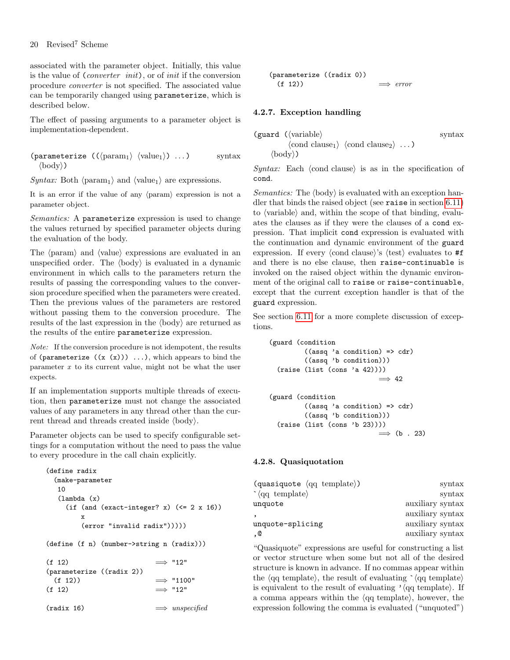associated with the parameter object. Initially, this value is the value of (converter init), or of init if the conversion procedure converter is not specified. The associated value can be temporarily changed using parameterize, which is described below.

The effect of passing arguments to a parameter object is implementation-dependent.

$$
\begin{array}{ll}\n\text{(parameterize } (\langle \text{param}_1 \rangle \langle \text{value}_1 \rangle) \dots) & \text{ syntax} \\
\langle \text{body} \rangle)\n\end{array}
$$

Syntax: Both  $\langle$  param<sub>1</sub></sub> and  $\langle$  value<sub>1</sub> $\rangle$  are expressions.

It is an error if the value of any  $\langle$  param $\rangle$  expression is not a parameter object.

Semantics: A parameterize expression is used to change the values returned by specified parameter objects during the evaluation of the body.

The  $\langle$  param $\rangle$  and  $\langle$  value $\rangle$  expressions are evaluated in an unspecified order. The  $\langle body \rangle$  is evaluated in a dynamic environment in which calls to the parameters return the results of passing the corresponding values to the conversion procedure specified when the parameters were created. Then the previous values of the parameters are restored without passing them to the conversion procedure. The results of the last expression in the  $\langle$ body $\rangle$  are returned as the results of the entire parameterize expression.

Note: If the conversion procedure is not idempotent, the results of (parameterize  $((x (x))) ...$ ), which appears to bind the parameter  $x$  to its current value, might not be what the user expects.

If an implementation supports multiple threads of execution, then parameterize must not change the associated values of any parameters in any thread other than the current thread and threads created inside  $\langle \text{body} \rangle$ .

Parameter objects can be used to specify configurable settings for a computation without the need to pass the value to every procedure in the call chain explicitly.

```
(define radix
 (make-parameter
  10
  (lambda (x)
    (if (and (exact-integer? x) (<= 2 x 16))
       x
       (error "invalid radix")))))
(define (f n) (number->string n (radix)))
(f 12) \implies "12"
(parameterize ((radix 2))
 (f 12) \implies "1100"
(f 12) \implies "12"
(radix 16) \implies unspecified
```

$$
\begin{array}{ll}\n\text{(parameterize ((radix 0))} \\
\text{(f 12))} & \implies \text{error}\n\end{array}
$$

#### 4.2.7. Exception handling

$$
\begin{array}{ll}\text{(guard (\langle variable \rangle & syntax } \\ & \langle \text{cond clause}_1 \rangle \; \langle \text{cond clause}_2 \rangle \; \dots \text{)} \\ & \langle \text{body} \rangle \text{)}\end{array}
$$

Syntax: Each  $\langle$  cond clause $\rangle$  is as in the specification of cond.

Semantics: The  $\langle \text{body} \rangle$  is evaluated with an exception handler that binds the raised object (see raise in section [6.11\)](#page-53-0) to  $\langle$  variable $\rangle$  and, within the scope of that binding, evaluates the clauses as if they were the clauses of a cond expression. That implicit cond expression is evaluated with the continuation and dynamic environment of the guard expression. If every  $\langle$  cond clause $\rangle$ 's  $\langle$  test $\rangle$  evaluates to #f and there is no else clause, then raise-continuable is invoked on the raised object within the dynamic environment of the original call to raise or raise-continuable, except that the current exception handler is that of the guard expression.

See section [6.11](#page-53-0) for a more complete discussion of exceptions.

```
(guard (condition
         ((assq 'a condition) => cdr)
         ((assq 'b condition)))
 (raise (list (cons 'a 42))))
                              \implies 42
(guard (condition
         ((assq 'a condition) => cdr)
         ((assq 'b condition)))
 (raise (list (cons 'b 23))))
                              \implies (b. 23)
```
#### <span id="page-19-0"></span>4.2.8. Quasiquotation

| $\text{(quasiquote }\langle \text{qq template} \rangle)$ | syntax           |
|----------------------------------------------------------|------------------|
| $\cdot$ (qq template)                                    | syntax           |
| unquote                                                  | auxiliary syntax |
|                                                          | auxiliary syntax |
| unquote-splicing                                         | auxiliary syntax |
| , @                                                      | auxiliary syntax |
|                                                          |                  |

"Quasiquote" expressions are useful for constructing a list or vector structure when some but not all of the desired structure is known in advance. If no commas appear within the  $\langle q\bar{q} \text{ template}\rangle$ , the result of evaluating  $\langle q\bar{q} \text{ template}\rangle$ is equivalent to the result of evaluating  $\prime$  (qq template). If a comma appears within the  $\langle q\vert$  template), however, the expression following the comma is evaluated ("unquoted")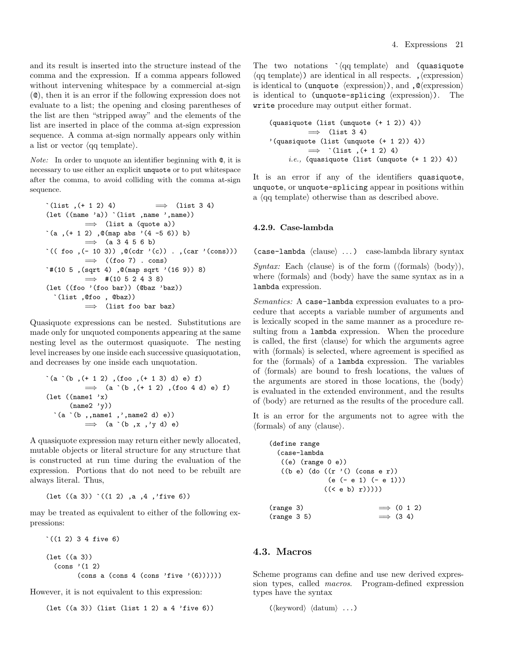and its result is inserted into the structure instead of the comma and the expression. If a comma appears followed without intervening whitespace by a commercial at-sign (@), then it is an error if the following expression does not evaluate to a list; the opening and closing parentheses of the list are then "stripped away" and the elements of the list are inserted in place of the comma at-sign expression sequence. A comma at-sign normally appears only within a list or vector  $\langle q\mathbf{q} \t{ template} \rangle$ .

Note: In order to unquote an identifier beginning with @, it is necessary to use either an explicit unquote or to put whitespace after the comma, to avoid colliding with the comma at-sign sequence.

```
\therefore (list , (+ 1 2) 4) \implies (list 3 4)
(let ((name 'a)) `(list ,name ',name))
          \implies (list a (quote a))
(4 - 5 6) ) ) ) ) (4 - 5 6) ) )\implies (a 3 4 5 6 b)
\cdot ((\text{foo }, (-103)) , @(\text{cdr } '(c)) . , (\text{car } '(cons)))\implies ((foo 7) . cons)
`#(10 5 ,(sqrt 4) ,@(map sqrt '(16 9)) 8)
           \implies #(10 5 2 4 3 8)
(let ((foo '(foo bar)) (@baz 'baz))
  `(list ,@foo , @baz))
           \implies (list foo bar baz)
```
Quasiquote expressions can be nested. Substitutions are made only for unquoted components appearing at the same nesting level as the outermost quasiquote. The nesting level increases by one inside each successive quasiquotation, and decreases by one inside each unquotation.

$$
(a '(b , (+ 1 2) , (foo , (+ 1 3) d) e) f)
$$
\n
$$
⇒ (a '(b , (+ 1 2) , (foo 4 d) e) f)
$$
\n
$$
(let ((name1 'x) (name2 'y))
$$
\n
$$
(a '(b ,, name1 , ',name2 d) e))
$$
\n
$$
⇒ (a '(b , x , 'y d) e)
$$

A quasiquote expression may return either newly allocated, mutable objects or literal structure for any structure that is constructed at run time during the evaluation of the expression. Portions that do not need to be rebuilt are always literal. Thus,

```
(\text{let } ((a 3)) ^{'}((1 2) , a , 4 , 'five 6))
```
may be treated as equivalent to either of the following expressions:

 $^{\circ}((1 2) 3 4$  five 6) (let ((a 3))  $\text{(cons } (1 2)$ (cons a (cons 4 (cons 'five ' $(6))$ ))))

However, it is not equivalent to this expression:

```
(let ((a 3)) (list (list 1 2) a 4 'five 6))
```
The two notations  $\langle qq \text{ template} \rangle$  and (quasiquote  $\langle$ qq template $\rangle$ ) are identical in all respects. , $\langle$ expression $\rangle$ is identical to (unquote  $\langle$  expression $\rangle$ ), and , $\mathcal{Q}$  $\langle$  expression $\rangle$ is identical to (unquote-splicing  $\langle$  expression $\rangle$ ). The write procedure may output either format.

```
(quasiquote (list (unquote (+ 1 2)) 4))\n
$$
\implies
$$
 (list 3 4)\n'(quasiquote (list (unquote (+ 1 2)) 4))\n
$$
\implies
$$
 '(list , (+ 1 2) 4)\ni.e., (quasiquote (list (unquote (+ 1 2)) 4))
```

It is an error if any of the identifiers quasiquote, unquote, or unquote-splicing appear in positions within a  $\langle$ qq template $\rangle$  otherwise than as described above.

#### 4.2.9. Case-lambda

 $(case-lambda \langle clause\rangle ...)$  case-lambda library syntax

Syntax: Each  $\langle$  clause $\rangle$  is of the form  $(\langle$  formals $\rangle$   $\langle$  body $\rangle$ ), where  $\langle$  formals $\rangle$  and  $\langle$  body $\rangle$  have the same syntax as in a lambda expression.

Semantics: A case-lambda expression evaluates to a procedure that accepts a variable number of arguments and is lexically scoped in the same manner as a procedure resulting from a lambda expression. When the procedure is called, the first  $\langle$ clause $\rangle$  for which the arguments agree with  $\langle$  formals $\rangle$  is selected, where agreement is specified as for the  $\{formals\}$  of a lambda expression. The variables of  $\{formals\}$  are bound to fresh locations, the values of the arguments are stored in those locations, the  $\langle \text{body} \rangle$ is evaluated in the extended environment, and the results of  $\langle \text{body} \rangle$  are returned as the results of the procedure call.

It is an error for the arguments not to agree with the  $\langle$  formals $\rangle$  of any  $\langle$  clause $\rangle$ .

| (define range)                 |                                                             |  |                    |  |
|--------------------------------|-------------------------------------------------------------|--|--------------------|--|
| (case-lambda                   |                                                             |  |                    |  |
| $((e)$ (range 0 e))            |                                                             |  |                    |  |
| ((b e) (do ((r'()) (cons e r)) |                                                             |  |                    |  |
|                                | $(e (- e 1) (- e 1)))$                                      |  |                    |  |
|                                | (( <e b)="" r))))<="" td=""><td></td><td></td><td></td></e> |  |                    |  |
|                                |                                                             |  |                    |  |
| (range <sub>3</sub> )          |                                                             |  | $\implies$ (0 1 2) |  |

 $(range 3 5)$   $\implies$  (3 4)

# <span id="page-20-0"></span>4.3. Macros

Scheme programs can define and use new derived expression types, called macros. Program-defined expression types have the syntax

 $(\langle \text{keyword} \rangle \langle \text{datum} \rangle \dots)$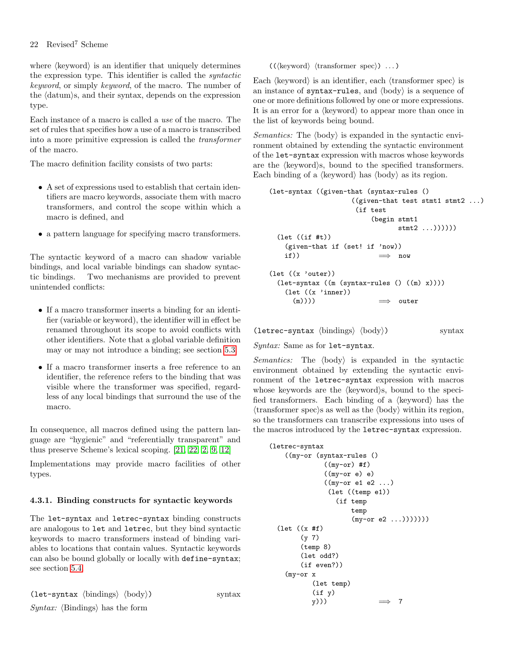where  $\langle$ keyword $\rangle$  is an identifier that uniquely determines the expression type. This identifier is called the syntactic keyword, or simply keyword, of the macro. The number of the  $\langle \text{datum} \rangle$ s, and their syntax, depends on the expression type.

Each instance of a macro is called a use of the macro. The set of rules that specifies how a use of a macro is transcribed into a more primitive expression is called the transformer of the macro.

The macro definition facility consists of two parts:

- A set of expressions used to establish that certain identifiers are macro keywords, associate them with macro transformers, and control the scope within which a macro is defined, and
- a pattern language for specifying macro transformers.

The syntactic keyword of a macro can shadow variable bindings, and local variable bindings can shadow syntactic bindings. Two mechanisms are provided to prevent unintended conflicts:

- If a macro transformer inserts a binding for an identifier (variable or keyword), the identifier will in effect be renamed throughout its scope to avoid conflicts with other identifiers. Note that a global variable definition may or may not introduce a binding; see section [5.3.](#page-24-3)
- If a macro transformer inserts a free reference to an identifier, the reference refers to the binding that was visible where the transformer was specified, regardless of any local bindings that surround the use of the macro.

In consequence, all macros defined using the pattern language are "hygienic" and "referentially transparent" and thus preserve Scheme's lexical scoping. [\[21,](#page-81-12) [22,](#page-81-13) [2,](#page-81-14) [9,](#page-81-15) [12\]](#page-81-16)

Implementations may provide macro facilities of other types.

#### 4.3.1. Binding constructs for syntactic keywords

The let-syntax and letrec-syntax binding constructs are analogous to let and letrec, but they bind syntactic keywords to macro transformers instead of binding variables to locations that contain values. Syntactic keywords can also be bound globally or locally with define-syntax; see section [5.4.](#page-25-0)

(let-syntax  $\langle$ bindings $\rangle$   $\langle$ body $\rangle$ ) syntax

Syntax:  $\langle$ Bindings $\rangle$  has the form

#### $(\langle$ keyword $\rangle$   $\langle$ transformer spec $\rangle$ ) ...

Each  $\langle$  keyword $\rangle$  is an identifier, each  $\langle$  transformer spec $\rangle$  is an instance of syntax-rules, and  $\langle \text{body} \rangle$  is a sequence of one or more definitions followed by one or more expressions. It is an error for a  $\langle$ keyword $\rangle$  to appear more than once in the list of keywords being bound.

Semantics: The  $\langle \text{body} \rangle$  is expanded in the syntactic environment obtained by extending the syntactic environment of the let-syntax expression with macros whose keywords are the  $\langle$ keyword $\rangle$ s, bound to the specified transformers. Each binding of a  $\langle$ keyword $\rangle$  has  $\langle$ body $\rangle$  as its region.

```
(let-syntax ((given-that (syntax-rules ()
                   ((given-that test stmt1 stmt2 ...)
                    (if test
                        (begin stmt1
                              stmt2 ...))))))
 (let ((if #t))
   (given-that if (set! if 'now))
   if)) \implies now
(let ((x 'outer))
 (let-syntax ((m (syntax-rules () ((m) x))))
   (let ((x 'inner))
     (m)))) \implies outer
```
(letrec-syntax  $\langle$ bindings $\rangle$   $\langle$ body $\rangle$ ) syntax

Syntax: Same as for let-syntax.

Semantics: The  $\langle body \rangle$  is expanded in the syntactic environment obtained by extending the syntactic environment of the letrec-syntax expression with macros whose keywords are the  $\langle$ keyword $\rangle$ s, bound to the specified transformers. Each binding of a  $\langle$ keyword $\rangle$  has the  $\langle$ transformer spec $\rangle$ s as well as the  $\langle$ body $\rangle$  within its region, so the transformers can transcribe expressions into uses of the macros introduced by the letrec-syntax expression.

```
(letrec-syntax
    ((my-or (syntax-rules ()
               ((my-or)#f)
               ((my-or e) e)
               ((my-or e1 e2 ...)
                (let ((temp e1))
                  (if temp
                       temp
                       (my-or e2 ...)))))))
 (let ((x #f)
        (y 7)
        (temp 8)
        (let odd?)
        (if even?))
    (my-or x
           (let temp)
           (f y)<br>(y))
                               \implies 7
```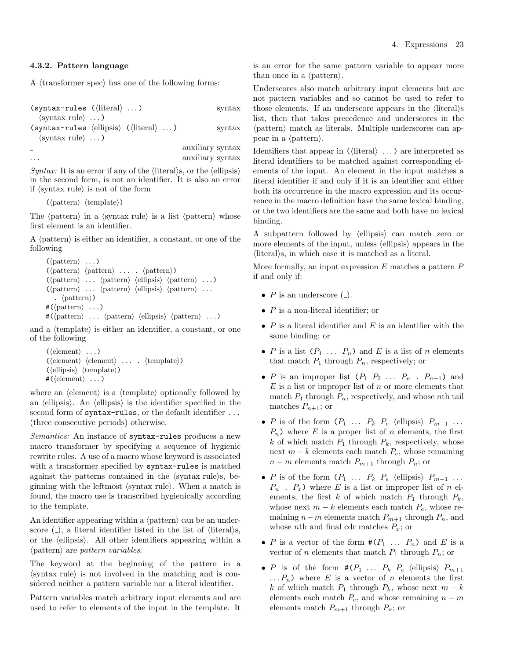#### 4.3.2. Pattern language

A  $\langle$ transformer spec $\rangle$  has one of the following forms:

| $(syntax-rules (\langle literal \rangle )$                               |  |                  | syntax |
|--------------------------------------------------------------------------|--|------------------|--------|
| $\langle$ syntax rule $\rangle \dots$                                    |  |                  |        |
| $(syntax-rules \langle ellipsis \rangle (\langle literal \rangle \dots)$ |  |                  | syntax |
| $\langle$ syntax rule $\rangle \dots$                                    |  |                  |        |
|                                                                          |  | auxiliary syntax |        |
|                                                                          |  | auxiliary syntax |        |
|                                                                          |  |                  |        |

*Syntax:* It is an error if any of the  $\langle$  literal $\rangle$ s, or the  $\langle$  ellipsis $\rangle$ in the second form, is not an identifier. It is also an error if  $\langle$  syntax rule $\rangle$  is not of the form

 $(\langle$ pattern $\rangle$   $\langle$ template $\rangle$ )

The  $\langle$  pattern $\rangle$  in a  $\langle$  syntax rule $\rangle$  is a list  $\langle$  pattern $\rangle$  whose first element is an identifier.

A  $\langle$  pattern $\rangle$  is either an identifier, a constant, or one of the following

```
(\langle \text{pattern} \rangle \dots)(\langle pattern \rangle \langle pattern \rangle \dots \langle pattern \rangle)\langle \mathsf{pattern} \rangle \dots \langle \mathsf{pattern} \rangle \langle \mathsf{ellipsis} \rangle \langle \mathsf{pattern} \rangle \dots\langle \mathsf{pattern} \rangle \dots \langle \mathsf{pattern} \rangle \langle \mathsf{ellipsis} \rangle \langle \mathsf{pattern} \rangle \dots. \langle pattern\rangle)
\#(\langle \text{pattern} \rangle \dots)\sharp(\langlepattern\rangle ... \langlepattern\rangle \langleellipsis\rangle \langlepattern\rangle ...)
```
and a  $\langle$ template $\rangle$  is either an identifier, a constant, or one of the following

```
(\langle element \rangle \dots)(\langle element \rangle \langle element \rangle \dots \langle template \rangle)(\langleellipsis\rangle \langletemplate\rangle)
\#(\langleelement\rangle \dots)
```
where an  $\langle$  element $\rangle$  is a  $\langle$  template $\rangle$  optionally followed by an  $\langle$ ellipsis $\rangle$ . An  $\langle$ ellipsis $\rangle$  is the identifier specified in the second form of syntax-rules, or the default identifier ... (three consecutive periods) otherwise.

Semantics: An instance of syntax-rules produces a new macro transformer by specifying a sequence of hygienic rewrite rules. A use of a macro whose keyword is associated with a transformer specified by syntax-rules is matched against the patterns contained in the  $\langle$ syntax rule $\rangle$ s, beginning with the leftmost  $\langle$  syntax rule $\rangle$ . When a match is found, the macro use is transcribed hygienically according to the template.

An identifier appearing within a  $\langle$  pattern $\rangle$  can be an underscore  $($ .), a literal identifier listed in the list of  $\langle$  literal $\rangle$ s, or the  $\langle$ ellipsis $\rangle$ . All other identifiers appearing within a  $\langle$  pattern $\rangle$  are *pattern variables*.

The keyword at the beginning of the pattern in a  $\langle$ syntax rule $\rangle$  is not involved in the matching and is considered neither a pattern variable nor a literal identifier.

Pattern variables match arbitrary input elements and are used to refer to elements of the input in the template. It is an error for the same pattern variable to appear more than once in a  $\langle$  pattern $\rangle$ .

Underscores also match arbitrary input elements but are not pattern variables and so cannot be used to refer to those elements. If an underscore appears in the  $\langle$  literal $\rangle$ s list, then that takes precedence and underscores in the  $\langle$  pattern $\rangle$  match as literals. Multiple underscores can appear in a  $\langle$  pattern $\rangle$ .

Identifiers that appear in  $(\langle$  literal $\rangle \dots)$  are interpreted as literal identifiers to be matched against corresponding elements of the input. An element in the input matches a literal identifier if and only if it is an identifier and either both its occurrence in the macro expression and its occurrence in the macro definition have the same lexical binding, or the two identifiers are the same and both have no lexical binding.

A subpattern followed by  $\langle$  ellipsis $\rangle$  can match zero or more elements of the input, unless  $\langle$  ellipsis $\rangle$  appears in the  $\langle$ literal $\rangle$ s, in which case it is matched as a literal.

More formally, an input expression  $E$  matches a pattern  $P$ if and only if:

- $P$  is an underscore (.).
- $P$  is a non-literal identifier; or
- $P$  is a literal identifier and  $E$  is an identifier with the same binding; or
- P is a list  $(P_1 \ldots P_n)$  and E is a list of n elements that match  $P_1$  through  $P_n$ , respectively; or
- P is an improper list  $(P_1 \ P_2 \ \ldots \ P_n \ P_{n+1})$  and  $E$  is a list or improper list of  $n$  or more elements that match  $P_1$  through  $P_n$ , respectively, and whose nth tail matches  $P_{n+1}$ ; or
- P is of the form  $(P_1 \ldots P_k \ P_e \text{ (ellipsis)} \ P_{m+1} \ldots$  $P_n$ ) where E is a proper list of n elements, the first k of which match  $P_1$  through  $P_k$ , respectively, whose next  $m - k$  elements each match  $P_e$ , whose remaining  $n - m$  elements match  $P_{m+1}$  through  $P_n$ ; or
- P is of the form  $(P_1 \ldots P_k \ P_e \text{ (ellipsis)} \ P_{m+1} \ldots$  $P_n$ .  $P_x$ ) where E is a list or improper list of n elements, the first k of which match  $P_1$  through  $P_k$ , whose next  $m - k$  elements each match  $P_e$ , whose remaining  $n-m$  elements match  $P_{m+1}$  through  $P_n$ , and whose *nth* and final cdr matches  $P_x$ ; or
- P is a vector of the form  $\#(P_1 \ldots P_n)$  and E is a vector of *n* elements that match  $P_1$  through  $P_n$ ; or
- P is of the form  $\#(P_1 \ldots P_k \ P_e \text{ (ellipsis)} \ P_{m+1}$  $\ldots P_n$ ) where E is a vector of n elements the first k of which match  $P_1$  through  $P_k$ , whose next  $m - k$ elements each match  $P_e$ , and whose remaining  $n - m$ elements match  $P_{m+1}$  through  $P_n$ ; or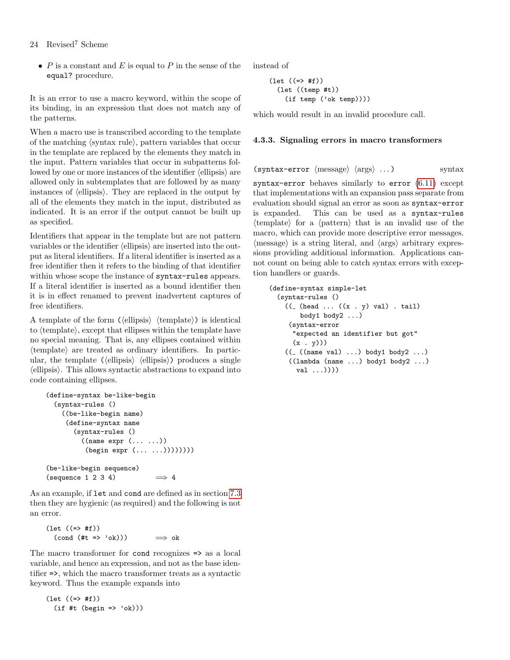24 Revised<sup>7</sup> Scheme

•  $P$  is a constant and  $E$  is equal to  $P$  in the sense of the equal? procedure.

It is an error to use a macro keyword, within the scope of its binding, in an expression that does not match any of the patterns.

When a macro use is transcribed according to the template of the matching  $\langle$  syntax rule $\rangle$ , pattern variables that occur in the template are replaced by the elements they match in the input. Pattern variables that occur in subpatterns followed by one or more instances of the identifier  $\langle$  ellipsis $\rangle$  are allowed only in subtemplates that are followed by as many instances of  $\langle$  ellipsis $\rangle$ . They are replaced in the output by all of the elements they match in the input, distributed as indicated. It is an error if the output cannot be built up as specified.

Identifiers that appear in the template but are not pattern variables or the identifier  $\langle$  ellipsis $\rangle$  are inserted into the output as literal identifiers. If a literal identifier is inserted as a free identifier then it refers to the binding of that identifier within whose scope the instance of syntax-rules appears. If a literal identifier is inserted as a bound identifier then it is in effect renamed to prevent inadvertent captures of free identifiers.

A template of the form  $(\langle ellipsis \rangle \langle template \rangle)$  is identical to  $\langle$  template $\rangle$ , except that ellipses within the template have no special meaning. That is, any ellipses contained within  $\langle$ template $\rangle$  are treated as ordinary identifiers. In particular, the template ( $\langle$ ellipsis $\rangle$   $\langle$ ellipsis $\rangle$ ) produces a single  $\langle$ ellipsis). This allows syntactic abstractions to expand into code containing ellipses.

```
(define-syntax be-like-begin
  (syntax-rules ()
    ((be-like-begin name)
     (define-syntax name
       (syntax-rules ()
         ((name expr (... ...))
          (begin expr (... ...)))))))))
(be-like-begin sequence)
(sequence 1 2 3 4) \implies 4
```
As an example, if let and cond are defined as in section [7.3](#page-67-0) then they are hygienic (as required) and the following is not an error.

```
(\text{let } ((=> #f))(\text{cond } (\#t \implies 'ok))) \implies ok
```
The macro transformer for cond recognizes => as a local variable, and hence an expression, and not as the base identifier =>, which the macro transformer treats as a syntactic keyword. Thus the example expands into

```
(\text{let } ((=& *)(if #t (begin => 'ok)))
```
instead of

```
(\text{let } ((=> #f))(let ((temp #t))
    (if temp ('ok temp))))
```
which would result in an invalid procedure call.

#### 4.3.3. Signaling errors in macro transformers

```
(syntax-error \langle \text{message} \rangle \langle \text{args} \rangle ...) syntax
```
syntax-error behaves similarly to error [\(6.11\)](#page-53-0) except that implementations with an expansion pass separate from evaluation should signal an error as soon as syntax-error is expanded. This can be used as a syntax-rules  $\langle$ template $\rangle$  for a  $\langle$  pattern $\rangle$  that is an invalid use of the macro, which can provide more descriptive error messages.  $\langle$  message $\rangle$  is a string literal, and  $\langle$  args $\rangle$  arbitrary expressions providing additional information. Applications cannot count on being able to catch syntax errors with exception handlers or guards.

```
(define-syntax simple-let
 (syntax-rules ()
   ((\fbox{~\,} (head . . . ((x . y) val). tail)body1 body2 ...)
     (syntax-error
      "expected an identifier but got"
      (x, y))(( _{-}((name val) ...) body1 body2 ...))((lambda (name ...) body1 body2 ...)
       val ...))))
```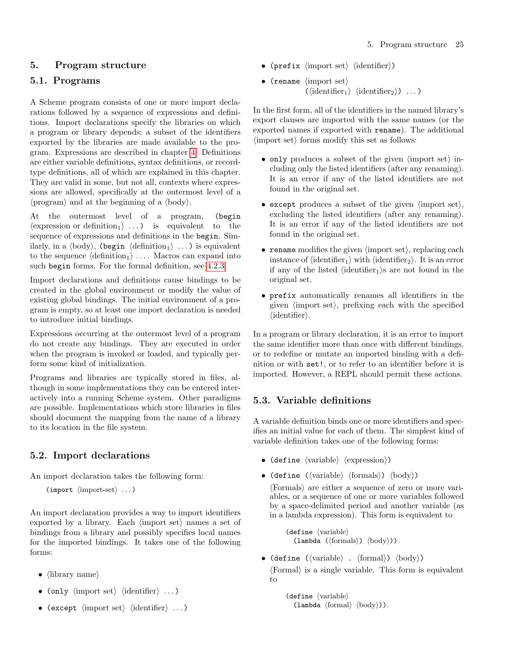# <span id="page-24-0"></span>5. Program structure

# <span id="page-24-1"></span>5.1. Programs

A Scheme program consists of one or more import declarations followed by a sequence of expressions and definitions. Import declarations specify the libraries on which a program or library depends; a subset of the identifiers exported by the libraries are made available to the program. Expressions are described in chapter [4.](#page-11-0) Definitions are either variable definitions, syntax definitions, or recordtype definitions, all of which are explained in this chapter. They are valid in some, but not all, contexts where expressions are allowed, specifically at the outermost level of a  $\langle$ program $\rangle$  and at the beginning of a  $\langle$ body $\rangle$ .

At the outermost level of a program, (begin  $\langle$  expression or definition<sub>1</sub> $\rangle$ ...) is equivalent to the sequence of expressions and definitions in the begin. Similarly, in a  $\langle \text{body} \rangle$ , (begin  $\langle \text{definition}_1 \rangle$  ...) is equivalent to the sequence  $\langle definition_1 \rangle \ldots$  Macros can expand into such begin forms. For the formal definition, see [4.2.3.](#page-16-0)

Import declarations and definitions cause bindings to be created in the global environment or modify the value of existing global bindings. The initial environment of a program is empty, so at least one import declaration is needed to introduce initial bindings.

Expressions occurring at the outermost level of a program do not create any bindings. They are executed in order when the program is invoked or loaded, and typically perform some kind of initialization.

Programs and libraries are typically stored in files, although in some implementations they can be entered interactively into a running Scheme system. Other paradigms are possible. Implementations which store libraries in files should document the mapping from the name of a library to its location in the file system.

# <span id="page-24-2"></span>5.2. Import declarations

An import declaration takes the following form:

 $(import \langle import-set \rangle ... )$ 

An import declaration provides a way to import identifiers exported by a library. Each  $\langle$  import set $\rangle$  names a set of bindings from a library and possibly specifies local names for the imported bindings. It takes one of the following forms:

- $\langle$ library name $\rangle$
- (only  $\langle \text{import set} \rangle$   $\langle \text{identifier} \rangle$  ...)
- (except  $\langle \text{import set} \rangle$   $\langle \text{identifier} \rangle$  ...)
- (prefix  $\langle$ import set $\rangle$   $\langle$ identifier $\rangle$ )
- (rename  $\langle$  import set $\rangle$  $(\langle \text{identifier}_1 \rangle \langle \text{identifier}_2 \rangle) \dots)$

In the first form, all of the identifiers in the named library's export clauses are imported with the same names (or the exported names if exported with rename). The additional  $\langle$ import set $\rangle$  forms modify this set as follows:

- only produces a subset of the given  $\langle$  import set $\rangle$  including only the listed identifiers (after any renaming). It is an error if any of the listed identifiers are not found in the original set.
- except produces a subset of the given  $\langle$  import set $\rangle$ , excluding the listed identifiers (after any renaming). It is an error if any of the listed identifiers are not found in the original set.
- rename modifies the given  $\langle$  import set $\rangle$ , replacing each instance of  $\langle$ identifier<sub>1</sub> $\rangle$  with  $\langle$ identifier<sub>2</sub> $\rangle$ . It is an error if any of the listed  $\langle$ identifier<sub>1</sub> $\rangle$ s are not found in the original set.
- prefix automatically renames all identifiers in the given  $\langle$  import set $\rangle$ , prefixing each with the specified  $\langle$ identifier $\rangle$ .

In a program or library declaration, it is an error to import the same identifier more than once with different bindings, or to redefine or mutate an imported binding with a definition or with set!, or to refer to an identifier before it is imported. However, a REPL should permit these actions.

# <span id="page-24-3"></span>5.3. Variable definitions

A variable definition binds one or more identifiers and specifies an initial value for each of them. The simplest kind of variable definition takes one of the following forms:

- (define  $\langle variable \rangle$   $\langle expression \rangle$ )
- (define ( $\langle \text{variable} \rangle$   $\langle \text{formals} \rangle$ )  $\langle \text{body} \rangle$ )

 $\langle$ Formals $\rangle$  are either a sequence of zero or more variables, or a sequence of one or more variables followed by a space-delimited period and another variable (as in a lambda expression). This form is equivalent to

 $\langle$  define  $\langle$  variable $\rangle$  $(lambda (\{formals\}) \langle body \rangle).$ 

• (define  $(\langle variable \rangle$ .  $\langle formula \rangle)$   $\langle body \rangle$ )  $\langle$ Formal $\rangle$  is a single variable. This form is equivalent to

```
\langledefine \langlevariable\rangle(lambda \langle formal\rangle \langle body\rangle)).
```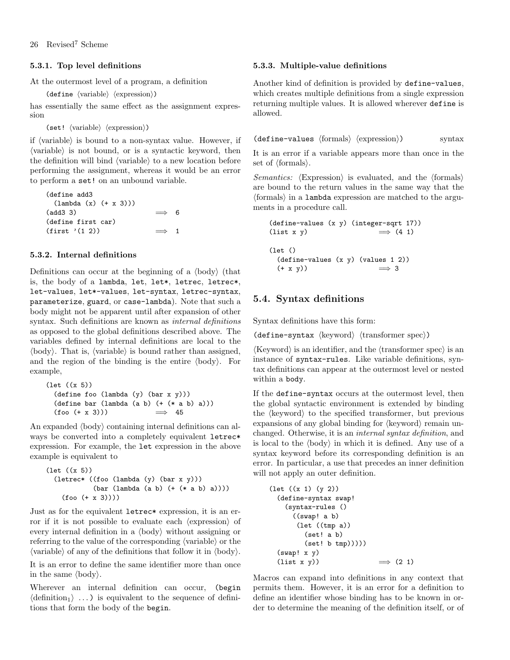#### 5.3.1. Top level definitions

At the outermost level of a program, a definition

 $(detine \langle variable \rangle \langle expression \rangle)$ 

has essentially the same effect as the assignment expression

(set!  $\langle variable \rangle$   $\langle expression \rangle$ )

if  $\langle$  variable $\rangle$  is bound to a non-syntax value. However, if  $\langle$ variable $\rangle$  is not bound, or is a syntactic keyword, then the definition will bind  $\langle$  variable $\rangle$  to a new location before performing the assignment, whereas it would be an error to perform a set! on an unbound variable.

(define add3 (lambda (x) (+ x 3)))  $(\text{add3 3})$   $\implies$  6 (define first car) (first '(1 2))  $\implies$  1

#### 5.3.2. Internal definitions

Definitions can occur at the beginning of a  $\langle \text{body} \rangle$  (that is, the body of a lambda, let, let\*, letrec, letrec\*, let-values, let\*-values, let-syntax, letrec-syntax, parameterize, guard, or case-lambda). Note that such a body might not be apparent until after expansion of other syntax. Such definitions are known as *internal definitions* as opposed to the global definitions described above. The variables defined by internal definitions are local to the  $\langle \text{body} \rangle$ . That is,  $\langle \text{variable} \rangle$  is bound rather than assigned, and the region of the binding is the entire  $\langle \text{body} \rangle$ . For example,

```
(let ((x 5))
  (define foo (lambda (y) (bar x y)))
  (define bar (lambda (a b) (+ (* a b) a)))
  (foo (+ x 3))) \implies 45
```
An expanded  $\langle \text{body} \rangle$  containing internal definitions can always be converted into a completely equivalent letrec\* expression. For example, the let expression in the above example is equivalent to

```
(let ((x 5))
  (letrec* ((foo (lambda (y) (bar x y)))
            (bar (lambda (a b) (+ (* a b) a))))
    (foo (+ x 3))))
```
Just as for the equivalent letrec\* expression, it is an error if it is not possible to evaluate each  $\langle$  expression $\rangle$  of every internal definition in a  $\langle \text{body} \rangle$  without assigning or referring to the value of the corresponding  $\langle \text{variable} \rangle$  or the  $\langle \text{variable} \rangle$  of any of the definitions that follow it in  $\langle \text{body} \rangle$ .

It is an error to define the same identifier more than once in the same  $\langle \text{body} \rangle$ .

Wherever an internal definition can occur, (begin  $\langle definition_1 \rangle$ ...) is equivalent to the sequence of definitions that form the body of the begin.

#### 5.3.3. Multiple-value definitions

Another kind of definition is provided by define-values, which creates multiple definitions from a single expression returning multiple values. It is allowed wherever define is allowed.

```
(\text{define-values } \langle \text{formals} \rangle \langle \text{expression} \rangle) syntax
```
It is an error if a variable appears more than once in the set of  $\langle$  formals $\rangle$ .

Semantics:  $\langle$ Expression $\rangle$  is evaluated, and the  $\langle$  formals $\rangle$ are bound to the return values in the same way that the  $\langle$  formals $\rangle$  in a lambda expression are matched to the arguments in a procedure call.

```
(define-values (x y) (integer-sqrt 17))
(list x y) \implies (4 1)
(let ()
 (define-values (x y) (values 1 2))
 (+ x y) \implies 3
```
# <span id="page-25-0"></span>5.4. Syntax definitions

Syntax definitions have this form:

(define-syntax  $\langle$ keyword $\rangle$   $\langle$ transformer spec $\rangle$ )

 $\langle$ Keyword $\rangle$  is an identifier, and the  $\langle$ transformer spec $\rangle$  is an instance of syntax-rules. Like variable definitions, syntax definitions can appear at the outermost level or nested within a body.

If the define-syntax occurs at the outermost level, then the global syntactic environment is extended by binding the  $\langle$ keyword $\rangle$  to the specified transformer, but previous expansions of any global binding for  $\langle$ keyword $\rangle$  remain unchanged. Otherwise, it is an internal syntax definition, and is local to the  $\langle \text{body} \rangle$  in which it is defined. Any use of a syntax keyword before its corresponding definition is an error. In particular, a use that precedes an inner definition will not apply an outer definition.

```
(let ((x 1) (y 2))
 (define-syntax swap!
   (syntax-rules ()
     ((swap! a b)
      (let ((tmp a))
        (set! a b)
        (set! b tmp)))))
 (swap! x y)
 (list x y)) \implies (2 1)
```
Macros can expand into definitions in any context that permits them. However, it is an error for a definition to define an identifier whose binding has to be known in order to determine the meaning of the definition itself, or of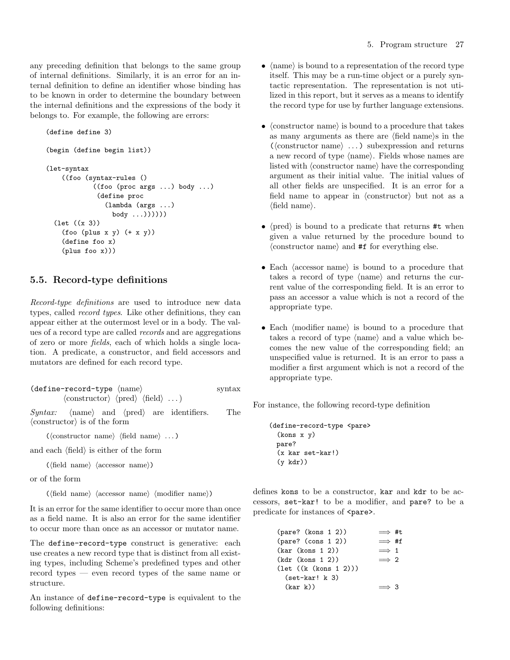any preceding definition that belongs to the same group of internal definitions. Similarly, it is an error for an internal definition to define an identifier whose binding has to be known in order to determine the boundary between the internal definitions and the expressions of the body it belongs to. For example, the following are errors:

```
(define define 3)
(begin (define begin list))
(let-syntax
    ((foo (syntax-rules ()
            ((foo (proc args ...) body ...)
             (define proc
               (lambda (args ...)
                 body ...))))))
  (let ((x 3))
    (foo (plus x y) (+ x y))
    (define foo x)
    (plus foo x)))
```
# <span id="page-26-0"></span>5.5. Record-type definitions

Record-type definitions are used to introduce new data types, called record types. Like other definitions, they can appear either at the outermost level or in a body. The values of a record type are called records and are aggregations of zero or more fields, each of which holds a single location. A predicate, a constructor, and field accessors and mutators are defined for each record type.

| $\langle$ define-record-type $\langle$ name $\rangle$                                             |  | syntax |
|---------------------------------------------------------------------------------------------------|--|--------|
| $\langle \text{constructor} \rangle$ $\langle \text{pred} \rangle$ $\langle \text{field} \rangle$ |  |        |

Syntax:  $\langle$  hame $\rangle$  and  $\langle$  pred $\rangle$  are identifiers. The  $\langle$ constructor $\rangle$  is of the form

 $(\langle \text{constructor name} \rangle \langle \text{field name} \rangle ... )$ 

and each  $\langle \text{field} \rangle$  is either of the form

 $(\langle \text{field name} \rangle \langle \text{accessor name} \rangle)$ 

or of the form

 $(\{field name\} \langle accessor name \rangle \langle model, name \rangle)$ 

It is an error for the same identifier to occur more than once as a field name. It is also an error for the same identifier to occur more than once as an accessor or mutator name.

The define-record-type construct is generative: each use creates a new record type that is distinct from all existing types, including Scheme's predefined types and other record types — even record types of the same name or structure.

An instance of define-record-type is equivalent to the following definitions:

- $\bullet$  (name) is bound to a representation of the record type itself. This may be a run-time object or a purely syntactic representation. The representation is not utilized in this report, but it serves as a means to identify the record type for use by further language extensions.
- (constructor name) is bound to a procedure that takes as many arguments as there are  $\langle$  field name $\rangle$ s in the  $(\langle \text{constructor name} \rangle \dots)$  subexpression and returns a new record of type  $\langle$  name $\rangle$ . Fields whose names are listed with  $\langle$  constructor name $\rangle$  have the corresponding argument as their initial value. The initial values of all other fields are unspecified. It is an error for a field name to appear in  $\langle$  constructor $\rangle$  but not as a  $\langle$ field name $\rangle$ .
- $\langle \text{pred} \rangle$  is bound to a predicate that returns #t when given a value returned by the procedure bound to  $\langle$  constructor name $\rangle$  and #f for everything else.
- Each  $\langle \text{accessor name} \rangle$  is bound to a procedure that takes a record of type  $\langle$  name $\rangle$  and returns the current value of the corresponding field. It is an error to pass an accessor a value which is not a record of the appropriate type.
- Each  $\langle$  modifier name $\rangle$  is bound to a procedure that takes a record of type  $\langle$ name $\rangle$  and a value which becomes the new value of the corresponding field; an unspecified value is returned. It is an error to pass a modifier a first argument which is not a record of the appropriate type.

For instance, the following record-type definition

```
(define-record-type <pare>
 (kons x y)
 pare?
 (x kar set-kar!)
 (y kdr))
```
defines kons to be a constructor, kar and kdr to be accessors, set-kar! to be a modifier, and pare? to be a predicate for instances of  $\epsilon$  pare>.

| ${\rm (pare?~(kons 1 2))}$      | $\implies$ #t |
|---------------------------------|---------------|
| ${\rm (pare?~(cons 1 2))}$      | $\implies$ #f |
| (kar (kons 1 2))                | $\implies$ 1  |
| (kdr (kons 1 2))                | $\implies$ 2  |
| $(\text{let } ((k (kons 1 2)))$ |               |
| $(set - kar! k 3)$              |               |
| (kar k))                        | $\implies$ 3  |
|                                 |               |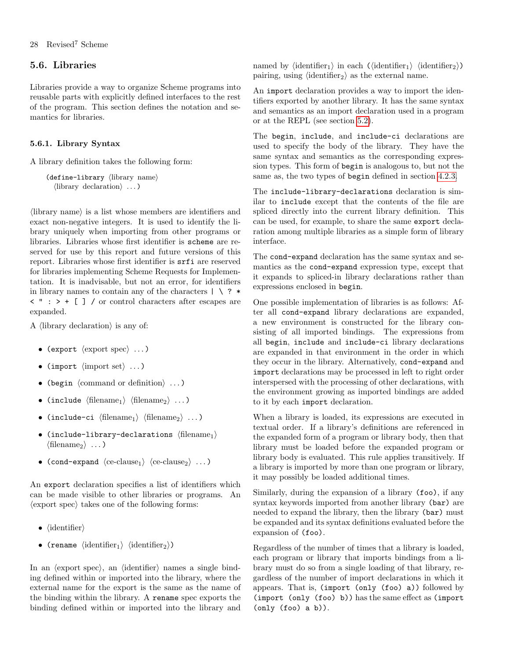# <span id="page-27-0"></span>5.6. Libraries

Libraries provide a way to organize Scheme programs into reusable parts with explicitly defined interfaces to the rest of the program. This section defines the notation and semantics for libraries.

#### <span id="page-27-1"></span>5.6.1. Library Syntax

A library definition takes the following form:

 $\langle$  define-library  $\langle$  library name)  $\langle$ library declaration $\rangle \ldots$ 

 $\langle$ library name $\rangle$  is a list whose members are identifiers and exact non-negative integers. It is used to identify the library uniquely when importing from other programs or libraries. Libraries whose first identifier is scheme are reserved for use by this report and future versions of this report. Libraries whose first identifier is srfi are reserved for libraries implementing Scheme Requests for Implementation. It is inadvisable, but not an error, for identifiers in library names to contain any of the characters  $\vert \ \rangle$  ? \*  $\langle$  " :  $>$  + [ ] / or control characters after escapes are expanded.

A  $\langle$ library declaration $\rangle$  is any of:

- (export  $\langle$  export spec $\rangle$  ...)
- (import  $\langle \text{import set} \rangle$  ...)
- (begin  $\langle$  command or definition $\rangle$  ...)
- (include  $\langle$ filename<sub>1</sub></sub>  $\langle$ filename<sub>2</sub> $\rangle$  ...)
- (include-ci  $\langle$  filename<sub>1</sub></sub>  $\langle$  filename<sub>2</sub> $\rangle$  ...)
- (include-library-declarations  $\langle$ filename<sub>1</sub> $\rangle$  $\langle$ filename<sub>2</sub> $\rangle$  ...)
- (cond-expand  $\langle$ ce-clause<sub>1</sub>)  $\langle$ ce-clause<sub>2</sub> $\rangle$  ...)

An export declaration specifies a list of identifiers which can be made visible to other libraries or programs. An  $\langle$  export spec $\rangle$  takes one of the following forms:

- $\langle$ identifier $\rangle$
- (rename  $\langle$ identifier<sub>1</sub>)  $\langle$ identifier<sub>2</sub>))

In an  $\langle$  export spec $\rangle$ , an  $\langle$  identifier $\rangle$  names a single binding defined within or imported into the library, where the external name for the export is the same as the name of the binding within the library. A rename spec exports the binding defined within or imported into the library and named by  $\langle$ identifier<sub>1</sub></sub> $\rangle$  in each  $(\langle$ identifier<sub>1</sub> $\rangle$   $\langle$ identifier<sub>2</sub> $\rangle$ ) pairing, using  $\langle$  identifier<sub>2</sub> $\rangle$  as the external name.

An import declaration provides a way to import the identifiers exported by another library. It has the same syntax and semantics as an import declaration used in a program or at the REPL (see section [5.2\)](#page-24-2).

The begin, include, and include-ci declarations are used to specify the body of the library. They have the same syntax and semantics as the corresponding expression types. This form of begin is analogous to, but not the same as, the two types of begin defined in section [4.2.3.](#page-16-0)

The include-library-declarations declaration is similar to include except that the contents of the file are spliced directly into the current library definition. This can be used, for example, to share the same export declaration among multiple libraries as a simple form of library interface.

The cond-expand declaration has the same syntax and semantics as the cond-expand expression type, except that it expands to spliced-in library declarations rather than expressions enclosed in begin.

One possible implementation of libraries is as follows: After all cond-expand library declarations are expanded, a new environment is constructed for the library consisting of all imported bindings. The expressions from all begin, include and include-ci library declarations are expanded in that environment in the order in which they occur in the library. Alternatively, cond-expand and import declarations may be processed in left to right order interspersed with the processing of other declarations, with the environment growing as imported bindings are added to it by each import declaration.

When a library is loaded, its expressions are executed in textual order. If a library's definitions are referenced in the expanded form of a program or library body, then that library must be loaded before the expanded program or library body is evaluated. This rule applies transitively. If a library is imported by more than one program or library, it may possibly be loaded additional times.

Similarly, during the expansion of a library (foo), if any syntax keywords imported from another library (bar) are needed to expand the library, then the library (bar) must be expanded and its syntax definitions evaluated before the expansion of (foo).

Regardless of the number of times that a library is loaded, each program or library that imports bindings from a library must do so from a single loading of that library, regardless of the number of import declarations in which it appears. That is, (import (only (foo) a)) followed by (import (only (foo) b)) has the same effect as (import (only (foo) a b)).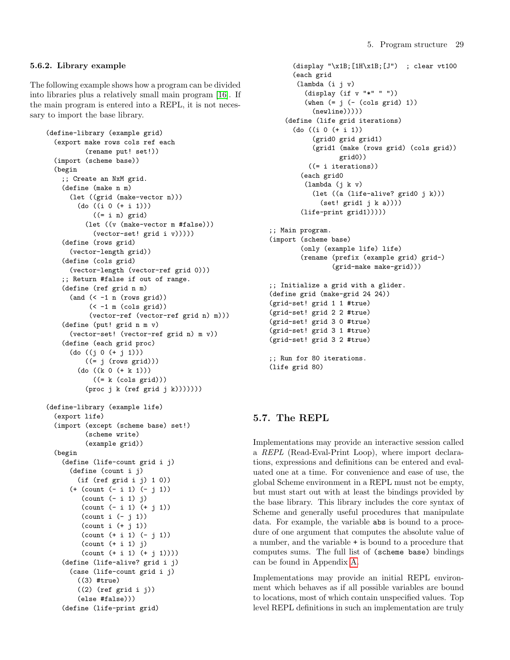## 5.6.2. Library example

The following example shows how a program can be divided into libraries plus a relatively small main program [\[16\]](#page-81-17). If the main program is entered into a REPL, it is not necessary to import the base library.

```
(define-library (example grid)
  (export make rows cols ref each
          (rename put! set!))
  (import (scheme base))
  (begin
    ;; Create an NxM grid.
    (define (make n m)
      (let ((grid (make-vector n)))
        (do ((i 0 (+ i 1)))
            ((- i n) grid)
          (let ((v (make-vector m #false)))
            (vector-set! grid i v)))))
    (define (rows grid)
      (vector-length grid))
    (define (cols grid)
      (vector-length (vector-ref grid 0)))
    ;; Return #false if out of range.
    (define (ref grid n m)
      (and (< -1 n (rows grid))(<math>-1 \text{ m} (cols grid))
           (vector-ref (vector-ref grid n) m)))
    (define (put! grid n m v)
      (vector-set! (vector-ref grid n) m v))
    (define (each grid proc)
      (do ((j 0 (+ j 1)))
          ((= j (rows grid)))(do ((k 0 (+ k 1)))
            ((= k (cols grid)))(proc j k (ref grid j k)))))))
(define-library (example life)
  (export life)
  (import (except (scheme base) set!)
          (scheme write)
          (example grid))
  (begin
    (define (life-count grid i j)
      (define (count i j)
        (if (ref grid i j) 1 0))
      (+ (count (- i 1) (- j 1))
         (count (- i 1) j)
         (count (- i 1) (+ j 1))
         (count i (- j 1))
         \text{(count i (+ i 1))}(count (+ i 1) (- j 1))
         (count (+ i 1) j)
         (count (+ i 1) (+ j 1))))(define (life-alive? grid i j)
      (case (life-count grid i j)
        ((3) #true)
        ((2) (ref grid i j))
        (else #false)))
    (define (life-print grid)
```

```
(display "x1B; [1H\x1B; [J"] ; clear vt100(each grid
       (lambda (i j v)
         (display (if v "*" " "))
         (\text{when } (= j (- (cols grid) 1)))(newline))))(define (life grid iterations)
      (do ((i 0 (+ i 1))
           (grid0 grid grid1)
           (grid1 (make (rows grid) (cols grid))
                  grid0))
          ((= i iterations))
        (each grid0
         (lambda (j k v)
           (let ((a (life-alive? grid0 j k)))
             (set! grid1 j k a))))(life-print grid1)))))
;; Main program.
(import (scheme base)
        (only (example life) life)
        (rename (prefix (example grid) grid-)
                (grid-make make-grid)))
;; Initialize a grid with a glider.
(define grid (make-grid 24 24))
(grid-set! grid 1 1 #true)
(grid-set! grid 2 2 #true)
(grid-set! grid 3 0 #true)
(grid-set! grid 3 1 #true)
(grid-set! grid 3 2 #true)
;; Run for 80 iterations.
(life grid 80)
```
# <span id="page-28-0"></span>5.7. The REPL

Implementations may provide an interactive session called a REPL (Read-Eval-Print Loop), where import declarations, expressions and definitions can be entered and evaluated one at a time. For convenience and ease of use, the global Scheme environment in a REPL must not be empty, but must start out with at least the bindings provided by the base library. This library includes the core syntax of Scheme and generally useful procedures that manipulate data. For example, the variable abs is bound to a procedure of one argument that computes the absolute value of a number, and the variable + is bound to a procedure that computes sums. The full list of (scheme base) bindings can be found in Appendix [A.](#page-72-0)

Implementations may provide an initial REPL environment which behaves as if all possible variables are bound to locations, most of which contain unspecified values. Top level REPL definitions in such an implementation are truly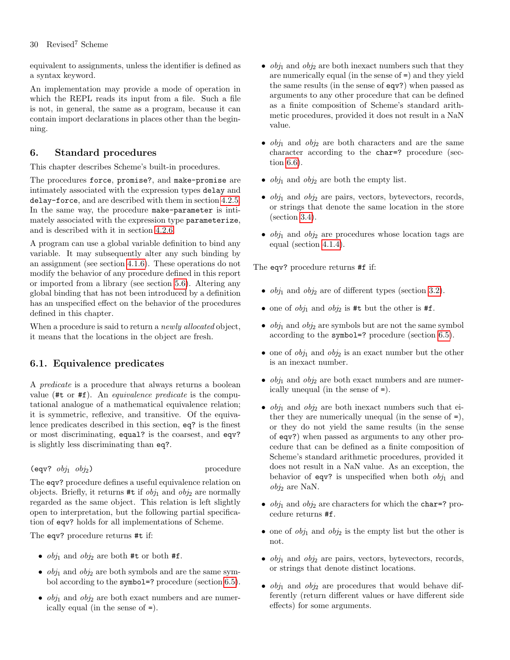equivalent to assignments, unless the identifier is defined as a syntax keyword.

An implementation may provide a mode of operation in which the REPL reads its input from a file. Such a file is not, in general, the same as a program, because it can contain import declarations in places other than the beginning.

# <span id="page-29-0"></span>6. Standard procedures

This chapter describes Scheme's built-in procedures.

The procedures force, promise?, and make-promise are intimately associated with the expression types delay and delay-force, and are described with them in section [4.2.5.](#page-17-1) In the same way, the procedure make-parameter is intimately associated with the expression type parameterize, and is described with it in section [4.2.6.](#page-18-0)

A program can use a global variable definition to bind any variable. It may subsequently alter any such binding by an assignment (see section [4.1.6\)](#page-13-1). These operations do not modify the behavior of any procedure defined in this report or imported from a library (see section [5.6\)](#page-27-0). Altering any global binding that has not been introduced by a definition has an unspecified effect on the behavior of the procedures defined in this chapter.

When a procedure is said to return a *newly allocated* object, it means that the locations in the object are fresh.

# <span id="page-29-1"></span>6.1. Equivalence predicates

A predicate is a procedure that always returns a boolean value (#t or #f). An *equivalence predicate* is the computational analogue of a mathematical equivalence relation; it is symmetric, reflexive, and transitive. Of the equivalence predicates described in this section, eq? is the finest or most discriminating, equal? is the coarsest, and eqv? is slightly less discriminating than eq?.

# $(\text{eqv? } \text{obj}_1 \text{ obj}_2)$  procedure

The eqv? procedure defines a useful equivalence relation on objects. Briefly, it returns  $\#t$  if  $obj_1$  and  $obj_2$  are normally regarded as the same object. This relation is left slightly open to interpretation, but the following partial specification of eqv? holds for all implementations of Scheme.

The eqv? procedure returns #t if:

- $obj_1$  and  $obj_2$  are both #t or both #f.
- $obj_1$  and  $obj_2$  are both symbols and are the same symbol according to the symbol=? procedure (section [6.5\)](#page-42-0).
- $obj_1$  and  $obj_2$  are both exact numbers and are numerically equal (in the sense of =).
- $obj_1$  and  $obj_2$  are both inexact numbers such that they are numerically equal (in the sense of =) and they yield the same results (in the sense of eqv?) when passed as arguments to any other procedure that can be defined as a finite composition of Scheme's standard arithmetic procedures, provided it does not result in a NaN value.
- $obj_1$  and  $obj_2$  are both characters and are the same character according to the char=? procedure (section [6.6\)](#page-43-0).
- $obj_1$  and  $obj_2$  are both the empty list.
- $obj_1$  and  $obj_2$  are pairs, vectors, bytevectors, records, or strings that denote the same location in the store (section [3.4\)](#page-9-2).
- $obj_1$  and  $obj_2$  are procedures whose location tags are equal (section [4.1.4\)](#page-12-0).

The eqv? procedure returns #f if:

- $obj_1$  and  $obj_2$  are of different types (section [3.2\)](#page-9-0).
- one of  $obj_1$  and  $obj_2$  is #t but the other is #f.
- $obj_1$  and  $obj_2$  are symbols but are not the same symbol according to the symbol=? procedure (section [6.5\)](#page-42-0).
- one of  $obj_1$  and  $obj_2$  is an exact number but the other is an inexact number.
- $obj_1$  and  $obj_2$  are both exact numbers and are numerically unequal (in the sense of =).
- $obj_1$  and  $obj_2$  are both inexact numbers such that either they are numerically unequal (in the sense of =), or they do not yield the same results (in the sense of eqv?) when passed as arguments to any other procedure that can be defined as a finite composition of Scheme's standard arithmetic procedures, provided it does not result in a NaN value. As an exception, the behavior of eqv? is unspecified when both  $obj_1$  and  $obj_2$  are NaN.
- $obj_1$  and  $obj_2$  are characters for which the char=? procedure returns #f.
- one of  $obj_1$  and  $obj_2$  is the empty list but the other is not.
- $obj_1$  and  $obj_2$  are pairs, vectors, bytevectors, records, or strings that denote distinct locations.
- $obj_1$  and  $obj_2$  are procedures that would behave differently (return different values or have different side effects) for some arguments.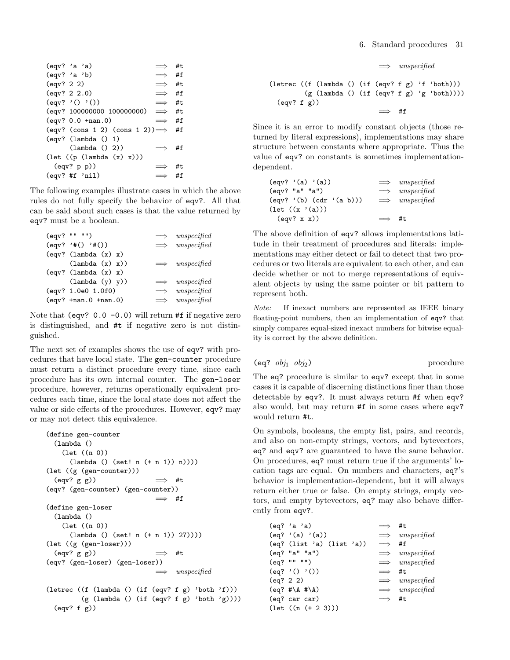```
(\text{eqv? 'a 'a}) \implies #t
(eqv? 'a 'b) \implies #f
(\text{eqv? 2 2}) \implies #t
\text{(eqv? 2 2.0)} \quad \Longrightarrow \quad \text{#f}(\text{eqv? } '() '()) \implies #t
(eqv? 100000000 1000000000) \implies #t\text{(eqv? 0.0 +nan.0)} \implies #f\text{(eqv? (cons 1 2) (cons 1 2))}\implies #f(eqv? (lambda () 1)
      (lambda () 2)) \implies #f
(let ((p (lambda (x) x)))
 (\text{eqv? p p})) \implies #t
(eqv? #f 'nil) \implies #f
```
The following examples illustrate cases in which the above rules do not fully specify the behavior of eqv?. All that can be said about such cases is that the value returned by eqv? must be a boolean.

| (eqv? "" "")                  | $\implies$ unspecified |
|-------------------------------|------------------------|
| $(eqv?$ '#() '#())            | $\implies$ unspecified |
| $\text{(eqv? (lambda (x) x)}$ |                        |
| $(\text{lambda}(x) x))$       | $\implies$ unspecified |
| $\text{(eqv? (lambda (x) x)}$ |                        |
| $(\text{lambda}(y) y))$       | $\implies$ unspecified |
| $\text{(eqv? } 1.0e0 1.0f0)$  | $\implies$ unspecified |
| $(eqv? +nan.0 +nan.0)$        | $\implies$ unspecified |

Note that (eqv? 0.0 -0.0) will return #f if negative zero is distinguished, and #t if negative zero is not distinguished.

The next set of examples shows the use of eqv? with procedures that have local state. The gen-counter procedure must return a distinct procedure every time, since each procedure has its own internal counter. The gen-loser procedure, however, returns operationally equivalent procedures each time, since the local state does not affect the value or side effects of the procedures. However, eqv? may or may not detect this equivalence.

```
(define gen-counter
  (lambda ()
    (let ((n 0))
      (lambda () (set! n (+ n 1)) n))))
(let ((g (gen-counter)))
  (eqv? g g)) \implies #t
(eqv? (gen-counter) (gen-counter))
                            \implies #f
(define gen-loser
  (lambda ()
    (let ((n 0))
      (lambda () (set! n (+ n 1)) 27))))
(let ((g (gen-loser)))
  (eqv? g g)) \implies #t
(eqv? (gen-loser) (gen-loser))
                            \implies unspecified
(letrec ((f (lambda () (if (eqv? f g) 'both 'f)))
         (g (lambda () (if (eqv? f g) 'both 'g))))
  (eqv? f g))
```

```
unspecified(letrec ((f (lambda () (if (eqv? f g) 'f 'both)))
         (g (lambda () (if (eqv? f g) 'g 'both))))
  (eqv? f g))
                             \implies #f
```
Since it is an error to modify constant objects (those returned by literal expressions), implementations may share structure between constants where appropriate. Thus the value of eqv? on constants is sometimes implementationdependent.

| $\text{(eqv? } \text{'(a)} \text{'(a)}$                   |               | $\implies$ unspecified |
|-----------------------------------------------------------|---------------|------------------------|
| (eqv? "a" "a")                                            |               | $\implies$ unspecified |
| $\text{(eqv? } \text{'(b)} \text{ (cdr } \text{'(a b)}))$ |               | $\implies$ unspecified |
| $(\text{let } ((x' (a)))$                                 |               |                        |
| $\text{(eqv? x x)}$                                       | $\implies$ #t |                        |

The above definition of eqv? allows implementations latitude in their treatment of procedures and literals: implementations may either detect or fail to detect that two procedures or two literals are equivalent to each other, and can decide whether or not to merge representations of equivalent objects by using the same pointer or bit pattern to represent both.

Note: If inexact numbers are represented as IEEE binary floating-point numbers, then an implementation of eqv? that simply compares equal-sized inexact numbers for bitwise equality is correct by the above definition.

```
(\text{eq? } obj_1 \text{ obj}_2) procedure
```
The eq? procedure is similar to eqv? except that in some cases it is capable of discerning distinctions finer than those detectable by eqv?. It must always return #f when eqv? also would, but may return #f in some cases where eqv? would return #t.

On symbols, booleans, the empty list, pairs, and records, and also on non-empty strings, vectors, and bytevectors, eq? and eqv? are guaranteed to have the same behavior. On procedures, eq? must return true if the arguments' location tags are equal. On numbers and characters, eq?'s behavior is implementation-dependent, but it will always return either true or false. On empty strings, empty vectors, and empty bytevectors, eq? may also behave differently from eqv?.

|           | (eq? 'a 'a)                  | $\implies$ #t |                        |
|-----------|------------------------------|---------------|------------------------|
|           | (eq? ' (a) ' (a))            |               | $\implies$ unspecified |
|           | (eq? (list 'a) (list 'a))    | $\implies$    | #f                     |
|           | (eq? "a" "a")                |               | $\implies$ unspecified |
|           | (eq? "" "")                  |               | $\implies$ unspecified |
|           | (eq? '() '())                | $\implies$ #t |                        |
| (eq? 2 2) |                              |               | $\implies$ unspecified |
|           | $(eq?$ #\A #\A)              |               | $\implies$ unspecified |
|           | (eq? car car)                | $\implies$ #t |                        |
|           | $(\text{let } ((n (+ 2 3)))$ |               |                        |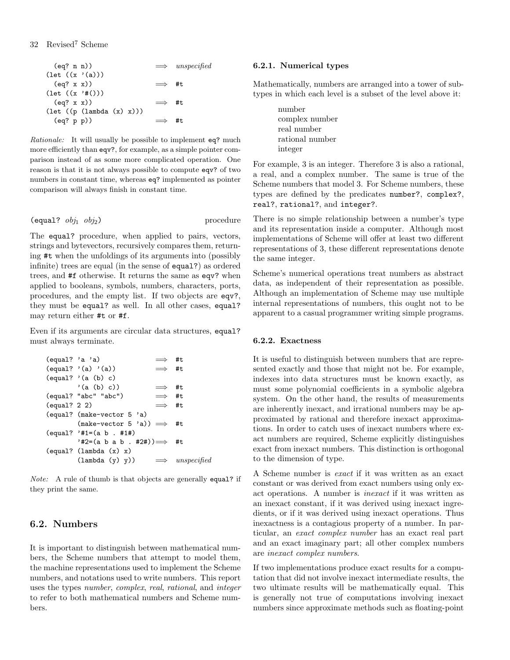$$
(eq? n n)) \implies unspecified
$$
\n
$$
(let ((x ' (a)))
$$
\n
$$
(eq? x x)) \implies #t
$$
\n
$$
(let ((x '#()) )
$$
\n
$$
(eq? x x)) \implies #t
$$
\n
$$
(let ((p (lambda (x) x)))
$$
\n
$$
(eq? p p)) \implies #t
$$

Rationale: It will usually be possible to implement eq? much more efficiently than eqv?, for example, as a simple pointer comparison instead of as some more complicated operation. One reason is that it is not always possible to compute eqv? of two numbers in constant time, whereas eq? implemented as pointer comparison will always finish in constant time.

#### (equal?  $obj_1$   $obj_2$ ) procedure

The equal? procedure, when applied to pairs, vectors, strings and bytevectors, recursively compares them, returning #t when the unfoldings of its arguments into (possibly infinite) trees are equal (in the sense of equal?) as ordered trees, and #f otherwise. It returns the same as eqv? when applied to booleans, symbols, numbers, characters, ports, procedures, and the empty list. If two objects are eqv?, they must be equal? as well. In all other cases, equal? may return either #t or #f.

Even if its arguments are circular data structures, equal? must always terminate.

```
\n
$$
(equal? 'a 'a) \implies #t
$$
\n
$$
(equal? ' (a ) ' (a)) \implies #t
$$
\n
$$
(equal? ' (a (b) c)) \implies #t
$$
\n
$$
(equal? "abc" "abc") \implies #t
$$
\n
$$
(equal? 2 2) \implies #t
$$
\n
$$
(equal? (make-vector 5 'a)) \implies #t
$$
\n
$$
(equal? '#1=(a b . #1#)
$$
\n
$$
*2=(a b a b . #2#)) \implies #t
$$
\n
$$
(equal? (lambda (x) x)
$$
\n
$$
(lambda (y) y)) \implies unspecified
$$
\n
```

Note: A rule of thumb is that objects are generally equal? if they print the same.

# <span id="page-31-0"></span>6.2. Numbers

It is important to distinguish between mathematical numbers, the Scheme numbers that attempt to model them, the machine representations used to implement the Scheme numbers, and notations used to write numbers. This report uses the types number, complex, real, rational, and integer to refer to both mathematical numbers and Scheme numbers.

#### <span id="page-31-1"></span>6.2.1. Numerical types

Mathematically, numbers are arranged into a tower of subtypes in which each level is a subset of the level above it:

> number complex number real number rational number integer

For example, 3 is an integer. Therefore 3 is also a rational, a real, and a complex number. The same is true of the Scheme numbers that model 3. For Scheme numbers, these types are defined by the predicates number?, complex?, real?, rational?, and integer?.

There is no simple relationship between a number's type and its representation inside a computer. Although most implementations of Scheme will offer at least two different representations of 3, these different representations denote the same integer.

Scheme's numerical operations treat numbers as abstract data, as independent of their representation as possible. Although an implementation of Scheme may use multiple internal representations of numbers, this ought not to be apparent to a casual programmer writing simple programs.

#### 6.2.2. Exactness

It is useful to distinguish between numbers that are represented exactly and those that might not be. For example, indexes into data structures must be known exactly, as must some polynomial coefficients in a symbolic algebra system. On the other hand, the results of measurements are inherently inexact, and irrational numbers may be approximated by rational and therefore inexact approximations. In order to catch uses of inexact numbers where exact numbers are required, Scheme explicitly distinguishes exact from inexact numbers. This distinction is orthogonal to the dimension of type.

A Scheme number is exact if it was written as an exact constant or was derived from exact numbers using only exact operations. A number is inexact if it was written as an inexact constant, if it was derived using inexact ingredients, or if it was derived using inexact operations. Thus inexactness is a contagious property of a number. In particular, an exact complex number has an exact real part and an exact imaginary part; all other complex numbers are inexact complex numbers.

If two implementations produce exact results for a computation that did not involve inexact intermediate results, the two ultimate results will be mathematically equal. This is generally not true of computations involving inexact numbers since approximate methods such as floating-point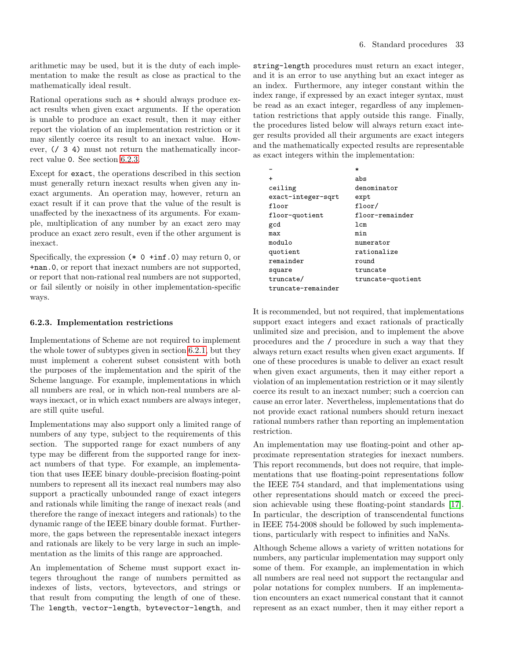arithmetic may be used, but it is the duty of each implementation to make the result as close as practical to the mathematically ideal result.

Rational operations such as + should always produce exact results when given exact arguments. If the operation is unable to produce an exact result, then it may either report the violation of an implementation restriction or it may silently coerce its result to an inexact value. However, (/ 3 4) must not return the mathematically incorrect value 0. See section [6.2.3.](#page-32-0)

Except for exact, the operations described in this section must generally return inexact results when given any inexact arguments. An operation may, however, return an exact result if it can prove that the value of the result is unaffected by the inexactness of its arguments. For example, multiplication of any number by an exact zero may produce an exact zero result, even if the other argument is inexact.

Specifically, the expression  $(* 0 + inf.0)$  may return 0, or +nan.0, or report that inexact numbers are not supported, or report that non-rational real numbers are not supported, or fail silently or noisily in other implementation-specific ways.

#### <span id="page-32-0"></span>6.2.3. Implementation restrictions

Implementations of Scheme are not required to implement the whole tower of subtypes given in section [6.2.1,](#page-31-1) but they must implement a coherent subset consistent with both the purposes of the implementation and the spirit of the Scheme language. For example, implementations in which all numbers are real, or in which non-real numbers are always inexact, or in which exact numbers are always integer, are still quite useful.

Implementations may also support only a limited range of numbers of any type, subject to the requirements of this section. The supported range for exact numbers of any type may be different from the supported range for inexact numbers of that type. For example, an implementation that uses IEEE binary double-precision floating-point numbers to represent all its inexact real numbers may also support a practically unbounded range of exact integers and rationals while limiting the range of inexact reals (and therefore the range of inexact integers and rationals) to the dynamic range of the IEEE binary double format. Furthermore, the gaps between the representable inexact integers and rationals are likely to be very large in such an implementation as the limits of this range are approached.

An implementation of Scheme must support exact integers throughout the range of numbers permitted as indexes of lists, vectors, bytevectors, and strings or that result from computing the length of one of these. The length, vector-length, bytevector-length, and string-length procedures must return an exact integer, and it is an error to use anything but an exact integer as an index. Furthermore, any integer constant within the index range, if expressed by an exact integer syntax, must be read as an exact integer, regardless of any implementation restrictions that apply outside this range. Finally, the procedures listed below will always return exact integer results provided all their arguments are exact integers and the mathematically expected results are representable as exact integers within the implementation:

|                    | *                 |
|--------------------|-------------------|
| $\ddot{}$          | abs               |
| ceiling            | denominator       |
| exact-integer-sqrt | expt              |
| floor              | floor/            |
| floor-quotient     | floor-remainder   |
| gcd                | 1cm               |
| max                | min               |
| modulo             | numerator         |
| quotient           | rationalize       |
| remainder          | round             |
| square             | truncate          |
| truncate/          | truncate-quotient |
| truncate-remainder |                   |

It is recommended, but not required, that implementations support exact integers and exact rationals of practically unlimited size and precision, and to implement the above procedures and the / procedure in such a way that they always return exact results when given exact arguments. If one of these procedures is unable to deliver an exact result when given exact arguments, then it may either report a violation of an implementation restriction or it may silently coerce its result to an inexact number; such a coercion can cause an error later. Nevertheless, implementations that do not provide exact rational numbers should return inexact rational numbers rather than reporting an implementation restriction.

An implementation may use floating-point and other approximate representation strategies for inexact numbers. This report recommends, but does not require, that implementations that use floating-point representations follow the IEEE 754 standard, and that implementations using other representations should match or exceed the precision achievable using these floating-point standards [\[17\]](#page-81-18). In particular, the description of transcendental functions in IEEE 754-2008 should be followed by such implementations, particularly with respect to infinities and NaNs.

Although Scheme allows a variety of written notations for numbers, any particular implementation may support only some of them. For example, an implementation in which all numbers are real need not support the rectangular and polar notations for complex numbers. If an implementation encounters an exact numerical constant that it cannot represent as an exact number, then it may either report a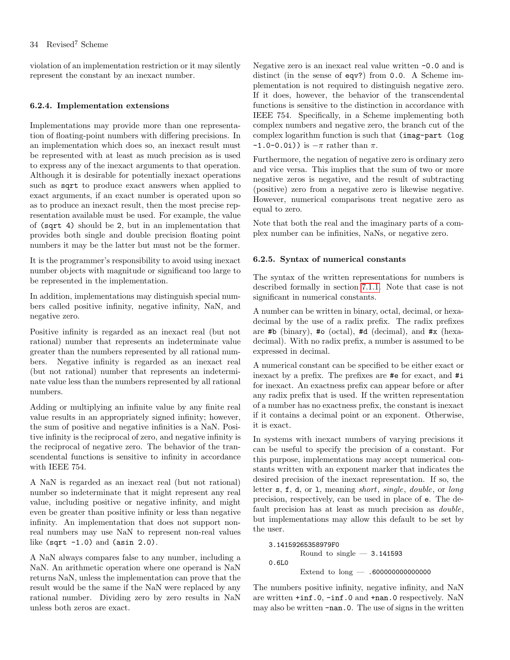violation of an implementation restriction or it may silently represent the constant by an inexact number.

#### 6.2.4. Implementation extensions

Implementations may provide more than one representation of floating-point numbers with differing precisions. In an implementation which does so, an inexact result must be represented with at least as much precision as is used to express any of the inexact arguments to that operation. Although it is desirable for potentially inexact operations such as sqrt to produce exact answers when applied to exact arguments, if an exact number is operated upon so as to produce an inexact result, then the most precise representation available must be used. For example, the value of (sqrt 4) should be 2, but in an implementation that provides both single and double precision floating point numbers it may be the latter but must not be the former.

It is the programmer's responsibility to avoid using inexact number objects with magnitude or significand too large to be represented in the implementation.

In addition, implementations may distinguish special numbers called positive infinity, negative infinity, NaN, and negative zero.

Positive infinity is regarded as an inexact real (but not rational) number that represents an indeterminate value greater than the numbers represented by all rational numbers. Negative infinity is regarded as an inexact real (but not rational) number that represents an indeterminate value less than the numbers represented by all rational numbers.

Adding or multiplying an infinite value by any finite real value results in an appropriately signed infinity; however, the sum of positive and negative infinities is a NaN. Positive infinity is the reciprocal of zero, and negative infinity is the reciprocal of negative zero. The behavior of the transcendental functions is sensitive to infinity in accordance with IEEE 754.

A NaN is regarded as an inexact real (but not rational) number so indeterminate that it might represent any real value, including positive or negative infinity, and might even be greater than positive infinity or less than negative infinity. An implementation that does not support nonreal numbers may use NaN to represent non-real values like (sqrt  $-1.0$ ) and (asin 2.0).

A NaN always compares false to any number, including a NaN. An arithmetic operation where one operand is NaN returns NaN, unless the implementation can prove that the result would be the same if the NaN were replaced by any rational number. Dividing zero by zero results in NaN unless both zeros are exact.

Negative zero is an inexact real value written  $-0.0$  and is distinct (in the sense of eqv?) from 0.0. A Scheme implementation is not required to distinguish negative zero. If it does, however, the behavior of the transcendental functions is sensitive to the distinction in accordance with IEEE 754. Specifically, in a Scheme implementing both complex numbers and negative zero, the branch cut of the complex logarithm function is such that (imag-part (log  $-1.0-0.0i)$ ) is  $-\pi$  rather than  $\pi$ .

Furthermore, the negation of negative zero is ordinary zero and vice versa. This implies that the sum of two or more negative zeros is negative, and the result of subtracting (positive) zero from a negative zero is likewise negative. However, numerical comparisons treat negative zero as equal to zero.

Note that both the real and the imaginary parts of a complex number can be infinities, NaNs, or negative zero.

# <span id="page-33-0"></span>6.2.5. Syntax of numerical constants

The syntax of the written representations for numbers is described formally in section [7.1.1.](#page-60-2) Note that case is not significant in numerical constants.

A number can be written in binary, octal, decimal, or hexadecimal by the use of a radix prefix. The radix prefixes are #b (binary), #o (octal), #d (decimal), and #x (hexadecimal). With no radix prefix, a number is assumed to be expressed in decimal.

A numerical constant can be specified to be either exact or inexact by a prefix. The prefixes are #e for exact, and #i for inexact. An exactness prefix can appear before or after any radix prefix that is used. If the written representation of a number has no exactness prefix, the constant is inexact if it contains a decimal point or an exponent. Otherwise, it is exact.

In systems with inexact numbers of varying precisions it can be useful to specify the precision of a constant. For this purpose, implementations may accept numerical constants written with an exponent marker that indicates the desired precision of the inexact representation. If so, the letter s, f, d, or l, meaning short, single, double, or long precision, respectively, can be used in place of e. The default precision has at least as much precision as double, but implementations may allow this default to be set by the user.

```
3.14159265358979F0
       Round to single -3.1415930.6L0
       Extend to long — .600000000000000
```
The numbers positive infinity, negative infinity, and NaN are written +inf.0, -inf.0 and +nan.0 respectively. NaN may also be written -nan.0. The use of signs in the written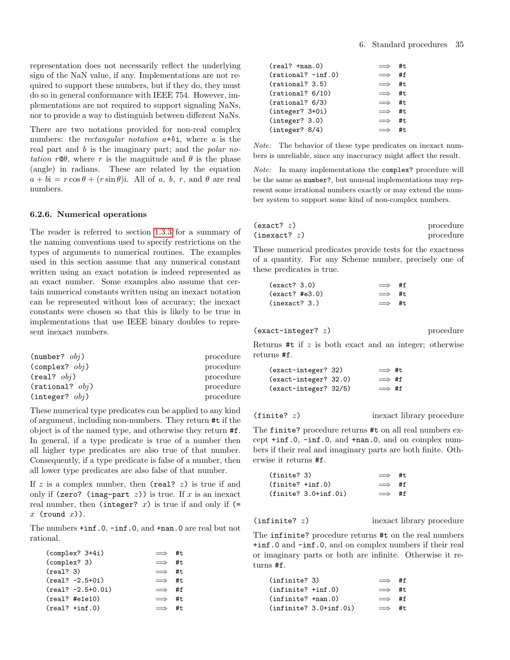representation does not necessarily reflect the underlying sign of the NaN value, if any. Implementations are not required to support these numbers, but if they do, they must do so in general conformance with IEEE 754. However, implementations are not required to support signaling NaNs, nor to provide a way to distinguish between different NaNs.

There are two notations provided for non-real complex numbers: the *rectangular notation*  $a+bi$ , where a is the real part and b is the imaginary part; and the polar notation r<sup>o</sup> $\theta$ , where r is the magnitude and  $\theta$  is the phase (angle) in radians. These are related by the equation  $a + bi = r \cos \theta + (r \sin \theta)i$ . All of a, b, r, and  $\theta$  are real numbers.

#### 6.2.6. Numerical operations

The reader is referred to section [1.3.3](#page-5-0) for a summary of the naming conventions used to specify restrictions on the types of arguments to numerical routines. The examples used in this section assume that any numerical constant written using an exact notation is indeed represented as an exact number. Some examples also assume that certain numerical constants written using an inexact notation can be represented without loss of accuracy; the inexact constants were chosen so that this is likely to be true in implementations that use IEEE binary doubles to represent inexact numbers.

| $(number?$ $obj)$        | procedure |
|--------------------------|-----------|
| $(\text{complex? } obj)$ | procedure |
| $(\text{real}?\ obi)$    | procedure |
| $(rational?$ $obj)$      | procedure |
| (integer? obj)           | procedure |

These numerical type predicates can be applied to any kind of argument, including non-numbers. They return #t if the object is of the named type, and otherwise they return #f. In general, if a type predicate is true of a number then all higher type predicates are also true of that number. Consequently, if a type predicate is false of a number, then all lower type predicates are also false of that number.

If  $z$  is a complex number, then (real?  $z$ ) is true if and only if (zero? (imag-part  $z$ )) is true. If  $x$  is an inexact real number, then (integer?  $x$ ) is true if and only if (=  $x$  (round  $x$ )).

The numbers +inf.0, -inf.0, and +nan.0 are real but not rational.

| $(complex? 3+4i)$                 | $\implies$ #t |    |
|-----------------------------------|---------------|----|
| (complex? 3)                      | $\implies$    | #t |
| (rcal? 3)                         | $\implies$ #t |    |
| $(rcal? -2.5+0i)$                 | $\implies$ #t |    |
| $(\text{real}$ ? -2.5+0.0i)       | $\implies$ #f |    |
| (real? #ele10)                    | $\implies$ #t |    |
| $(\text{real? } + \text{inf. 0})$ | $\implies$ #t |    |

| $(real? +nan.0)$      |            | #+  |
|-----------------------|------------|-----|
| $(rational? - inf.0)$ | $\implies$ | #f  |
| (rational? 3.5)       | $\implies$ | #t. |
| (rational? 6/10)      | $\implies$ | #t. |
| (rational? 6/3)       | $\implies$ | #t. |
| $(integer? 3+0i)$     | $\implies$ | #t. |
| (integer? 3.0)        | $\implies$ | #t. |
| (integer? 8/4)        |            |     |

Note: The behavior of these type predicates on inexact numbers is unreliable, since any inaccuracy might affect the result.

Note: In many implementations the complex? procedure will be the same as number?, but unusual implementations may represent some irrational numbers exactly or may extend the number system to support some kind of non-complex numbers.

| $\text{(exact? } z)$ | procedure |
|----------------------|-----------|
| (inexact? z)         | procedure |

These numerical predicates provide tests for the exactness of a quantity. For any Scheme number, precisely one of these predicates is true.

| (exact? 3.0)        | $\implies$ #f  |  |
|---------------------|----------------|--|
| $(exact?$ #e $3.0)$ | $\implies$ #t. |  |
| (inexact? 3.)       | $\implies$ #t. |  |

(exact-integer? z) procedure

Returns  $#t$  if  $z$  is both exact and an integer; otherwise returns #f.

| (exact-integer? 32)     | $\implies$ #t |  |
|-------------------------|---------------|--|
| $(exact-integer? 32.0)$ | $\implies$ #f |  |
| (exact-integer? 32/5)   | $\implies$ #f |  |

(finite?  $z$ ) inexact library procedure

The finite? procedure returns #t on all real numbers except +inf.0, -inf.0, and +nan.0, and on complex numbers if their real and imaginary parts are both finite. Otherwise it returns #f.

| (finite? 3)         |                        | $\implies$ #t |  |
|---------------------|------------------------|---------------|--|
| $(finite? + inf.0)$ |                        | $\implies$ #f |  |
|                     | $(finite? 3.0+inf.0i)$ | $\implies$ #f |  |

(infinite? z) inexact library procedure

The infinite? procedure returns #t on the real numbers +inf.0 and -inf.0, and on complex numbers if their real or imaginary parts or both are infinite. Otherwise it returns #f.

| (infinite? 3)<br>$(intinite? + inf.0)$<br>$(intinite? +nan.0)$<br>$(intinite? 3.0+inf.0i)$ | $\implies$ #f<br>$\implies$ #t.<br>$\implies$ #f<br>$\implies$ #t |
|--------------------------------------------------------------------------------------------|-------------------------------------------------------------------|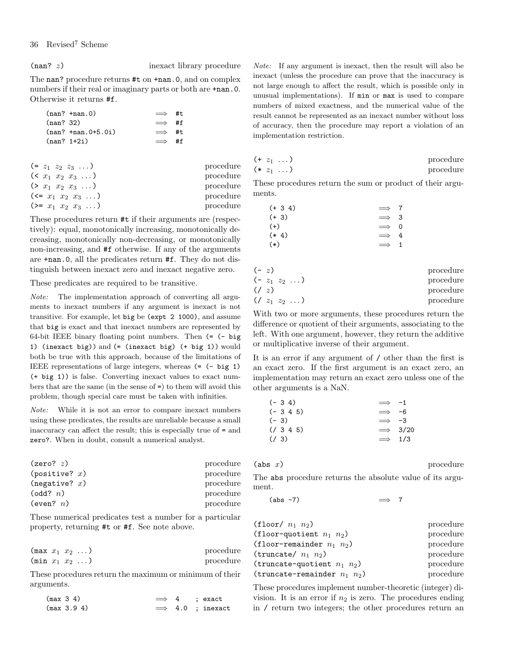(nan? z) inexact library procedure

The nan? procedure returns #t on +nan.0, and on complex numbers if their real or imaginary parts or both are  $+nan.0$ . Otherwise it returns #f.

|               | $(nan? + nan.0)$        | $\implies$    | #t |
|---------------|-------------------------|---------------|----|
| (nan? 32)     |                         | $\implies$ #f |    |
|               | $(nan? + nan.0 + 5.0i)$ | $\implies$ #t |    |
| $(nan? 1+2i)$ |                         | $\implies$    | #f |

| $(= z_1 \ z_2 \ z_3 \ \ldots)$    | procedure |
|-----------------------------------|-----------|
| $(x_1 x_2 x_3 )$                  | procedure |
| $(> x_1 x_2 x_3 \ldots)$          | procedure |
| $(\leq x_1 \ x_2 \ x_3 \ \ldots)$ | procedure |
| $(>= x_1 x_2 x_3 )$               | procedure |

These procedures return #t if their arguments are (respectively): equal, monotonically increasing, monotonically decreasing, monotonically non-decreasing, or monotonically non-increasing, and #f otherwise. If any of the arguments are +nan.0, all the predicates return #f. They do not distinguish between inexact zero and inexact negative zero.

These predicates are required to be transitive.

Note: The implementation approach of converting all arguments to inexact numbers if any argument is inexact is not transitive. For example, let big be (expt 2 1000), and assume that big is exact and that inexact numbers are represented by 64-bit IEEE binary floating point numbers. Then (= (- big 1) (inexact big)) and (= (inexact big) (+ big 1)) would both be true with this approach, because of the limitations of IEEE representations of large integers, whereas (= (- big 1) (+ big 1)) is false. Converting inexact values to exact numbers that are the same (in the sense of =) to them will avoid this problem, though special care must be taken with infinities.

Note: While it is not an error to compare inexact numbers using these predicates, the results are unreliable because a small inaccuracy can affect the result; this is especially true of = and zero?. When in doubt, consult a numerical analyst.

| (zero? z)        | procedure |
|------------------|-----------|
| (positive? x)    | procedure |
| (negative? $x$ ) | procedure |
| (odd? n)         | procedure |
| (even? $n$ )     | procedure |

These numerical predicates test a number for a particular property, returning #t or #f. See note above.

| $(\max x_1 x_2 \dots)$ |  | procedure |
|------------------------|--|-----------|
| $(\min x_1 x_2 \dots)$ |  | procedure |

These procedures return the maximum or minimum of their arguments.

| (max 3 4)   |  | $\implies$ 4 ; exact     |
|-------------|--|--------------------------|
| (max 3.9 4) |  | $\implies$ 4.0 : inexact |

Note: If any argument is inexact, then the result will also be inexact (unless the procedure can prove that the inaccuracy is not large enough to affect the result, which is possible only in unusual implementations). If min or max is used to compare numbers of mixed exactness, and the numerical value of the result cannot be represented as an inexact number without loss of accuracy, then the procedure may report a violation of an implementation restriction.

$$
\begin{array}{ccc}\n (+ & z_1 & \dots) & & \text{procedure} \\
 (* & z_1 & \dots) & & \text{procedure}\n \end{array}
$$

These procedures return the sum or product of their arguments.

| $(+ 3 4)$ | $\implies$ 7 |
|-----------|--------------|
| $(+ 3)$   | $\implies$ 3 |
| $(+)$     | $\implies$ 0 |
| $(* 4)$   | $\implies$ 4 |
| $(*)$     | $\implies$ 1 |

| $(-z)$ |                           | procedure |
|--------|---------------------------|-----------|
|        | $(-z_1 \; z_2 \; \ldots)$ | procedure |
| (1 z)  |                           | procedure |
|        | $( / z_1 z_2  )$          | procedure |

With two or more arguments, these procedures return the difference or quotient of their arguments, associating to the left. With one argument, however, they return the additive or multiplicative inverse of their argument.

It is an error if any argument of / other than the first is an exact zero. If the first argument is an exact zero, an implementation may return an exact zero unless one of the other arguments is a NaN.

| $(-34)$  | $\implies$ -1 |                 |
|----------|---------------|-----------------|
| $(-345)$ | $\implies$ -6 |                 |
| $(-3)$   | $\implies$ -3 |                 |
| (7345)   |               | $\implies$ 3/20 |
| (73)     |               | $\implies$ 1/3  |

 $(\text{abs } x)$  procedure

The abs procedure returns the absolute value of its argument.

 $(\text{abs} -7)$   $\implies$  7

| $(floor/n_1 n_2)$                 | procedure |
|-----------------------------------|-----------|
| (floor-quotient $n_1$ $n_2$ )     | procedure |
| (floor-remainder $n_1$ $n_2$ )    | procedure |
| (truncate/ $n_1$ $n_2$ )          | procedure |
| (truncate-quotient $n_1$ $n_2$ )  | procedure |
| (truncate-remainder $n_1$ $n_2$ ) | procedure |

These procedures implement number-theoretic (integer) division. It is an error if  $n_2$  is zero. The procedures ending in / return two integers; the other procedures return an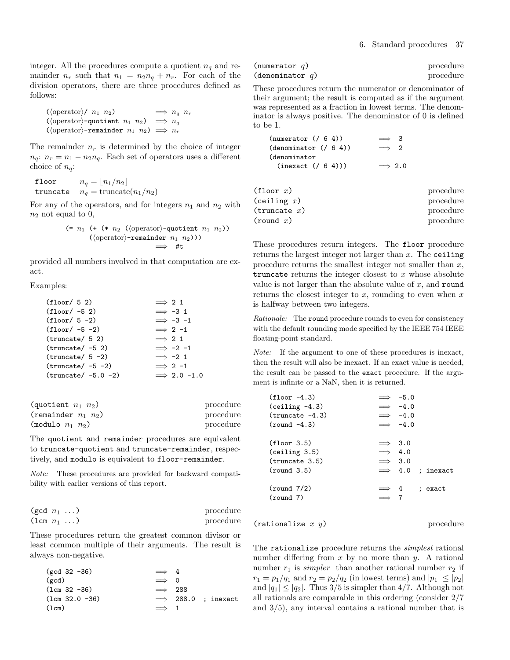integer. All the procedures compute a quotient  $n_q$  and remainder  $n_r$  such that  $n_1 = n_2n_q + n_r$ . For each of the division operators, there are three procedures defined as follows:

$$
(\langle \text{operator} \rangle / n_1 n_2) \implies n_q n_r
$$
  

$$
(\langle \text{operator} \rangle - \text{quotient } n_1 n_2) \implies n_q
$$
  

$$
(\langle \text{operator} \rangle - \text{remainder } n_1 n_2) \implies n_r
$$

The remainder  $n_r$  is determined by the choice of integer  $n_q$ :  $n_r = n_1 - n_2 n_q$ . Each set of operators uses a different choice of  $n_a$ :

floor  $n_q = \lfloor n_1/n_2 \rfloor$ truncate  $n_q = \text{truncated}(n_1/n_2)$ 

For any of the operators, and for integers  $n_1$  and  $n_2$  with  $n_2$  not equal to 0,

$$
(\text{= } n_1 \text{ (+ } (* n_2 \text{ (operator)-quotient } n_1 n_2))
$$
  

$$
(\text{operator})\text{-remainder } n_1 n_2)))
$$
  

$$
\implies #t
$$

provided all numbers involved in that computation are exact.

Examples:

| (floor/ 5 2)         | $\implies$ 2 1      |
|----------------------|---------------------|
| $(floor / -5 2)$     | $\Rightarrow$ -3 1  |
| $(floor/ 5 -2)$      | $\Rightarrow$ -3 -1 |
| $(floor / -5 -2)$    | $\implies$ 2 -1     |
| (true / 5 2)         | $\implies$ 2 1      |
| $(trueA - 5 2)$      | $\implies$ -2 -1    |
| $(true / 5 - 2)$     | $\Rightarrow$ -2.1  |
| $(true / -5 -2)$     | $\implies$ 2 -1     |
| $(trueate/ -5.0 -2)$ | $\implies$ 2.0 -1.0 |

| (quotient $n_1$ $n_2$ )  | procedure |
|--------------------------|-----------|
| (remainder $n_1$ $n_2$ ) | procedure |
| $(modulo n_1 n_2)$       | procedure |

The quotient and remainder procedures are equivalent to truncate-quotient and truncate-remainder, respectively, and modulo is equivalent to floor-remainder.

Note: These procedures are provided for backward compatibility with earlier versions of this report.

| (gcd $n_1$ )              |  | procedure |
|---------------------------|--|-----------|
| $(\text{lcm } n_1 \dots)$ |  | procedure |

These procedures return the greatest common divisor or least common multiple of their arguments. The result is always non-negative.

|  | $\implies$ 4<br>$\implies$ 0<br>$\implies$ 288<br>$\implies$ 1 | $\implies$ 288.0 ; inexact |
|--|----------------------------------------------------------------|----------------------------|

| (numerator $q$ ) | procedure |
|------------------|-----------|
| (denominator q)  | procedure |

These procedures return the numerator or denominator of their argument; the result is computed as if the argument was represented as a fraction in lowest terms. The denominator is always positive. The denominator of 0 is defined to be 1.

| $\implies$<br>- 2 |
|-------------------|
|                   |
| $\implies$ 2.0    |
|                   |

| (floor x)   | procedure |
|-------------|-----------|
| (ceiling x) | procedure |
| (true x)    | procedure |
| (round x)   | procedure |

These procedures return integers. The floor procedure returns the largest integer not larger than  $x$ . The ceiling procedure returns the smallest integer not smaller than  $x$ , truncate returns the integer closest to  $x$  whose absolute value is not larger than the absolute value of  $x$ , and round returns the closest integer to x, rounding to even when  $x$ is halfway between two integers.

Rationale: The round procedure rounds to even for consistency with the default rounding mode specified by the IEEE 754 IEEE floating-point standard.

Note: If the argument to one of these procedures is inexact, then the result will also be inexact. If an exact value is needed, the result can be passed to the exact procedure. If the argument is infinite or a NaN, then it is returned.

|  |                                                                                                                                                | : exact                  |
|--|------------------------------------------------------------------------------------------------------------------------------------------------|--------------------------|
|  |                                                                                                                                                |                          |
|  | $\implies$ -5.0<br>$\implies$ -4.0<br>$\implies$ -4.0<br>$\implies$ -4.0<br>$\implies$ 3.0<br>$\implies$ 4.0<br>$\implies$ 3.0<br>$\implies$ 4 | $\implies$ 4.0 : inexact |

 $(rationalize x y)$  procedure

The **rationalize** procedure returns the *simplest* rational number differing from  $x$  by no more than  $y$ . A rational number  $r_1$  is *simpler* than another rational number  $r_2$  if  $r_1 = p_1/q_1$  and  $r_2 = p_2/q_2$  (in lowest terms) and  $|p_1| \leq |p_2|$ and  $|q_1| \leq |q_2|$ . Thus 3/5 is simpler than 4/7. Although not all rationals are comparable in this ordering (consider 2/7 and 3/5), any interval contains a rational number that is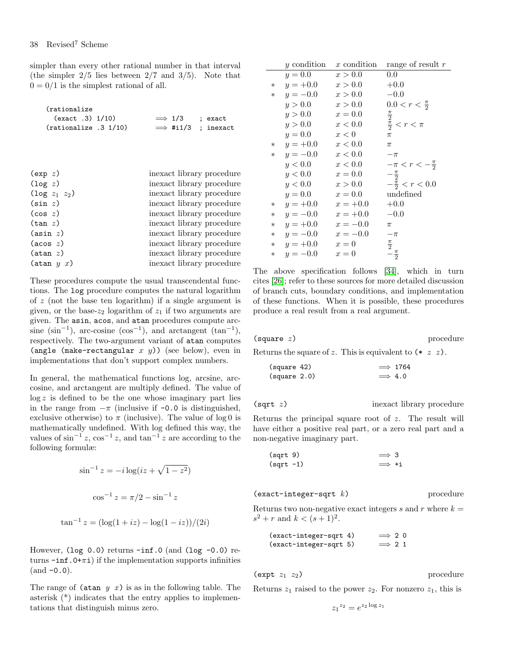simpler than every other rational number in that interval (the simpler  $2/5$  lies between  $2/7$  and  $3/5$ ). Note that  $0 = 0/1$  is the simplest rational of all.

| (rationalize)         |                            |  |
|-----------------------|----------------------------|--|
| (exact .3) 1/10)      | $\implies$ 1/3 ; exact     |  |
| (rationalize .3 1/10) | $\implies$ #i1/3 ; inexact |  |

| $(\exp z)$           | inexact library procedure |
|----------------------|---------------------------|
| $(\log z)$           | inexact library procedure |
| $(\log z_1 z_2)$     | inexact library procedure |
| (sin z)              | inexact library procedure |
| $(\cos z)$           | inexact library procedure |
| $(\tan z)$           | inexact library procedure |
| $(\text{asin } z)$   | inexact library procedure |
| $(\text{acos } z)$   | inexact library procedure |
| $(\text{atan } z)$   | inexact library procedure |
| $(\text{atan } y x)$ | inexact library procedure |

These procedures compute the usual transcendental functions. The log procedure computes the natural logarithm of z (not the base ten logarithm) if a single argument is given, or the base- $z_2$  logarithm of  $z_1$  if two arguments are given. The asin, acos, and atan procedures compute arcsine  $(\sin^{-1})$ , arc-cosine  $(\cos^{-1})$ , and arctangent  $(\tan^{-1})$ , respectively. The two-argument variant of atan computes (angle (make-rectangular  $x$   $y$ )) (see below), even in implementations that don't support complex numbers.

In general, the mathematical functions log, arcsine, arccosine, and arctangent are multiply defined. The value of  $\log z$  is defined to be the one whose imaginary part lies in the range from  $-\pi$  (inclusive if  $-0.0$  is distinguished, exclusive otherwise) to  $\pi$  (inclusive). The value of log 0 is mathematically undefined. With log defined this way, the values of  $\sin^{-1} z$ ,  $\cos^{-1} z$ , and  $\tan^{-1} z$  are according to the following formulæ:

$$
\sin^{-1} z = -i \log(iz + \sqrt{1 - z^2})
$$

$$
\cos^{-1} z = \pi/2 - \sin^{-1} z
$$

$$
\tan^{-1} z = (\log(1 + iz) - \log(1 - iz))/(2i)
$$

However,  $(\log 0.0)$  returns  $-\inf.0$  (and  $(\log -0.0)$  returns  $\text{-inf.0+}\pi i$ ) if the implementation supports infinities  $(and -0.0).$ 

The range of  $(\text{atan } y \ x)$  is as in the following table. The asterisk (\*) indicates that the entry applies to implementations that distinguish minus zero.

|        | y condition | $x$ condition | range of result $r$                             |
|--------|-------------|---------------|-------------------------------------------------|
|        | $y = 0.0$   | x > 0.0       | 0.0                                             |
| $\ast$ | $y = +0.0$  | x > 0.0       | $+0.0$                                          |
| $\ast$ | $y = -0.0$  | x > 0.0       | $-0.0$                                          |
|        | y > 0.0     | x > 0.0       | $0.0 < r < \frac{\pi}{2}$                       |
|        | y > 0.0     | $x=0.0$       |                                                 |
|        | y > 0.0     | x < 0.0       | $\frac{\frac{\pi}{2}}{\frac{\pi}{2}} < r < \pi$ |
|        | $y = 0.0$   | x<0           | $\pi$                                           |
| $\ast$ | $y = +0.0$  | x < 0.0       | $\pi$                                           |
| $\ast$ | $y = -0.0$  | x < 0.0       | $-\pi$                                          |
|        | y < 0.0     | x < 0.0       | $-\pi < r < -\frac{\pi}{2}$                     |
|        | y < 0.0     | $x=0.0$       | $-\frac{\pi}{2}$                                |
|        | y < 0.0     | x > 0.0       | $-\frac{\pi}{2} < r < 0.0$                      |
|        | $y = 0.0$   | $x=0.0$       | undefined                                       |
| $\ast$ | $y = +0.0$  | $x = +0.0$    | $+0.0$                                          |
| $\ast$ | $y = -0.0$  | $x = +0.0$    | $-0.0$                                          |
| $\ast$ | $y = +0.0$  | $x = -0.0$    | $\pi$                                           |
| $\ast$ | $y = -0.0$  | $x = -0.0$    | $-\pi$                                          |
| $\ast$ | $y = +0.0$  | $x=0$         | $\frac{\pi}{2}$                                 |
| $\ast$ | $y = -0.0$  | $x=0$         | $-\frac{\pi}{2}$                                |

The above specification follows [\[34\]](#page-82-0), which in turn cites [\[26\]](#page-81-0); refer to these sources for more detailed discussion of branch cuts, boundary conditions, and implementation of these functions. When it is possible, these procedures produce a real result from a real argument.

$$
\verb|square| z)
$$

(square z) procedure

Returns the square of z. This is equivalent to  $(* z z)$ .

| (square 42)  |                | $\implies$ 1764 |
|--------------|----------------|-----------------|
| (square 2.0) | $\implies$ 4.0 |                 |

(sqrt z) inexact library procedure

Returns the principal square root of z. The result will have either a positive real part, or a zero real part and a non-negative imaginary part.

| (sqrt 9)    | $\implies$ 3  |  |
|-------------|---------------|--|
| $(sqrt -1)$ | $\implies$ +i |  |

 $(exact-integer-sqrt k)$  procedure

Returns two non-negative exact integers s and r where  $k =$  $s^2 + r$  and  $k < (s + 1)^2$ .

$$
\begin{array}{lll}(\mathtt{exact-integer-sqrt\ 4}) & \implies 2\ 0 \\(\mathtt{exact-integer-sqrt\ 5}) & \implies 2\ 1\end{array}
$$

$$
(expt z_1 z_2) \t\t procedure
$$

Returns  $z_1$  raised to the power  $z_2$ . For nonzero  $z_1$ , this is

$$
z_1^{z_2} = e^{z_2 \log z_1}
$$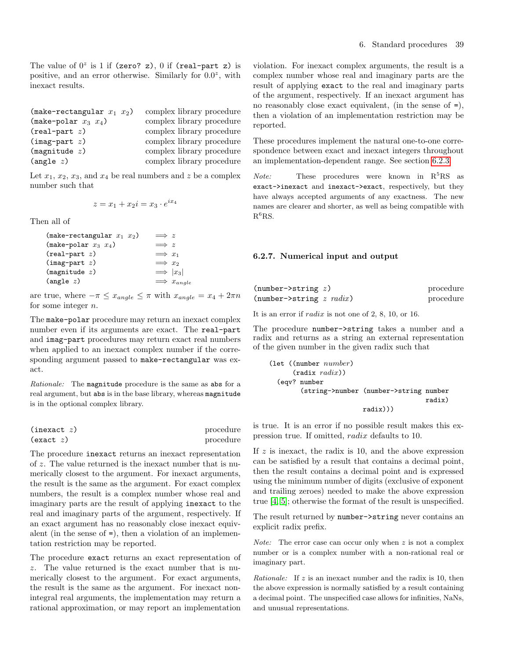The value of  $0^z$  is 1 if (zero? z), 0 if (real-part z) is positive, and an error otherwise. Similarly for  $0.0^z$ , with inexact results.

| (make-rectangular $x_1$ $x_2$ ) | complex library procedure |
|---------------------------------|---------------------------|
| (make-polar $x_3$ $x_4$ )       | complex library procedure |
| $(\text{real-part } z)$         | complex library procedure |
| $(\text{imag-part } z)$         | complex library procedure |
| (magnitude z)                   | complex library procedure |
| $(\text{angle} z)$              | complex library procedure |

Let  $x_1, x_2, x_3$ , and  $x_4$  be real numbers and z be a complex number such that

$$
z = x_1 + x_2i = x_3 \cdot e^{ix_4}
$$

Then all of

| (make-rectangular $x_1$ $x_2$ ) | $\implies z$         |
|---------------------------------|----------------------|
| $(make-polar x_3 x_4)$          | $\implies z$         |
| $(\text{real-part } z)$         | $\implies x_1$       |
| $(\text{imag-part } z)$         | $\implies x_2$       |
| (magnitude z)                   | $\implies  x_3 $     |
| $(\text{angle} z)$              | $\implies x_{angle}$ |

are true, where  $-\pi \leq x_{angle} \leq \pi$  with  $x_{angle} = x_4 + 2\pi n$ for some integer n.

The make-polar procedure may return an inexact complex number even if its arguments are exact. The real-part and imag-part procedures may return exact real numbers when applied to an inexact complex number if the corresponding argument passed to make-rectangular was exact.

Rationale: The magnitude procedure is the same as abs for a real argument, but abs is in the base library, whereas magnitude is in the optional complex library.

| (inexact z)                     | procedure |
|---------------------------------|-----------|
| $\left(\text{exact} \ z\right)$ | procedure |

The procedure inexact returns an inexact representation of z. The value returned is the inexact number that is numerically closest to the argument. For inexact arguments, the result is the same as the argument. For exact complex numbers, the result is a complex number whose real and imaginary parts are the result of applying inexact to the real and imaginary parts of the argument, respectively. If an exact argument has no reasonably close inexact equivalent (in the sense of =), then a violation of an implementation restriction may be reported.

The procedure exact returns an exact representation of z. The value returned is the exact number that is numerically closest to the argument. For exact arguments, the result is the same as the argument. For inexact nonintegral real arguments, the implementation may return a rational approximation, or may report an implementation violation. For inexact complex arguments, the result is a complex number whose real and imaginary parts are the result of applying exact to the real and imaginary parts of the argument, respectively. If an inexact argument has no reasonably close exact equivalent, (in the sense of =), then a violation of an implementation restriction may be reported.

These procedures implement the natural one-to-one correspondence between exact and inexact integers throughout an implementation-dependent range. See section [6.2.3.](#page-32-0)

*Note:* These procedures were known in  $R^5RS$  as exact->inexact and inexact->exact, respectively, but they have always accepted arguments of any exactness. The new names are clearer and shorter, as well as being compatible with  $R^6RS$ .

#### 6.2.7. Numerical input and output

| $(number \rightarrow string z)$           | procedure |
|-------------------------------------------|-----------|
| $(number \rightarrow string \ z \ radix)$ | procedure |

It is an error if radix is not one of 2, 8, 10, or 16.

The procedure number->string takes a number and a radix and returns as a string an external representation of the given number in the given radix such that

```
(let ((number number)
      (radix \; radius)(eqv? number
        (string->number (number->string number
                                          radix)
                         radix)))
```
is true. It is an error if no possible result makes this expression true. If omitted, radix defaults to 10.

If  $z$  is inexact, the radix is 10, and the above expression can be satisfied by a result that contains a decimal point, then the result contains a decimal point and is expressed using the minimum number of digits (exclusive of exponent and trailing zeroes) needed to make the above expression true [\[4,](#page-81-1) [5\]](#page-81-2); otherwise the format of the result is unspecified.

The result returned by number- $\gt$ string never contains an explicit radix prefix.

*Note:* The error case can occur only when  $z$  is not a complex number or is a complex number with a non-rational real or imaginary part.

Rationale: If z is an inexact number and the radix is 10, then the above expression is normally satisfied by a result containing a decimal point. The unspecified case allows for infinities, NaNs, and unusual representations.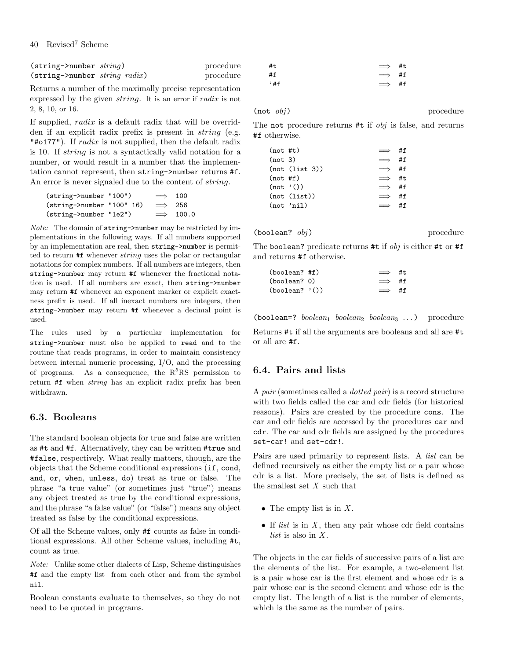40 Revised<sup>7</sup> Scheme

| $(string\text{-}{}sumber\ string)$             | procedure | #t |
|------------------------------------------------|-----------|----|
| $(string \rightarrow number \ string \ radix)$ | procedure | #f |

Returns a number of the maximally precise representation expressed by the given string. It is an error if radix is not 2, 8, 10, or 16.

If supplied, radix is a default radix that will be overridden if an explicit radix prefix is present in string (e.g. "#0177"). If radix is not supplied, then the default radix is 10. If string is not a syntactically valid notation for a number, or would result in a number that the implementation cannot represent, then string->number returns #f. An error is never signaled due to the content of *string*.

| (string->number "100")                     | $\implies$ 100 |                  |
|--------------------------------------------|----------------|------------------|
| $(string \nightharpoonup number "100" 16)$ | $\implies$ 256 |                  |
| (string->number "1e2")                     |                | $\implies$ 100.0 |

Note: The domain of string->number may be restricted by implementations in the following ways. If all numbers supported by an implementation are real, then string->number is permitted to return #f whenever string uses the polar or rectangular notations for complex numbers. If all numbers are integers, then string->number may return #f whenever the fractional notation is used. If all numbers are exact, then string->number may return #f whenever an exponent marker or explicit exactness prefix is used. If all inexact numbers are integers, then string->number may return #f whenever a decimal point is used.

The rules used by a particular implementation for string->number must also be applied to read and to the routine that reads programs, in order to maintain consistency between internal numeric processing, I/O, and the processing of programs. As a consequence, the  $R<sup>5</sup>RS$  permission to return #f when string has an explicit radix prefix has been withdrawn.

# 6.3. Booleans

The standard boolean objects for true and false are written as #t and #f. Alternatively, they can be written #true and #false, respectively. What really matters, though, are the objects that the Scheme conditional expressions (if, cond, and, or, when, unless, do) treat as true or false. The phrase "a true value" (or sometimes just "true") means any object treated as true by the conditional expressions, and the phrase "a false value" (or "false") means any object treated as false by the conditional expressions.

Of all the Scheme values, only #f counts as false in conditional expressions. All other Scheme values, including #t, count as true.

Note: Unlike some other dialects of Lisp, Scheme distinguishes #f and the empty list from each other and from the symbol nil.

Boolean constants evaluate to themselves, so they do not need to be quoted in programs.

| #t  | $\implies$ #t |
|-----|---------------|
| #f  | $\implies$ #f |
| '#f | $\implies$ #f |

 $(\text{not } obi)$  procedure

The not procedure returns  $#t$  if  $obj$  is false, and returns #f otherwise.

| $(not$ #t) |                | $\implies$    | #f |
|------------|----------------|---------------|----|
| (not 3)    |                | $\implies$    | #f |
|            | (not (list 3)) | $\implies$    | #f |
| $(not$ #f) |                | $\implies$ #t |    |
|            | (not '())      | $\implies$    | #f |
|            | (not (list))   | $\implies$    | #f |
|            | (not 'nil)     | $\implies$    | #f |

 $(boolean?$   $obj)$  procedure

The boolean? predicate returns #t if  $obj$  is either #t or #f and returns #f otherwise.

| (boolean? #f)    | $\implies$ #t. |  |
|------------------|----------------|--|
| (boolean? 0)     | $\implies$ #f  |  |
| $(boolean?$ '()) | $\implies$ #f  |  |

(boolean=?  $boolean_1$  boolean<sub>2</sub> boolean<sub>3</sub> ...) procedure

Returns #t if all the arguments are booleans and all are #t or all are #f.

# <span id="page-39-0"></span>6.4. Pairs and lists

A pair (sometimes called a dotted pair) is a record structure with two fields called the car and cdr fields (for historical reasons). Pairs are created by the procedure cons. The car and cdr fields are accessed by the procedures car and cdr. The car and cdr fields are assigned by the procedures set-car! and set-cdr!.

Pairs are used primarily to represent lists. A list can be defined recursively as either the empty list or a pair whose cdr is a list. More precisely, the set of lists is defined as the smallest set X such that

- The empty list is in  $X$ .
- If *list* is in  $X$ , then any pair whose cdr field contains  $list$  is also in  $X$ .

The objects in the car fields of successive pairs of a list are the elements of the list. For example, a two-element list is a pair whose car is the first element and whose cdr is a pair whose car is the second element and whose cdr is the empty list. The length of a list is the number of elements, which is the same as the number of pairs.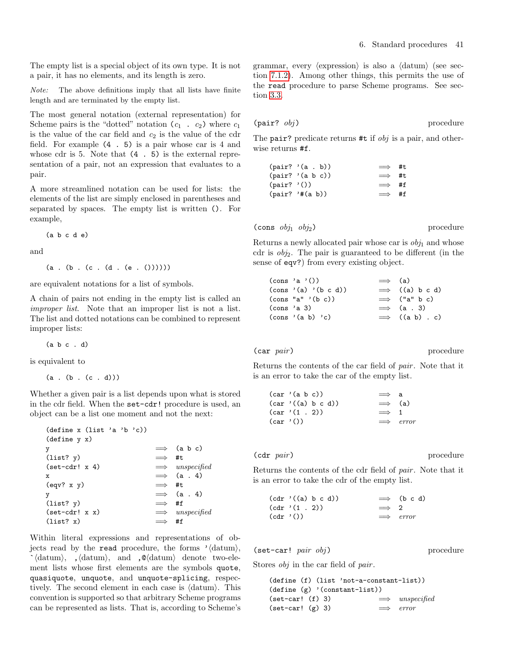The empty list is a special object of its own type. It is not a pair, it has no elements, and its length is zero.

Note: The above definitions imply that all lists have finite length and are terminated by the empty list.

The most general notation (external representation) for Scheme pairs is the "dotted" notation  $(c_1 \cdot c_2)$  where  $c_1$ is the value of the car field and  $c_2$  is the value of the cdr field. For example (4 . 5) is a pair whose car is 4 and whose cdr is 5. Note that (4 . 5) is the external representation of a pair, not an expression that evaluates to a pair.

A more streamlined notation can be used for lists: the elements of the list are simply enclosed in parentheses and separated by spaces. The empty list is written (). For example,

(a b c d e)

and

 $(a, (b, (c, (d, (e, ())))))$ 

are equivalent notations for a list of symbols.

A chain of pairs not ending in the empty list is called an improper list. Note that an improper list is not a list. The list and dotted notations can be combined to represent improper lists:

(a b c . d)

is equivalent to

 $(a . (b . (c . d)))$ 

Whether a given pair is a list depends upon what is stored in the cdr field. When the set-cdr! procedure is used, an object can be a list one moment and not the next:

| $(\text{define } x \text{ (list 'a 'b 'c)})$ |               |                        |
|----------------------------------------------|---------------|------------------------|
| (detine y x)                                 |               |                        |
|                                              |               | $\implies$ (a b c)     |
| (list? y)                                    | $\implies$ #t |                        |
| $(set-cdr! x 4)$                             |               | $\implies$ unspecified |
| x                                            |               | $\implies$ (a.4)       |
| $\text{(eqv? x y)}$                          | $\implies$ #t |                        |
|                                              |               | $\implies$ (a. 4)      |
| (list? y)                                    | $\implies$ #f |                        |
| $(set-cdr! x x)$                             |               | $\implies$ unspecified |
| (list? x)                                    |               | #f                     |

Within literal expressions and representations of objects read by the read procedure, the forms  $\prime$  (datum),  $\langle \text{datum} \rangle$ , , $\langle \text{datum} \rangle$ , and , $\& \langle \text{datum} \rangle$  denote two-element lists whose first elements are the symbols quote, quasiquote, unquote, and unquote-splicing, respectively. The second element in each case is  $\langle \text{datum} \rangle$ . This convention is supported so that arbitrary Scheme programs can be represented as lists. That is, according to Scheme's grammar, every  $\langle$  expression $\rangle$  is also a  $\langle$  datum $\rangle$  (see section [7.1.2\)](#page-62-0). Among other things, this permits the use of the read procedure to parse Scheme programs. See section [3.3.](#page-9-0)

$$
(\verb|pair?| \; obj)
$$

The pair? predicate returns  $#t$  if  $obj$  is a pair, and otherwise returns #f.

|                       | $(\text{pair? } (a \cdot b))$    | $\implies$ #t |  |
|-----------------------|----------------------------------|---------------|--|
|                       | $(\text{pair? } (\text{a b c}))$ | $\implies$ #t |  |
| $(\text{pair? } '())$ |                                  | $\implies$ #f |  |
|                       | $(\text{pair? } '#(a b))$        | $\implies$ #f |  |

 $(\text{cons } obj_1 \text{ obj}_2)$  procedure

procedure

Returns a newly allocated pair whose car is  $obj_1$  and whose cdr is  $obj_2$ . The pair is guaranteed to be different (in the sense of eqv?) from every existing object.

|             | $\text{(cons 'a '())}$                                | $\implies$ (a) |                        |
|-------------|-------------------------------------------------------|----------------|------------------------|
|             | $\text{(cons } \text{'(a)} \text{'(b c d)})$          |                | $\implies$ ((a) b c d) |
|             | $\frac{\cosh \theta}{\cosh \theta}$ (cons "a" '(b c)) |                | $\implies$ ("a" b c)   |
| (cons 'a 3) |                                                       |                | $\implies$ (a. 3)      |
|             | $\frac{\cos \theta}{\cos \theta}$ (a b) 'c)           |                | $\implies$ ((a b) . c) |

(car *pair*) procedure

Returns the contents of the car field of pair . Note that it is an error to take the car of the empty list.

|           | (car '(a b c)) |                   | $\implies$ a   |                  |
|-----------|----------------|-------------------|----------------|------------------|
|           |                | (car'((a) b c d)) | $\implies$ (a) |                  |
|           | (car '(1 . 2)) |                   | $\implies$ 1   |                  |
| (car'()') |                |                   |                | $\implies$ error |

(cdr pair) procedure

Returns the contents of the cdr field of pair . Note that it is an error to take the cdr of the empty list.

|           |                | (cdr'((a) b c d)) |              | $\implies$ (b c d) |
|-----------|----------------|-------------------|--------------|--------------------|
|           | (cdr '(1 . 2)) |                   | $\implies$ 2 |                    |
| (cdr'')() |                |                   |              | $\implies$ error   |

 $(\texttt{set-car! } pair \ obj)$  procedure

Stores *obj* in the car field of *pair*.

```
(define (f) (list 'not-a-constant-list))
(define (g) '(constant-list))
(set-car! (f) 3) \implies unspecified
(set-car! (g) 3) \implies error
```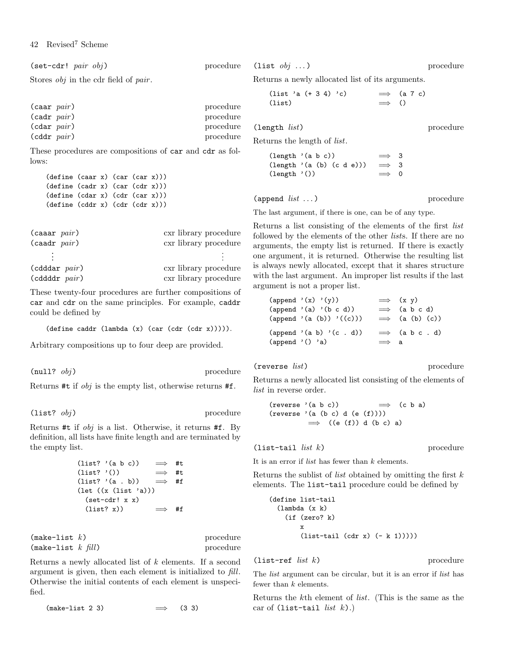| (set-cdr! $pair\; obj)$                             |           | procedure (list $obj$ )                          | procedure                           |
|-----------------------------------------------------|-----------|--------------------------------------------------|-------------------------------------|
| Stores <i>obj</i> in the cdr field of <i>pair</i> . |           | Returns a newly allocated list of its arguments. |                                     |
| $(0.002 \text{ m/s})$                               | procedure | $(list 'a (+ 3 4) 'c)$<br>(list)                 | $\implies$ (a 7 c)<br>$\implies$ () |

| $(caar \ pair)$ | procedure |
|-----------------|-----------|
| $(cadr \ pair)$ | procedure |
| $(cdar\ pair)$  | procedure |
| $(cddr\ pair)$  | procedure |

These procedures are compositions of car and cdr as follows:

|  |  | $(\text{define } (\text{caar x}) (\text{car } (\text{car x})))$<br>(detine (cadr x) (car (cdr x)))<br>(detine (cdar x) (cdr (car x)))<br>(detine (cddr x) (cdr (cdr x))) |
|--|--|--------------------------------------------------------------------------------------------------------------------------------------------------------------------------|

| (ca <sub>aar</sub> pair) | cxr library procedure |
|--------------------------|-----------------------|
| $(caadr\ pair)$          | cxr library procedure |
|                          |                       |
| $(cddar\ pair)$          | cxr library procedure |
| $(cddd$ r $pair)$        | cxr library procedure |

These twenty-four procedures are further compositions of car and cdr on the same principles. For example, caddr could be defined by

(define caddr (lambda (x) (car (cdr (cdr x))))).

Arbitrary compositions up to four deep are provided.

| $\text{(null? } obj)$ | procedure |
|-----------------------|-----------|
|-----------------------|-----------|

Returns #t if obj is the empty list, otherwise returns #f.

 $(list? \; obj)$  procedure

Returns #t if obj is a list. Otherwise, it returns #f. By definition, all lists have finite length and are terminated by the empty list.

```
(list? '(a b c)) \implies #t
(\text{list? '())} \implies \#t(list? ' (a \cdot b)) \Rightarrow #f(let ((x (list 'a)))
  (set-cdr! x x)
  (list? x) \implies #f
```

| $(make-list k)$      | procedure |
|----------------------|-----------|
| (make-list $k$ fill) | procedure |

Returns a newly allocated list of k elements. If a second argument is given, then each element is initialized to fill. Otherwise the initial contents of each element is unspecified.

 $(make-list 2 3)$   $\implies$  (3 3)

(length *list*) procedure

Returns the length of list.

(length '(a b c))  $\implies$  3 (length '(a (b) (c d e)))  $\implies$  3  $(\text{length } '())$   $\implies 0$ 

 $\qquad \qquad \text{(append list } \dots)$ 

The last argument, if there is one, can be of any type.

Returns a list consisting of the elements of the first list followed by the elements of the other *lists*. If there are no arguments, the empty list is returned. If there is exactly one argument, it is returned. Otherwise the resulting list is always newly allocated, except that it shares structure with the last argument. An improper list results if the last argument is not a proper list.

|                     | $(\text{append } \{x\} \cdot (y))$               |              | $\implies$ $(x \ y)$   |
|---------------------|--------------------------------------------------|--------------|------------------------|
|                     | $(\text{append } \text{'(a)} \text{'(b c d)})$   |              | $\implies$ (a b c d)   |
|                     | $(\text{append } '(a (b)) '((c)))$               |              | $\implies$ (a (b) (c)) |
|                     | $(\text{append } \text{'(a b)} \text{'(c . d)})$ |              | $\implies$ (a b c . d) |
| (append $'($ ) $a)$ |                                                  | $\implies$ a |                        |

(reverse *list*) procedure

Returns a newly allocated list consisting of the elements of list in reverse order.

 $(reverse ' (a b c))$   $\implies$   $(c b a)$  $(reverse '(a (b c) d (e (f))))$  $\implies$  ((e (f)) d (b c) a)

(list-tail  $list k$ ) procedure

It is an error if *list* has fewer than  $k$  elements.

Returns the sublist of *list* obtained by omitting the first  $k$ elements. The list-tail procedure could be defined by

```
(define list-tail
  (lambda (x k)
    (if (zero? k)
        x
        (list-tail (cdr x) (- k 1)))))
```
 $(\text{list-ref } \text{list } k)$  procedure

The *list* argument can be circular, but it is an error if *list* has fewer than  $k$  elements.

Returns the kth element of list. (This is the same as the car of  $(iist-tail list k).$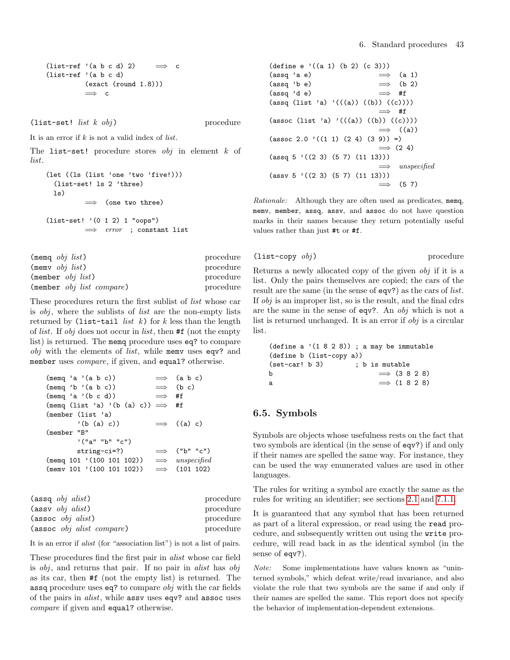(list-set! *list*  $k$  *obj*) procedure

It is an error if  $k$  is not a valid index of  $list$ .

The list-set! procedure stores  $obj$  in element  $k$  of list.

```
(let ((ls (list 'one 'two 'five!)))
  (list-set! ls 2 'three)
 ls)
          \implies (one two three)
```

```
(list-set! '(0 1 2) 1 "oops")
          \implies error ; constant list
```

| $(memq \; obj \; list)$              | procedure |
|--------------------------------------|-----------|
| $(menv \; obj \; list)$              | procedure |
| $(member \; obj \; list)$            | procedure |
| $(member \; obj \; list \; compare)$ | procedure |

These procedures return the first sublist of list whose car is obj, where the sublists of list are the non-empty lists returned by  $(\text{list-tail } list k)$  for k less than the length of list. If obj does not occur in list, then #f (not the empty list) is returned. The memq procedure uses eq? to compare obj with the elements of *list*, while memv uses eqv? and member uses compare, if given, and equal? otherwise.

| (memq 'a '(a b c))                        |               | $\implies$ (a b c)     |
|-------------------------------------------|---------------|------------------------|
| (meng 'b '(a b c))                        |               | $\implies$ (b c)       |
| $(\text{memq } a \lor (b \ c \ d))$       | $\implies$ #f |                        |
| (memq (list 'a) '(b (a) c)) $\implies$ #f |               |                        |
| (member $(list 'a)$                       |               |                        |
| '(b(a) c))                                |               | $\implies$ ((a) c)     |
| (member "B"                               |               |                        |
| '("a" "b" "c")                            |               |                        |
| string-ci=?)                              |               | ⇒ ("b" "c")            |
| (memq 101' (100 101 102))                 |               | $\implies$ unspecified |
| (menv 101' (100 101 102))                 |               | $\implies$ (101 102)   |

| $(\text{assq } \text{obj } \text{alist})$             | procedure |
|-------------------------------------------------------|-----------|
| $(\text{assv } \text{obj } \text{alist})$             | procedure |
| $(\text{assoc } obi \text{ alist})$                   | procedure |
| $(\text{assoc } obi \text{ } alist \text{ } compare)$ | procedure |

It is an error if alist (for "association list") is not a list of pairs.

These procedures find the first pair in alist whose car field is obj, and returns that pair. If no pair in alist has obj as its car, then #f (not the empty list) is returned. The assq procedure uses eq? to compare obj with the car fields of the pairs in alist, while assv uses eqv? and assoc uses compare if given and equal? otherwise.

```
(detine e'((a 1) (b 2) (c 3)))(\text{assq } 'a e) \implies (a 1)(assq 'b e) \implies (b 2)
(assq 'd e) \implies #f
(assq (list 'a) '(((a)) ((b)) ((c))))
                               \implies #f
(assoc (list 'a) '(((a)) ((b)) ((c))))
                               =⇒ ((a))
(\text{assoc } 2.0 \quad '((1 1) (2 4) (3 9)) = )\implies (2 4)
(\text{assq } 5 \cdot ((2 3) (5 7) (11 13)))\Rightarrow unspecified
(\text{assv } 5 \cdot ((2 3) (5 7) (11 13)))\implies (5 7)
```
Rationale: Although they are often used as predicates, memq, memv, member, assq, assv, and assoc do not have question marks in their names because they return potentially useful values rather than just #t or #f.

```
(list-copy \tobj) procedure
```
Returns a newly allocated copy of the given obj if it is a list. Only the pairs themselves are copied; the cars of the result are the same (in the sense of eqv?) as the cars of *list*. If obj is an improper list, so is the result, and the final cdrs are the same in the sense of eqv?. An obj which is not a list is returned unchanged. It is an error if  $obj$  is a circular list.

| (define a '(1828)) ; a may be immutable |  |
|-----------------------------------------|--|
| (define b (list-copy a))                |  |
| (set-car! b 3)<br>; b is mutable        |  |
| $\implies$ (3828)<br>-b                 |  |
| $\implies$ (1 8 2 8)<br>a               |  |

# 6.5. Symbols

Symbols are objects whose usefulness rests on the fact that two symbols are identical (in the sense of eqv?) if and only if their names are spelled the same way. For instance, they can be used the way enumerated values are used in other languages.

The rules for writing a symbol are exactly the same as the rules for writing an identifier; see sections [2.1](#page-6-0) and [7.1.1.](#page-60-0)

It is guaranteed that any symbol that has been returned as part of a literal expression, or read using the read procedure, and subsequently written out using the write procedure, will read back in as the identical symbol (in the sense of eqv?).

Note: Some implementations have values known as "uninterned symbols," which defeat write/read invariance, and also violate the rule that two symbols are the same if and only if their names are spelled the same. This report does not specify the behavior of implementation-dependent extensions.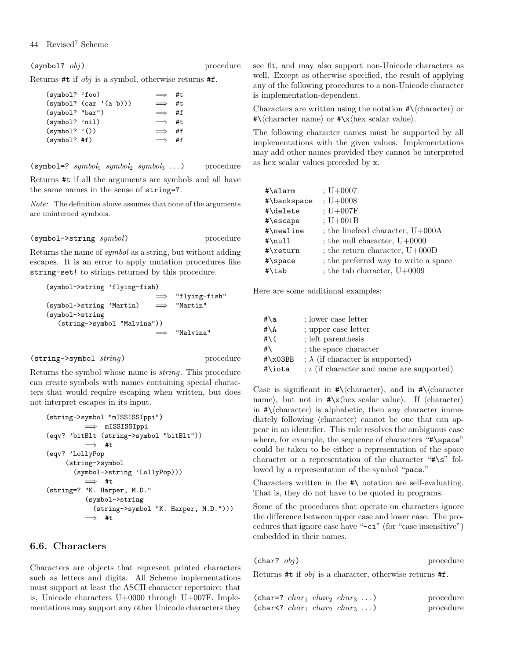#### 44 Revised<sup>7</sup> Scheme

 $(symb01?$   $obj)$  procedure

Returns #t if obj is a symbol, otherwise returns #f.

| $(symb01?$ 'foo) |                        | $\implies$ #t |    |
|------------------|------------------------|---------------|----|
|                  | (symbol? (car '(a b))) | $\implies$    | #t |
| (symbol? "bar")  |                        | $\implies$ #f |    |
| $(symbol?$ 'nil) |                        | $\implies$ #t |    |
| $(symb01?$ '())  |                        | $\implies$ #f |    |
| $(symbol?$ #f)   |                        | $\implies$    | #f |

 $(symbol = ? \ symbol_1 \ symbol_2 \ symbol_3 \ldots)$  procedure

Returns #t if all the arguments are symbols and all have the same names in the sense of string=?.

Note: The definition above assumes that none of the arguments are uninterned symbols.

(symbol->string symbol) procedure

Returns the name of symbol as a string, but without adding escapes. It is an error to apply mutation procedures like string-set! to strings returned by this procedure.

```
(symbol->string 'flying-fish)
                                  "flying-fish"
(symbol->string 'Martin) \implies "Martin"
(symbol->string
   (string->symbol "Malvina"))
                                  "Malvina"
```
(string->symbol string) procedure

Returns the symbol whose name is string. This procedure can create symbols with names containing special characters that would require escaping when written, but does not interpret escapes in its input.

```
(string->symbol "mISSISSIppi")
          =⇒ mISSISSIppi
(eqv? 'bitBlt (string->symbol "bitBlt"))
          \implies #t
(eqv? 'LollyPop
     (string->symbol
       (symbol->string 'LollyPop)))
          \implies #t
(string=? "K. Harper, M.D."
          (symbol->string
            (string->symbol "K. Harper, M.D.")))
          =⇒ #t
```
# 6.6. Characters

Characters are objects that represent printed characters such as letters and digits. All Scheme implementations must support at least the ASCII character repertoire: that is, Unicode characters U+0000 through U+007F. Implementations may support any other Unicode characters they see fit, and may also support non-Unicode characters as well. Except as otherwise specified, the result of applying any of the following procedures to a non-Unicode character is implementation-dependent.

Characters are written using the notation  $\#\langle \text{character} \rangle$  or  $\#\setminus \langle \text{character name} \rangle \text{ or } \#\setminus \times \langle \text{hex scalar value} \rangle.$ 

The following character names must be supported by all implementations with the given values. Implementations may add other names provided they cannot be interpreted as hex scalar values preceded by x.

| #\alarm     | $; U + 0007$                         |
|-------------|--------------------------------------|
| #\backspace | $; U + 0008$                         |
| #\delete    | $; U+007F$                           |
| #\escape    | $; U+001B$                           |
| #\newline   | ; the linefeed character, $U+000A$   |
| #\null      | ; the null character, $U+0000$       |
| #\return    | ; the return character, $U+000D$     |
| $\#$ \space | ; the preferred way to write a space |
| #\tab       | ; the tab character, $U+0009$        |

Here are some additional examples:

| #\a                   | ; lower case letter                             |
|-----------------------|-------------------------------------------------|
| $\sharp \backslash A$ | ; upper case letter                             |
| #\ $($                | ; left parenthesis                              |
| #\                    | ; the space character                           |
| $\text{\#}\x03BB$     | $\lambda$ (if character is supported)           |
| #\iota                | $; \iota$ (if character and name are supported) |

Case is significant in  $\#\langle \text{character} \rangle$ , and in  $\#\langle \text{character} \rangle$ name), but not in  $\#\x$ /hex scalar value). If  $\langle$ character) in  $\#\Lambda$  character) is alphabetic, then any character immediately following  $\langle$ character $\rangle$  cannot be one that can appear in an identifier. This rule resolves the ambiguous case where, for example, the sequence of characters "#\space" could be taken to be either a representation of the space character or a representation of the character "#\s" followed by a representation of the symbol "pace."

Characters written in the  $\sharp\setminus$  notation are self-evaluating. That is, they do not have to be quoted in programs.

Some of the procedures that operate on characters ignore the difference between upper case and lower case. The procedures that ignore case have "-ci" (for "case insensitive") embedded in their names.

| $(char? \; obj)$ |                                                           | procedure |
|------------------|-----------------------------------------------------------|-----------|
|                  | Returns #t if $obj$ is a character, otherwise returns #f. |           |

| (char=? $char_1$ char <sub>2</sub> char <sub>3</sub> )   |  |  | procedure |
|----------------------------------------------------------|--|--|-----------|
| (char <math char_1 char <sub>2</sub> char <sub>3</sub> ) |  |  | procedure |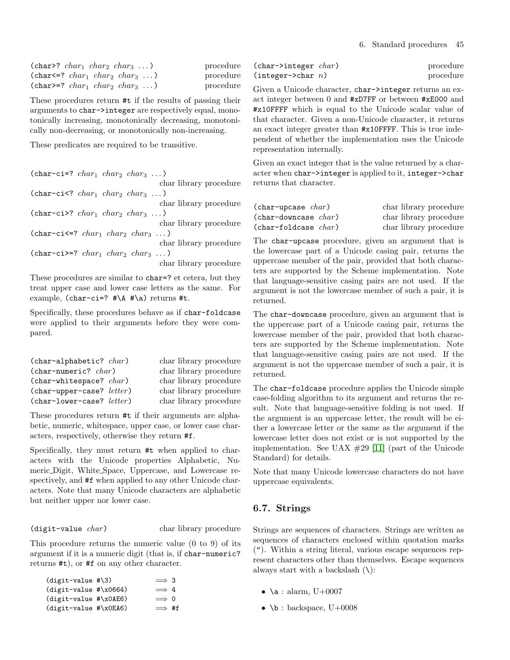| (char>? $char_1 char_2 char_3 $ )                                                           | procedure |
|---------------------------------------------------------------------------------------------|-----------|
| (char $\leq$ ? <i>char</i> <sub>1</sub> <i>char</i> <sub>2</sub> <i>char</i> <sub>3</sub> ) | procedure |
| (char>=? $char_1$ $char_2$ $char_3$ )                                                       | procedure |

These procedures return #t if the results of passing their arguments to char->integer are respectively equal, monotonically increasing, monotonically decreasing, monotonically non-decreasing, or monotonically non-increasing.

These predicates are required to be transitive.

| (char-ci=? $char_1$ char <sub>2</sub> char <sub>3</sub> ) |                        |
|-----------------------------------------------------------|------------------------|
|                                                           | char library procedure |
| (char-ci <math char_1 $char_2$ $char_3$ )                 |                        |
|                                                           | char library procedure |
| (char-ci>? $char_1 char_2 char_3 $ )                      |                        |
|                                                           | char library procedure |
| (char-ci<=? $char_1$ $char_2$ $char_3$ )                  |                        |
|                                                           | char library procedure |
| (char-ci>=? $char_1 char_2 char_3 $ )                     |                        |
|                                                           | char library procedure |
|                                                           |                        |

These procedures are similar to char=? et cetera, but they treat upper case and lower case letters as the same. For example, (char-ci=? #\A #\a) returns #t.

Specifically, these procedures behave as if char-foldcase were applied to their arguments before they were compared.

| (char-alphabetic? char)        | char library procedure |
|--------------------------------|------------------------|
| $(char-numberic? char)$        | char library procedure |
| $(char-whitespace? char)$      | char library procedure |
| $(char$ -upper-case? $letter)$ | char library procedure |
| $(char-lower-case?$ $letter)$  | char library procedure |

These procedures return #t if their arguments are alphabetic, numeric, whitespace, upper case, or lower case characters, respectively, otherwise they return #f.

Specifically, they must return #t when applied to characters with the Unicode properties Alphabetic, Numeric Digit, White Space, Uppercase, and Lowercase respectively, and #f when applied to any other Unicode characters. Note that many Unicode characters are alphabetic but neither upper nor lower case.

(digit-value *char*) char library procedure

This procedure returns the numeric value (0 to 9) of its argument if it is a numeric digit (that is, if char-numeric? returns #t), or #f on any other character.

| $(digit-value$ #\3)        | $\implies$ 3  |  |
|----------------------------|---------------|--|
| $(digit-value$ # $(x0664)$ | $\implies$ 4  |  |
| $(digit-value$ # $x0AEG$ ) | $\implies$ 0  |  |
| $(digit-value$ # $x0EA6)$  | $\implies$ #f |  |

| $(char \rightarrow integer \ char)$ | procedure |
|-------------------------------------|-----------|
| (integer > char n)                  | procedure |

Given a Unicode character, char->integer returns an exact integer between 0 and #xD7FF or between #xE000 and #x10FFFF which is equal to the Unicode scalar value of that character. Given a non-Unicode character, it returns an exact integer greater than #x10FFFF. This is true independent of whether the implementation uses the Unicode representation internally.

Given an exact integer that is the value returned by a character when char->integer is applied to it, integer->char returns that character.

| $(char$ -upcase $char)$  | char library procedure |
|--------------------------|------------------------|
| $(char-downcase \ char)$ | char library procedure |
| $(char-foldcase \ char)$ | char library procedure |

The char-upcase procedure, given an argument that is the lowercase part of a Unicode casing pair, returns the uppercase member of the pair, provided that both characters are supported by the Scheme implementation. Note that language-sensitive casing pairs are not used. If the argument is not the lowercase member of such a pair, it is returned.

The char-downcase procedure, given an argument that is the uppercase part of a Unicode casing pair, returns the lowercase member of the pair, provided that both characters are supported by the Scheme implementation. Note that language-sensitive casing pairs are not used. If the argument is not the uppercase member of such a pair, it is returned.

The char-foldcase procedure applies the Unicode simple case-folding algorithm to its argument and returns the result. Note that language-sensitive folding is not used. If the argument is an uppercase letter, the result will be either a lowercase letter or the same as the argument if the lowercase letter does not exist or is not supported by the implementation. See UAX  $#29$  [\[11\]](#page-81-3) (part of the Unicode Standard) for details.

Note that many Unicode lowercase characters do not have uppercase equivalents.

# 6.7. Strings

Strings are sequences of characters. Strings are written as sequences of characters enclosed within quotation marks ("). Within a string literal, various escape sequences represent characters other than themselves. Escape sequences always start with a backslash  $(\cdot)$ :

- $\a$  : alarm, U+0007
- \b : backspace,  $U+0008$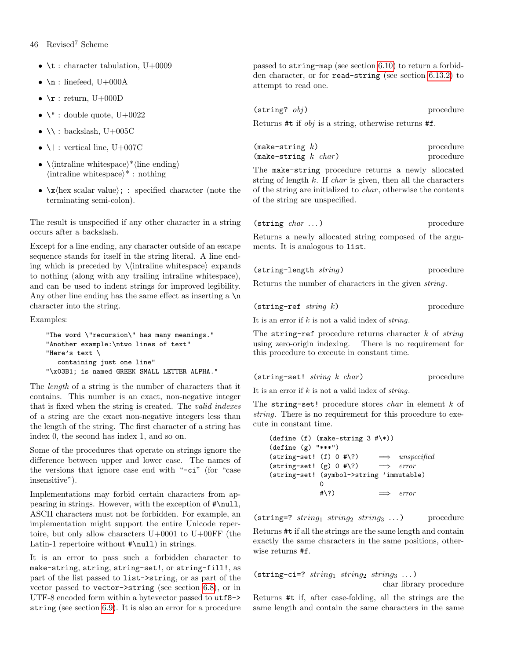- $\setminus t$  : character tabulation, U+0009
- $\in$  linefeed, U+000A
- $\mathbf{r}$  : return, U+000D
- $\vee$  : double quote, U+0022
- $\bullet \ \vee$ : backslash, U+005C
- \| : vertical line,  $U+007C$
- $\langle$ intraline whitespace $\rangle^*$ line ending $\rangle$  $\langle$ intraline whitespace $\rangle^*$ : nothing
- $\langle x \rangle$  \to x scalar value); : specified character (note the terminating semi-colon).

The result is unspecified if any other character in a string occurs after a backslash.

Except for a line ending, any character outside of an escape sequence stands for itself in the string literal. A line ending which is preceded by  $\langle$ intraline whitespace $\rangle$  expands to nothing (along with any trailing intraline whitespace), and can be used to indent strings for improved legibility. Any other line ending has the same effect as inserting a  $\n\lambda$ n character into the string.

Examples:

```
"The word \"recursion\" has many meanings."
"Another example:\ntwo lines of text"
"Here's text \
  containing just one line"
"\x03B1; is named GREEK SMALL LETTER ALPHA."
```
The length of a string is the number of characters that it contains. This number is an exact, non-negative integer that is fixed when the string is created. The valid indexes of a string are the exact non-negative integers less than the length of the string. The first character of a string has index 0, the second has index 1, and so on.

Some of the procedures that operate on strings ignore the difference between upper and lower case. The names of the versions that ignore case end with "-ci" (for "case insensitive").

Implementations may forbid certain characters from appearing in strings. However, with the exception of #\null, ASCII characters must not be forbidden. For example, an implementation might support the entire Unicode repertoire, but only allow characters U+0001 to U+00FF (the Latin-1 repertoire without  $\# \null$  in strings.

It is an error to pass such a forbidden character to make-string, string, string-set!, or string-fill!, as part of the list passed to list->string, or as part of the vector passed to vector->string (see section [6.8\)](#page-47-0), or in UTF-8 encoded form within a bytevector passed to utf8-> string (see section [6.9\)](#page-48-0). It is also an error for a procedure passed to string-map (see section [6.10\)](#page-49-0) to return a forbidden character, or for read-string (see section [6.13.2\)](#page-56-0) to attempt to read one.

 $(\text{string? } obj)$  procedure Returns #t if obj is a string, otherwise returns #f.

| $(make-string k)$      | procedure |
|------------------------|-----------|
| (make-string $k$ char) | procedure |

The make-string procedure returns a newly allocated string of length  $k$ . If *char* is given, then all the characters of the string are initialized to char , otherwise the contents of the string are unspecified.

$$
(string \; char \; \dots)
$$

Returns a newly allocated string composed of the arguments. It is analogous to list.

| $(\text{string-length string})$ | procedure |
|---------------------------------|-----------|
|                                 |           |

Returns the number of characters in the given string.

```
(\text{string-ref} \, \text{string} \, k) procedure
```
It is an error if  $k$  is not a valid index of *string*.

The string-ref procedure returns character  $k$  of string using zero-origin indexing. There is no requirement for this procedure to execute in constant time.

| $(\text{string-set!} \, \text{string} \, \text{k} \, \text{char})$ |  |  |  | procedure |
|--------------------------------------------------------------------|--|--|--|-----------|
|--------------------------------------------------------------------|--|--|--|-----------|

It is an error if  $k$  is not a valid index of *string*.

The string-set! procedure stores *char* in element  $k$  of string. There is no requirement for this procedure to execute in constant time.

```
(define (f) (make-string 3 <math>#\x) )</math>(define (g) "***")
(string-set! (f) 0 #\?) \implies unspecified
(string-set! (g) 0 #\?) \implies error
(string-set! (symbol->string 'immutable)
              0
             \# \?) \implies error
```
(string=?  $string_1$  string<sub>2</sub> string<sub>3</sub> ...) procedure

Returns #t if all the strings are the same length and contain exactly the same characters in the same positions, otherwise returns #f.

(string-ci=?  $string_1$  string<sub>2</sub> string<sub>3</sub> ...) char library procedure

Returns #t if, after case-folding, all the strings are the same length and contain the same characters in the same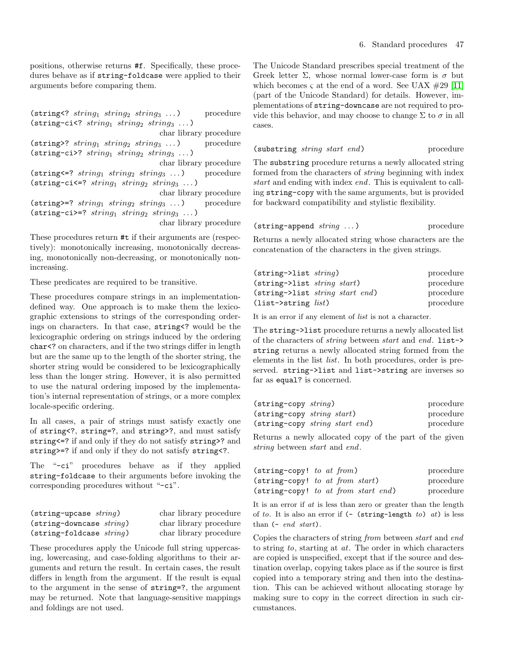positions, otherwise returns #f. Specifically, these procedures behave as if string-foldcase were applied to their arguments before comparing them.

| (string <math string_1 $string_2$ $string_3$ )                                              | procedure |
|---------------------------------------------------------------------------------------------|-----------|
| (string-ci <math string_1 $string_2$ $string_3$ )                                           |           |
| char library procedure                                                                      |           |
| $(\text{string}>? \, string_1 \, string_2 \, string_3 \, \dots)$                            | procedure |
| $(\text{string-ci}>? \, string_1 \, string_2 \, string_3 \, \dots)$                         |           |
| char library procedure                                                                      |           |
| $(\text{string} \leq ? \text{ string}_1 \text{ string}_2 \text{ string}_3 \dots)$ procedure |           |
| $(\text{string-ci} \leq ? \text{ string}_1 \text{ string}_2 \text{ string}_3 \dots)$        |           |
| char library procedure                                                                      |           |
| $(\text{string}>=? \text{ string}_1 \text{ string}_2 \text{ string}_3 \dots)$ procedure     |           |
| $(\text{string-ci}>=? \, string_1 \, string_2 \, string_3 \, )$                             |           |
| char library procedure                                                                      |           |

These procedures return #t if their arguments are (respectively): monotonically increasing, monotonically decreasing, monotonically non-decreasing, or monotonically nonincreasing.

These predicates are required to be transitive.

These procedures compare strings in an implementationdefined way. One approach is to make them the lexicographic extensions to strings of the corresponding orderings on characters. In that case, string<? would be the lexicographic ordering on strings induced by the ordering char<? on characters, and if the two strings differ in length but are the same up to the length of the shorter string, the shorter string would be considered to be lexicographically less than the longer string. However, it is also permitted to use the natural ordering imposed by the implementation's internal representation of strings, or a more complex locale-specific ordering.

In all cases, a pair of strings must satisfy exactly one of string<?, string=?, and string>?, and must satisfy string<=? if and only if they do not satisfy string>? and string>=? if and only if they do not satisfy string<?.

The "-ci" procedures behave as if they applied string-foldcase to their arguments before invoking the corresponding procedures without "-ci".

| $(\text{string}\text{-}\text{upcase} \, string)$ | char library procedure |
|--------------------------------------------------|------------------------|
| $(string-down case \ string)$                    | char library procedure |
| $(string-foldcase \ string)$                     | char library procedure |

These procedures apply the Unicode full string uppercasing, lowercasing, and case-folding algorithms to their arguments and return the result. In certain cases, the result differs in length from the argument. If the result is equal to the argument in the sense of string=?, the argument may be returned. Note that language-sensitive mappings and foldings are not used.

The Unicode Standard prescribes special treatment of the Greek letter  $\Sigma$ , whose normal lower-case form is  $\sigma$  but which becomes  $\varsigma$  at the end of a word. See UAX  $\#29$  [\[11\]](#page-81-3) (part of the Unicode Standard) for details. However, implementations of string-downcase are not required to provide this behavior, and may choose to change  $\Sigma$  to  $\sigma$  in all cases.

(substring *string start end*) procedure

The substring procedure returns a newly allocated string formed from the characters of string beginning with index start and ending with index end. This is equivalent to calling string-copy with the same arguments, but is provided for backward compatibility and stylistic flexibility.

 $(\text{string-append string} \dots)$  procedure

Returns a newly allocated string whose characters are the concatenation of the characters in the given strings.

| $(string \rightarrow list \ string)$         |                                              | procedure |
|----------------------------------------------|----------------------------------------------|-----------|
| $(string \rightarrow list \ string \ start)$ |                                              | procedure |
|                                              | $(string \rightarrow list string start end)$ | procedure |
| $(list\rightarrow string list)$              |                                              | procedure |

It is an error if any element of list is not a character.

The string->list procedure returns a newly allocated list of the characters of string between start and end. list-> string returns a newly allocated string formed from the elements in the list list. In both procedures, order is preserved. string->list and list->string are inverses so far as equal? is concerned.

| $(\text{string-copy} \, string)$ |                                         | procedure |
|----------------------------------|-----------------------------------------|-----------|
| (string-copy string start)       |                                         | procedure |
|                                  | $(\text{string-copy string start end})$ | procedure |

Returns a newly allocated copy of the part of the given string between start and end.

| $(\text{string-copy!} \text{ to } \text{at from})$ |                                              | procedure |
|----------------------------------------------------|----------------------------------------------|-----------|
|                                                    | (string-copy! to at from start)              | procedure |
|                                                    | $(\text{string-copy!}$ to at from start end) | procedure |

It is an error if  $at$  is less than zero or greater than the length of to. It is also an error if  $(-$  (string-length to) at) is less than  $(-end start)$ .

Copies the characters of string from between start and end to string to, starting at at. The order in which characters are copied is unspecified, except that if the source and destination overlap, copying takes place as if the source is first copied into a temporary string and then into the destination. This can be achieved without allocating storage by making sure to copy in the correct direction in such circumstances.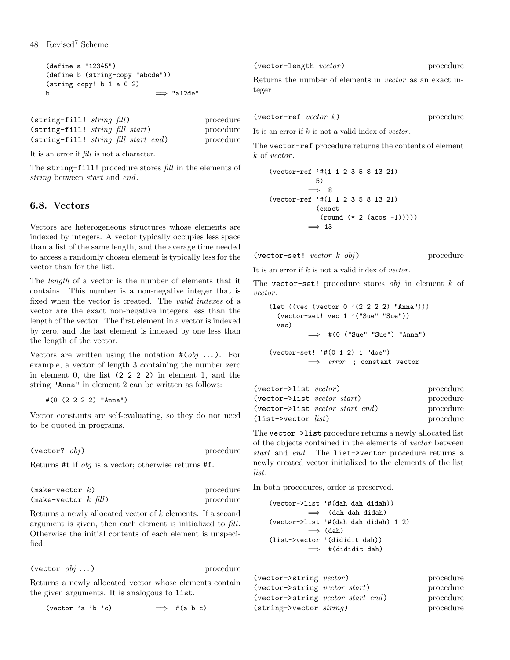48 Revised<sup>7</sup> Scheme

```
(define a "12345")
(define b (string-copy "abcde"))
(string-copy! b 1 a 0 2)
b \implies "a12de"
```
(string-fill! *string fill*) procedure (string-fill! *string fill start*) procedure (string-fill! string fill start end) procedure

It is an error if fill is not a character.

The string-fill! procedure stores fill in the elements of string between start and end.

# <span id="page-47-0"></span>6.8. Vectors

Vectors are heterogeneous structures whose elements are indexed by integers. A vector typically occupies less space than a list of the same length, and the average time needed to access a randomly chosen element is typically less for the vector than for the list.

The length of a vector is the number of elements that it contains. This number is a non-negative integer that is fixed when the vector is created. The valid indexes of a vector are the exact non-negative integers less than the length of the vector. The first element in a vector is indexed by zero, and the last element is indexed by one less than the length of the vector.

Vectors are written using the notation  $\#(obj \dots)$ . For example, a vector of length 3 containing the number zero in element 0, the list (2 2 2 2) in element 1, and the string "Anna" in element 2 can be written as follows:

```
#(0 (2 2 2 2) "Anna")
```
Vector constants are self-evaluating, so they do not need to be quoted in programs.

 $(\text{vector}?\;\; obj)$  procedure

Returns #t if obj is a vector; otherwise returns #f.

| $(make-vector k)$       | procedure |
|-------------------------|-----------|
| (make-vector k $fill$ ) | procedure |

Returns a newly allocated vector of k elements. If a second argument is given, then each element is initialized to fill. Otherwise the initial contents of each element is unspecified.

```
(vector obj \ldots) procedure
```
Returns a newly allocated vector whose elements contain the given arguments. It is analogous to list.

(vector 'a 'b 'c)  $\implies$  #(a b c)

(vector-length vector) procedure

Returns the number of elements in vector as an exact integer.

$$
-\mathbf{ref} \hspace{2mm} vector \hspace{2mm} k) \hspace{3mm} \text{procedure}
$$

It is an error if  $k$  is not a valid index of *vector*.

(vector

The vector-ref procedure returns the contents of element k of vector .

```
(vector-ref '#(1 1 2 3 5 8 13 21)
            5)
          =⇒ 8
(vector-ref '#(1 1 2 3 5 8 13 21)
            (exact
             (round (* 2 (acos -1))))\implies 13
```
(vector-set! vector  $k$  obj) procedure

It is an error if  $k$  is not a valid index of vector.

The vector-set! procedure stores  $obj$  in element  $k$  of vector .

```
(let ((vec (vector 0 '(2 2 2 2) "Anna")))
 (vector-set! vec 1 '("Sue" "Sue"))
 vec)
          \implies #(0 ("Sue" "Sue") "Anna")
```
(vector-set! '#(0 1 2) 1 "doe")  $\implies$  error ; constant vector

| $(vector\rightarrow\text{list }vector)$                  |                                          | procedure |
|----------------------------------------------------------|------------------------------------------|-----------|
| $(vector \rightarrow \text{list } vector \text{ start})$ |                                          | procedure |
|                                                          | $(vector\text{-}2list vector start end)$ | procedure |
| $(iist \rightarrow vector list)$                         |                                          | procedure |

The vector->list procedure returns a newly allocated list of the objects contained in the elements of vector between start and end. The list->vector procedure returns a newly created vector initialized to the elements of the list list.

In both procedures, order is preserved.

(vector->list '#(dah dah didah))  $\implies$  (dah dah didah) (vector->list '#(dah dah didah) 1 2)  $\implies$  (dah) (list->vector '(dididit dah))  $\implies$  #(dididit dah)

(vector->string vector) procedure (vector->string vector start) procedure (vector->string vector start end) procedure (string->vector string) procedure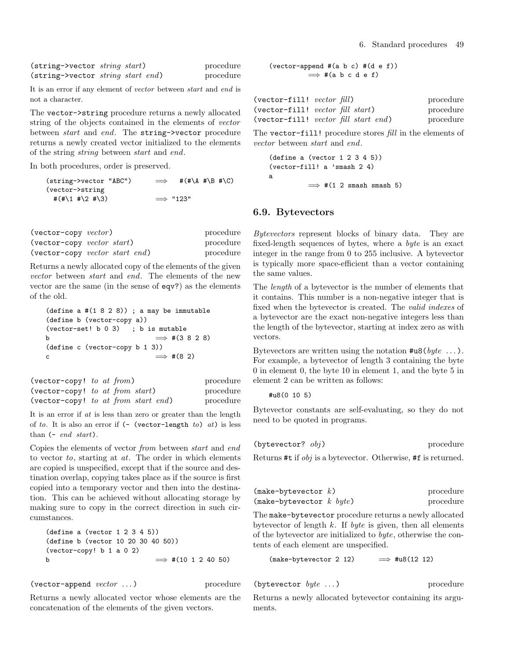| (string->vector string start)                              |  | procedure |
|------------------------------------------------------------|--|-----------|
| $(\text{string}\rightarrow\text{vector string start end})$ |  | procedure |

It is an error if any element of vector between start and end is not a character.

The vector->string procedure returns a newly allocated string of the objects contained in the elements of vector between start and end. The string->vector procedure returns a newly created vector initialized to the elements of the string string between start and end.

In both procedures, order is preserved.

| (string->vector "ABC")  | $\implies$       | # $(*\A \# \B \# \C)$ |  |
|-------------------------|------------------|-----------------------|--|
| (vector->string)        |                  |                       |  |
| # $(\# \1 \# \2 \# \3)$ | $\implies$ "123" |                       |  |

| $(\text{vector-copy } vector)$               |                                | procedure |
|----------------------------------------------|--------------------------------|-----------|
| $(\text{vector-copy } vector \text{ start})$ |                                | procedure |
|                                              | (vector-copy vector start end) | procedure |

Returns a newly allocated copy of the elements of the given vector between start and end. The elements of the new vector are the same (in the sense of eqv?) as the elements of the old.

```
(define a #(1 8 2 8)) ; a may be immutable
(define b (vector-copy a))
(vector-set! b 0 3) ; b is mutable
b \implies #(3 8 2 8)
(define c (vector-copy b 1 3))
c \implies #(8 2)
```

| (vector-copy! to at from) |                                     | procedure |
|---------------------------|-------------------------------------|-----------|
|                           | (vector-copy! to at from start)     | procedure |
|                           | (vector-copy! to at from start end) | procedure |

It is an error if  $at$  is less than zero or greater than the length of to. It is also an error if  $(-$  (vector-length to) at) is less than  $(-end start)$ .

Copies the elements of vector from between start and end to vector  $to$ , starting at  $at$ . The order in which elements are copied is unspecified, except that if the source and destination overlap, copying takes place as if the source is first copied into a temporary vector and then into the destination. This can be achieved without allocating storage by making sure to copy in the correct direction in such circumstances.

(define a (vector 1 2 3 4 5)) (define b (vector 10 20 30 40 50)) (vector-copy! b 1 a 0 2) b  $\implies$  #(10 1 2 40 50)

$$
(\text{vector-append } \#(\text{a b c}) \#(\text{d e f}))
$$
  

$$
\implies \#(\text{a b c d e f})
$$

| (vector-fill! $vector$ fill) |                                             | procedure |
|------------------------------|---------------------------------------------|-----------|
|                              | $(\text{vector-fill}: vector\ fill\ start)$ | procedure |
|                              | (vector-fill! vector fill start end)        | procedure |

The vector-fill! procedure stores fill in the elements of vector between start and end.

```
(define a (vector 1 2 3 4 5))
(vector-fill! a 'smash 2 4)
a
          \implies #(1 2 smash smash 5)
```
### <span id="page-48-0"></span>6.9. Bytevectors

Bytevectors represent blocks of binary data. They are fixed-length sequences of bytes, where a byte is an exact integer in the range from 0 to 255 inclusive. A bytevector is typically more space-efficient than a vector containing the same values.

The length of a bytevector is the number of elements that it contains. This number is a non-negative integer that is fixed when the bytevector is created. The valid indexes of a bytevector are the exact non-negative integers less than the length of the bytevector, starting at index zero as with vectors.

Bytevectors are written using the notation  $\texttt{#u8}(byte \dots)$ . For example, a bytevector of length 3 containing the byte 0 in element 0, the byte 10 in element 1, and the byte 5 in element 2 can be written as follows:

```
#u8(0 10 5)
```
Bytevector constants are self-evaluating, so they do not need to be quoted in programs.

| (bytevector? $obj$ ) |  | procedure |
|----------------------|--|-----------|
|----------------------|--|-----------|

Returns #t if obj is a bytevector. Otherwise, #f is returned.

| $(make-bytevector k)$    | procedure |
|--------------------------|-----------|
| (make-bytevector k byte) | procedure |

The make-bytevector procedure returns a newly allocated bytevector of length  $k$ . If byte is given, then all elements of the bytevector are initialized to byte, otherwise the contents of each element are unspecified.

 $(make-bytevector 2 12)$   $\implies$  #u8(12 12)

(vector-append vector ...) procedure

Returns a newly allocated vector whose elements are the concatenation of the elements of the given vectors.

Returns a newly allocated bytevector containing its arguments.

(bytevector *byte* ...) procedure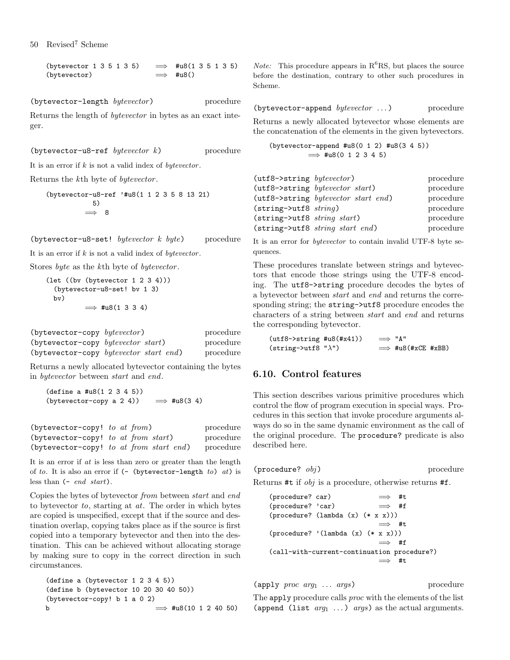50 Revised<sup>7</sup> Scheme

(bytevector 1 3 5 1 3 5)  $\implies$  #u8(1 3 5 1 3 5) (bytevector)  $\implies$  #u8()

(bytevector-length bytevector) procedure Returns the length of bytevector in bytes as an exact integer.

(bytevector-u8-ref  $bytevector k$ ) procedure

It is an error if  $k$  is not a valid index of *bytevector*.

Returns the kth byte of bytevector .

```
(bytevector-u8-ref '#u8(1 1 2 3 5 8 13 21)
           5)
         =⇒ 8
```
(bytevector-u8-set! bytevector  $k$  byte) procedure

It is an error if  $k$  is not a valid index of *bytevector*.

Stores *byte* as the kth byte of *bytevector*.

(let ((bv (bytevector 1 2 3 4))) (bytevector-u8-set! bv 1 3) bv)  $\implies$  #u8(1 3 3 4)

| (bytevector-copy bytevector)       |                                        | procedure |
|------------------------------------|----------------------------------------|-----------|
| (bytevector-copy bytevector start) |                                        | procedure |
|                                    | (bytevector-copy bytevector start end) | procedure |

Returns a newly allocated bytevector containing the bytes in bytevector between start and end.

```
(define a #u8(1 2 3 4 5))
(bytevector-copy a 2 4)) \implies #u8(3 4)
```

| (bytevector-copy! to at from)       |                                         | procedure |
|-------------------------------------|-----------------------------------------|-----------|
| (bytevector-copy! to at from start) |                                         | procedure |
|                                     | (bytevector-copy! to at from start end) | procedure |

It is an error if  $at$  is less than zero or greater than the length of to. It is also an error if  $(-$  (bytevector-length to) at) is less than  $(-end start)$ .

Copies the bytes of bytevector from between start and end to bytevector to, starting at  $at$ . The order in which bytes are copied is unspecified, except that if the source and destination overlap, copying takes place as if the source is first copied into a temporary bytevector and then into the destination. This can be achieved without allocating storage by making sure to copy in the correct direction in such circumstances.

```
(define a (bytevector 1 2 3 4 5))
(define b (bytevector 10 20 30 40 50))
(bytevector-copy! b 1 a 0 2)
b \implies #u8(10 1 2 40 50)
```
*Note:* This procedure appears in  $R^6RS$ , but places the source before the destination, contrary to other such procedures in Scheme.

(bytevector-append  $bytevector$ ...) procedure

Returns a newly allocated bytevector whose elements are the concatenation of the elements in the given bytevectors.

```
(bytevector-append #u8(0 1 2) #u8(3 4 5))
          \implies #u8(0 1 2 3 4 5)
```

| $(\text{utf8->string}~bytevector)$ |                                               | procedure |
|------------------------------------|-----------------------------------------------|-----------|
|                                    | $(\text{utf8->string}~bytevector~start)$      | procedure |
|                                    | $(\text{utf8->string} by tevector start end)$ | procedure |
| $(string\text{-}butf8\ string)$    |                                               | procedure |
| $(string$ ->utf8 string start)     |                                               | procedure |
|                                    | $(\text{string}$ ->utf8 string start end)     | procedure |

It is an error for bytevector to contain invalid UTF-8 byte sequences.

These procedures translate between strings and bytevectors that encode those strings using the UTF-8 encoding. The utf8->string procedure decodes the bytes of a bytevector between start and end and returns the corresponding string; the string- $\rightarrow$ utf8 procedure encodes the characters of a string between start and end and returns the corresponding bytevector.

```
(\text{utf8->string #u8(*x41})) \implies "A"(\text{string}-\text{butf8 }\text{''}\lambda\text{''}) \implies #u8(#xCE #xBB)
```
#### <span id="page-49-0"></span>6.10. Control features

This section describes various primitive procedures which control the flow of program execution in special ways. Procedures in this section that invoke procedure arguments always do so in the same dynamic environment as the call of the original procedure. The procedure? predicate is also described here.

```
(\text{procedure? } obj) procedure?
```
Returns #t if obj is a procedure, otherwise returns #f.

(procedure? car)  $\implies$  #t  $(\text{procedure? } 'car) \implies #f$ (procedure? (lambda (x) (\* x x)))  $\implies$  #t (procedure? '(lambda (x) (\* x x)))  $\implies$  #f (call-with-current-continuation procedure?)  $\implies$  #t

 $(\text{apply } proc \; arg_1 \; \ldots \; args)$  procedure

The apply procedure calls *proc* with the elements of the list (append (list  $arg_1 \ldots$ )  $args$ ) as the actual arguments.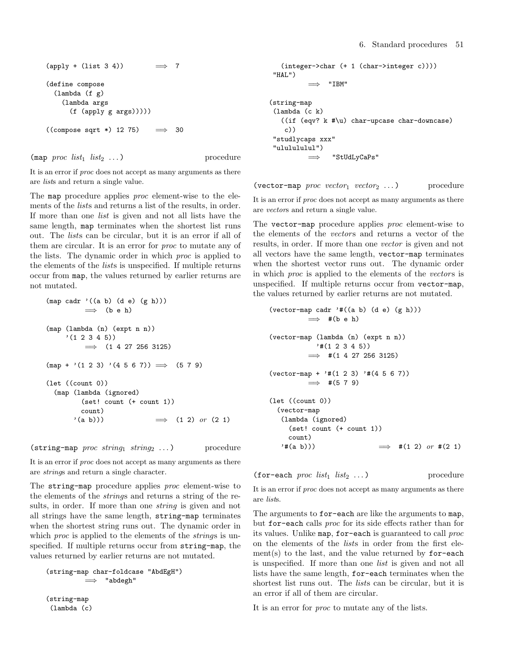```
(\text{apply } + (\text{list } 3 4)) \longrightarrow 7(define compose
  (lambda (f g)
    (lambda args
       (f (apply g args)))))
((\text{composite sqrt} *) 12 75) \implies 30
```
 $(\text{map } proc \; list_1 \; list_2 \; \dots)$  procedure

It is an error if proc does not accept as many arguments as there are lists and return a single value.

The map procedure applies *proc* element-wise to the elements of the *lists* and returns a list of the results, in order. If more than one list is given and not all lists have the same length, map terminates when the shortest list runs out. The lists can be circular, but it is an error if all of them are circular. It is an error for proc to mutate any of the lists. The dynamic order in which proc is applied to the elements of the lists is unspecified. If multiple returns occur from map, the values returned by earlier returns are not mutated.

```
(map cadr '((a b) (d e) (g h)))
           \implies (b e h)
(map (lambda (n) (expt n n))
     (1 2 3 4 5)\implies (1 4 27 256 3125)
(\text{map } \cdot (1 \ 2 \ 3) \ \ (4 \ 5 \ 6 \ 7)) \implies (5 \ 7 \ 9)(let ((count 0))
  (map (lambda (ignored)
          (set! count (+ count 1))
          count)
        '(\text{a b}))) \implies (1 2) or (2 1)
```
(string-map proc string<sub>1</sub> string<sub>2</sub> ...) procedure

It is an error if proc does not accept as many arguments as there are strings and return a single character.

The string-map procedure applies proc element-wise to the elements of the strings and returns a string of the results, in order. If more than one *string* is given and not all strings have the same length, string-map terminates when the shortest string runs out. The dynamic order in which *proc* is applied to the elements of the *strings* is unspecified. If multiple returns occur from string-map, the values returned by earlier returns are not mutated.

```
(string-map char-foldcase "AbdEgH")
         =⇒ "abdegh"
(string-map
```

```
(lambda (c)
```

```
(integer->char (+ 1 (char->integer c))))
"HAL")
          =⇒ "IBM"
(string-map
(lambda (c k)
  ((if (eqv? k #\u) char-upcase char-downcase)
   c))
 "studlycaps xxx"
 "ululululul")
         =⇒ "StUdLyCaPs"
```

```
(vector-map proc\ vector_1\ vector_2 \dots) procedure
```
It is an error if proc does not accept as many arguments as there are vectors and return a single value.

The vector-map procedure applies proc element-wise to the elements of the vector s and returns a vector of the results, in order. If more than one vector is given and not all vectors have the same length, vector-map terminates when the shortest vector runs out. The dynamic order in which *proc* is applied to the elements of the vectors is unspecified. If multiple returns occur from vector-map, the values returned by earlier returns are not mutated.

```
(vector-map cadr '#((a b) (d e) (g h)))\implies #(b e h)
(vector-map (lambda (n) (expt n n))
            '#(1 2 3 4 5))
          \implies #(1 4 27 256 3125)
(\text{vector-map} + '#(1 2 3) '#(4 5 6 7))\implies #(5 7 9)
(let ((count 0))
  (vector-map
   (lambda (ignored)
     (set! count (+ count 1))
     count)
   '#(a b))) \implies #(1 2) or #(2 1)
```
It is an error if proc does not accept as many arguments as there are lists.

(for-each *proc*  $list_1$   $list_2$  ...) procedure

The arguments to for-each are like the arguments to map, but for-each calls proc for its side effects rather than for its values. Unlike map, for-each is guaranteed to call proc on the elements of the lists in order from the first ele $ment(s)$  to the last, and the value returned by  $for$ -each is unspecified. If more than one list is given and not all lists have the same length, for-each terminates when the shortest list runs out. The lists can be circular, but it is an error if all of them are circular.

It is an error for proc to mutate any of the lists.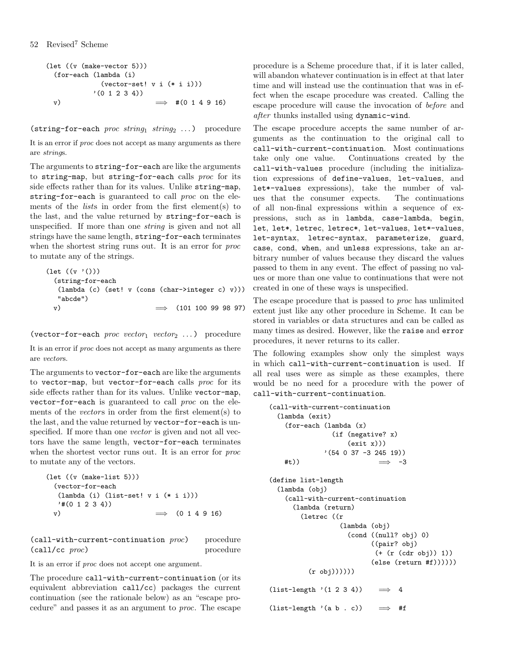```
(let ((v (make-vector 5)))
  (for-each (lambda (i)
             (\text{vector-set! } v \text{ i } (* i i)))(0 1 2 3 4))v) \implies #(0 1 4 9 16)
```
(string-for-each proc string<sub>1</sub> string<sub>2</sub> ...) procedure

It is an error if proc does not accept as many arguments as there are strings.

The arguments to string-for-each are like the arguments to string-map, but string-for-each calls proc for its side effects rather than for its values. Unlike string-map, string-for-each is guaranteed to call proc on the elements of the lists in order from the first element(s) to the last, and the value returned by string-for-each is unspecified. If more than one string is given and not all strings have the same length, string-for-each terminates when the shortest string runs out. It is an error for *proc* to mutate any of the strings.

```
(\text{let } ((v''))))(string-for-each
  (lambda (c) (set! v (cons (char->integer c) v)))
  "abcde")
 v) \implies (101 100 99 98 97)
```
(vector-for-each proc vector<sub>1</sub> vector<sub>2</sub> ...) procedure

It is an error if proc does not accept as many arguments as there are vectors.

The arguments to vector-for-each are like the arguments to vector-map, but vector-for-each calls proc for its side effects rather than for its values. Unlike vector-map, vector-for-each is guaranteed to call proc on the elements of the *vectors* in order from the first element(s) to the last, and the value returned by vector-for-each is unspecified. If more than one *vector* is given and not all vectors have the same length, vector-for-each terminates when the shortest vector runs out. It is an error for *proc* to mutate any of the vectors.

```
(let ((v (make-list 5)))
 (vector-for-each
  (lambda (i) (list-set! v i (* i i)))'#(0 1 2 3 4))
 v) \implies (0 1 4 9 16)
```
(call-with-current-continuation proc) procedure (call/cc proc) procedure

It is an error if proc does not accept one argument.

The procedure call-with-current-continuation (or its equivalent abbreviation call/cc) packages the current continuation (see the rationale below) as an "escape procedure" and passes it as an argument to proc. The escape

procedure is a Scheme procedure that, if it is later called, will abandon whatever continuation is in effect at that later time and will instead use the continuation that was in effect when the escape procedure was created. Calling the escape procedure will cause the invocation of before and after thunks installed using dynamic-wind.

The escape procedure accepts the same number of arguments as the continuation to the original call to call-with-current-continuation. Most continuations take only one value. Continuations created by the call-with-values procedure (including the initialization expressions of define-values, let-values, and let\*-values expressions), take the number of values that the consumer expects. The continuations of all non-final expressions within a sequence of expressions, such as in lambda, case-lambda, begin, let, let\*, letrec, letrec\*, let-values, let\*-values, let-syntax, letrec-syntax, parameterize, guard, case, cond, when, and unless expressions, take an arbitrary number of values because they discard the values passed to them in any event. The effect of passing no values or more than one value to continuations that were not created in one of these ways is unspecified.

The escape procedure that is passed to proc has unlimited extent just like any other procedure in Scheme. It can be stored in variables or data structures and can be called as many times as desired. However, like the raise and error procedures, it never returns to its caller.

The following examples show only the simplest ways in which call-with-current-continuation is used. If all real uses were as simple as these examples, there would be no need for a procedure with the power of call-with-current-continuation.

```
(call-with-current-continuation
 (lambda (exit)
   (for-each (lambda (x)
               (if (negative? x)
                    (exit x)))
              '(54 0 37 -3 245 19))
   #t)) \implies -3(define list-length
 (lambda (obj)
   (call-with-current-continuation
     (lambda (return)
       (letrec ((r
                  (lambda (obj)
                   (cond ((null? obj) 0)
                         ((pair? obj)
                          (+ (r (cdr obj)) 1))
                         (else (return #f))))))
         (r obj))))))
(list-length ' (1 2 3 4)) \implies 4(list-length '(a b . c)) \implies #f
```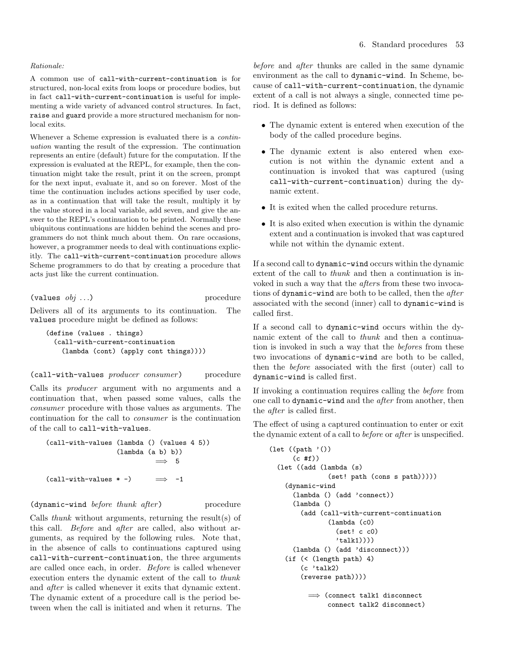#### Rationale:

A common use of call-with-current-continuation is for structured, non-local exits from loops or procedure bodies, but in fact call-with-current-continuation is useful for implementing a wide variety of advanced control structures. In fact, raise and guard provide a more structured mechanism for nonlocal exits.

Whenever a Scheme expression is evaluated there is a *contin*uation wanting the result of the expression. The continuation represents an entire (default) future for the computation. If the expression is evaluated at the REPL, for example, then the continuation might take the result, print it on the screen, prompt for the next input, evaluate it, and so on forever. Most of the time the continuation includes actions specified by user code, as in a continuation that will take the result, multiply it by the value stored in a local variable, add seven, and give the answer to the REPL's continuation to be printed. Normally these ubiquitous continuations are hidden behind the scenes and programmers do not think much about them. On rare occasions, however, a programmer needs to deal with continuations explicitly. The call-with-current-continuation procedure allows Scheme programmers to do that by creating a procedure that acts just like the current continuation.

(values  $obj$  ...) procedure

Delivers all of its arguments to its continuation. The values procedure might be defined as follows:

```
(define (values . things)
 (call-with-current-continuation
    (lambda (cont) (apply cont things))))
```
(call-with-values producer consumer) procedure

Calls its producer argument with no arguments and a continuation that, when passed some values, calls the consumer procedure with those values as arguments. The continuation for the call to consumer is the continuation of the call to call-with-values.

(call-with-values (lambda () (values 4 5)) (lambda (a b) b))  $\implies$  5  $(call-with-values * -)$   $\implies -1$ 

### (dynamic-wind before thunk after) procedure

Calls thunk without arguments, returning the result(s) of this call. Before and after are called, also without arguments, as required by the following rules. Note that, in the absence of calls to continuations captured using call-with-current-continuation, the three arguments are called once each, in order. Before is called whenever execution enters the dynamic extent of the call to thunk and after is called whenever it exits that dynamic extent. The dynamic extent of a procedure call is the period between when the call is initiated and when it returns. The

before and after thunks are called in the same dynamic environment as the call to dynamic-wind. In Scheme, because of call-with-current-continuation, the dynamic extent of a call is not always a single, connected time period. It is defined as follows:

- The dynamic extent is entered when execution of the body of the called procedure begins.
- The dynamic extent is also entered when execution is not within the dynamic extent and a continuation is invoked that was captured (using call-with-current-continuation) during the dynamic extent.
- It is exited when the called procedure returns.
- It is also exited when execution is within the dynamic extent and a continuation is invoked that was captured while not within the dynamic extent.

If a second call to dynamic-wind occurs within the dynamic extent of the call to thunk and then a continuation is invoked in such a way that the *afters* from these two invocations of dynamic-wind are both to be called, then the after associated with the second (inner) call to dynamic-wind is called first.

If a second call to dynamic-wind occurs within the dynamic extent of the call to thunk and then a continuation is invoked in such a way that the befores from these two invocations of dynamic-wind are both to be called, then the before associated with the first (outer) call to dynamic-wind is called first.

If invoking a continuation requires calling the before from one call to dynamic-wind and the after from another, then the after is called first.

The effect of using a captured continuation to enter or exit the dynamic extent of a call to before or after is unspecified.

```
(\text{let } ((\text{path } ')))(c #f))
 (let ((add (lambda (s)
                (set! path (cons s path)))))
    (dynamic-wind
      (lambda () (add 'connect))
      (lambda ()
        (add (call-with-current-continuation
                (lambda (c0)
                  (set! c c0)
                  'talk1))))
      (lambda () (add 'disconnect)))
    (if (< (length path) 4)
        (c 'talk2)
        (reverse path))))
          =⇒ (connect talk1 disconnect
```

```
connect talk2 disconnect)
```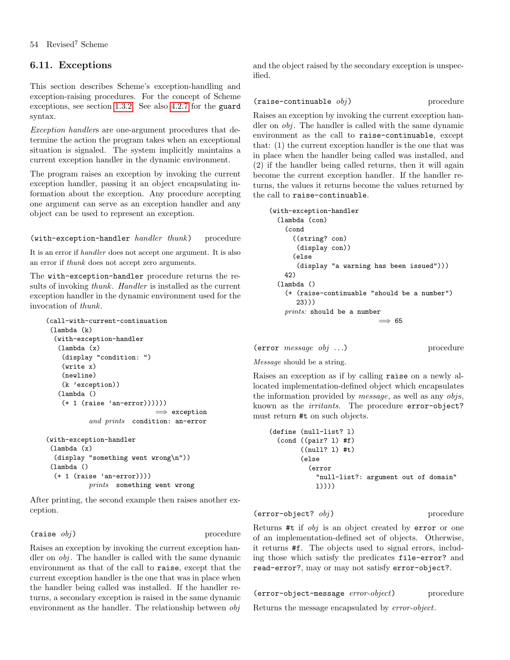# 6.11. Exceptions

This section describes Scheme's exception-handling and exception-raising procedures. For the concept of Scheme exceptions, see section [1.3.2.](#page-5-0) See also [4.2.7](#page-19-0) for the guard syntax.

Exception handlers are one-argument procedures that determine the action the program takes when an exceptional situation is signaled. The system implicitly maintains a current exception handler in the dynamic environment.

The program raises an exception by invoking the current exception handler, passing it an object encapsulating information about the exception. Any procedure accepting one argument can serve as an exception handler and any object can be used to represent an exception.

 $(with-exception-handler \ *handler \ thunk*)$  procedure

It is an error if handler does not accept one argument. It is also an error if thunk does not accept zero arguments.

The with-exception-handler procedure returns the results of invoking *thunk*. Handler is installed as the current exception handler in the dynamic environment used for the invocation of thunk.

```
(call-with-current-continuation
 (lambda (k)
  (with-exception-handler
   (lambda (x)
    (display "condition: ")
    (write x)
    (newline)
    (k 'exception))
   (lambda ()
    (+ 1 (raise 'an-error))))))
                            =⇒ exception
           and prints condition: an-error
(with-exception-handler
(lambda (x)
 (display "something went wrong\n"))
 (lambda ()
  (+ 1 (raise 'an-error))))
```
After printing, the second example then raises another exception.

prints something went wrong

#### $(\text{raise } obj)$  procedure

Raises an exception by invoking the current exception handler on obj. The handler is called with the same dynamic environment as that of the call to raise, except that the current exception handler is the one that was in place when the handler being called was installed. If the handler returns, a secondary exception is raised in the same dynamic environment as the handler. The relationship between obj and the object raised by the secondary exception is unspecified.

#### $(raise-continuable \tobj)$  procedure

Raises an exception by invoking the current exception handler on obj. The handler is called with the same dynamic environment as the call to raise-continuable, except that: (1) the current exception handler is the one that was in place when the handler being called was installed, and (2) if the handler being called returns, then it will again become the current exception handler. If the handler returns, the values it returns become the values returned by the call to raise-continuable.

```
(with-exception-handler
 (lambda (con)
   (cond
      ((string? con)
       (display con))
      (else
       (display "a warning has been issued")))
   42)
 (lambda ()
   (+ (raise-continuable "should be a number")
       23)))
   prints: should be a number
                              \implies 65
```
(error *message obj* ...) procedure

Message should be a string.

Raises an exception as if by calling raise on a newly allocated implementation-defined object which encapsulates the information provided by message, as well as any objs, known as the *irritants*. The procedure error-object? must return #t on such objects.

```
(define (null-list? l)
  (cond ((pair? l) #f)
        ((null? l) #t)
        (else
          (error
            "null-list?: argument out of domain"
            l))))
```
(error-object? *obj*) procedure

Returns  $#t$  if  $obj$  is an object created by error or one of an implementation-defined set of objects. Otherwise, it returns #f. The objects used to signal errors, including those which satisfy the predicates file-error? and read-error?, may or may not satisfy error-object?.

(error-object-message error-object) procedure

Returns the message encapsulated by error-object.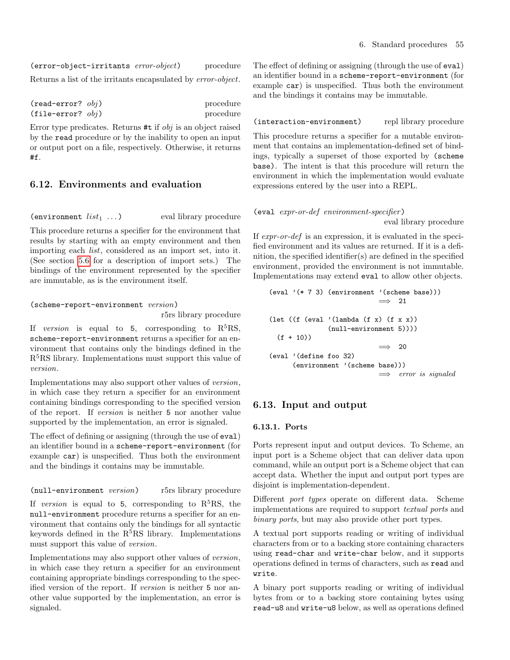| (error-object-irritants error-object)                         | procedure |
|---------------------------------------------------------------|-----------|
| Returns a list of the irritants encapsulated by error-object. |           |

| $(read-error? obj)$  | procedure |
|----------------------|-----------|
| (file-error? $obj$ ) | procedure |

Error type predicates. Returns #t if obj is an object raised by the read procedure or by the inability to open an input or output port on a file, respectively. Otherwise, it returns #f.

# <span id="page-54-0"></span>6.12. Environments and evaluation

(environment  $list_1 \ldots$ ) eval library procedure

This procedure returns a specifier for the environment that results by starting with an empty environment and then importing each list, considered as an import set, into it. (See section [5.6](#page-27-0) for a description of import sets.) The bindings of the environment represented by the specifier are immutable, as is the environment itself.

```
(scheme-report-environment version)
                                 r5rs library procedure
```
If version is equal to 5, corresponding to  $R^5RS$ , scheme-report-environment returns a specifier for an environment that contains only the bindings defined in the R5RS library. Implementations must support this value of version.

Implementations may also support other values of version, in which case they return a specifier for an environment containing bindings corresponding to the specified version of the report. If version is neither 5 nor another value supported by the implementation, an error is signaled.

The effect of defining or assigning (through the use of eval) an identifier bound in a scheme-report-environment (for example car) is unspecified. Thus both the environment and the bindings it contains may be immutable.

### (null-environment version) r5rs library procedure

If version is equal to 5, corresponding to  $R<sup>5</sup>RS$ , the null-environment procedure returns a specifier for an environment that contains only the bindings for all syntactic keywords defined in the  $R<sup>5</sup>RS$  library. Implementations must support this value of version.

Implementations may also support other values of version, in which case they return a specifier for an environment containing appropriate bindings corresponding to the specified version of the report. If version is neither 5 nor another value supported by the implementation, an error is signaled.

The effect of defining or assigning (through the use of eval) an identifier bound in a scheme-report-environment (for example car) is unspecified. Thus both the environment and the bindings it contains may be immutable.

(interaction-environment) repl library procedure

This procedure returns a specifier for a mutable environment that contains an implementation-defined set of bindings, typically a superset of those exported by (scheme base). The intent is that this procedure will return the environment in which the implementation would evaluate expressions entered by the user into a REPL.

(eval expr-or-def environment-specifier)

eval library procedure

If expr-or-def is an expression, it is evaluated in the specified environment and its values are returned. If it is a definition, the specified identifier(s) are defined in the specified environment, provided the environment is not immutable. Implementations may extend eval to allow other objects.

```
(eval '(* 7 3) (environment '(scheme base)))
                              \implies 21
(let ((f (eval '(lambda (f x) (f x x)))(null-environment 5))))
  (f + 10)=⇒ 20
(eval '(define foo 32)
      (environment '(scheme base)))
                              \implies error is signaled
```
# 6.13. Input and output

#### 6.13.1. Ports

Ports represent input and output devices. To Scheme, an input port is a Scheme object that can deliver data upon command, while an output port is a Scheme object that can accept data. Whether the input and output port types are disjoint is implementation-dependent.

Different port types operate on different data. Scheme implementations are required to support textual ports and binary ports, but may also provide other port types.

A textual port supports reading or writing of individual characters from or to a backing store containing characters using read-char and write-char below, and it supports operations defined in terms of characters, such as read and write.

A binary port supports reading or writing of individual bytes from or to a backing store containing bytes using read-u8 and write-u8 below, as well as operations defined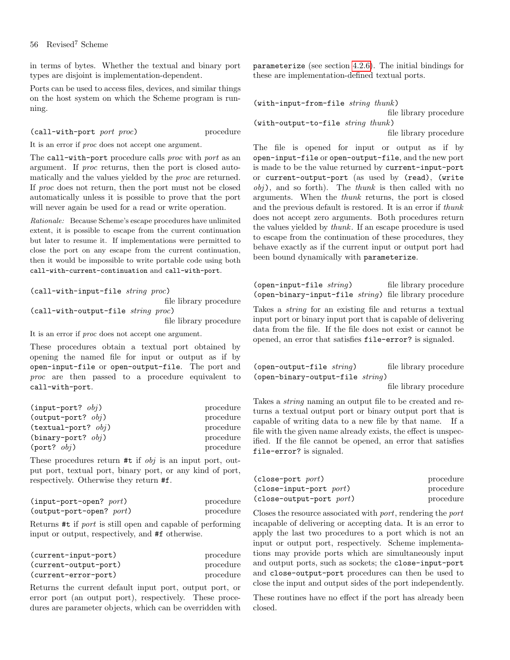in terms of bytes. Whether the textual and binary port types are disjoint is implementation-dependent.

Ports can be used to access files, devices, and similar things on the host system on which the Scheme program is running.

#### (call-with-port *port proc*) procedure

It is an error if proc does not accept one argument.

The call-with-port procedure calls proc with port as an argument. If proc returns, then the port is closed automatically and the values yielded by the proc are returned. If proc does not return, then the port must not be closed automatically unless it is possible to prove that the port will never again be used for a read or write operation.

Rationale: Because Scheme's escape procedures have unlimited extent, it is possible to escape from the current continuation but later to resume it. If implementations were permitted to close the port on any escape from the current continuation, then it would be impossible to write portable code using both call-with-current-continuation and call-with-port.

(call-with-input-file string proc) file library procedure (call-with-output-file string proc) file library procedure

It is an error if proc does not accept one argument.

These procedures obtain a textual port obtained by opening the named file for input or output as if by open-input-file or open-output-file. The port and proc are then passed to a procedure equivalent to call-with-port.

| $(input-port? \; obj)$ | procedure |
|------------------------|-----------|
| (output-port? $obj$ )  | procedure |
| $(textual-port? obj)$  | procedure |
| (binary-port? $obj$ )  | procedure |
| $(port?$ $obj)$        | procedure |

These procedures return #t if *obj* is an input port, output port, textual port, binary port, or any kind of port, respectively. Otherwise they return #f.

| $(input-port-open?$ port           | procedure |
|------------------------------------|-----------|
| $(output-port-open?$ port- $part)$ | procedure |

Returns #t if port is still open and capable of performing input or output, respectively, and #f otherwise.

| (current-input-port)  | procedure |
|-----------------------|-----------|
| (current-output-port) | procedure |
| (current-error-port)  | procedure |

Returns the current default input port, output port, or error port (an output port), respectively. These procedures are parameter objects, which can be overridden with parameterize (see section [4.2.6\)](#page-18-0). The initial bindings for these are implementation-defined textual ports.

(with-input-from-file string thunk) file library procedure (with-output-to-file string thunk) file library procedure

The file is opened for input or output as if by open-input-file or open-output-file, and the new port is made to be the value returned by current-input-port or current-output-port (as used by (read), (write  $obj$ , and so forth). The *thunk* is then called with no arguments. When the thunk returns, the port is closed and the previous default is restored. It is an error if thunk does not accept zero arguments. Both procedures return the values yielded by thunk. If an escape procedure is used to escape from the continuation of these procedures, they behave exactly as if the current input or output port had been bound dynamically with parameterize.

 $(\text{open-input-file string})$  file library procedure (open-binary-input-file string) file library procedure

Takes a *string* for an existing file and returns a textual input port or binary input port that is capable of delivering data from the file. If the file does not exist or cannot be opened, an error that satisfies file-error? is signaled.

 $(open-output-file \ string)$  file library procedure  $(open-binary-output-file \ string)$ 

file library procedure

Takes a string naming an output file to be created and returns a textual output port or binary output port that is capable of writing data to a new file by that name. If a file with the given name already exists, the effect is unspecified. If the file cannot be opened, an error that satisfies file-error? is signaled.

| $(close-port$ port)           | procedure |
|-------------------------------|-----------|
| $(close-input-port$ port)     | procedure |
| $(close-output$ -port $port)$ | procedure |

Closes the resource associated with port, rendering the port incapable of delivering or accepting data. It is an error to apply the last two procedures to a port which is not an input or output port, respectively. Scheme implementations may provide ports which are simultaneously input and output ports, such as sockets; the close-input-port and close-output-port procedures can then be used to close the input and output sides of the port independently.

These routines have no effect if the port has already been closed.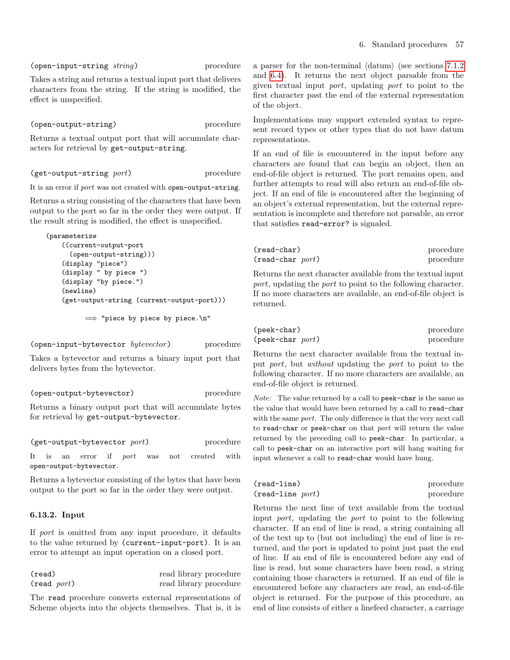6. Standard procedures 57

(open-input-string string) procedure

Takes a string and returns a textual input port that delivers characters from the string. If the string is modified, the effect is unspecified.

(open-output-string) procedure

Returns a textual output port that will accumulate characters for retrieval by get-output-string.

(get-output-string port) procedure

It is an error if port was not created with open-output-string.

Returns a string consisting of the characters that have been output to the port so far in the order they were output. If the result string is modified, the effect is unspecified.

```
(parameterize
   ((current-output-port
      (open-output-string)))
   (display "piece")
   (display " by piece ")
   (display "by piece.")
   (newline)
   (get-output-string (current-output-port)))
          =⇒ "piece by piece by piece.\n"
```
(open-input-bytevector bytevector) procedure

Takes a bytevector and returns a binary input port that delivers bytes from the bytevector.

(open-output-bytevector) procedure

Returns a binary output port that will accumulate bytes for retrieval by get-output-bytevector.

| (get-output-bytevector port) |  | procedure |
|------------------------------|--|-----------|
|------------------------------|--|-----------|

It is an error if *port* was not created with open-output-bytevector.

Returns a bytevector consisting of the bytes that have been output to the port so far in the order they were output.

# <span id="page-56-0"></span>6.13.2. Input

If port is omitted from any input procedure, it defaults to the value returned by (current-input-port). It is an error to attempt an input operation on a closed port.

| (read)                | read library procedure |
|-----------------------|------------------------|
| $(\text{read } port)$ | read library procedure |

The read procedure converts external representations of Scheme objects into the objects themselves. That is, it is a parser for the non-terminal  $\langle \text{datum} \rangle$  (see sections [7.1.2](#page-62-0)) and [6.4\)](#page-39-0). It returns the next object parsable from the given textual input port, updating port to point to the first character past the end of the external representation of the object.

Implementations may support extended syntax to represent record types or other types that do not have datum representations.

If an end of file is encountered in the input before any characters are found that can begin an object, then an end-of-file object is returned. The port remains open, and further attempts to read will also return an end-of-file object. If an end of file is encountered after the beginning of an object's external representation, but the external representation is incomplete and therefore not parsable, an error that satisfies read-error? is signaled.

| (read-char)         | procedure |
|---------------------|-----------|
| $(read-char\ port)$ | procedure |

Returns the next character available from the textual input port, updating the *port* to point to the following character. If no more characters are available, an end-of-file object is returned.

| (peek-char)                  | procedure |
|------------------------------|-----------|
| $(\text{peek–char} \; port)$ | procedure |

Returns the next character available from the textual input port, but without updating the port to point to the following character. If no more characters are available, an end-of-file object is returned.

Note: The value returned by a call to peek-char is the same as the value that would have been returned by a call to read-char with the same *port*. The only difference is that the very next call to read-char or peek-char on that *port* will return the value returned by the preceding call to peek-char. In particular, a call to peek-char on an interactive port will hang waiting for input whenever a call to read-char would have hung.

| (read-line)         | procedure |
|---------------------|-----------|
| $(read-line\ port)$ | procedure |

Returns the next line of text available from the textual input port, updating the port to point to the following character. If an end of line is read, a string containing all of the text up to (but not including) the end of line is returned, and the port is updated to point just past the end of line. If an end of file is encountered before any end of line is read, but some characters have been read, a string containing those characters is returned. If an end of file is encountered before any characters are read, an end-of-file object is returned. For the purpose of this procedure, an end of line consists of either a linefeed character, a carriage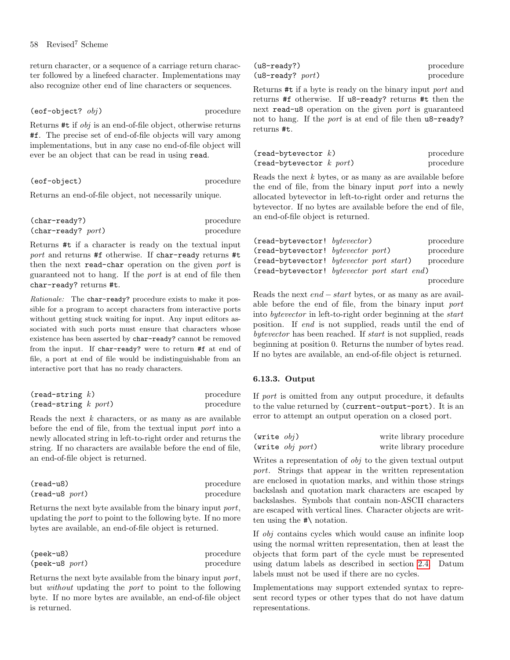return character, or a sequence of a carriage return character followed by a linefeed character. Implementations may also recognize other end of line characters or sequences.

#### (eof-object? *obj*) procedure

Returns #t if obj is an end-of-file object, otherwise returns #f. The precise set of end-of-file objects will vary among implementations, but in any case no end-of-file object will ever be an object that can be read in using read.

| (eof-object) | procedure |
|--------------|-----------|
|--------------|-----------|

Returns an end-of-file object, not necessarily unique.

| (char-ready?)        | procedure |
|----------------------|-----------|
| $(char-ready?$ port) | procedure |

Returns #t if a character is ready on the textual input port and returns #f otherwise. If char-ready returns #t then the next read-char operation on the given port is guaranteed not to hang. If the port is at end of file then char-ready? returns #t.

Rationale: The char-ready? procedure exists to make it possible for a program to accept characters from interactive ports without getting stuck waiting for input. Any input editors associated with such ports must ensure that characters whose existence has been asserted by char-ready? cannot be removed from the input. If char-ready? were to return #f at end of file, a port at end of file would be indistinguishable from an interactive port that has no ready characters.

| $(\text{read-string } k)$              | procedure |
|----------------------------------------|-----------|
| $(\text{read-string } k \text{ port})$ | procedure |

Reads the next  $k$  characters, or as many as are available before the end of file, from the textual input port into a newly allocated string in left-to-right order and returns the string. If no characters are available before the end of file, an end-of-file object is returned.

| $(read-u8)$                  | procedure |
|------------------------------|-----------|
| $(\text{read} - u8 \; port)$ | procedure |

Returns the next byte available from the binary input port, updating the port to point to the following byte. If no more bytes are available, an end-of-file object is returned.

| (peek-u8)                  | procedure |
|----------------------------|-----------|
| $(\text{peak-u8} \; port)$ | procedure |

Returns the next byte available from the binary input port, but without updating the port to point to the following byte. If no more bytes are available, an end-of-file object is returned.

| $(u8$ -ready?)     | procedure |
|--------------------|-----------|
| $(u8-ready?$ port) | procedure |

Returns #t if a byte is ready on the binary input port and returns #f otherwise. If u8-ready? returns #t then the next read-u8 operation on the given port is guaranteed not to hang. If the *port* is at end of file then u8-ready? returns #t.

| $(\text{read}$ -bytevector $k)$ | procedure |
|---------------------------------|-----------|
| $(read-bytevector k port)$      | procedure |

Reads the next  $k$  bytes, or as many as are available before the end of file, from the binary input port into a newly allocated bytevector in left-to-right order and returns the bytevector. If no bytes are available before the end of file, an end-of-file object is returned.

| (read-bytevector! bytevector)      |                                              | procedure    |
|------------------------------------|----------------------------------------------|--------------|
| (read-bytevector! bytevector port) |                                              | procedure    |
|                                    | (read-bytevector! bytevector port start)     | procedure    |
|                                    | (read-bytevector! bytevector port start end) |              |
|                                    |                                              | mno oo daano |

procedure

Reads the next *end – start* bytes, or as many as are available before the end of file, from the binary input port into bytevector in left-to-right order beginning at the start position. If end is not supplied, reads until the end of bytevector has been reached. If start is not supplied, reads beginning at position 0. Returns the number of bytes read. If no bytes are available, an end-of-file object is returned.

### 6.13.3. Output

If port is omitted from any output procedure, it defaults to the value returned by (current-output-port). It is an error to attempt an output operation on a closed port.

| (write $obj$ ) |                    | write library procedure |
|----------------|--------------------|-------------------------|
|                | (write $obj$ port) | write library procedure |

Writes a representation of obj to the given textual output port. Strings that appear in the written representation are enclosed in quotation marks, and within those strings backslash and quotation mark characters are escaped by backslashes. Symbols that contain non-ASCII characters are escaped with vertical lines. Character objects are written using the #\ notation.

If obj contains cycles which would cause an infinite loop using the normal written representation, then at least the objects that form part of the cycle must be represented using datum labels as described in section [2.4.](#page-8-0) Datum labels must not be used if there are no cycles.

Implementations may support extended syntax to represent record types or other types that do not have datum representations.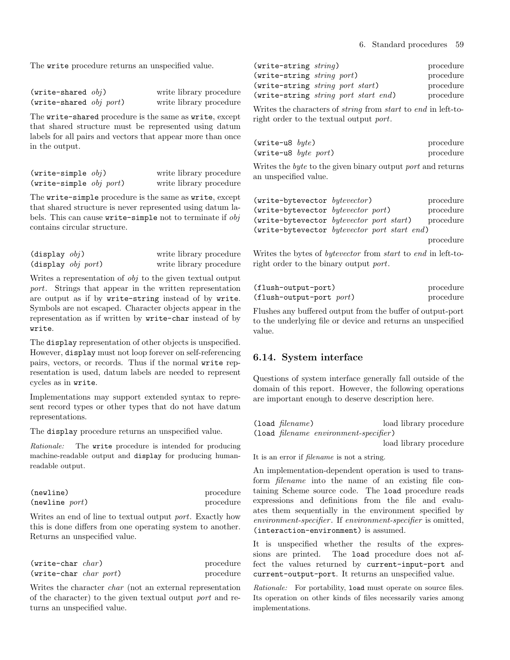The write procedure returns an unspecified value.

| $(write=shared \; obj)$       | write library procedure |
|-------------------------------|-------------------------|
| $(write-shared$ $obj$ $port)$ | write library procedure |

The write-shared procedure is the same as write, except that shared structure must be represented using datum labels for all pairs and vectors that appear more than once in the output.

| $(write-simple \; obj)$     | write library procedure |
|-----------------------------|-------------------------|
| $(write-simple\ obj\ port)$ | write library procedure |

The write-simple procedure is the same as write, except that shared structure is never represented using datum labels. This can cause write-simple not to terminate if obj contains circular structure.

| $(display \; obj)$                   | write library procedure |
|--------------------------------------|-------------------------|
| $(\text{display } \text{obj } port)$ | write library procedure |

Writes a representation of obj to the given textual output port. Strings that appear in the written representation are output as if by write-string instead of by write. Symbols are not escaped. Character objects appear in the representation as if written by write-char instead of by write.

The display representation of other objects is unspecified. However, display must not loop forever on self-referencing pairs, vectors, or records. Thus if the normal write representation is used, datum labels are needed to represent cycles as in write.

Implementations may support extended syntax to represent record types or other types that do not have datum representations.

The display procedure returns an unspecified value.

Rationale: The write procedure is intended for producing machine-readable output and display for producing humanreadable output.

| (newline)      | procedure |
|----------------|-----------|
| (newline port) | procedure |

Writes an end of line to textual output port. Exactly how this is done differs from one operating system to another. Returns an unspecified value.

| $(write-char \ char)$    | procedure |
|--------------------------|-----------|
| $(write-char char port)$ | procedure |

Writes the character char (not an external representation of the character) to the given textual output port and returns an unspecified value.

| $(write-string \ string)$  |                                          | procedure |
|----------------------------|------------------------------------------|-----------|
| (write-string string port) |                                          | procedure |
|                            | (write-string <i>string port start</i> ) | procedure |
|                            | (write-string string port start end)     | procedure |

Writes the characters of string from start to end in left-toright order to the textual output port.

| $(write-u8 \; byte)$ |                              | procedure |
|----------------------|------------------------------|-----------|
|                      | $(write-u8 \; byte \; port)$ | procedure |

Writes the *byte* to the given binary output *port* and returns an unspecified value.

| $(write-bytevector\ bytevector)$   |                                              | procedure |
|------------------------------------|----------------------------------------------|-----------|
| (write-bytevector bytevector port) |                                              | procedure |
|                                    | (write-bytevector bytevector port start)     | procedure |
|                                    | (write-bytevector bytevector port start end) |           |
|                                    |                                              |           |

procedure

Writes the bytes of bytevector from start to end in left-toright order to the binary output port.

| (flush-output-port)           | procedure |
|-------------------------------|-----------|
| $(f$ lush-output-port $port)$ | procedure |

Flushes any buffered output from the buffer of output-port to the underlying file or device and returns an unspecified value.

# 6.14. System interface

Questions of system interface generally fall outside of the domain of this report. However, the following operations are important enough to deserve description here.

| $(load \ filename)$ |                                       | load library procedure |
|---------------------|---------------------------------------|------------------------|
|                     | (load filename environment-specifier) |                        |
|                     |                                       | load library procedure |

It is an error if filename is not a string.

An implementation-dependent operation is used to transform filename into the name of an existing file containing Scheme source code. The load procedure reads expressions and definitions from the file and evaluates them sequentially in the environment specified by environment-specifier . If environment-specifier is omitted, (interaction-environment) is assumed.

It is unspecified whether the results of the expressions are printed. The load procedure does not affect the values returned by current-input-port and current-output-port. It returns an unspecified value.

Rationale: For portability, load must operate on source files. Its operation on other kinds of files necessarily varies among implementations.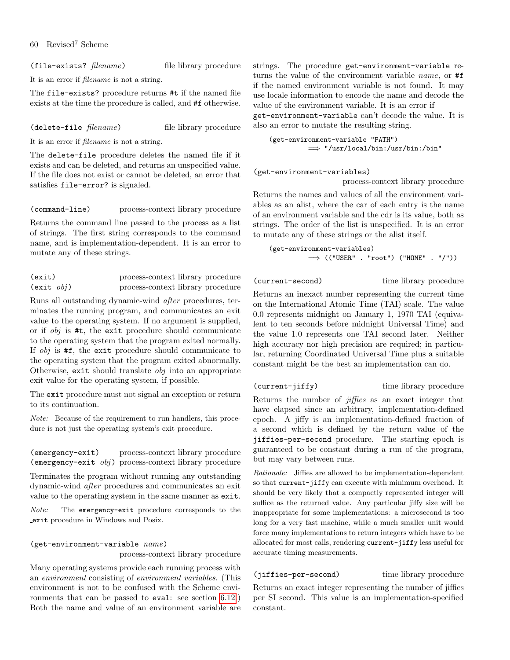60 Revised<sup>7</sup> Scheme

(file-exists? filename) file library procedure

It is an error if filename is not a string.

The file-exists? procedure returns #t if the named file exists at the time the procedure is called, and #f otherwise.

#### (delete-file *filename*) file library procedure

It is an error if filename is not a string.

The delete-file procedure deletes the named file if it exists and can be deleted, and returns an unspecified value. If the file does not exist or cannot be deleted, an error that satisfies file-error? is signaled.

(command-line) process-context library procedure

Returns the command line passed to the process as a list of strings. The first string corresponds to the command name, and is implementation-dependent. It is an error to mutate any of these strings.

| (exit)               | process-context library procedure |
|----------------------|-----------------------------------|
| $(exit$ <i>obj</i> ) | process-context library procedure |

Runs all outstanding dynamic-wind after procedures, terminates the running program, and communicates an exit value to the operating system. If no argument is supplied, or if  $obj$  is #t, the exit procedure should communicate to the operating system that the program exited normally. If obj is #f, the exit procedure should communicate to the operating system that the program exited abnormally. Otherwise, exit should translate obj into an appropriate exit value for the operating system, if possible.

The exit procedure must not signal an exception or return to its continuation.

Note: Because of the requirement to run handlers, this procedure is not just the operating system's exit procedure.

(emergency-exit) process-context library procedure (emergency-exit  $obj$ ) process-context library procedure

Terminates the program without running any outstanding dynamic-wind after procedures and communicates an exit value to the operating system in the same manner as exit.

Note: The emergency-exit procedure corresponds to the exit procedure in Windows and Posix.

#### (get-environment-variable name)

process-context library procedure

Many operating systems provide each running process with an environment consisting of environment variables. (This environment is not to be confused with the Scheme environments that can be passed to eval: see section [6.12.](#page-54-0)) Both the name and value of an environment variable are strings. The procedure get-environment-variable returns the value of the environment variable *name*, or #f if the named environment variable is not found. It may use locale information to encode the name and decode the value of the environment variable. It is an error if

get-environment-variable can't decode the value. It is also an error to mutate the resulting string.

(get-environment-variable "PATH") =⇒ "/usr/local/bin:/usr/bin:/bin"

#### (get-environment-variables)

process-context library procedure

Returns the names and values of all the environment variables as an alist, where the car of each entry is the name of an environment variable and the cdr is its value, both as strings. The order of the list is unspecified. It is an error to mutate any of these strings or the alist itself.

```
(get-environment-variables)\n  
$$
\implies
$$
 (("USER" . "root") ("HOME" . "/"))
```

(current-second) time library procedure

Returns an inexact number representing the current time on the International Atomic Time (TAI) scale. The value 0.0 represents midnight on January 1, 1970 TAI (equivalent to ten seconds before midnight Universal Time) and the value 1.0 represents one TAI second later. Neither high accuracy nor high precision are required; in particular, returning Coordinated Universal Time plus a suitable constant might be the best an implementation can do.

(current-jiffy) time library procedure

Returns the number of jiffies as an exact integer that have elapsed since an arbitrary, implementation-defined epoch. A jiffy is an implementation-defined fraction of a second which is defined by the return value of the jiffies-per-second procedure. The starting epoch is guaranteed to be constant during a run of the program, but may vary between runs.

Rationale: Jiffies are allowed to be implementation-dependent so that current-jiffy can execute with minimum overhead. It should be very likely that a compactly represented integer will suffice as the returned value. Any particular jiffy size will be inappropriate for some implementations: a microsecond is too long for a very fast machine, while a much smaller unit would force many implementations to return integers which have to be allocated for most calls, rendering current-jiffy less useful for accurate timing measurements.

### (jiffies-per-second) time library procedure

Returns an exact integer representing the number of jiffies per SI second. This value is an implementation-specified constant.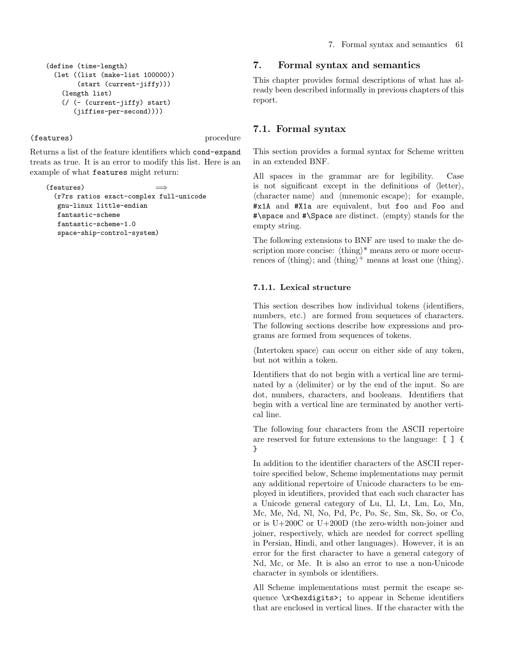```
(define (time-length)
  (let ((list (make-list 100000))
        (start (current-jiffy)))
    (length list)
    (/ (- (current-jiffy) start)
       (jiffies-per-second))))
```
### (features) procedure

Returns a list of the feature identifiers which cond-expand treats as true. It is an error to modify this list. Here is an example of what features might return:

```
(features)
  (r7rs ratios exact-complex full-unicode
  gnu-linux little-endian
  fantastic-scheme
  fantastic-scheme-1.0
   space-ship-control-system)
```
# 7. Formal syntax and semantics

This chapter provides formal descriptions of what has already been described informally in previous chapters of this report.

# 7.1. Formal syntax

This section provides a formal syntax for Scheme written in an extended BNF.

All spaces in the grammar are for legibility. Case is not significant except in the definitions of  $\langle$  letter $\rangle$ ,  $\langle$ character name $\rangle$  and  $\langle$ mnemonic escape $\rangle$ ; for example, #x1A and #X1a are equivalent, but foo and Foo and  $*\$ space and  $*\$ Space are distinct.  $\langle \text{empty} \rangle$  stands for the empty string.

The following extensions to BNF are used to make the description more concise:  $\langle \text{thing} \rangle^*$  means zero or more occurrences of  $\{\text{thing}\}\$ ; and  $\{\text{thing}\}\$ + means at least one  $\{\text{thing}\}\$ .

### <span id="page-60-0"></span>7.1.1. Lexical structure

This section describes how individual tokens (identifiers, numbers, etc.) are formed from sequences of characters. The following sections describe how expressions and programs are formed from sequences of tokens.

 $\langle$ Intertoken space $\rangle$  can occur on either side of any token, but not within a token.

Identifiers that do not begin with a vertical line are terminated by a  $\langle$  delimiter $\rangle$  or by the end of the input. So are dot, numbers, characters, and booleans. Identifiers that begin with a vertical line are terminated by another vertical line.

The following four characters from the ASCII repertoire are reserved for future extensions to the language: [ ] { }

In addition to the identifier characters of the ASCII repertoire specified below, Scheme implementations may permit any additional repertoire of Unicode characters to be employed in identifiers, provided that each such character has a Unicode general category of Lu, Ll, Lt, Lm, Lo, Mn, Mc, Me, Nd, Nl, No, Pd, Pc, Po, Sc, Sm, Sk, So, or Co, or is U+200C or U+200D (the zero-width non-joiner and joiner, respectively, which are needed for correct spelling in Persian, Hindi, and other languages). However, it is an error for the first character to have a general category of Nd, Mc, or Me. It is also an error to use a non-Unicode character in symbols or identifiers.

All Scheme implementations must permit the escape sequence \x<hexdigits>; to appear in Scheme identifiers that are enclosed in vertical lines. If the character with the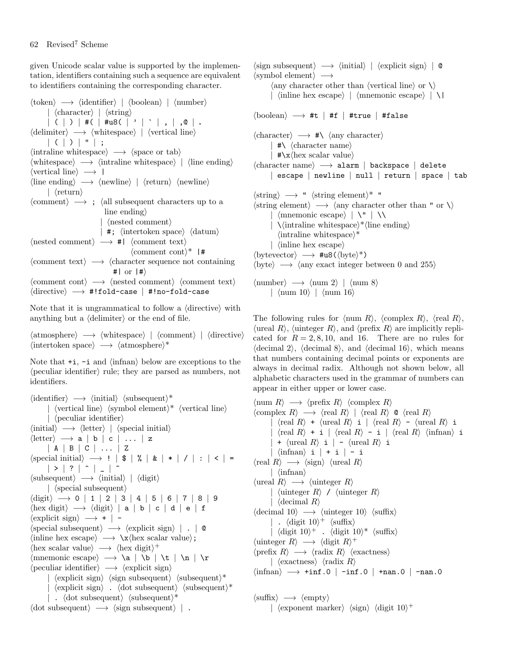given Unicode scalar value is supported by the implementation, identifiers containing such a sequence are equivalent to identifiers containing the corresponding character.

 $\langle \text{token} \rangle \longrightarrow \langle \text{identifier} \rangle$  |  $\langle \text{boolean} \rangle$  |  $\langle \text{number} \rangle$ |  $\langle$ character $\rangle$  |  $\langle$ string $\rangle$  $| ( | ) |$  #(  $|$  #u8(  $|$  '  $|$  `  $|$  ,  $|$  , 0  $|$  .  $\langle$ delimiter $\rangle \longrightarrow \langle$ whitespace $\rangle$  |  $\langle$ vertical line $\rangle$  $| ( | ) | " | ;$  $\langle$ intraline whitespace $\rangle \longrightarrow \langle$ space or tab $\rangle$  $\langle$  whitespace $\rangle \longrightarrow \langle$  intraline whitespace $\rangle$  |  $\langle$  line ending $\rangle$  $\langle$ vertical line $\rangle \longrightarrow \Box$  $\langle$ line ending $\rangle \longrightarrow \langle$ newline $\rangle$  |  $\langle$ return $\rangle$   $\langle$ newline $\rangle$  $\vert$  (return)  $\langle \text{comment} \rangle \longrightarrow$ ;  $\langle \text{all subsequent characters up to a} \rangle$ line ending $\rangle$ |  $\langle$  nested comment $\rangle$ |  $\#$ ; (intertoken space) (datum)  $\langle \text{nested comment} \rangle \longrightarrow #| \langle \text{comment text} \rangle$  $\langle$  comment cont $\rangle^*$  |#  $\langle$ comment text $\rangle \longrightarrow \langle$ character sequence not containing  $\#$ | or  $\ket{\#}$  $\langle \text{comment cont} \rangle \longrightarrow \langle \text{nested comment} \rangle \langle \text{comment text} \rangle$  $\langle$ directive $\rangle \longrightarrow$  #!fold-case | #!no-fold-case

Note that it is ungrammatical to follow a  $\langle$  directive $\rangle$  with anything but a  $\langle$  delimiter $\rangle$  or the end of file.

 $\langle \text{atmosphere} \rangle \longrightarrow \langle \text{whitespace} \rangle | \langle \text{comment} \rangle | \langle \text{directive} \rangle$  $\langle$ intertoken space $\rangle \longrightarrow \langle$ atmosphere $\rangle^*$ 

Note that  $+i$ ,  $-i$  and  $\langle \text{infnan} \rangle$  below are exceptions to the  $\langle$  peculiar identifier $\rangle$  rule; they are parsed as numbers, not identifiers.

```
\langleidentifier\rangle \longrightarrow \langleinitial\rangle \langlesubsequent\rangle^*| \langle vertical line\rangle \langle symbol element\rangle^* \langle vertical line\rangle\langle peculiar identifier\rangle\langleinitial\rangle \rightarrow \langleletter\rangle | \langlespecial initial\rangle\langleletter\rangle \longrightarrow a | b | c | ... | z
       | A | B | C | ... | Z
\langle \text{special initial} \rangle \longrightarrow ! | $ | % | & | * | / | : | < | =
       | > | ? |^ - | - |^ -\langlesubsequent\rangle \longrightarrow \langleinitial\rangle | \langledigit\rangle| \langlespecial subsequent\rangle\langle \text{digit} \rangle \longrightarrow 0 \mid 1 \mid 2 \mid 3 \mid 4 \mid 5 \mid 6 \mid 7 \mid 8 \mid 9\langlehex digit\rangle \longrightarrow \langledigit\rangle | a | b | c | d | e | f
\langleexplicit sign\rangle \longrightarrow + | -\langlespecial subsequent\rangle \longrightarrow \langleexplicit sign\rangle | . | @
\langleinline hex escape\rangle \longrightarrow \langle x \ranglehex scalar value\rangle;
\langlehex scalar value\rangle \longrightarrow \langlehex digit\rangle^+\langlemnemonic escape\rangle \rightarrow \a | \b | \t | \n\langle peculiar identifier\rangle \rightarrow \langle explicit sign\rangle\langle explicit sign\rangle \langle sign subsequent\rangle \langle subsequent\rangle^*\langle explicit sign\rangle. \langle dot subsequent\rangle \langle subsequent\rangle*
         \cdot (dot subsequent) (subsequent)*
\langle \text{dot subsequent} \rangle \rightarrow \langle \text{sign subsequent} \rangle | .
```
 $\langle$ sign subsequent $\rangle \longrightarrow \langle$ initial $\rangle$  |  $\langle$ explicit sign $\rangle$  | @  $\langle$ symbol element $\rangle \longrightarrow$  $\langle$  any character other than  $\langle$  vertical line $\rangle$  or  $\setminus$  $\vert$  (inline hex escape)  $\vert$  (mnemonic escape)  $\vert \setminus \vert$  $\langle$ boolean $\rangle \longrightarrow$  #t | #f | #true | #false  $\langle \text{character} \rangle \longrightarrow \# \backslash \langle \text{any character} \rangle$ |  $\#\$  (character name) |  $\#\x\$ hex scalar value  $\langle$ character name $\rangle$  → alarm | backspace | delete | escape | newline | null | return | space | tab  $\langle$ string $\rangle \rightarrow$  "  $\langle$ string element $\rangle^*$  "  $\langle$ string element $\rangle \longrightarrow \langle$ any character other than " or  $\setminus$ ) |  $\langle$ mnemonic escape $\rangle$  |  $\langle$ " |  $\langle$ |  $\langle$ intraline whitespace $\rangle^*$ line ending $\rangle$  $\langle$ intraline whitespace $\rangle^*$  $\vert$  (in line hex escape)  $\langle$ bytevector $\rangle \rightarrow \text{true}(\langle$ byte $\rangle^*)$  $\langle$  byte $\rangle \longrightarrow \langle$  any exact integer between 0 and 255 $\rangle$  $\langle$ number $\rangle \longrightarrow \langle$ num 2 $\rangle$  |  $\langle$ num 8 $\rangle$  $\vert$  (num 10)  $\vert$  (num 16)

The following rules for  $\langle \text{num } R \rangle$ ,  $\langle \text{complex } R \rangle$ ,  $\langle \text{real } R \rangle$ ,  $\langle$ ureal R $\rangle$ ,  $\langle$ uinteger R $\rangle$ , and  $\langle$ prefix R $\rangle$  are implicitly replicated for  $R = 2, 8, 10,$  and 16. There are no rules for  $\langle$  decimal 2 $\rangle$ ,  $\langle$  decimal 8 $\rangle$ , and  $\langle$  decimal 16 $\rangle$ , which means that numbers containing decimal points or exponents are always in decimal radix. Although not shown below, all alphabetic characters used in the grammar of numbers can appear in either upper or lower case.

```
\langle \text{num } R \rangle \longrightarrow \langle \text{prefix } R \rangle \langle \text{complex } R \rangle\langlecomplex R \rangle \longrightarrow \langlereal R \rangle | \langlereal R \rangle @ \langlereal R \rangle\langle \text{real } R \rangle + \langle \text{real } R \rangle i | \langle \text{real } R \rangle - \langle \text{real } R \rangle i
               \langle \text{real } R \rangle + i | \langle \text{real } R \rangle - i | \langle \text{real } R \rangle \langle \text{infnan} \rangle i
              + \langleureal R\rangle i | - \langleureal R\rangle i
             \langle \text{infnan}\rangle i | + i | - i
\langle \text{real } R \rangle \longrightarrow \langle \text{sign} \rangle \langle \text{area } R \rangle| \langle \text{infnan} \rangle\langle \text{ured } R \rangle \longrightarrow \langle \text{uinteger } R \rangle| \langleuinteger R\rangle / \langleuinteger R\rangle| \langle decimal R\rangle\langle decimal 10\rangle \rightarrow \langle uinteger 10\rangle \langle suffix\rangle| . \langledigit 10\rangle<sup>+</sup> \langlesuffix\rangle| \langledigit 10\rangle^+ . \langledigit 10\rangle^* \langlesuffix\rangle\langleuinteger R \rangle \longrightarrow \langledigit R \rangle^+\langle \text{prefix } R \rangle \longrightarrow \langle \text{radius } R \rangle \langle \text{exactness} \rangle| \langleexactness\rangle \langleradix R\rangle\langle \text{infnan} \rangle \longrightarrow +inf.0 | -inf.0 | +nan.0 | -nan.0
```

```
\langle \text{suffix} \rangle \longrightarrow \langle \text{empty} \rangle\vert (exponent marker) (sign) (digit 10)<sup>+</sup>
```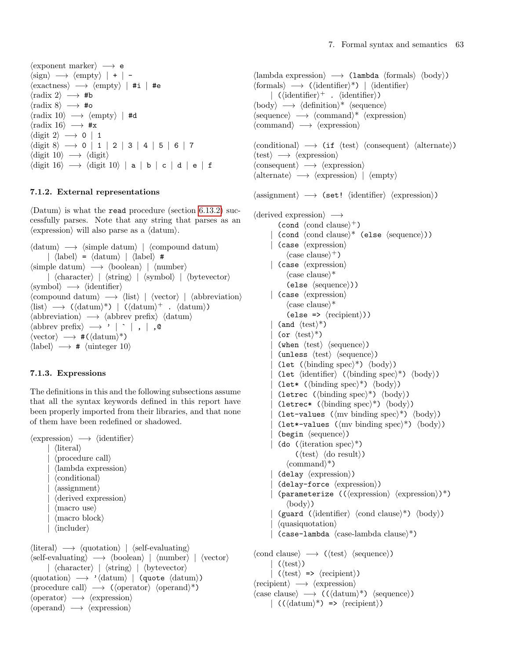$\langle$ exponent marker $\rangle \longrightarrow e$  $\langle sign \rangle \longrightarrow \langle empty \rangle$  | + | - $\langle$ exactness $\rangle \longrightarrow \langle$ empty $\rangle$  | #i | #e  $\langle \text{radix 2}\rangle \longrightarrow \texttt{\#b}$  $\langle \text{radix 8}\rangle \longrightarrow \text{\#o}$  $\langle \text{radix } 10 \rangle \longrightarrow \langle \text{empty} \rangle$  | #d  $\langle \text{radix } 16 \rangle \longrightarrow \# \mathbf{x}$  $\langle \text{digit 2} \rangle \rightarrow 0$  | 1  $\langle \text{digit 8} \rangle \longrightarrow 0 \mid 1 \mid 2 \mid 3 \mid 4 \mid 5 \mid 6 \mid 7$  $\langle$ digit 10 $\rangle \longrightarrow \langle$ digit $\rangle$  $\langle \text{digit } 16 \rangle \longrightarrow \langle \text{digit } 10 \rangle | \text{ a } | \text{ b } | \text{ c } | \text{ d } | \text{ e } | \text{ f }$ 

# <span id="page-62-0"></span>7.1.2. External representations

 $\langle$ Datum $\rangle$  is what the read procedure (section [6.13.2\)](#page-56-0) successfully parses. Note that any string that parses as an  $\langle$  expression $\rangle$  will also parse as a  $\langle$  datum $\rangle$ .

```
\langle \text{datum} \rangle \rightarrow \langle \text{simple datum} \rangle | \langle \text{compound datum} \rangle|\langle \text{label}\rangle = \langle \text{datum}\rangle | \langle \text{label}\rangle #
\langlesimple datum\rangle \longrightarrow \langleboolean\rangle | \langlenumber\rangle| \langlecharacter\rangle | \langlestring\rangle | \langlesymbol\rangle | \langlebytevector\rangle\langlesymbol\rangle \longrightarrow \langleidentifier\rangle\langle \text{compound datum} \rangle \longrightarrow \langle \text{list} \rangle | \langle \text{vector} \rangle | \langle \text{abbreviation} \rangle\langlelist\rangle \longrightarrow (\langle \text{datum} \rangle^*) | (\langle \text{datum} \rangle^+ . \langle \text{datum} \rangle)\langleabbreviation\rangle \longrightarrow \langleabbrev prefix\rangle \langledatum\rangle\langle \text{abbrev prefix} \rangle \longrightarrow' |\cdot|, |, 0
\langle \text{vector} \rangle \rightarrow \#(\langle \text{datum} \rangle^*)\langlelabel\rangle \longrightarrow # \langleuinteger 10\rangle
```
# 7.1.3. Expressions

The definitions in this and the following subsections assume that all the syntax keywords defined in this report have been properly imported from their libraries, and that none of them have been redefined or shadowed.

```
\langleexpression\rangle \longrightarrow \langleidentifier\rangle\langleliteral\rangle\langle procedure call\rangle\langlelambda expression\rangle\langle conditional\rangle\langle assignment\rangle\langle derived expression\rangle\langle macro use\rangle\langle macro block\rangle\langleincluder\rangle\langleliteral\rangle \longrightarrow \langlequotation\rangle | \langleself-evaluating\rangle\langle \text{self-evaluating} \rangle \longrightarrow \langle \text{boolean} \rangle | \langle \text{number} \rangle | \langle \text{vector} \rangle\vert \langle \text{character} \rangle \vert \langle \text{string} \rangle \vert \langle \text{bytevector} \rangle
```

```
\langle \text{quotation} \rangle \longrightarrow' \langle \text{datum} \rangle | (quote \langle \text{datum} \rangle)
\langle procedure call\rangle \rightarrow (\langle operator\rangle \langle operand\rangle^*)
\langle \text{operator} \rangle \longrightarrow \langle \text{expression} \rangle
```
 $\langle$ operand $\rangle \rightarrow \langle$ expression $\rangle$ 

 $\langle$ lambda expression $\rangle \longrightarrow$  (lambda  $\langle$ formals $\rangle$   $\langle$ body $\rangle$ )  $\langle$  formals $\rangle \longrightarrow (\langle$ identifier $\rangle^*)$  |  $\langle$ identifier $\rangle$  $\langle \langle \text{identifier} \rangle^+$  .  $\langle \text{identifier} \rangle$ )  $\langle \text{body} \rangle \longrightarrow \langle \text{definition} \rangle^*$   $\langle \text{sequence} \rangle$  $\langle sequence \rangle \longrightarrow \langle command \rangle^* \langle expression \rangle$  $\langle$ command $\rangle \rightarrow \langle$ expression $\rangle$  $\langle$ conditional $\rangle \rightarrow$  (if  $\langle$ test $\rangle$ )  $\langle$ consequent $\rangle$   $\langle$  alternate $\rangle$ )  $\langle \text{test} \rangle \longrightarrow \langle \text{expression} \rangle$  $\langle\text{consequent}\rangle \longrightarrow \langle\text{expression}\rangle$  $\langle$  alternate $\rangle \longrightarrow \langle$  expression $\rangle$  |  $\langle$  empty $\rangle$  $\langle \text{assignment} \rangle \longrightarrow (\text{set!} \langle \text{identifier} \rangle \langle \text{expression} \rangle)$  $\langle$  derived expression $\rangle \longrightarrow$  $(\text{cond } \langle \text{cond } \text{clause} \rangle^+)$  $(\text{cond } \langle \text{cond } \text{clause} \rangle^*$  (else  $\langle \text{sequence} \rangle)$ )  $\langle \text{case } \langle \text{expression} \rangle$  $\langle \text{case clause} \rangle^+$ ) | (case  $\langle$  expression $\rangle$  $\langle \text{case clause} \rangle^*$  $(e$ lse  $\langle sequence \rangle)$ )  $\vert$  (case  $\langle$  expression)  $\langle \text{case clause} \rangle^*$ (else =>  $\langle \text{recipient} \rangle$ ) (and  $\langle \text{test} \rangle^*$ ) (or  $\langle \text{test} \rangle^*$ ) (when  $\langle test \rangle$   $\langle sequence \rangle$ )  $(unless \langle test \rangle \langle sequence \rangle)$ (let  $(\langle \text{binding spec} \rangle^*) \langle \text{body} \rangle$ ) (let  $\langle$ identifier $\rangle$  ( $\langle$ binding spec $\rangle^*$ )  $\langle$ body $\rangle$ ) (let\* ( $\langle \text{binding spec} \rangle^*$ )  $\langle \text{body} \rangle$ ) (letrec ( $\langle$ binding spec $\rangle^*$ )  $\langle$ body $\rangle$ ) (letrec\* ( $\langle \text{binding spec} \rangle^*$ )  $\langle \text{body} \rangle$ )

(let-values ( $\langle \text{mv binding spec} \rangle^*$ )  $\langle \text{body} \rangle$ )

 $(\text{let*-values } (\langle \text{mv binding spec} \rangle^*) \langle \text{body} \rangle)$ 

```
\langle \text{begin}(c) \rangle(do ((iteration spec)<sup>*</sup>)
```

```
(\langle test \rangle \langle do result \rangle)\langle \text{command} \rangle^*
```

```
(delay \langle expression \rangle)
```

```
(delay-force \langle expression \rangle)
```

```
(parameterize ((\langle \text{expression} \rangle \langle \text{expression} \rangle)^*)\langle \text{body} \rangle)
```

```
(guard (\langleidentifier\rangle \langlecond clause\rangle^*) \langlebody\rangle)
```

```
\langlequasiquotation\rangle
```

```
(case-lambda \ (case-lambda \ clause)^*)
```

```
\langle \text{cond clause} \rangle \longrightarrow (\langle \text{test} \rangle \langle \text{sequence} \rangle)| (\langle test \rangle)\langle \text{test} \rangle => \langle \text{recipient} \rangle\langle \text{recipient} \rangle \longrightarrow \langle \text{expression} \rangle\langle \text{case clause} \rangle \rightarrow (\langle \text{datum} \rangle^*) \langle \text{sequence} \rangle\langle (\langle \text{datum} \rangle^*) => \langle \text{recipient} \rangle
```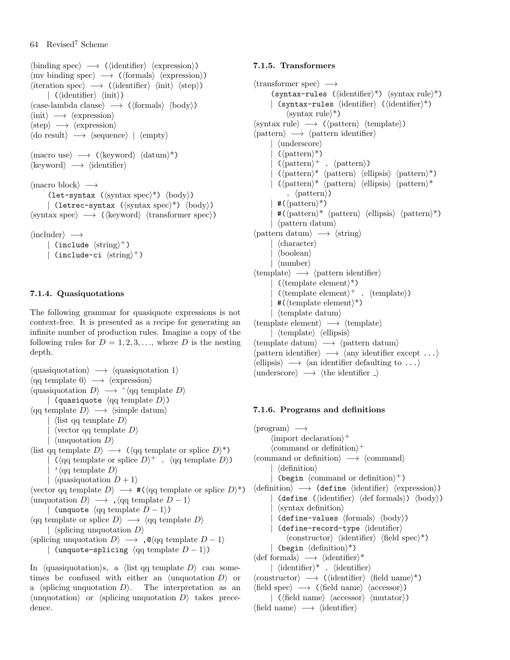$\langle$ binding spec $\rangle \longrightarrow (\langle$ identifier $\rangle$   $\langle$ expression $\rangle$ )  $\langle$ mv binding spec $\rangle \longrightarrow (\langle$ formals $\rangle \langle$ expression $\rangle$ )  $\langle$  iteration spec $\rangle \longrightarrow (\langle$  identifier $\rangle$   $\langle$  init $\rangle$   $\langle$  step $\rangle$ )  $|\left\langle\langle \text{identifier} \rangle \left\langle \text{init} \right\rangle \right\rangle$  $\langle \text{case-lambda clause} \rangle \longrightarrow (\langle \text{formals} \rangle \langle \text{body} \rangle)$  $\langle \text{init} \rangle \longrightarrow \langle \text{expression} \rangle$  $\langle \text{step} \rangle \longrightarrow \langle \text{expression} \rangle$  $\langle$  do result $\rangle \longrightarrow \langle$  sequence $\rangle$  |  $\langle$  empty $\rangle$  $\langle \text{macro use} \rangle \rightarrow (\langle \text{keyword} \rangle \langle \text{datum} \rangle^*)$  $\langle$ keyword $\rangle \longrightarrow \langle$ identifier $\rangle$  $\langle$ macro block $\rangle \longrightarrow$ (let-syntax  $(\langle \text{syntax spec} \rangle^*) \langle \text{body} \rangle$ ) | (letrec-syntax  $(\langle \text{syntax spec} \rangle^*) \langle \text{body} \rangle$ )  $\langle$ syntax spec $\rangle \longrightarrow$  ( $\langle$ keyword $\rangle$   $\langle$ transformer spec $\rangle$ )

 $\langle$ includer $\rangle \longrightarrow$ | (include  $\langle \text{string} \rangle^+$ ) | (include-ci  $\langle \text{string} \rangle^+$ )

# 7.1.4. Quasiquotations

The following grammar for quasiquote expressions is not context-free. It is presented as a recipe for generating an infinite number of production rules. Imagine a copy of the following rules for  $D = 1, 2, 3, \ldots$ , where D is the nesting depth.

 $\langle \text{quasiquotation} \rangle \rightarrow \langle \text{quasiquotation 1} \rangle$  $\langle \text{qq template 0} \rangle \longrightarrow \langle \text{expression} \rangle$  $\langle \text{quasiquotation } D \rangle \longrightarrow \langle \text{qq template } D \rangle$ | (quasiquote  $\langle qq \text{ template } D \rangle$ )  $\langle \text{qq template } D \rangle \longrightarrow \langle \text{simple datum} \rangle$  $\langle$ list qq template D $\rangle$  $\langle$  vector qq template  $D \rangle$ |  $\langle$ unquotation D $\rangle$  $\langle$ list qq template  $D \rangle \longrightarrow (\langle q \rangle \langle q \rangle)$  template or splice  $D \rangle^*$ )  $\langle \langle \text{qq template or splice } D \rangle^+ \cdot \langle \text{qq template } D \rangle \rangle$  $'$  (qq template D) |  $\langle$ quasiquotation  $D + 1\rangle$  $\langle \text{vector qq template } D \rangle \longrightarrow \#(\langle \text{qq template or splice } D \rangle^*)$  $\langle$ unquotation D $\rangle \longrightarrow$ , $\langle$ qq template D − 1 $\rangle$ | (unquote  $\langle qq \text{ template } D - 1 \rangle$ )  $\langle q q \text{ template or splice } D \rangle \longrightarrow \langle q q \text{ template } D \rangle$ |  $\langle$ splicing unquotation D $\rangle$  $\langle$ splicing unquotation D $\rangle \longrightarrow$ ,  $\mathcal{Q}\langle$ qq template D − 1 $\rangle$ | (unquote-splicing  $\langle qq \text{ template } D - 1 \rangle$ ) In  $\langle \text{quasiquotation} \rangle$ s, a  $\langle \text{list qq template } D \rangle$  can sometimes be confused with either an  $\langle$ unquotation D $\rangle$  or

# a  $\langle$ splicing unquotation D $\rangle$ . The interpretation as an  $\langle$ unquotation $\rangle$  or  $\langle$ splicing unquotation D $\rangle$  takes precedence.

### 7.1.5. Transformers

```
\langletransformer spec\rangle \longrightarrow(syntax-rules (\langleidentifier)*) \langlesyntax rule)*)
        | (syntax-rules \langleidentifier\rangle (\langleidentifier\rangle^*)
                \langlesyntax rule\rangle^*)
\langlesyntax rule\rangle \longrightarrow (\langlepattern\rangle \langletemplate\rangle)
\langlepattern\rangle \longrightarrow \langlepattern identifier\rangle\langle underscore\rangle(\langle pattern\rangle^*)| (hpatterni
+ . hpatterni)
           (\langlepattern\rangle^* \langlepattern\rangle \langleellipsis\rangle \langlepattern\rangle^*)
           \langle \text{pattern} \rangle^* (pattern) (ellipsis) (pattern)*
                . \langle pattern\rangle)
           \#(\langle \text{pattern}\rangle^*)\#(\mathrm{pattern})^* (pattern) (ellipsis) (pattern)*)
           \langle pattern datum\rangle\langle pattern datum\rangle \longrightarrow \langlestring\rangle\langlecharacter\rangle\langleboolean\rangle\langle number\rangle\langletemplate\rangle \longrightarrow \langlepattern identifier\rangle(\langletemplate element\rangle^*)
        | (\langle template \, element \rangle^+ \cdot \langle template \rangle)\#(\langle \text{template element} \rangle^*)| \langletemplate datum\rangle\langletemplate element\rangle \longrightarrow \langletemplate\rangle| \langletemplate\rangle \langleellipsis\rangle\langletemplate datum\rangle \longrightarrow \langlepattern datum\rangle\langle pattern identifier\rangle \longrightarrow \langleany identifier except \ldots \rangle\langleellipsis\rangle \longrightarrow \langlean identifier defaulting to ...}
\langleunderscore\rangle \longrightarrow \langlethe identifier \Box
```
### 7.1.6. Programs and definitions

 $\langle$ program $\rangle \longrightarrow$  $\langle$ import declaration $\rangle^+$  $\langle$ command or definition $\rangle^+$  $\langle$ command or definition $\rangle \longrightarrow \langle$ command $\rangle$  $\vert$  (definition) | (begin  $\langle$  command or definition $\rangle^+$ )  $\langle definition \rangle \longrightarrow (define \langle identifier \rangle \langle expression \rangle)$ (define ( $\langle$  identifier)  $\langle$  def formals $\rangle$ )  $\langle$  body $\rangle$ )  $\langle$  syntax definition $\rangle$  $(\text{define-values } \langle \text{formals} \rangle \langle \text{body} \rangle)$  $\langle$  define-record-type  $\langle$  identifier $\rangle$  $\langle$ constructor $\rangle$   $\langle$ identifier $\rangle$   $\langle$ field spec $\rangle^*$ ) | (begin  $\langle \text{definition} \rangle^*$ )  $\langle \text{def formulas} \rangle \longrightarrow \langle \text{identifier} \rangle^*$ |  $\langle$ identifier $\rangle^*$  .  $\langle$ identifier $\rangle$  $\langle$ constructor $\rangle \rightarrow (\langle$ identifier $\rangle$   $\langle$ field name $\rangle^*$ )  $\langle \text{field spec} \rangle \longrightarrow (\langle \text{field name} \rangle \langle \text{accessor} \rangle)$  $\langle \langle \text{field name} \rangle \langle \text{accessor} \rangle \langle \text{mutator} \rangle$ 

 $\langle \text{field name} \rangle \longrightarrow \langle \text{identifier} \rangle$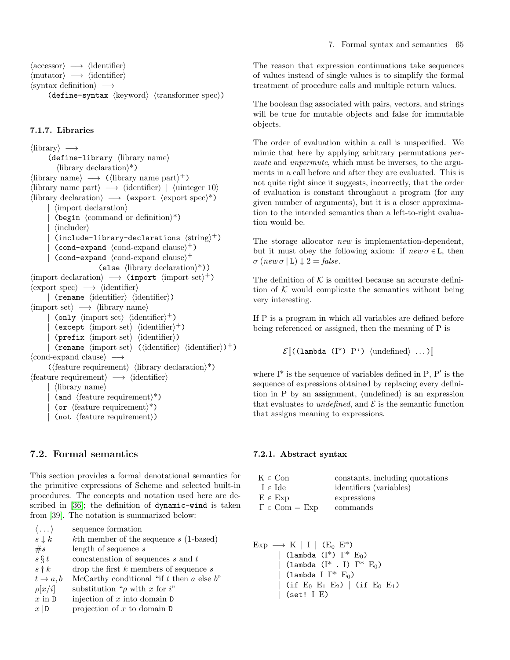(define-syntax  $\langle$ keyword $\rangle$   $\langle$ transformer spec $\rangle$ )

# 7.1.7. Libraries

 $\langle$ library $\rangle \longrightarrow$  $\langle$  define-library  $\langle$  library name)  $\langle$ library declaration $\rangle^*$ )  $\langle$ library name $\rangle \longrightarrow$  ( $\langle$ library name part $\rangle^+$ )  $\langle$ library name part $\rangle \longrightarrow \langle$ identifier $\rangle$  |  $\langle$ uinteger 10 $\rangle$  $\langle$ library declaration $\rangle \rightarrow (\text{export } \langle \text{export } \text{spec}\rangle^*)$  $\langle$ import declaration $\rangle$ (begin  $\langle$  command or definition $\rangle^*$ )  $\langle$ includer $\rangle$ | (include-library-declarations  $\langle \text{string} \rangle^+$ ) | (cond-expand  $\langle \text{cond-expand clause} \rangle^+$ )  $|$  (cond-expand  $\langle$ cond-expand clause)<sup>+</sup> (else  $\langle$ library declaration $\rangle^*$ ))  $\langle$ import declaration $\rangle \longrightarrow$  (import  $\langle$ import set $\rangle^+$ )  $\langle$ export spec $\rangle \longrightarrow \langle$ identifier $\rangle$ | (rename  $\langle$ identifier $\rangle$   $\langle$ identifier $\rangle$ )  $\langle$ import set $\rangle \longrightarrow \langle$ library name $\rangle$ | (only  $\langle \text{import set} \rangle$   $\langle \text{identifier} \rangle^+$ ) | (except  $\langle \text{import set} \rangle$   $\langle \text{identifier} \rangle^+$ )  $(\text{prefix } \langle \text{import set} \rangle \langle \text{identifier} \rangle)$ | (rename  $\langle \text{import set} \rangle$  ( $\langle \text{identifier} \rangle$   $\langle \text{identifier} \rangle$ )<sup>+</sup>)  $\langle$ cond-expand clause $\rangle \longrightarrow$  $(\text{feature requirement}) \langle \text{library declaration} \rangle^*$  $\langle$ feature requirement $\rangle \longrightarrow \langle$ identifier $\rangle$  $\langle$ library name $\rangle$ (and  $\langle$  feature requirement $\rangle^*$ ) (or  $\langle$  feature requirement $\rangle^*$ )  $(not \text{ (feature requirement)}$ 

# 7.2. Formal semantics

This section provides a formal denotational semantics for the primitive expressions of Scheme and selected built-in procedures. The concepts and notation used here are described in [\[36\]](#page-82-1); the definition of dynamic-wind is taken from [\[39\]](#page-82-2). The notation is summarized below:

| $\langle \dots \rangle$ | sequence formation                               |
|-------------------------|--------------------------------------------------|
| $s \downarrow k$        | $k$ th member of the sequence $s$ (1-based)      |
| #s                      | length of sequence s                             |
| $s \S t$                | concatenation of sequences s and t               |
| $s \dagger k$           | drop the first $k$ members of sequence $s$       |
| $t\rightarrow a,b$      | McCarthy conditional "if $t$ then $a$ else $b$ " |
| $\rho[x/i]$             | substitution " $\rho$ with x for i"              |
| $x$ in $D$              | injection of $x$ into domain $D$                 |
|                         |                                                  |

 $x | D$  projection of x to domain D

The reason that expression continuations take sequences of values instead of single values is to simplify the formal treatment of procedure calls and multiple return values.

The boolean flag associated with pairs, vectors, and strings will be true for mutable objects and false for immutable objects.

The order of evaluation within a call is unspecified. We mimic that here by applying arbitrary permutations permute and *unpermute*, which must be inverses, to the arguments in a call before and after they are evaluated. This is not quite right since it suggests, incorrectly, that the order of evaluation is constant throughout a program (for any given number of arguments), but it is a closer approximation to the intended semantics than a left-to-right evaluation would be.

The storage allocator new is implementation-dependent, but it must obey the following axiom: if  $new \sigma \in L$ , then  $\sigma$  (new  $\sigma$  | L)  $\downarrow$  2 = false.

The definition of  $K$  is omitted because an accurate definition of  $K$  would complicate the semantics without being very interesting.

If P is a program in which all variables are defined before being referenced or assigned, then the meaning of P is

```
\mathcal{E}[((lambda (I*) P') (undefined) ...)]
```
where  $I^*$  is the sequence of variables defined in P,  $P'$  is the sequence of expressions obtained by replacing every definition in P by an assignment,  $\langle$ undefined $\rangle$  is an expression that evaluates to *undefined*, and  $\mathcal E$  is the semantic function that assigns meaning to expressions.

# 7.2.1. Abstract syntax

| $K \in \mathop{{\rm Con}}$           | constants, including quotations |
|--------------------------------------|---------------------------------|
| $I \in \text{Ide}$                   | identifiers (variables)         |
| $E \in Exp$                          | expressions                     |
| $\Gamma \in \text{Com} = \text{Exp}$ | commands                        |

 $Exp \longrightarrow K | I | (E_0 E^*)$ | (lambda ( $I^*$ )  $\Gamma^*$   $E_0$ ) | (lambda  $(I^*$  . I)  $\Gamma^*$   $E_0$ ) | (lambda I  $\Gamma^*$  E<sub>0</sub>) | (if  $E_0$   $E_1$   $E_2$ ) | (if  $E_0$   $E_1$ ) | (set! I E)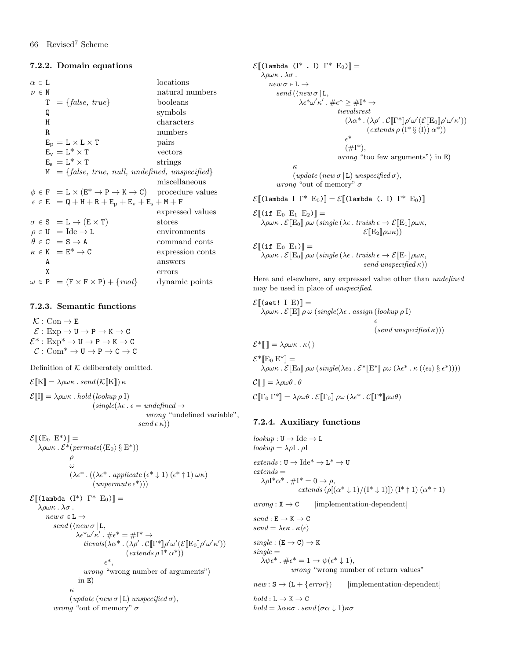#### 7.2.2. Domain equations

| $\alpha \in L$<br>$\nu \in \mathbb{N}$<br>Q | $T = \{false, true\}$                                                                                                  | locations<br>natural numbers<br>booleans<br>symbols |
|---------------------------------------------|------------------------------------------------------------------------------------------------------------------------|-----------------------------------------------------|
| Η<br>R.                                     |                                                                                                                        | characters<br>numbers                               |
|                                             | $\texttt{E}_{\texttt{p}} = \texttt{L} \times \texttt{L} \times \texttt{T}$                                             | pairs                                               |
|                                             | $E_v = L^* \times T$                                                                                                   | vectors                                             |
|                                             | $E_{s} = L^* \times T$                                                                                                 | strings                                             |
|                                             | $M = \{false, true, null, undefined, unspecified\}$                                                                    |                                                     |
|                                             |                                                                                                                        | miscellaneous                                       |
|                                             | $\phi \in \mathbf{F} = \mathbf{L} \times (\mathbf{E}^* \to \mathbf{P} \to \mathbf{K} \to \mathbf{C})$ procedure values |                                                     |
|                                             | $\epsilon \in E$ = Q + H + R + E <sub>p</sub> + E <sub>v</sub> + E <sub>s</sub> + M + F                                |                                                     |
|                                             |                                                                                                                        | expressed values                                    |
|                                             | $\sigma \in S = L \rightarrow (E \times T)$                                                                            | stores                                              |
|                                             | $\rho \in U = \text{Ide} \rightarrow L$                                                                                | environments                                        |
|                                             | $\theta \in C = S \rightarrow A$                                                                                       | command conts                                       |
|                                             | $\kappa \in K = E^* \to C$                                                                                             | expression conts                                    |
| A                                           |                                                                                                                        | answers                                             |
| X                                           |                                                                                                                        | errors                                              |
|                                             | $\omega \in P = (F \times F \times P) + \{root\}$                                                                      | dynamic points                                      |

# 7.2.3. Semantic functions

 $\mathcal{K} : \mathrm{Con} \to \mathrm{E}$  $\mathcal{E}: \mathrm{Exp} \to \mathrm{U} \to \mathrm{P} \to \mathrm{K} \to \mathrm{C}$  $\mathcal{E}^* : \mathrm{Exp}^* \to \mathrm{U} \to \mathrm{P} \to \mathrm{K} \to \mathrm{C}$  $\mathcal{C}:\mathrm{Com}^*\to \mathtt{U}\to \mathtt{P}\to \mathtt{C}\to \mathtt{C}$ 

Definition of  $K$  deliberately omitted.

 $\mathcal{E}[\mathbf{K}] = \lambda \rho \omega \kappa$ . send  $(\mathcal{K}[\mathbf{K}]) \kappa$  $\mathcal{E}[\Pi] = \lambda \rho \omega \kappa$ . hold (lookup ρ I)  $(single(\lambda \epsilon \cdot \epsilon = undefined \rightarrow$ wrong "undefined variable",  $send \in \kappa$ )

 $\mathcal{E}[(E_0 E^*)]$  =  $\lambda \rho \omega \kappa$ .  $\mathcal{E}^*(permute(\langle E_0 \rangle \S E^*))$ ρ ω  $(\lambda \epsilon^*$  .  $((\lambda \epsilon^* \;.\;applicate\; (\epsilon^* \downarrow 1)\; (\epsilon^* \dagger 1)\; \omega \kappa)$  $(unpermute \epsilon^*))$  $\mathcal{E}$ [(lambda (I\*) Γ\*  $E_0$ )] = λρωκ . λσ .  $new \sigma \in L \rightarrow$  $send(\langle new \sigma | \mathbf{L},$  $\lambda \epsilon^* \omega' \kappa'$ .  $\#\epsilon^* = \#I^* \rightarrow$ tievals $(\lambda \alpha^* \cdot (\lambda \rho' \cdot \mathcal{C}[\![\Gamma^*]\!] \rho' \omega'(\mathcal{E}[\![\mathbf{E}_0]\!] \rho' \omega' \kappa'))$  $(extends \rho I^* \alpha^*)$  $\epsilon^*$ *wrong* "wrong number of arguments")

> in E) κ  $(update(new \sigma | L) unspecified \sigma),$ *wrong* "out of memory"  $\sigma$

 $\mathcal{E}$ [(lambda (I\* . I)  $\Gamma^*$   $E_0$ )] = λρωκ . λσ .  $new \sigma \in L \rightarrow$ send ( $\langle new\,\sigma | L,$  $\lambda \epsilon^* \omega' \kappa'$ .  $\#\epsilon^* \geq \#I^* \rightarrow$ tievalsrest  $(\lambda \alpha^* \cdot (\lambda \rho' \cdot \mathcal{C}[\![\Gamma^*]\!] \rho' \omega'(\mathcal{E}[\![\mathbf{E}_0]\!] \rho' \omega' \kappa'))$  $(\text{extends } \rho \left( I^* \ \S \ \langle I \rangle \right) \alpha^*)$  $\epsilon^*$  $(\#I^*),$ *wrong* "too few arguments") in E) κ  $(update(new \sigma | L) unspecified \sigma),$ *wrong* "out of memory"  $\sigma$  $\mathcal{E}$ [(lambda I  $\Gamma^*$  E<sub>0</sub>)]] =  $\mathcal{E}$ [(lambda (. I)  $\Gamma^*$  E<sub>0</sub>)]]  $\mathcal{E}$ [(if E<sub>0</sub> E<sub>1</sub> E<sub>2</sub>)] =  $\lambda \rho \omega \kappa$ .  $\mathcal{E}[\mathbb{E}_0]$   $\rho \omega$  (single ( $\lambda \epsilon$  . truish  $\epsilon \to \mathcal{E}[\mathbb{E}_1]$   $\rho \omega \kappa$ ,

 $\mathcal{E}$ [(if E<sub>0</sub> E<sub>1</sub>)] =  $\lambda \rho \omega \kappa$ .  $\mathcal{E}[\mathbb{E}_0]$   $\rho \omega$  (single ( $\lambda \epsilon$  . truish  $\epsilon \to \mathcal{E}[\mathbb{E}_1]$   $\rho \omega \kappa$ , send unspecified  $\kappa$ ))

Here and elsewhere, any expressed value other than undefined may be used in place of unspecified.

 $\mathcal{E}[\mathbb{E}_2]\rho\omega\kappa)$ 

 $\mathcal{E}$ [(set! I E)] =  $\lambda \rho \omega \kappa$ .  $\mathcal{E}[\mathbb{E}] \rho \omega$  (single( $\lambda \epsilon$ . assign (lookup  $\rho$  I)  $\epsilon$  $(send$  unspecified  $\kappa$ ))

$$
\mathcal{E}^*[[\ ] = \lambda \rho \omega \kappa \cdot \kappa \langle \rangle
$$
  
\n
$$
\mathcal{E}^*[[E_0 E^*]] =
$$
  
\n
$$
\lambda \rho \omega \kappa \cdot \mathcal{E}[E_0] \rho \omega (\text{single}(\lambda \epsilon_0 \cdot \mathcal{E}^* [E^*]) \rho \omega (\lambda \epsilon^* \cdot \kappa (\langle \epsilon_0 \rangle \S \epsilon^*)))
$$
  
\n
$$
\mathcal{C}[[\ ] = \lambda \rho \omega \theta \cdot \theta
$$

 $\mathcal{C}[\![\Gamma_0\Gamma^*]\!] = \lambda \rho \omega \theta \cdot \mathcal{E}[\![\Gamma_0]\!] \, \rho \omega \left( \lambda \epsilon^* \cdot \mathcal{C}[\![\Gamma^*]\!] \rho \omega \theta \right)$ 

#### 7.2.4. Auxiliary functions

 $lookup: U \rightarrow \text{Ide} \rightarrow L$  $\ell \in \lambda \rho I \cdot \rho I$  $extends: U \rightarrow \text{Ide}^* \rightarrow L^* \rightarrow U$  $extends =$  $\lambda \rho I^* \alpha^*$ .  $\# I^* = 0 \rightarrow \rho$ , extends  $(\rho[(\alpha^* \downarrow 1)/((I^* \downarrow 1)])$   $(I^* \uparrow 1)$   $(\alpha^* \uparrow 1)$  $wrong: X \rightarrow C$  [implementation-dependent]  $send: \texttt{E} \rightarrow \texttt{K} \rightarrow \texttt{C}$  $send = \lambda \epsilon \kappa \cdot \kappa \langle \epsilon \rangle$  $single : (E \rightarrow C) \rightarrow K$  $single =$  $\lambda \psi \epsilon^*$ .  $\#\epsilon^* = 1 \rightarrow \psi(\epsilon^* \downarrow 1),$ wrong "wrong number of return values"  $new : S \rightarrow (L + \{error\})$  [implementation-dependent]  $hold: L \rightarrow K \rightarrow C$ 

hold =  $\lambda \alpha \kappa \sigma$  . send  $(\sigma \alpha \downarrow 1) \kappa \sigma$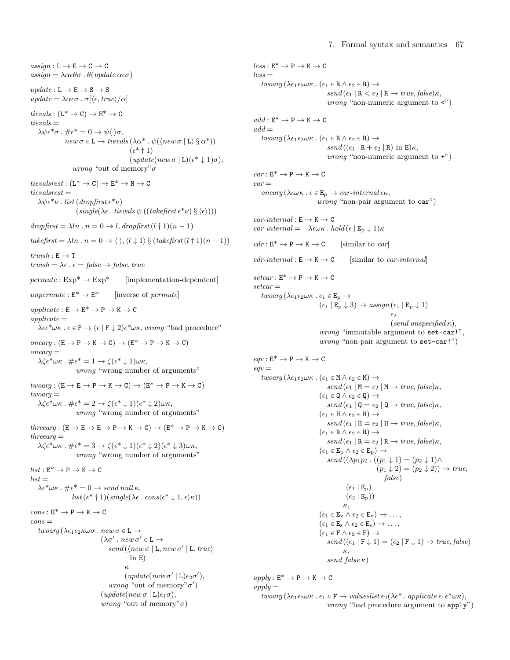$assign: L \rightarrow E \rightarrow C \rightarrow C$  $assign = \lambda \alpha \epsilon \theta \sigma \cdot \theta (update \alpha \epsilon \sigma)$  $update: L \rightarrow E \rightarrow S \rightarrow S$ update  $=\lambda \alpha \epsilon \sigma \cdot \sigma[\langle \epsilon, true \rangle / \alpha]$  $tievals : (L^* \rightarrow C) \rightarrow E^* \rightarrow C$  $t$ ievals  $=$  $\lambda \psi \epsilon^* \sigma$ .  $\#\epsilon^* = 0 \rightarrow \psi \langle \ \rangle \sigma$ ,  $new \sigma \in \mathcal{L} \rightarrow \text{tievals} (\lambda \alpha^* \cdot \psi(\langle \text{new }\sigma | \mathcal{L} \rangle \S \alpha^*))$  $(\epsilon^*$  † 1)  $(\text{update}(new \sigma | \mathbf{L})(\epsilon^* \downarrow 1)\sigma),$ *wrong* "out of memory" $\sigma$ tievalsrest :  $(L^* \rightarrow C) \rightarrow E^* \rightarrow N \rightarrow C$  $t$ ievalsrest  $=$  $\lambda \psi \epsilon^* \nu$  . list (dropfirst  $\epsilon^* \nu$ )  $(single(\lambda \epsilon \cdot tievals \psi ((takefirst \epsilon^* \nu) \S \langle \epsilon \rangle)))$  $dropfirst = \lambda ln \cdot n = 0 \rightarrow l$ ,  $dropfirst (l + 1)(n - 1)$ takefirst =  $\lambda ln \cdot n = 0 \rightarrow \langle \rangle, \langle l \downarrow 1 \rangle \S (take first (l \dagger 1)(n - 1))$  $truish: E \rightarrow T$ truish =  $\lambda \epsilon \cdot \epsilon = false \rightarrow false, true$  $permute: Exp^* \to Exp^*$  [implementation-dependent]  $unpermute: E^* \to E^*$  [inverse of *permute*]  $applicate : E \rightarrow E^* \rightarrow P \rightarrow K \rightarrow C$  $appliedte =$  $\lambda \epsilon \epsilon^* \omega \kappa$ .  $\epsilon \in \mathbf{F} \to (\epsilon \mid \mathbf{F} \downarrow 2) \epsilon^* \omega \kappa$ , wrong "bad procedure"  $onearg : (E \rightarrow P \rightarrow K \rightarrow C) \rightarrow (E^* \rightarrow P \rightarrow K \rightarrow C)$  $onearq =$  $\lambda \zeta \epsilon^* \omega \kappa$ .  $\#\epsilon^* = 1 \rightarrow \zeta (\epsilon^* \downarrow 1) \omega \kappa$ , wrong "wrong number of arguments"  $twoarg : (E \to E \to P \to K \to C) \to (E^* \to P \to K \to C)$  $two\textit{arg}$  $\lambda \zeta \epsilon^* \omega \kappa$ .  $\#\epsilon^* = 2 \rightarrow \zeta (\epsilon^* \downarrow 1)(\epsilon^* \downarrow 2) \omega \kappa$ , wrong "wrong number of arguments" threearg :  $(E \to E \to E \to P \to K \to C) \to (E^* \to P \to K \to C)$  $threearg =$  $\lambda \zeta \epsilon^* \omega \kappa$ .  $\#\epsilon^* = 3 \rightarrow \zeta (\epsilon^* \downarrow 1)(\epsilon^* \downarrow 2)(\epsilon^* \downarrow 3)\omega \kappa$ , wrong "wrong number of arguments"  $list: E^* \to P \to K \to C$  $list =$  $\lambda \epsilon^* \omega \kappa$ .  $\#\epsilon^* = 0 \rightarrow send \ null \kappa$ ,  $list(\epsilon^* \dagger 1)(single(\lambda \epsilon \cdot cons(\epsilon^* \downarrow 1, \epsilon) \kappa))$  $cons: E^* \to P \to K \to C$  $cons =$  $twoarg(\lambda \epsilon_1 \epsilon_2 \kappa \omega \sigma \cdot new \sigma \in \mathsf{L} \rightarrow$  $(\lambda \sigma' \cdot \textit{new }\sigma' \in \mathsf{L} \rightarrow$  $send(\langle new \sigma | L, new \sigma' | L, true \rangle)$ in E) κ  $(\textit{update}( \textit{new} \ \sigma' \mid L) \epsilon_2 \sigma'),$ *wrong* "out of memory" $\sigma'$ )  $(\textit{update}(new \sigma | \mathbf{L})\epsilon_1\sigma),$ *wrong* "out of memory" $\sigma$ )

 $less: \texttt{E}^* \rightarrow \texttt{P} \rightarrow \texttt{K} \rightarrow \texttt{C}$  $less =$  $twoarg(\lambda \epsilon_1\epsilon_2\omega\kappa \cdot (\epsilon_1 \in \mathbb{R} \wedge \epsilon_2 \in \mathbb{R}) \rightarrow$  $send(\epsilon_1 | R < \epsilon_2 | R \rightarrow true, false) \kappa,$ *wrong* "non-numeric argument to  $\langle$ ")  $add: \mathbb{E}^* \to \mathbb{P} \to \mathbb{K} \to \mathbb{C}$  $add =$ twoarg ( $\lambda \epsilon_1 \epsilon_2 \omega \kappa$  . ( $\epsilon_1 \in \mathbb{R} \wedge \epsilon_2 \in \mathbb{R}$ )  $\rightarrow$  $send((\epsilon_1 | R + \epsilon_2 | R)$  in  $E)\kappa$ , *wrong* "non-numeric argument to  $+$ ")  $car: \mathbb{E}^* \to \mathbb{P} \to \mathbb{K} \to \mathbb{C}$  $car =$ onearg (λεωκ.  $\epsilon \in \mathbf{E}_p \to \text{car-internal } \epsilon \kappa$ , *wrong* "non-pair argument to  $car$ ")  $car\text{-}internal : E \rightarrow K \rightarrow C$ car-internal =  $\lambda \epsilon \omega \kappa$ . hold  $(\epsilon | \mathbf{E}_{p} \downarrow 1) \kappa$  $cdr: E^* \to P \to K \to C$  [similar to car]  $cdr\text{-}internal : E \to K \to C$  [similar to *car-internal*]  $setcar : E^* \to P \to K \to C$  $setcar =$  $twoarg(\lambda \epsilon_1 \epsilon_2 \omega \kappa \cdot \epsilon_1 \in \mathbf{E}_{\mathrm{p}} \rightarrow$  $(\epsilon_1 | E_p \downarrow 3) \rightarrow \text{assign}(\epsilon_1 | E_p \downarrow 1)$  $\epsilon$ <sup>2</sup>  $(send$  unspecified  $\kappa$ ), wrong "immutable argument to set-car!", wrong "non-pair argument to set-car!")  $eqv:\mathtt{E}^*\to\mathtt{P}\to\mathtt{K}\to\mathtt{C}$  $eqv =$  $twoarg(\lambda \epsilon_1\epsilon_2 \omega \kappa \cdot (\epsilon_1 \in M \wedge \epsilon_2 \in M)) \rightarrow$  $send(\epsilon_1 | M = \epsilon_2 | M \rightarrow true, false) \kappa,$  $(\epsilon_1 \in \mathbb{Q} \wedge \epsilon_2 \in \mathbb{Q}) \rightarrow$  $send(\epsilon_1 | \mathbf{Q} = \epsilon_2 | \mathbf{Q} \rightarrow true, false) \kappa,$  $(\epsilon_1 \in \mathcal{H} \wedge \epsilon_2 \in \mathcal{H}) \rightarrow$  $send(\epsilon_1 | H = \epsilon_2 | H \rightarrow true, false)\kappa,$  $\big(\epsilon_1 \in \mathtt{R} \land \epsilon_2 \in \mathtt{R}\big) \rightarrow$  $send(\epsilon_1 | R = \epsilon_2 | R \rightarrow true, false) \kappa,$  $(\epsilon_1 \in \mathbb{E}_{\mathrm{D}} \wedge \epsilon_2 \in \mathbb{E}_{\mathrm{D}}) \rightarrow$  $send((\lambda p_1p_2, ((p_1\downarrow 1) = (p_2\downarrow 1)\wedge$  $(p_1 \downarrow 2) = (p_2 \downarrow 2) \rightarrow true,$ false)  $(\epsilon_1 | E_{\rm p})$  $(\epsilon_2 | E_{\rm p})$ κ,  $(\epsilon_1 \in \mathbb{E}_{\mathrm{v}} \wedge \epsilon_2 \in \mathbb{E}_{\mathrm{v}}) \rightarrow \ldots,$  $(\epsilon_1 \in \mathbb{E}_s \land \epsilon_2 \in \mathbb{E}_s) \rightarrow \dots,$  $(\epsilon_1 \in \mathbf{F} \land \epsilon_2 \in \mathbf{F}) \rightarrow$  $send((\epsilon_1 | F \downarrow 1) = (\epsilon_2 | F \downarrow 1) \rightarrow true, false)$ κ,

$$
send~false~\kappa)
$$

 $apply: E^* \to P \to K \to C$  $apply =$ 

twoarg  $(\lambda \epsilon_1 \epsilon_2 \omega \kappa \cdot \epsilon_1 \in \mathbf{F} \to \text{valueslist } \epsilon_2 (\lambda \epsilon^* \cdot \text{applicate } \epsilon_1 \epsilon^* \omega \kappa)),$ wrong "bad procedure argument to apply")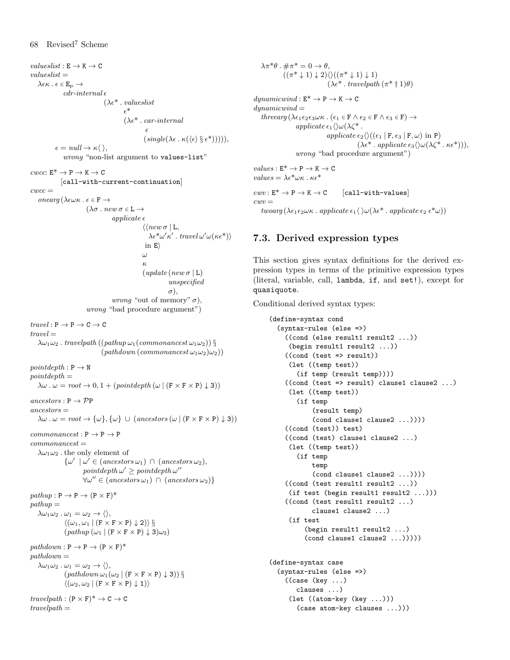$valueslist : E \rightarrow K \rightarrow C$  $valueslist =$  $\lambda \epsilon \kappa$ .  $\epsilon \in \mathbf{E}_{\mathbf{p}} \to$  $cdr\text{-}internal \epsilon$  $(\lambda \epsilon^* \cdot valueslist$  $\epsilon^*$  $(\lambda \epsilon^* \cdot \textit{car-internal})$  $\epsilon$  $(single(\lambda \epsilon \cdot \kappa(\langle \epsilon \rangle \S \epsilon^*))))$ ,  $\epsilon = null \rightarrow \kappa \langle \ \rangle,$ wrong "non-list argument to values-list"  $cwcc: E^* \to P \to K \to C$ [call-with-current-continuation]  $cwcc =$ onearg ( $\lambda \epsilon \omega \kappa$ .  $\epsilon \in \mathbf{F} \rightarrow$  $(\lambda \sigma \cdot new \sigma \in \mathsf{L} \rightarrow$  $appliedte \epsilon$  $\langle \langle new\,\sigma | \,L, \rangle$  $\lambda \epsilon^* \omega' \kappa'$ . travel  $\omega' \omega(\kappa \epsilon^*)$ in  $E\rangle$  $\omega$ κ  $(update(new \sigma | L)$ unspecified σ), *wrong* "out of memory"  $\sigma$ ), wrong "bad procedure argument")  $travel : P \rightarrow P \rightarrow C \rightarrow C$  $travel =$  $\lambda \omega_1 \omega_2$  . travelpath  $((pathup \omega_1 (commonancest \omega_1 \omega_2)) \S$  $(pathdown (commonancest \omega_1 \omega_2) \omega_2))$  $pointdepth : P \rightarrow N$  $point depth =$  $\lambda \omega \cdot \omega = root \rightarrow 0, 1 + (point depth (\omega \mid (F \times F \times P) \downarrow 3))$  $ancestors : P \rightarrow PP$  $ancestors =$  $\lambda \omega \cdot \omega = root \rightarrow {\{\omega\}, {\{\omega\}} \cup (ancestors (\omega | (F \times F \times P) \downarrow 3))}$  $commonancest : P \rightarrow P \rightarrow P$  $commonancest =$  $\lambda \omega_1 \omega_2$  the only element of  $\{\omega' \mid \omega' \in (ancestors \omega_1) \cap (ancestors \omega_2),\}$  $point depth \omega' \ge point depth \omega''$  $\forall \omega'' \in (ancestors \ \omega_1) \ \cap \ (ancestors \ \omega_2) \}$  $pathup: P \rightarrow P \rightarrow (P \times F)^*$  $pathup =$  $\lambda \omega_1 \omega_2 \cdot \omega_1 = \omega_2 \rightarrow \langle \rangle,$  $\langle (\omega_1, \omega_1 | (F \times F \times P) \downarrow 2) \rangle \S$  $(pathup (\omega_1 | (F \times F \times P) \downarrow 3)\omega_2)$  $pathdown: P \rightarrow P \rightarrow (P \times F)^*$  $path down =$  $\lambda \omega_1 \omega_2 \cdot \omega_1 = \omega_2 \rightarrow \langle \rangle$ ,  $(pathdown \omega_1(\omega_2 \mid (F \times F \times P) \downarrow 3))$ §  $\langle (\omega_2, \omega_2 \mid (F \times F \times P) \downarrow 1) \rangle$  $travelpath : (P \times F)^* \rightarrow C \rightarrow C$  $travel path =$ 

 $\lambda \pi^* \theta$ .  $\#\pi^* = 0 \rightarrow \theta$ ,  $((\pi^* \downarrow 1) \downarrow 2) \langle ((\pi^* \downarrow 1) \downarrow 1)$  $(\lambda \epsilon^* \cdot \text{travelpath } (\pi^* \dagger 1)\theta)$  $dynamicwind : E^* \rightarrow P \rightarrow K \rightarrow C$  $dynamicwind =$ threearg ( $\lambda \epsilon_1 \epsilon_2 \epsilon_3 \omega \kappa$ . ( $\epsilon_1 \in \mathbf{F} \wedge \epsilon_2 \in \mathbf{F} \wedge \epsilon_3 \in \mathbf{F}$ )  $\rightarrow$ applicate  $\epsilon_1 \langle \rangle \omega(\lambda \zeta^*$ . applicate  $\epsilon_2 \langle \rangle ((\epsilon_1 | F, \epsilon_3 | F, \omega)$  in P)  $(\lambda \epsilon^* \cdot \text{applicate } \epsilon_3 \langle \rangle \omega(\lambda \zeta^* \cdot \kappa \epsilon^*))$ ), wrong "bad procedure argument")  $values: \mathsf{E}^* \to \mathsf{P} \to \mathsf{K} \to \mathsf{C}$  $values = \lambda \epsilon^* \omega \kappa \cdot \kappa \epsilon^*$ 

 $c w v : E^* \to P \to K \to C$  [call-with-values]  $cww =$ twoarg  $(\lambda \epsilon_1 \epsilon_2 \omega \kappa \cdot \text{applicate } \epsilon_1 \langle \rangle \omega(\lambda \epsilon^* \cdot \text{applicate } \epsilon_2 \epsilon^* \omega))$ 

# 7.3. Derived expression types

This section gives syntax definitions for the derived expression types in terms of the primitive expression types (literal, variable, call, lambda, if, and set!), except for quasiquote.

Conditional derived syntax types:

```
(define-syntax cond
  (syntax-rules (else =>)
    ((cond (else result1 result2 ...))
     (begin result1 result2 ...))
    ((cond (test => result))(let ((temp test))
       (if temp (result temp))))
    ((\text{cond }(\text{test} \Rightarrow \text{result}) \text{ clause1 clause2} \dots))(let ((temp test))
       (if temp
            (result temp)
            (cond clause1 clause2 ...))))
    ((cond (test)) test)
    ((cond (test) clause1 clause2 ...)
     (let ((temp test))
       (if temp
           temp
            (cond clause1 clause2 ...))))
    ((cond (test result1 result2 ...))
     (if test (begin result1 result2 ...)))
    ((cond (test result1 result2 ...)
           clause1 clause2 ...)
     (if test
         (begin result1 result2 ...)
         (cond clause1 clause2 ...)))))
(define-syntax case
  (syntax-rules (else =>)
    ((case (key ...)
       clauses ...)
     (let ((atom-key (key ...)))
       (case atom-key clauses ...)))
```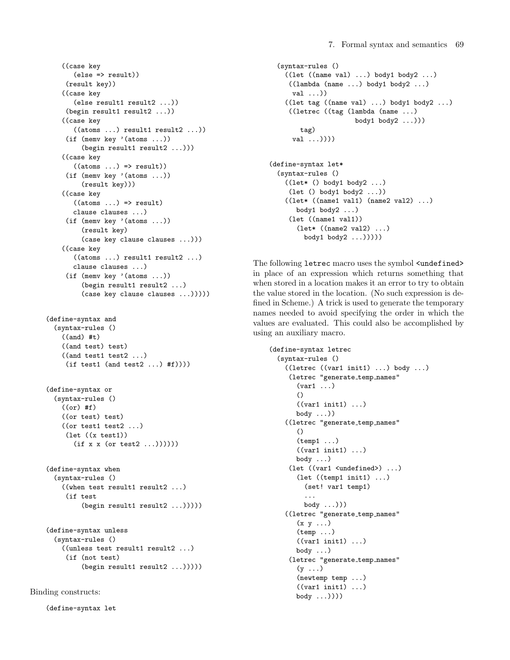```
((case key
       (\text{else} \Rightarrow \text{result}))(result key))
    ((case key
       (else result1 result2 ...))
     (begin result1 result2 ...))
    ((case key
       ((atoms \dots) result1 result2 \dots))(if (memv key '(atoms ...))
         (begin result1 result2 ...)))
    ((case key
       ((atoms \dots) \Rightarrow result))(if (memv key '(atoms ...))
         (result key)))
    ((case key
       ((atoms ...) \Rightarrow result)clause clauses ...)
     (if (memv key '(atoms ...))
         (result key)
         (case key clause clauses ...)))
    ((case key
       ((atoms ...) result1 result2 ...)clause clauses ...)
     (if (memv key '(atoms ...))
         (begin result1 result2 ...)
         (case key clause clauses ...)))))
(define-syntax and
  (syntax-rules ()
    ((and)#t)
    ((and test) test)
    ((and test1 test2 ...)
     (if test1 (and test2 ...) #f))))(define-syntax or
  (syntax-rules ()
    ((or)#f)
    ((or test) test)
    ((or test1 test2 ...)
     (let ((x test1))
       (if x x (or test2 ...))))(define-syntax when
  (syntax-rules ()
    ((when test result1 result2 ...)
     (if test
         (begin result1 result2 ...)))))
(define-syntax unless
  (syntax-rules ()
    ((unless test result1 result2 ...)
     (if (not test)
         (begin result1 result2 ...)))))
```

```
Binding constructs:
```
(define-syntax let

```
(syntax-rules ()
    ((let ((name val) ...) body1 body2 ...))((lambda (name ...) body1 body2 ...)
      val ...))
    ((let tag ((name val) ...) body1 body2 ...)
     ((letrec ((tag (lambda (name ...)
                      body1 body2 ...)))
        tag)
     val ...))))
(define-syntax let*
  (syntax-rules ()
    ((let * () body1 body2 ...))(let () body1 body2 ...))
    ((let * ((name1 val1) (name2 val2) ...))body1 body2 ...)
     (let ((name1 val1))
       (let* ((name2 val2) ...)
         body1 body2 ...)))))
```
The following letrec macro uses the symbol  $\alpha$  and  $\alpha$ in place of an expression which returns something that when stored in a location makes it an error to try to obtain the value stored in the location. (No such expression is defined in Scheme.) A trick is used to generate the temporary names needed to avoid specifying the order in which the values are evaluated. This could also be accomplished by using an auxiliary macro.

```
(define-syntax letrec
  (syntax-rules ()
    ((letrec ((var1 init1) ...) body ...)
     (letrec "generate_temp_names"
       (var1 ...)()
       ((var1 init1) ...)body ...))
    ((letrec "generate_temp_names"
       ()
       (temp1 ...)
       ((var1 init1) ...)
       body ...)
     (let ((var1 <undefined>) ...)
       (let ((temp1 init1) ...)
         (set! var1 temp1)
         ...
         body ...)))
    ((letrec "generate_temp_names"
       (x, y, \ldots)(temp ...)
       ((var1 init1) ...)
       body ...)
     (letrec "generate_temp_names"
       (y \ldots)(newtemp temp ...)
       ((var1 init1) ...)
```
body ...))))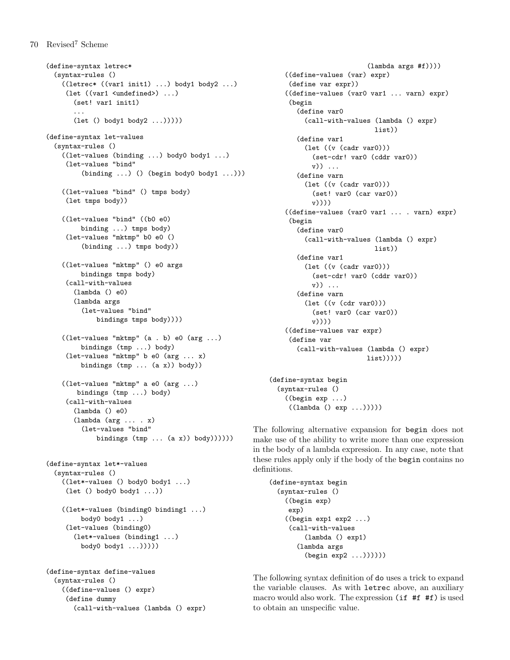```
(define-syntax letrec*
  (syntax-rules ()
    ((\text{letter}(\text{var1 init1}) \dots) body1 body2 ...)
     (let ((var1 <undefined>) ...)
       (set! var1 init1)
       ...
       (let () body1 body2 ...)))))
(define-syntax let-values
  (syntax-rules ()
    ((let-values (binding ...) body0 body1 ...)
     (let-values "bind"
         (binding ...) () (begin body0 body1 ...)))
    ((let-values "bind" () tmps body)
     (let tmps body))
    ((let-values "bind" ((b0 e0)
         binding ...) tmps body)
     (let-values "mktmp" b0 e0 ()
         (binding ...) tmps body))
    ((let-values "mktmp" () e0 args
         bindings tmps body)
     (call-with-values
       (lambda () e0)
       (lambda args
         (let-values "bind"
             bindings tmps body))))
    ((let-values "mktmp" (a . b) e0 (arg ...)
         bindings (tmp ...) body)
     (let-values "mktmp" b e0 (arg ... x)
         bindings (tmp ... (a x)) body))
    ((let-values "mktmp" a e0 (arg ...)
        bindings (tmp ...) body)
     (call-with-values
       (lambda () e0)
       (lambda (arg ... . x)
         (let-values "bind"
             bindings (tmp ... (a x)) body))))))
(define-syntax let*-values
  (syntax-rules ()
    ((let*-values () body0 body1 ...)
     (let () body0 body1 ...))
    ((let*-values (binding0 binding1 ...)
         body0 body1 ...)
     (let-values (binding0)
       (let*-values (binding1 ...)
         body0 body1 ...)))))
(define-syntax define-values
  (syntax-rules ()
    ((define-values () expr)
```
(define dummy

(call-with-values (lambda () expr)

```
(lambda args #f))))
((define-values (var) expr)
 (define var expr))
((define-values (var0 var1 ... varn) expr)
 (begin
   (define var0
     (call-with-values (lambda () expr)
                       list))
   (define var1
     (let ((v (cadr var0)))
       (set-cdr! var0 (cddr var0))
       v)) ...
   (define varn
     (let ((v (cadr var0)))
       (set! var0 (car var0))
       v))))
((define-values (var0 var1 ... . varn) expr)
 (begin
   (define var0
     (call-with-values (lambda () expr)
                       list))
   (define var1
     (let ((v (cadr var0)))
       (set-cdr! var0 (cddr var0))
       v)) ...
   (define varn
     (let ((v (cdr var0)))
       (set! var0 (car var0))
       v))))
((define-values var expr)
 (define var
   (call-with-values (lambda () expr)
                     list)))))
```

```
(define-syntax begin
  (syntax-rules ()
    ((begin exp ...)
     ((lambda () exp ...)))))
```
The following alternative expansion for begin does not make use of the ability to write more than one expression in the body of a lambda expression. In any case, note that these rules apply only if the body of the begin contains no definitions.

```
(define-syntax begin
 (syntax-rules ()
    ((begin exp)
     exp)
    ((begin exp1 exp2 ...)
    (call-with-values
         (lambda () exp1)
       (lambda args
         (begin exp2 ...))))))
```
The following syntax definition of do uses a trick to expand the variable clauses. As with letrec above, an auxiliary macro would also work. The expression (if #f #f) is used to obtain an unspecific value.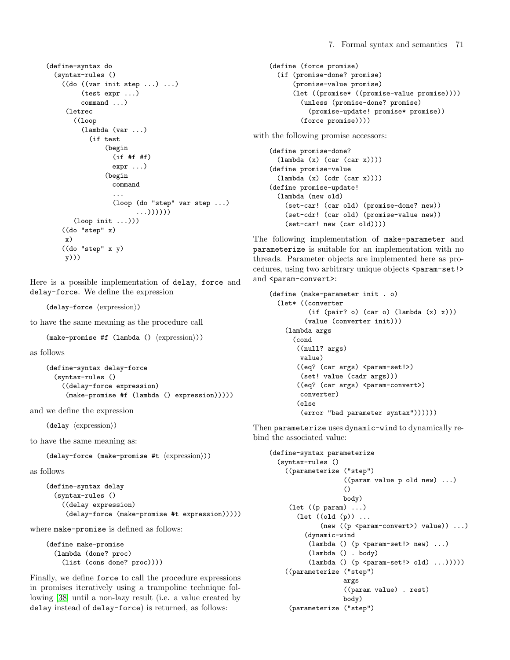```
(define-syntax do
  (syntax-rules ()
    ((do ((var init step ... ) ... )(test expr ...)
         command ...)
     (letrec
       ((loop
         (lambda (var ...)
           (if test
               (begin
                 (if #f #f)
                 expr ...)
               (begin
                 command
                 ...
                 (loop (do "step" var step ...)
                        ...))))))
       (loop init ...)))
    ((do "step" x)
    x)
    ((do "step" x y)
    y)))
```
Here is a possible implementation of delay, force and delay-force. We define the expression

```
(delay-force \langle expression \rangle)
```
to have the same meaning as the procedure call

 $(make-promise #f (lambda () \langle expression \rangle))$ 

as follows

```
(define-syntax delay-force
  (syntax-rules ()
    ((delay-force expression)
     (make-promise #f (lambda () expression)))))
```
and we define the expression

 $(delay \langle expression \rangle)$ 

to have the same meaning as:

 $(delay-force (make-promics #t (expression)))$ 

as follows

```
(define-syntax delay
  (syntax-rules ()
    ((delay expression)
     (delay-force (make-promise #t expression)))))
```
where make-promise is defined as follows:

```
(define make-promise
  (lambda (done? proc)
    (list (cons done? proc))))
```
Finally, we define force to call the procedure expressions in promises iteratively using a trampoline technique following [\[38\]](#page-82-3) until a non-lazy result (i.e. a value created by delay instead of delay-force) is returned, as follows:

```
(define (force promise)
 (if (promise-done? promise)
      (promise-value promise)
      (let ((promise* ((promise-value promise))))
        (unless (promise-done? promise)
          (promise-update! promise* promise))
        (force promise))))
```
with the following promise accessors:

```
(define promise-done?
 (lambda (x) (car (car x))))(define promise-value
 (lambda (x) (cdr (car x))))(define promise-update!
 (lambda (new old)
    (set-car! (car old) (promise-done? new))
   (set-cdr! (car old) (promise-value new))
   (set-car! new (car old))))
```
The following implementation of make-parameter and parameterize is suitable for an implementation with no threads. Parameter objects are implemented here as procedures, using two arbitrary unique objects <param-set!> and <param-convert>:

```
(define (make-parameter init . o)
 (let* ((converter
          (if (pair? o) (car o) (lambda (x) x)))
         (value (converter init)))
   (lambda args
      (cond
       ((null? args)
       value)
       ((eq? (car args) <param-set!>)
        (set! value (cadr args)))
       ((eq? (car args) <param-convert>)
       converter)
       (else
        (error "bad parameter syntax"))))))
```
Then parameterize uses dynamic-wind to dynamically rebind the associated value:

```
(define-syntax parameterize
 (syntax-rules ()
    ((parameterize ("step")
                   ((param value p old new) ...)
                   \left()
                   body)
     (let ((p param) ...)
       (let ((old (p)) ...
             (new ((p <param-convert>) value)) ...)
         (dynamic-wind
          (lambda () (p <param-set!> new) ...)
          (lambda () . body)
          (lambda () (p <param-set!> old) ...)))))
   ((parameterize ("step")
                   args
                   ((param value) . rest)
                   body)
     (parameterize ("step")
```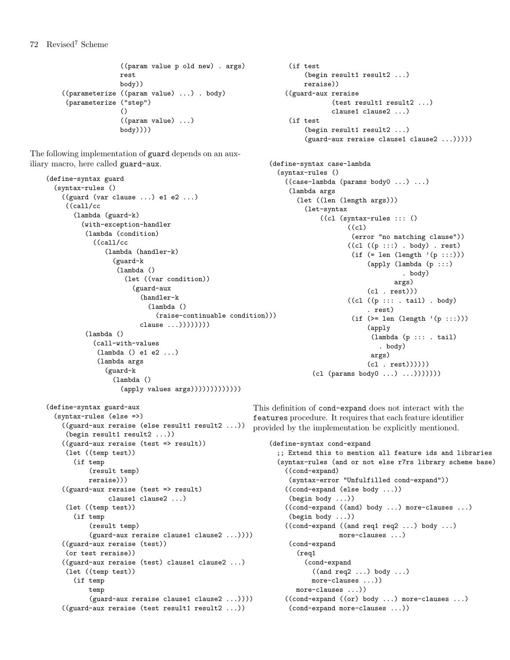```
((param value p old new) . args)
               rest
               body))
((parameterize ((param value) ...) . body)
 (parameterize ("step")
               ()
               ((param value) ...)
               body))))
```
The following implementation of guard depends on an auxiliary macro, here called guard-aux.

```
(define-syntax guard
  (syntax-rules ()
    ((guard (var clause ...) e1 e2 ...)
     ((call/cc
       (lambda (guard-k)
         (with-exception-handler
          (lambda (condition)
            ((cal](lambda (handler-k)
                 (guard-k
                  (lambda ()
                    (let ((var condition))
                       (guard-aux
                         (handler-k
                           (lambda ()
                             (raise-continuable condition)))
                        clause ...))))))))
          (lambda ()
            (call-with-values
             (lambda () e1 e2 ...)
             (lambda args
               (guard-k
                 (lambda ()
                   (\text{apply values args}))))))))))))(define-syntax guard-aux
  (syntax-rules (else =>)
    ((guard-aux reraise (else result1 result2 ...))
     (begin result1 result2 ...))
    ((guard-aux reraise (test => result))
     (let ((temp test))
       (if temp
           (result temp)
           reraise)))
    ((guard-aux reraise (test => result)
                clause1 clause2 ...)
```
(guard-aux reraise clause1 clause2 ...))))

(guard-aux reraise clause1 clause2 ...))))

((guard-aux reraise (test) clause1 clause2 ...)

((guard-aux reraise (test result1 result2 ...))

(let ((temp test)) (if temp

(let ((temp test)) (if temp temp

(result temp)

((guard-aux reraise (test)) (or test reraise))

```
(if test
        (begin result1 result2 ...)
        (guard-aux reraise clause1 clause2 ...)))))
(define-syntax case-lambda
 (syntax-rules ()
   ((case-lambda (params body0 ...) ...)
    (lambda args
       (let ((len (length args)))
        (let-syntax
             ((cl (syntax-rules ::: ()
                    ((c1)(error "no matching clause"))
                    ((c1 ((p :::): oody) . rest)(if (= len (length '(p :::)))(apply (lambda (p :::)
                                  . body)
                                args)
                         (cl . rest)))
```
 $((c1 ((p ::: . tail) . body))$ 

(if  $(>=$  len  $(length ' (p :::)))$ 

(lambda (p ::: . tail)

. rest)

(apply

 $(cl (params body0 ... ) ...))))))$ 

. body) args)

 $(cl . rest))))))$ 

(test result1 result2 ...) clause1 clause2 ...)

(begin result1 result2 ...)

(if test

reraise)) ((guard-aux reraise

This definition of cond-expand does not interact with the features procedure. It requires that each feature identifier provided by the implementation be explicitly mentioned.

```
(define-syntax cond-expand
 ;; Extend this to mention all feature ids and libraries
 (syntax-rules (and or not else r7rs library scheme base)
   ((cond-expand)
    (syntax-error "Unfulfilled cond-expand"))
   ((cond-expand (else body ...))
    (begin body ...))
    ((cond-expand ((and) body ...) more-clauses ...)
    (begin body ...))
   ((cond-expand ((and req1 req2 ...) body ...)
                 more-clauses ...)
    (cond-expand
      (req1
        (cond-expand
           ((and req2 ...) body ...)
          more-clauses ...))
      more-clauses ...))
   ((cond-expand ((or) body ...) more-clauses ...)
    (cond-expand more-clauses ...))
```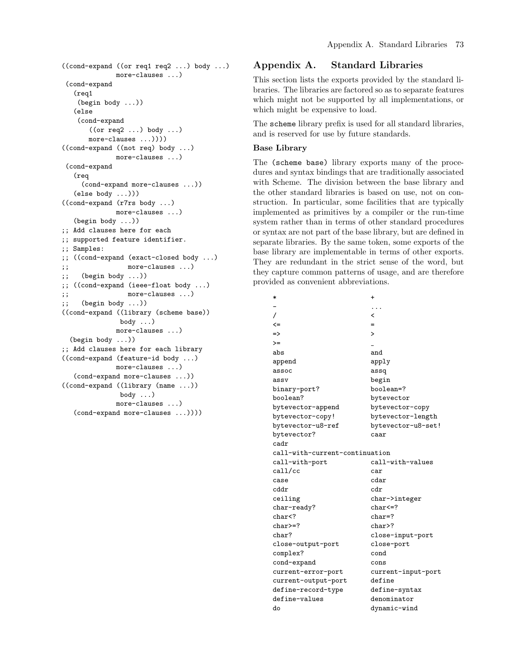```
((cond-expand ((or req1 req2 ...) body ...)
              more-clauses ...)
 (cond-expand
   (req1
    (begin body ...))
   (else
    (cond-expand
       ((or \text{req2} \dots) \text{ body} \dots)more-clauses ...))))
((cond-expand ((not req) body ...)
             more-clauses ...)
 (cond-expand
   (req
     (cond-expand more-clauses ...))
   (else body ...)))
((cond-expand (r7rs body ...)
             more-clauses ...)
   (begin body ...))
;; Add clauses here for each
;; supported feature identifier.
;; Samples:
;; ((cond-expand (exact-closed body ...)
;; more-clauses ...)
;; (begin body ...))
;; ((cond-expand (ieee-float body ...)
;; more-clauses ...)
;; (begin body ...))
((cond-expand ((library (scheme base))
               body ...)
             more-clauses ...)
  (begin body ...))
;; Add clauses here for each library
((cond-expand (feature-id body ...)
             more-clauses ...)
   (cond-expand more-clauses ...))
((cond-expand ((library (name ...))
              body ...)
              more-clauses ...)
   (cond-expand more-clauses ...))))
```
## Appendix A. Standard Libraries

This section lists the exports provided by the standard libraries. The libraries are factored so as to separate features which might not be supported by all implementations, or which might be expensive to load.

The scheme library prefix is used for all standard libraries, and is reserved for use by future standards.

#### Base Library

The (scheme base) library exports many of the procedures and syntax bindings that are traditionally associated with Scheme. The division between the base library and the other standard libraries is based on use, not on construction. In particular, some facilities that are typically implemented as primitives by a compiler or the run-time system rather than in terms of other standard procedures or syntax are not part of the base library, but are defined in separate libraries. By the same token, some exports of the base library are implementable in terms of other exports. They are redundant in the strict sense of the word, but they capture common patterns of usage, and are therefore provided as convenient abbreviations.

| *                              | $\pmb{+}$          |
|--------------------------------|--------------------|
|                                | $\cdots$           |
| 7                              | K                  |
| $\leq$                         |                    |
| $\Rightarrow$                  | $\mathbf{r}$       |
| $>=$                           |                    |
| abs                            | and                |
| append                         | apply              |
| assoc                          | assq               |
| assv                           | begin              |
| binary-port?                   | boolean=?          |
| boolean?                       | bytevector         |
| bytevector-append              | bytevector-copy    |
| bytevector-copy!               | bytevector-length  |
| bytevector-u8-ref              | bytevector-u8-set! |
| bytevector?                    | caar               |
| cadr                           |                    |
| call-with-current-continuation |                    |
| call-with-port                 | call-with-values   |
| call/cc                        | car                |
| case                           | cdar               |
| cddr                           | cdr                |
| ceiling                        | char->integer      |
| char-ready?                    | char<=?            |
| char </td <td>char=?</td>      | char=?             |
| char>=?                        | char>?             |
| char?                          | close-input-port   |
| close-output-port              | close-port         |
| complex?                       | cond               |
| cond-expand                    | cons               |
| current-error-port             | current-input-port |
| current-output-port            | define             |
| define-record-type             | define-syntax      |
| define-values                  | denominator        |
| do                             | dynamic-wind       |
|                                |                    |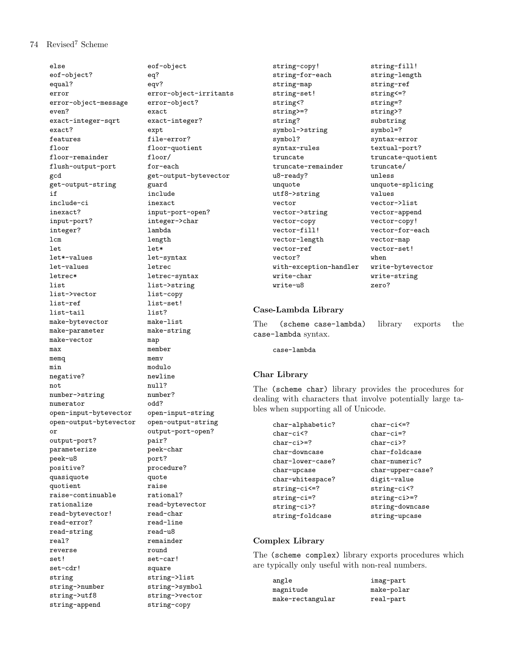### 74 Revised<sup>7</sup> Scheme

else eof-object eof-object? eq? equal? eqv? error error-object-irritants error-object-message error-object? even? exact exact-integer-sqrt exact-integer? exact? expt features file-error? floor floor-quotient floor-remainder floor/ flush-output-port for-each gcd get-output-bytevector get-output-string guard if include include-ci inexact inexact? input-port-open? input-port? integer->char integer? lambda lcm length let let\* let\*-values let-syntax let-values letrec letrec\* letrec-syntax list list->string list->vector list-copy list-ref list-set! list-tail list? make-bytevector make-list make-parameter make-string make-vector map max member memq memv min modulo negative? newline not null? number->string number? numerator odd? open-input-bytevector open-input-string open-output-bytevector open-output-string or output-port-open? output-port? pair? parameterize peek-char peek-u8 port? positive? procedure? quasiquote quote quotient raise raise-continuable rational? rationalize read-bytevector<br>read-bytevector! read-char read-bytevector! read-error? read-line read-string read-u8 real? remainder reverse round set! set-car! set-cdr! square string string->list string->number string->symbol string->utf8 string->vector string-append string-copy

string-copy! string-fill! string-for-each string-length string-map string-ref string-set! string<=? string<? string=? string>=? string>? string? substring symbol->string symbol=? symbol? syntax-error syntax-rules textual-port? truncate truncate-quotient truncate-remainder truncate/ u8-ready? unless unquote unquote-splicing utf8->string values vector vector->list vector->string vector-append vector-copy vector-copy! vector-fill! vector-for-each vector-length vector-map vector-ref vector-set! vector? when with-exception-handler write-bytevector write-char write-string write-u8 zero?

### Case-Lambda Library

The (scheme case-lambda) library exports the case-lambda syntax.

case-lambda

# Char Library

The (scheme char) library provides the procedures for dealing with characters that involve potentially large tables when supporting all of Unicode.

| char-alphabetic?   | $char-ci \leq 7$    |
|--------------------|---------------------|
| $char-ci$          | $char-ci=?$         |
| $char-ci>=?$       | $char-ci$ ?         |
| char-downcase      | char-foldcase       |
| $char-lower-case?$ | $char$ $-numeri c?$ |
| char-upcase        | char-upper-case?    |
| char-whitespace?   | digit-value         |
| string-ci<=?       | string-ci </td      |
| string-ci=?        | string-ci>=?        |
| string-ci>?        | string-downcase     |
| string-foldcase    | string-upcase       |
|                    |                     |

# Complex Library

The (scheme complex) library exports procedures which are typically only useful with non-real numbers.

| angle            | imag-part  |
|------------------|------------|
| magnitude        | make-polar |
| make-rectangular | real-part  |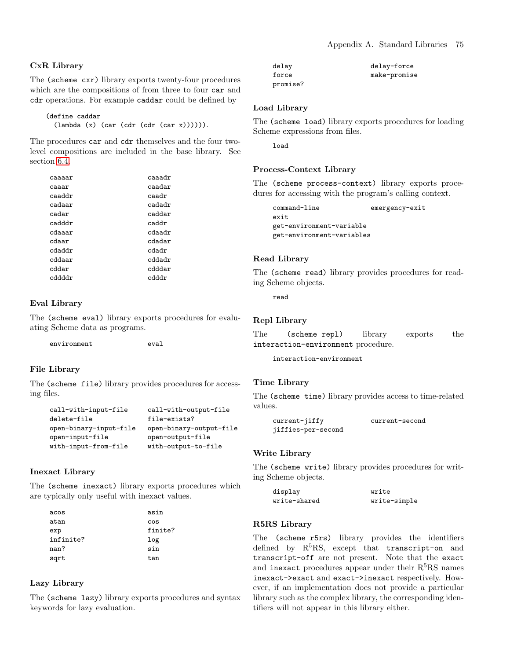#### CxR Library

The (scheme cxr) library exports twenty-four procedures which are the compositions of from three to four car and cdr operations. For example caddar could be defined by

(define caddar  $(\text{lambda } (x) (\text{car } (\text{cdr } (\text{car } x))))) ).$ 

The procedures car and cdr themselves and the four twolevel compositions are included in the base library. See section [6.4.](#page-39-0)

| caaaar | caaadr |
|--------|--------|
| caaar  | caadar |
| caaddr | caadr  |
| cadaar | cadadr |
| cadar  | caddar |
| cadddr | caddr  |
| cdaaar | cdaadr |
| cdaar  | cdadar |
| cdaddr | cdadr  |
| cddaar | cddadr |
| cddar  | cdddar |
| cddddr | cdddr  |

#### Eval Library

The (scheme eval) library exports procedures for evaluating Scheme data as programs.

environment eval

#### File Library

The (scheme file) library provides procedures for accessing files.

| call-with-input-file   | call-with-output-file   |
|------------------------|-------------------------|
| delete-file            | file-exists?            |
| open-binary-input-file | open-binary-output-file |
| open-input-file        | open-output-file        |
| with-input-from-file   | with-output-to-file     |

### Inexact Library

The (scheme inexact) library exports procedures which are typically only useful with inexact values.

| acos      | asin    |
|-----------|---------|
| atan      | cos     |
| exp       | finite? |
| infinite? | log     |
| nan?      | sin     |
| sqrt      | tan     |

#### Lazy Library

The (scheme lazy) library exports procedures and syntax keywords for lazy evaluation.

| delay    | delay-force  |
|----------|--------------|
| force    | make-promise |
| promise? |              |

#### Load Library

The (scheme load) library exports procedures for loading Scheme expressions from files.

load

#### Process-Context Library

The (scheme process-context) library exports procedures for accessing with the program's calling context.

```
command-line emergency-exit
exit
get-environment-variable
get-environment-variables
```
#### Read Library

The (scheme read) library provides procedures for reading Scheme objects.

read

#### Repl Library

The (scheme repl) library exports the interaction-environment procedure.

interaction-environment

#### Time Library

The (scheme time) library provides access to time-related values.

current-jiffy current-second jiffies-per-second

#### Write Library

The (scheme write) library provides procedures for writing Scheme objects.

| display      | write        |
|--------------|--------------|
| write-shared | write-simple |

#### R5RS Library

The (scheme r5rs) library provides the identifiers defined by  $R^5RS$ , except that transcript-on and transcript-off are not present. Note that the exact and inexact procedures appear under their  $R<sup>5</sup>RS$  names inexact->exact and exact->inexact respectively. However, if an implementation does not provide a particular library such as the complex library, the corresponding identifiers will not appear in this library either.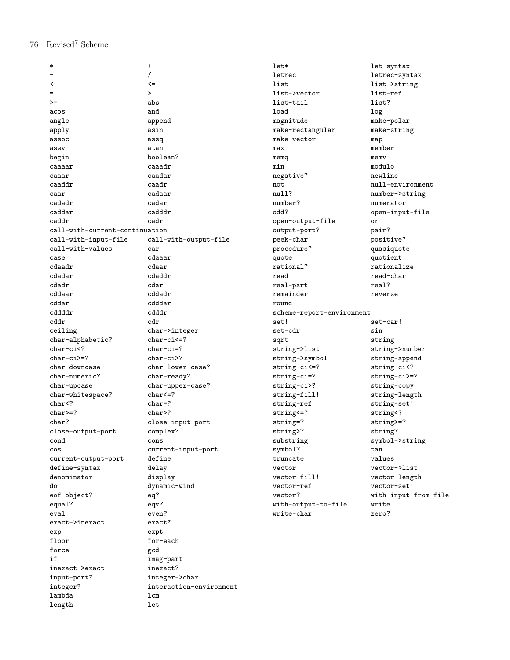$\star$  +  $-$  / < <= = >  $>=$  abs acos and angle append apply asin assoc assq assv atan begin boolean? caaaar caaadr caaar caadar caaddr caadr caar cadaar cadadr cadar caddar cadddr caddr cadr call-with-current-continuation call-with-input-file call-with-output-file call-with-values car case cdaaar cdaadr cdaar cdadar cdaddr cdadr cddaar cddadr cddar cdddar cddddr cdddr cddr cdr ceiling char->integer char-alphabetic? char-ci<=? char-ci<? char-ci=? char-ci>=? char-ci>? char-downcase char-lower-case? char-numeric? char-ready? char-upcase char-upper-case? char-whitespace? char<=? char<? char=? char>=? char>? char? close-input-port close-output-port complex? cond cons cos current-input-port current-output-port define-syntax delay denominator display do dynamic-wind eof-object? eq? equal? eqv? eval even? exact->inexact exact? exp expt floor for-each force gcd if imag-part inexact->exact inexact? input-port? integer->char integer? interaction-environment lambda lcm length let

let\* let-syntax letrec letrec-syntax list list->string list->vector list-ref list-tail list? load log magnitude make-polar make-rectangular make-string make-vector map max member memq memv min modulo negative? newline not null-environment null? number->string number? numerator odd? open-input-file open-output-file or output-port? pair? peek-char positive? procedure? quasiquote quote quotient rational? rationalize read read-char real-part real? remainder reverse round scheme-report-environment set! set-car! set-cdr! sin sqrt string string->list string->number string->symbol string-append string-ci<=? string-ci<? string-ci=? string-ci>=? string-ci>? string-copy string-fill! string-length string-ref string-set! string<=? string<? string=? string>=? string? string? substring symbol->string symbol? tan truncate values vector vector->list vector-fill! vector-length vector-ref vector-set! vector? with-input-from-file with-output-to-file write write-char zero?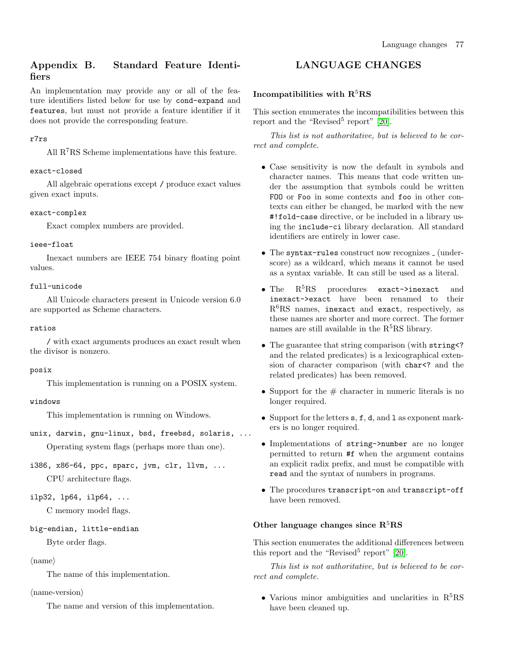# Appendix B. Standard Feature Identifiers

An implementation may provide any or all of the feature identifiers listed below for use by cond-expand and features, but must not provide a feature identifier if it does not provide the corresponding feature.

### r7rs

All R7RS Scheme implementations have this feature.

### exact-closed

All algebraic operations except / produce exact values given exact inputs.

### exact-complex

Exact complex numbers are provided.

### ieee-float

Inexact numbers are IEEE 754 binary floating point values.

## full-unicode

All Unicode characters present in Unicode version 6.0 are supported as Scheme characters.

### ratios

/ with exact arguments produces an exact result when the divisor is nonzero.

### posix

This implementation is running on a POSIX system.

### windows

This implementation is running on Windows.

- unix, darwin, gnu-linux, bsd, freebsd, solaris, ... Operating system flags (perhaps more than one).
- i386, x86-64, ppc, sparc, jvm, clr, llvm, ... CPU architecture flags.
- ilp32, lp64, ilp64, ...

C memory model flags.

### big-endian, little-endian

Byte order flags.

### $\langle$ name $\rangle$

The name of this implementation.

### $\langle$ name-version $\rangle$

The name and version of this implementation.

# LANGUAGE CHANGES

# Incompatibilities with  $R<sup>5</sup>RS$

This section enumerates the incompatibilities between this report and the "Revised<sup>5</sup> report" [\[20\]](#page-81-0).

This list is not authoritative, but is believed to be correct and complete.

- Case sensitivity is now the default in symbols and character names. This means that code written under the assumption that symbols could be written FOO or Foo in some contexts and foo in other contexts can either be changed, be marked with the new #!fold-case directive, or be included in a library using the include-ci library declaration. All standard identifiers are entirely in lower case.
- The syntax-rules construct now recognizes  $\lrcorner$  (underscore) as a wildcard, which means it cannot be used as a syntax variable. It can still be used as a literal.
- The  $R^5RS$  procedures exact->inexact and inexact->exact have been renamed to their  $R<sup>6</sup>RS$  names, inexact and exact, respectively, as these names are shorter and more correct. The former names are still available in the  $R<sup>5</sup>RS$  library.
- The guarantee that string comparison (with string<? and the related predicates) is a lexicographical extension of character comparison (with char<? and the related predicates) has been removed.
- Support for the  $#$  character in numeric literals is no longer required.
- Support for the letters  $s, f, d$ , and 1 as exponent markers is no longer required.
- Implementations of string->number are no longer permitted to return #f when the argument contains an explicit radix prefix, and must be compatible with read and the syntax of numbers in programs.
- The procedures transcript-on and transcript-off have been removed.

# Other language changes since  $R<sup>5</sup>RS$

This section enumerates the additional differences between this report and the "Revised<sup>5</sup> report" [\[20\]](#page-81-0).

This list is not authoritative, but is believed to be correct and complete.

• Various minor ambiguities and unclarities in R<sup>5</sup>RS have been cleaned up.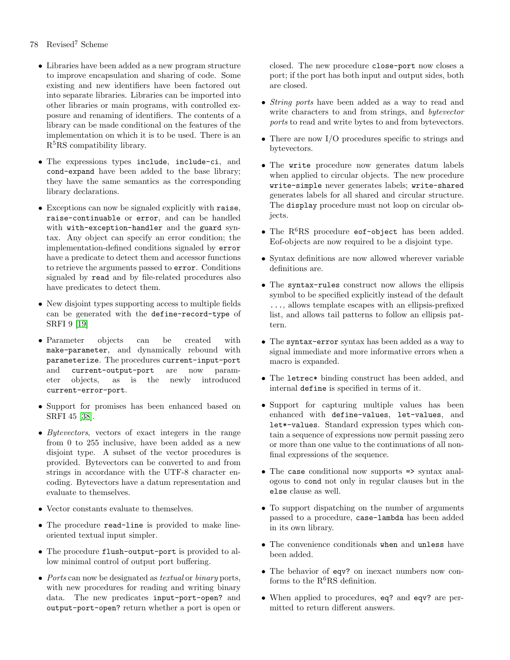### 78 Revised<sup>7</sup> Scheme

- Libraries have been added as a new program structure to improve encapsulation and sharing of code. Some existing and new identifiers have been factored out into separate libraries. Libraries can be imported into other libraries or main programs, with controlled exposure and renaming of identifiers. The contents of a library can be made conditional on the features of the implementation on which it is to be used. There is an R5RS compatibility library.
- The expressions types include, include-ci, and cond-expand have been added to the base library; they have the same semantics as the corresponding library declarations.
- Exceptions can now be signaled explicitly with raise, raise-continuable or error, and can be handled with with-exception-handler and the guard syntax. Any object can specify an error condition; the implementation-defined conditions signaled by error have a predicate to detect them and accessor functions to retrieve the arguments passed to error. Conditions signaled by read and by file-related procedures also have predicates to detect them.
- New disjoint types supporting access to multiple fields can be generated with the define-record-type of SRFI 9 [\[19\]](#page-81-1)
- Parameter objects can be created with make-parameter, and dynamically rebound with parameterize. The procedures current-input-port and current-output-port are now parameter objects, as is the newly introduced current-error-port.
- Support for promises has been enhanced based on SRFI 45 [\[38\]](#page-82-0).
- Bytevectors, vectors of exact integers in the range from 0 to 255 inclusive, have been added as a new disjoint type. A subset of the vector procedures is provided. Bytevectors can be converted to and from strings in accordance with the UTF-8 character encoding. Bytevectors have a datum representation and evaluate to themselves.
- Vector constants evaluate to themselves.
- The procedure read-line is provided to make lineoriented textual input simpler.
- The procedure flush-output-port is provided to allow minimal control of output port buffering.
- Ports can now be designated as textual or binary ports, with new procedures for reading and writing binary data. The new predicates input-port-open? and output-port-open? return whether a port is open or

closed. The new procedure close-port now closes a port; if the port has both input and output sides, both are closed.

- *String ports* have been added as a way to read and write characters to and from strings, and *bytevector* ports to read and write bytes to and from bytevectors.
- There are now I/O procedures specific to strings and bytevectors.
- The write procedure now generates datum labels when applied to circular objects. The new procedure write-simple never generates labels; write-shared generates labels for all shared and circular structure. The display procedure must not loop on circular objects.
- The  $R^6RS$  procedure eof-object has been added. Eof-objects are now required to be a disjoint type.
- Syntax definitions are now allowed wherever variable definitions are.
- The syntax-rules construct now allows the ellipsis symbol to be specified explicitly instead of the default ..., allows template escapes with an ellipsis-prefixed list, and allows tail patterns to follow an ellipsis pattern.
- The syntax-error syntax has been added as a way to signal immediate and more informative errors when a macro is expanded.
- The letrec\* binding construct has been added, and internal define is specified in terms of it.
- Support for capturing multiple values has been enhanced with define-values, let-values, and let\*-values. Standard expression types which contain a sequence of expressions now permit passing zero or more than one value to the continuations of all nonfinal expressions of the sequence.
- The case conditional now supports => syntax analogous to cond not only in regular clauses but in the else clause as well.
- To support dispatching on the number of arguments passed to a procedure, case-lambda has been added in its own library.
- The convenience conditionals when and unless have been added.
- The behavior of eqv? on inexact numbers now conforms to the  $R^6RS$  definition.
- When applied to procedures, eq? and eqv? are permitted to return different answers.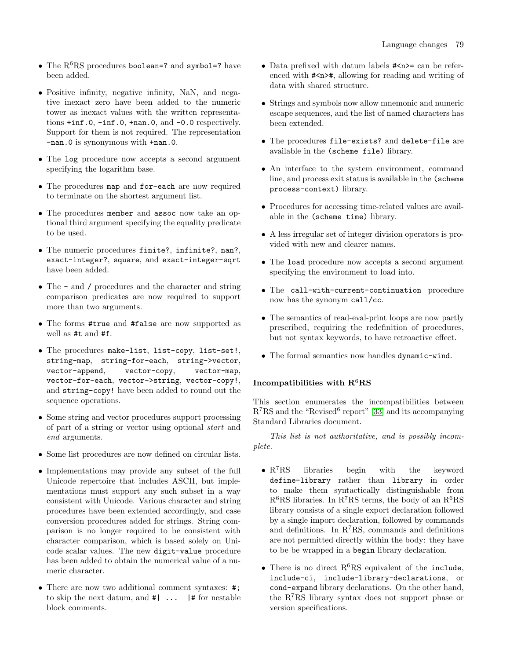- The  $R^6RS$  procedures boolean=? and symbol=? have been added.
- Positive infinity, negative infinity, NaN, and negative inexact zero have been added to the numeric tower as inexact values with the written representations  $\text{+inf.0, -inf.0, +nan.0, and -0.0 respectively.}$ Support for them is not required. The representation -nan.0 is synonymous with +nan.0.
- The log procedure now accepts a second argument specifying the logarithm base.
- The procedures map and for-each are now required to terminate on the shortest argument list.
- The procedures member and assoc now take an optional third argument specifying the equality predicate to be used.
- The numeric procedures finite?, infinite?, nan?, exact-integer?, square, and exact-integer-sqrt have been added.
- The and / procedures and the character and string comparison predicates are now required to support more than two arguments.
- The forms #true and #false are now supported as well as #t and #f.
- The procedures make-list, list-copy, list-set!, string-map, string-for-each, string->vector, vector-append, vector-copy, vector-map, vector-for-each, vector->string, vector-copy!, and string-copy! have been added to round out the sequence operations.
- Some string and vector procedures support processing of part of a string or vector using optional start and end arguments.
- Some list procedures are now defined on circular lists.
- Implementations may provide any subset of the full Unicode repertoire that includes ASCII, but implementations must support any such subset in a way consistent with Unicode. Various character and string procedures have been extended accordingly, and case conversion procedures added for strings. String comparison is no longer required to be consistent with character comparison, which is based solely on Unicode scalar values. The new digit-value procedure has been added to obtain the numerical value of a numeric character.
- There are now two additional comment syntaxes:  $\#$ ; to skip the next datum, and #| ... |# for nestable block comments.
- Data prefixed with datum labels  $\#<sub>n</sub>>=$  can be referenced with #<n>#, allowing for reading and writing of data with shared structure.
- Strings and symbols now allow mnemonic and numeric escape sequences, and the list of named characters has been extended.
- The procedures file-exists? and delete-file are available in the (scheme file) library.
- An interface to the system environment, command line, and process exit status is available in the (scheme process-context) library.
- Procedures for accessing time-related values are available in the (scheme time) library.
- A less irregular set of integer division operators is provided with new and clearer names.
- The load procedure now accepts a second argument specifying the environment to load into.
- The call-with-current-continuation procedure now has the synonym call/cc.
- The semantics of read-eval-print loops are now partly prescribed, requiring the redefinition of procedures, but not syntax keywords, to have retroactive effect.
- The formal semantics now handles dynamic-wind.

#### Incompatibilities with  $R^6RS$

This section enumerates the incompatibilities between  $R^{7}RS$  and the "Revised<sup>6</sup> report" [\[33\]](#page-82-1) and its accompanying Standard Libraries document.

This list is not authoritative, and is possibly incomplete.

- R<sup>7</sup>RS libraries begin with the keyword define-library rather than library in order to make them syntactically distinguishable from  $R^6RS$  libraries. In  $R^7RS$  terms, the body of an  $R^6RS$ library consists of a single export declaration followed by a single import declaration, followed by commands and definitions. In  $R^{7}RS$ , commands and definitions are not permitted directly within the body: they have to be be wrapped in a begin library declaration.
- There is no direct  $R^6RS$  equivalent of the include, include-ci, include-library-declarations, or cond-expand library declarations. On the other hand, the R<sup>7</sup>RS library syntax does not support phase or version specifications.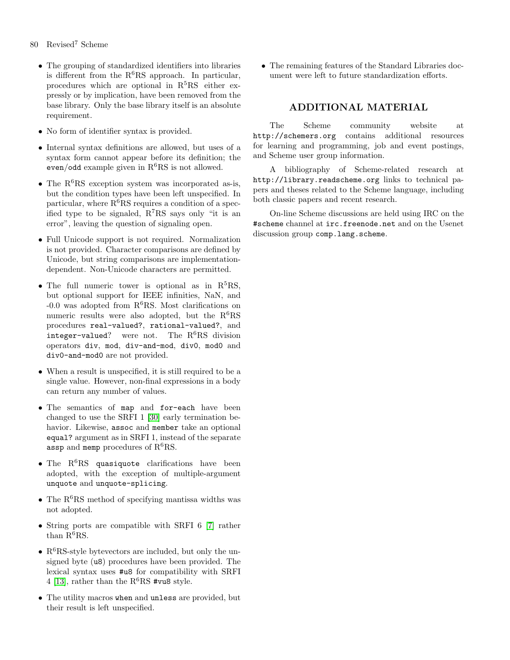#### 80 Revised<sup>7</sup> Scheme

- The grouping of standardized identifiers into libraries is different from the  $R^6RS$  approach. In particular, procedures which are optional in  $R<sup>5</sup>RS$  either expressly or by implication, have been removed from the base library. Only the base library itself is an absolute requirement.
- No form of identifier syntax is provided.
- Internal syntax definitions are allowed, but uses of a syntax form cannot appear before its definition; the even/odd example given in  $R^6RS$  is not allowed.
- The  $R^6RS$  exception system was incorporated as-is, but the condition types have been left unspecified. In particular, where  $R^6RS$  requires a condition of a specified type to be signaled,  $R^{7}RS$  says only "it is an error", leaving the question of signaling open.
- Full Unicode support is not required. Normalization is not provided. Character comparisons are defined by Unicode, but string comparisons are implementationdependent. Non-Unicode characters are permitted.
- The full numeric tower is optional as in  $R^5RS$ , but optional support for IEEE infinities, NaN, and  $-0.0$  was adopted from  $R^6RS$ . Most clarifications on numeric results were also adopted, but the  $R^6RS$ procedures real-valued?, rational-valued?, and integer-valued? were not. The  $R^6RS$  division operators div, mod, div-and-mod, div0, mod0 and div0-and-mod0 are not provided.
- When a result is unspecified, it is still required to be a single value. However, non-final expressions in a body can return any number of values.
- The semantics of map and for-each have been changed to use the SRFI 1 [\[30\]](#page-82-2) early termination behavior. Likewise, assoc and member take an optional equal? argument as in SRFI 1, instead of the separate assp and memp procedures of  $\rm R^6RS$ .
- The  $R^6RS$  quasiquote clarifications have been adopted, with the exception of multiple-argument unquote and unquote-splicing.
- The  $R^6RS$  method of specifying mantissa widths was not adopted.
- String ports are compatible with SRFI 6 [\[7\]](#page-81-2) rather than  $R^6RS$ .
- $R^6RS$ -style bytevectors are included, but only the unsigned byte (u8) procedures have been provided. The lexical syntax uses #u8 for compatibility with SRFI 4 [\[13\]](#page-81-3), rather than the  $R^6RS$  #vu8 style.
- The utility macros when and unless are provided, but their result is left unspecified.

• The remaining features of the Standard Libraries document were left to future standardization efforts.

# ADDITIONAL MATERIAL

The Scheme community website at http://schemers.org contains additional resources for learning and programming, job and event postings, and Scheme user group information.

A bibliography of Scheme-related research at http://library.readscheme.org links to technical papers and theses related to the Scheme language, including both classic papers and recent research.

On-line Scheme discussions are held using IRC on the #scheme channel at irc.freenode.net and on the Usenet discussion group comp.lang.scheme.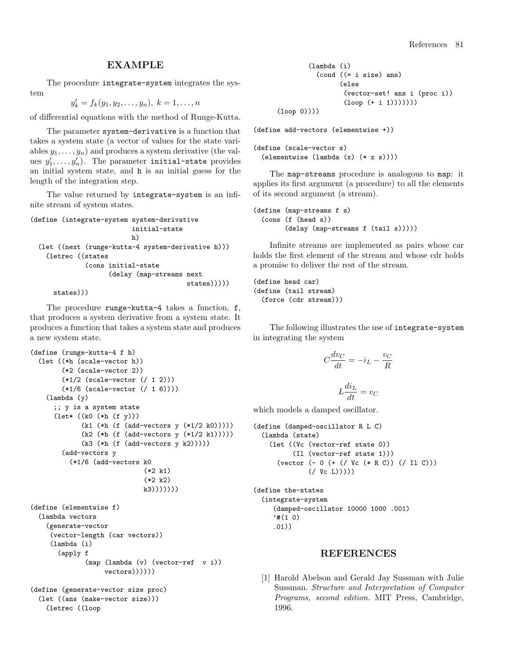#### EXAMPLE

The procedure integrate-system integrates the system

 $y'_k = f_k(y_1, y_2, \ldots, y_n), \ k = 1, \ldots, n$ 

of differential equations with the method of Runge-Kutta.

The parameter system-derivative is a function that takes a system state (a vector of values for the state variables  $y_1, \ldots, y_n$ ) and produces a system derivative (the values  $y'_1, \ldots, y'_n$ ). The parameter initial-state provides an initial system state, and h is an initial guess for the length of the integration step.

The value returned by integrate-system is an infinite stream of system states.

```
(define (integrate-system system-derivative
                          initial-state
                          h)
 (let ((next (runge-kutta-4 system-derivative h)))
   (letrec ((states
              (cons initial-state
                    (delay (map-streams next
                                         states)))))
     states)))
```
The procedure runge-kutta-4 takes a function, f, that produces a system derivative from a system state. It produces a function that takes a system state and produces a new system state.

```
(define (runge-kutta-4 f h)
 (let ((*h (scale-vector h))
        (*2 (scale-vector 2))
        (*1/2 (scale-vector (/ 1 2)))
        (*1/6 (scale-vector (/ 1 6))))
    (lambda (y)
      ;; y is a system state
     (let* ((k0 (*h (f y)))
             (k1 (*h (f (add-vectors y (*1/2 k0)))))
             (k2 (*h (f (add-vectors y (*1/2 k1)))))
             (k3 (*h (f (add-vectors y k2)))))
        (add-vectors y
          (*1/6 (add-vectors k0
                              (*2 k1)
                              (*2 k2)
                             k3)))))))
(define (elementwise f)
```

```
(lambda vectors
   (generate-vector
    (vector-length (car vectors))
    (lambda (i)
       (apply f
              (map (lambda (v) (vector-ref v i))
                   vectors))))))
(define (generate-vector size proc)
```

```
(let ((ans (make-vector size)))
 (letrec ((loop
```

```
(lambda (i)
          (cond ((= i size) ans)
                 (else
                  (vector-set! ans i (proc i))
                  (logo p (+ i 1))))))(loop 0))))
```
(define add-vectors (elementwise +))

```
(define (scale-vector s)
  (elementwise (lambda (x) (* x s))))
```
The map-streams procedure is analogous to map: it applies its first argument (a procedure) to all the elements of its second argument (a stream).

```
(define (map-streams f s)
  (cons (f (head s))
        (delay (map-streams f (tail s)))))
```
Infinite streams are implemented as pairs whose car holds the first element of the stream and whose cdr holds a promise to deliver the rest of the stream.

```
(define head car)
(define (tail stream)
  (force (cdr stream)))
```
The following illustrates the use of integrate-system in integrating the system

$$
C\frac{dv_C}{dt} = -i_L - \frac{v_C}{R}
$$

$$
L\frac{di_L}{dt} = v_C
$$

which models a damped oscillator.

```
(define (damped-oscillator R L C)
  (lambda (state)
    (let ((Vc (vector-ref state 0))
          (Il (vector-ref state 1)))
      (vector (- 0 (+ (/ Vc (* R C)) (/ Il C)))
              (/ Vc L)))))
```
(define the-states (integrate-system (damped-oscillator 10000 1000 .001)  $'$ #(1 0) .01))

#### REFERENCES

[1] Harold Abelson and Gerald Jay Sussman with Julie Sussman. Structure and Interpretation of Computer Programs, second edition. MIT Press, Cambridge, 1996.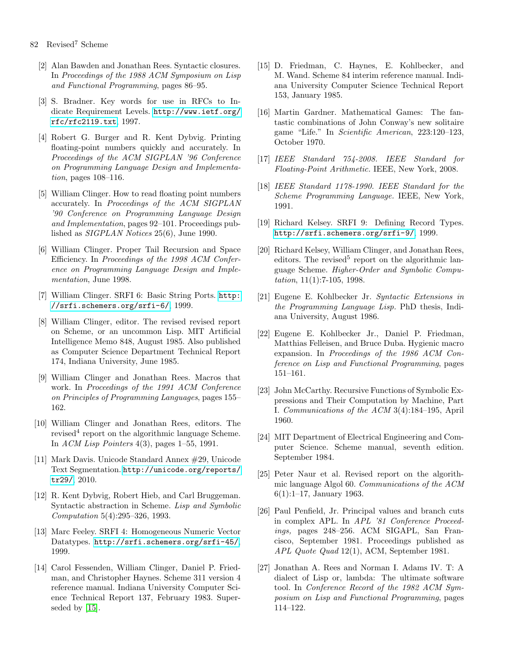- [2] Alan Bawden and Jonathan Rees. Syntactic closures. In Proceedings of the 1988 ACM Symposium on Lisp and Functional Programming, pages 86–95.
- [3] S. Bradner. Key words for use in RFCs to Indicate Requirement Levels. [http://www.ietf.org/](http://www.ietf.org/rfc/rfc2119.txt) [rfc/rfc2119.txt](http://www.ietf.org/rfc/rfc2119.txt), 1997.
- [4] Robert G. Burger and R. Kent Dybvig. Printing floating-point numbers quickly and accurately. In Proceedings of the ACM SIGPLAN '96 Conference on Programming Language Design and Implementation, pages 108–116.
- [5] William Clinger. How to read floating point numbers accurately. In Proceedings of the ACM SIGPLAN '90 Conference on Programming Language Design and Implementation, pages 92–101. Proceedings published as SIGPLAN Notices 25(6), June 1990.
- [6] William Clinger. Proper Tail Recursion and Space Efficiency. In Proceedings of the 1998 ACM Conference on Programming Language Design and Implementation, June 1998.
- <span id="page-81-2"></span>[7] William Clinger. SRFI 6: Basic String Ports. [http:](http://srfi.schemers.org/srfi-6/) [//srfi.schemers.org/srfi-6/](http://srfi.schemers.org/srfi-6/), 1999.
- [8] William Clinger, editor. The revised revised report on Scheme, or an uncommon Lisp. MIT Artificial Intelligence Memo 848, August 1985. Also published as Computer Science Department Technical Report 174, Indiana University, June 1985.
- [9] William Clinger and Jonathan Rees. Macros that work. In Proceedings of the 1991 ACM Conference on Principles of Programming Languages, pages 155– 162.
- [10] William Clinger and Jonathan Rees, editors. The revised<sup>4</sup> report on the algorithmic language Scheme. In ACM Lisp Pointers 4(3), pages 1–55, 1991.
- [11] Mark Davis. Unicode Standard Annex #29, Unicode Text Segmentation. [http://unicode.org/reports/](http://unicode.org/reports/tr29/) [tr29/](http://unicode.org/reports/tr29/), 2010.
- [12] R. Kent Dybvig, Robert Hieb, and Carl Bruggeman. Syntactic abstraction in Scheme. Lisp and Symbolic Computation 5(4):295–326, 1993.
- <span id="page-81-3"></span>[13] Marc Feeley. SRFI 4: Homogeneous Numeric Vector Datatypes. <http://srfi.schemers.org/srfi-45/>, 1999.
- [14] Carol Fessenden, William Clinger, Daniel P. Friedman, and Christopher Haynes. Scheme 311 version 4 reference manual. Indiana University Computer Science Technical Report 137, February 1983. Superseded by [\[15\]](#page-81-4).
- <span id="page-81-4"></span>[15] D. Friedman, C. Haynes, E. Kohlbecker, and M. Wand. Scheme 84 interim reference manual. Indiana University Computer Science Technical Report 153, January 1985.
- [16] Martin Gardner. Mathematical Games: The fantastic combinations of John Conway's new solitaire game "Life." In Scientific American, 223:120–123, October 1970.
- [17] IEEE Standard 754-2008. IEEE Standard for Floating-Point Arithmetic. IEEE, New York, 2008.
- [18] IEEE Standard 1178-1990. IEEE Standard for the Scheme Programming Language. IEEE, New York, 1991.
- <span id="page-81-1"></span>[19] Richard Kelsey. SRFI 9: Defining Record Types. <http://srfi.schemers.org/srfi-9/>, 1999.
- <span id="page-81-0"></span>[20] Richard Kelsey, William Clinger, and Jonathan Rees, editors. The revised<sup>5</sup> report on the algorithmic language Scheme. Higher-Order and Symbolic Computation, 11(1):7-105, 1998.
- [21] Eugene E. Kohlbecker Jr. Syntactic Extensions in the Programming Language Lisp. PhD thesis, Indiana University, August 1986.
- [22] Eugene E. Kohlbecker Jr., Daniel P. Friedman, Matthias Felleisen, and Bruce Duba. Hygienic macro expansion. In Proceedings of the 1986 ACM Conference on Lisp and Functional Programming, pages 151–161.
- [23] John McCarthy. Recursive Functions of Symbolic Expressions and Their Computation by Machine, Part I. Communications of the ACM 3(4):184–195, April 1960.
- [24] MIT Department of Electrical Engineering and Computer Science. Scheme manual, seventh edition. September 1984.
- [25] Peter Naur et al. Revised report on the algorithmic language Algol 60. Communications of the ACM 6(1):1–17, January 1963.
- [26] Paul Penfield, Jr. Principal values and branch cuts in complex APL. In APL '81 Conference Proceedings, pages 248–256. ACM SIGAPL, San Francisco, September 1981. Proceedings published as APL Quote Quad 12(1), ACM, September 1981.
- [27] Jonathan A. Rees and Norman I. Adams IV. T: A dialect of Lisp or, lambda: The ultimate software tool. In Conference Record of the 1982 ACM Symposium on Lisp and Functional Programming, pages 114–122.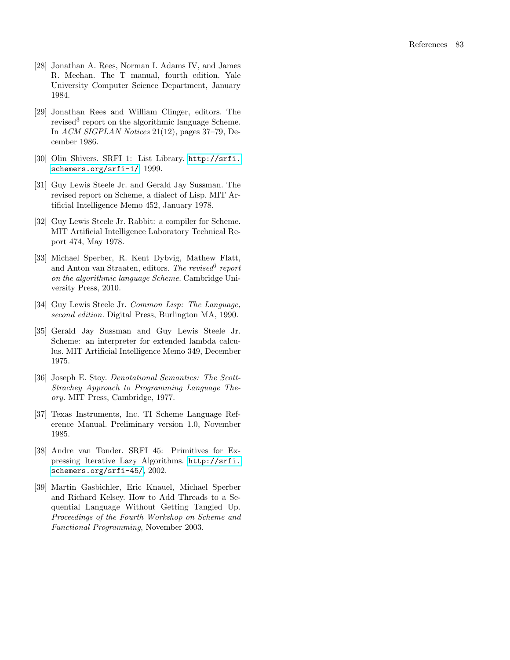- [28] Jonathan A. Rees, Norman I. Adams IV, and James R. Meehan. The T manual, fourth edition. Yale University Computer Science Department, January 1984.
- [29] Jonathan Rees and William Clinger, editors. The revised 3 report on the algorithmic language Scheme. In ACM SIGPLAN Notices 21(12), pages 37–79, December 1986.
- <span id="page-82-2"></span>[30] Olin Shivers. SRFI 1: List Library. [http://srfi.](http://srfi.schemers.org/srfi-1/) [schemers.org/srfi-1/](http://srfi.schemers.org/srfi-1/), 1999.
- [31] Guy Lewis Steele Jr. and Gerald Jay Sussman. The revised report on Scheme, a dialect of Lisp. MIT Artificial Intelligence Memo 452, January 1978.
- [32] Guy Lewis Steele Jr. Rabbit: a compiler for Scheme. MIT Artificial Intelligence Laboratory Technical Report 474, May 1978.
- <span id="page-82-1"></span>[33] Michael Sperber, R. Kent Dybvig, Mathew Flatt, and Anton van Straaten, editors. The revised<sup>6</sup> report on the algorithmic language Scheme. Cambridge University Press, 2010.
- [34] Guy Lewis Steele Jr. Common Lisp: The Language, second edition. Digital Press, Burlington MA, 1990.
- [35] Gerald Jay Sussman and Guy Lewis Steele Jr. Scheme: an interpreter for extended lambda calculus. MIT Artificial Intelligence Memo 349, December 1975.
- [36] Joseph E. Stoy. Denotational Semantics: The Scott-Strachey Approach to Programming Language Theory. MIT Press, Cambridge, 1977.
- [37] Texas Instruments, Inc. TI Scheme Language Reference Manual. Preliminary version 1.0, November 1985.
- <span id="page-82-0"></span>[38] Andre van Tonder. SRFI 45: Primitives for Expressing Iterative Lazy Algorithms. [http://srfi.](http://srfi.schemers.org/srfi-45/) [schemers.org/srfi-45/](http://srfi.schemers.org/srfi-45/), 2002.
- [39] Martin Gasbichler, Eric Knauel, Michael Sperber and Richard Kelsey. How to Add Threads to a Sequential Language Without Getting Tangled Up. Proceedings of the Fourth Workshop on Scheme and Functional Programming, November 2003.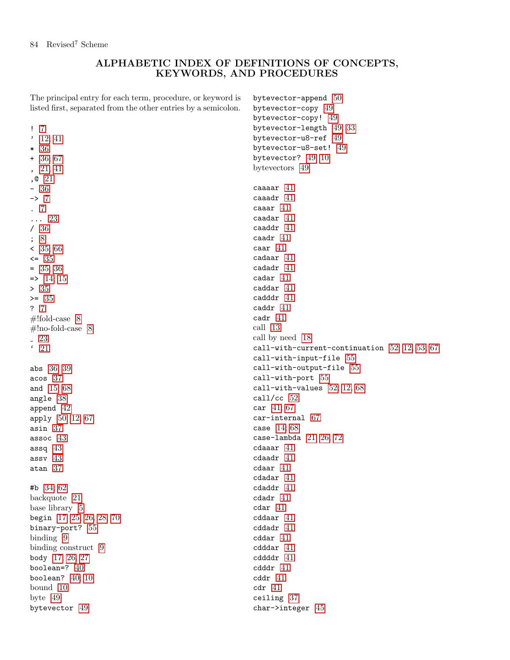# ALPHABETIC INDEX OF DEFINITIONS OF CONCEPTS, KEYWORDS, AND PROCEDURES

bytevector-append  $50$ 

The principal entry for each term, procedure, or keyword is listed first, separated from the other entries by a semicolon.

| listed first, separated from the other entries by a semicolon. | bytevector-copy 49                              |
|----------------------------------------------------------------|-------------------------------------------------|
|                                                                | bytevector-copy! 49                             |
| 17                                                             | bytevector-length 49; 33                        |
| $'$ 12; 41                                                     | bytevector-u8-ref 49                            |
| $* 36$                                                         | bytevector-u8-set! 49                           |
| $+36;67$                                                       | bytevector? 49; 10                              |
| , 21; 41                                                       | bytevectors 49                                  |
| , $@21$                                                        |                                                 |
| $-36$                                                          | $caaaar$ 41                                     |
| $\rightarrow$ 7                                                | $ca$ aadr $41$                                  |
| .7                                                             | $caaar$ 41                                      |
| 23<br>$\cdots$                                                 | caadar 41                                       |
| /36                                                            | $caaddr$ 41                                     |
| ; 8                                                            | caadr 41                                        |
| < 35;66                                                        | $\text{caar}$ 41                                |
| $\leq 35$                                                      | $\alpha$ daar 41                                |
| $= 35; 36$                                                     | $cadardr$ 41                                    |
| $\Rightarrow$ 14; 15                                           | cadar $41$                                      |
| > 35                                                           | $c$ addar $41$                                  |
| $>= 35$                                                        | caddar 41                                       |
| ?7                                                             | caddr $41$                                      |
| $\#!$ fold-case 8                                              | $\text{cadr}$ 41                                |
| $\#$ lno-fold-case 8                                           | call 13                                         |
| $-23$                                                          | call by need 18                                 |
| $^\prime$ 21                                                   | call-with-current-continuation $52; 12, 53, 67$ |
|                                                                | call-with-input-file 55                         |
| abs 36; 39                                                     | call-with-output-file 55                        |
| acos 37                                                        | call-with-port 55                               |
| and 15; 68                                                     | call-with-values $52; 12, 68$                   |
| angle $38$                                                     | call/cc $52$                                    |
| append $42$                                                    | car $41;67$                                     |
| apply 50; 12, 67                                               | $car-internal 67$                               |
| asin 37                                                        | case $14;68$                                    |
| assoc $43$                                                     | case-lambda $21; 26, 72$                        |
| assq $43$                                                      | cda <sub>aar</sub> 41                           |
| $assv$ 43                                                      | $\texttt{cdaadr}$ 41                            |
| atan $37$                                                      | $cdaar$ 41                                      |
|                                                                | $\texttt{cdadar}$ 41                            |
| #b 34; 62                                                      | $cdaddr$ 41                                     |
| backquote 21                                                   | $\text{cdadr}$ 41                               |
| base library 5                                                 | cdar 41                                         |
| begin 17; 25, 26, 28, 70                                       | $cddaar$ 41                                     |
| binary-port? 55                                                | $\texttt{cddadr}$ 41                            |
| binding 9                                                      | $cddar$ 41                                      |
| binding construct 9                                            | $cdddar$ 41                                     |
| body 17; 26, 27                                                | cddddr 41                                       |
| boolean=? $40$                                                 | $cdddr$ 41                                      |
| boolean? $40; 10$                                              | $\text{cddr}$ 41                                |
| bound 10                                                       | cdr 41                                          |
| byte 49                                                        | ceiling 37                                      |
| bytevector 49                                                  | $char\text{-}5$ integer 45                      |
|                                                                |                                                 |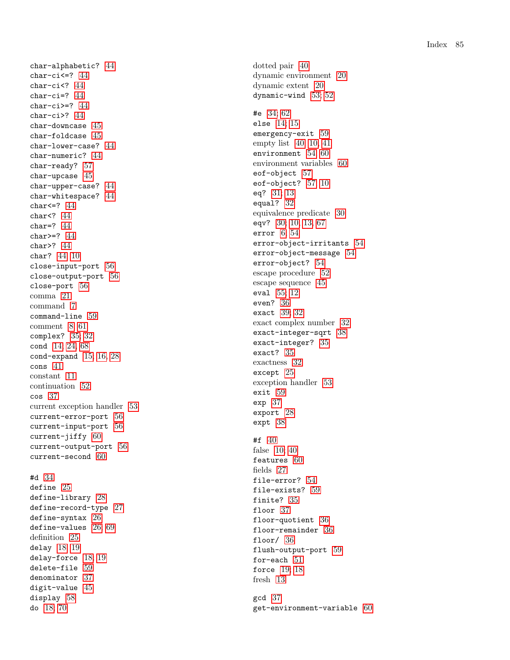char-alphabetic? [44](#page-43-0) char-ci<=? [44](#page-43-0) char-ci<? [44](#page-43-0) char-ci=? [44](#page-43-0) char-ci>=? [44](#page-43-0) char-ci>? [44](#page-43-0) char-downcase [45](#page-44-0) char-foldcase [45](#page-44-0) char-lower-case? [44](#page-43-0) char-numeric? [44](#page-43-0) char-ready? [57](#page-56-0) char-upcase [45](#page-44-0) char-upper-case? [44](#page-43-0) char-whitespace? [44](#page-43-0) char<=? [44](#page-43-0) char<? [44](#page-43-0) char=? [44](#page-43-0) char $>=? 44$  $>=? 44$ char>? [44](#page-43-0) char? [44;](#page-43-0) [10](#page-9-0) close-input-port [56](#page-55-0) close-output-port [56](#page-55-0) close-port [56](#page-55-0) comma [21](#page-20-0) command [7](#page-6-0) command-line [59](#page-58-0) comment [8;](#page-7-0) [61](#page-60-0) complex? [35;](#page-34-0) [32](#page-31-0) cond [14;](#page-13-0) [24,](#page-23-0) [68](#page-67-0) cond-expand [15;](#page-14-0) [16,](#page-15-0) [28](#page-27-0) cons [41](#page-40-0) constant [11](#page-10-0) continuation [52](#page-51-0) cos [37](#page-36-0) current exception handler [53](#page-52-0) current-error-port [56](#page-55-0) current-input-port [56](#page-55-0) current-jiffy [60](#page-59-0) current-output-port [56](#page-55-0) current-second [60](#page-59-0) #d [34](#page-33-0) define [25](#page-24-0) define-library [28](#page-27-0)

define-record-type [27](#page-26-0) define-syntax [26](#page-25-0) define-values [26;](#page-25-0) [69](#page-68-0) definition [25](#page-24-0) delay [18;](#page-17-0) [19](#page-18-0) delay-force [18;](#page-17-0) [19](#page-18-0) delete-file [59](#page-58-0) denominator [37](#page-36-0) digit-value [45](#page-44-0) display [58](#page-57-0) do [18;](#page-17-0) [70](#page-69-0)

dotted pair [40](#page-39-1) dynamic environment [20](#page-19-0) dynamic extent [20](#page-19-0) dynamic-wind [53;](#page-52-0) [52](#page-51-0) #e [34;](#page-33-0) [62](#page-61-0) else [14;](#page-13-0) [15](#page-14-0) emergency-exit [59](#page-58-0) empty list [40;](#page-39-1) [10,](#page-9-0) [41](#page-40-0) environment [54;](#page-53-0) [60](#page-59-0) environment variables [60](#page-59-0) eof-object [57](#page-56-0) eof-object? [57;](#page-56-0) [10](#page-9-0) eq? [31;](#page-30-0) [13](#page-12-0) equal? [32](#page-31-0) equivalence predicate [30](#page-29-0) eqv? [30;](#page-29-0) [10,](#page-9-0) [13,](#page-12-0) [67](#page-66-0) error [6;](#page-5-0) [54](#page-53-0) error-object-irritants [54](#page-53-0) error-object-message [54](#page-53-0) error-object? [54](#page-53-0) escape procedure [52](#page-51-0) escape sequence [45](#page-44-0) eval [55;](#page-54-0) [12](#page-11-0) even? [36](#page-35-0) exact [39;](#page-38-0) [32](#page-31-0) exact complex number [32](#page-31-0) exact-integer-sqrt [38](#page-37-0) exact-integer? [35](#page-34-0) exact? [35](#page-34-0) exactness [32](#page-31-0) except [25](#page-24-0) exception handler [53](#page-52-0) exit [59](#page-58-0) exp [37](#page-36-0) export [28](#page-27-0) expt [38](#page-37-0) #f [40](#page-39-1) false [10;](#page-9-0) [40](#page-39-1) features [60](#page-59-0) fields [27](#page-26-0) file-error? [54](#page-53-0) file-exists? [59](#page-58-0) finite? [35](#page-34-0) floor [37](#page-36-0) floor-quotient [36](#page-35-0) floor-remainder [36](#page-35-0) floor/ [36](#page-35-0) flush-output-port [59](#page-58-0) for-each [51](#page-50-0) force [19;](#page-18-0) [18](#page-17-0) fresh [13](#page-12-0) gcd [37](#page-36-0) get-environment-variable [60](#page-59-0)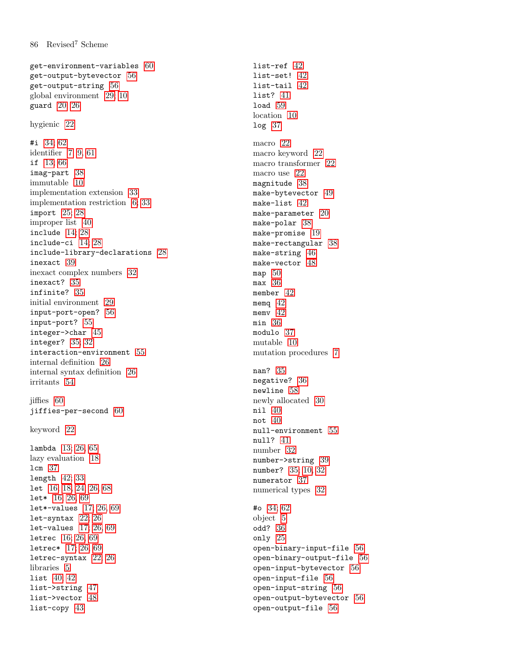get-environment-variables [60](#page-59-0) get-output-bytevector [56](#page-55-0) get-output-string [56](#page-55-0) global environment [29;](#page-28-0) [10](#page-9-0) guard [20;](#page-19-0) [26](#page-25-0) hygienic [22](#page-21-0) #i [34;](#page-33-0) [62](#page-61-0) identifier [7;](#page-6-0) [9,](#page-8-0) [61](#page-60-0) if [13;](#page-12-0) [66](#page-65-0) imag-part [38](#page-37-0) immutable [10](#page-9-0) implementation extension [33](#page-32-0) implementation restriction [6;](#page-5-0) [33](#page-32-0) import [25;](#page-24-0) [28](#page-27-0) improper list [40](#page-39-1) include [14;](#page-13-0) [28](#page-27-0) include-ci [14;](#page-13-0) [28](#page-27-0) include-library-declarations [28](#page-27-0) inexact [39](#page-38-0) inexact complex numbers [32](#page-31-0) inexact? [35](#page-34-0) infinite? [35](#page-34-0) initial environment [29](#page-28-0) input-port-open? [56](#page-55-0) input-port? [55](#page-54-0) integer->char [45](#page-44-0) integer? [35;](#page-34-0) [32](#page-31-0) interaction-environment [55](#page-54-0) internal definition [26](#page-25-0) internal syntax definition [26](#page-25-0) irritants [54](#page-53-0) jiffies [60](#page-59-0) jiffies-per-second [60](#page-59-0) keyword [22](#page-21-0) lambda [13;](#page-12-0) [26,](#page-25-0) [65](#page-64-0) lazy evaluation [18](#page-17-0) lcm [37](#page-36-0) length [42;](#page-41-0) [33](#page-32-0) let [16;](#page-15-0) [18,](#page-17-0) [24,](#page-23-0) [26,](#page-25-0) [68](#page-67-0) let\* [16;](#page-15-0) [26,](#page-25-0) [69](#page-68-0) let\*-values [17;](#page-16-0) [26,](#page-25-0) [69](#page-68-0) let-syntax [22;](#page-21-0) [26](#page-25-0) let-values [17;](#page-16-0) [26,](#page-25-0) [69](#page-68-0) letrec [16;](#page-15-0) [26,](#page-25-0) [69](#page-68-0) letrec\* [17;](#page-16-0) [26,](#page-25-0) [69](#page-68-0) letrec-syntax [22;](#page-21-0) [26](#page-25-0) libraries [5](#page-4-0) list [40;](#page-39-1) [42](#page-41-0) list->string [47](#page-46-0) list->vector [48](#page-47-0) list-copy [43](#page-42-0)

list-ref [42](#page-41-0) list-set! [42](#page-41-0) list-tail [42](#page-41-0) list? [41](#page-40-0) load [59](#page-58-0) location [10](#page-9-0) log [37](#page-36-0) macro [22](#page-21-0) macro keyword [22](#page-21-0) macro transformer [22](#page-21-0) macro use [22](#page-21-0) magnitude [38](#page-37-0) make-bytevector [49](#page-48-0) make-list [42](#page-41-0) make-parameter [20](#page-19-0) make-polar [38](#page-37-0) make-promise [19](#page-18-0) make-rectangular [38](#page-37-0) make-string [46](#page-45-0) make-vector [48](#page-47-0) map  $50$ max [36](#page-35-0) member [42](#page-41-0) memq [42](#page-41-0) memv [42](#page-41-0) min [36](#page-35-0) modulo [37](#page-36-0) mutable [10](#page-9-0) mutation procedures [7](#page-6-0) nan? [35](#page-34-0) negative? [36](#page-35-0) newline [58](#page-57-0) newly allocated [30](#page-29-0) nil [40](#page-39-1) not [40](#page-39-1) null-environment [55](#page-54-0) null? [41](#page-40-0) number [32](#page-31-0) number->string [39](#page-38-0) number? [35;](#page-34-0) [10,](#page-9-0) [32](#page-31-0) numerator [37](#page-36-0) numerical types [32](#page-31-0) #o [34;](#page-33-0) [62](#page-61-0) object [5](#page-4-0) odd? [36](#page-35-0) only [25](#page-24-0) open-binary-input-file [56](#page-55-0) open-binary-output-file [56](#page-55-0) open-input-bytevector [56](#page-55-0) open-input-file [56](#page-55-0) open-input-string [56](#page-55-0) open-output-bytevector [56](#page-55-0) open-output-file [56](#page-55-0)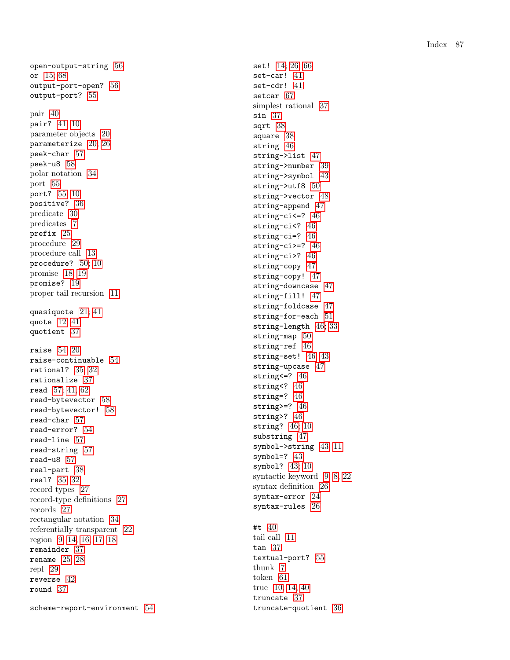open-output-string [56](#page-55-0) or [15;](#page-14-0) [68](#page-67-0) output-port-open? [56](#page-55-0) output-port? [55](#page-54-0) pair [40](#page-39-1) pair? [41;](#page-40-0) [10](#page-9-0) parameter objects [20](#page-19-0) parameterize [20;](#page-19-0) [26](#page-25-0) peek-char [57](#page-56-0) peek-u8 [58](#page-57-0) polar notation [34](#page-33-0) port [55](#page-54-0) port? [55;](#page-54-0) [10](#page-9-0) positive? [36](#page-35-0) predicate [30](#page-29-0) predicates [7](#page-6-0) prefix [25](#page-24-0) procedure [29](#page-28-0) procedure call [13](#page-12-0) procedure? [50;](#page-49-0) [10](#page-9-0) promise [18;](#page-17-0) [19](#page-18-0) promise? [19](#page-18-0) proper tail recursion [11](#page-10-0) quasiquote [21;](#page-20-0) [41](#page-40-0) quote [12;](#page-11-0) [41](#page-40-0) quotient [37](#page-36-0) raise [54;](#page-53-0) [20](#page-19-0) raise-continuable [54](#page-53-0) rational? [35;](#page-34-0) [32](#page-31-0) rationalize [37](#page-36-0) read [57;](#page-56-0) [41,](#page-40-0) [62](#page-61-0) read-bytevector [58](#page-57-0) read-bytevector! [58](#page-57-0) read-char [57](#page-56-0) read-error? [54](#page-53-0) read-line [57](#page-56-0) read-string [57](#page-56-0) read-u8 [57](#page-56-0) real-part [38](#page-37-0) real? [35;](#page-34-0) [32](#page-31-0) record types [27](#page-26-0) record-type definitions [27](#page-26-0) records [27](#page-26-0) rectangular notation [34](#page-33-0) referentially transparent [22](#page-21-0) region [9;](#page-8-0) [14,](#page-13-0) [16,](#page-15-0) [17,](#page-16-0) [18](#page-17-0) remainder [37](#page-36-0) rename [25;](#page-24-0) [28](#page-27-0) repl [29](#page-28-0) reverse [42](#page-41-0) round [37](#page-36-0)

set! [14;](#page-13-0) [26,](#page-25-0) [66](#page-65-0) set-car! [41](#page-40-0) set-cdr! [41](#page-40-0) setcar [67](#page-66-0) simplest rational [37](#page-36-0) sin [37](#page-36-0) sqrt [38](#page-37-0) square [38](#page-37-0) string [46](#page-45-0) string->list [47](#page-46-0) string->number [39](#page-38-0) string->symbol [43](#page-42-0) string->utf8 [50](#page-49-0) string->vector [48](#page-47-0) string-append [47](#page-46-0) string-ci<=? [46](#page-45-0) string-ci<? [46](#page-45-0) string-ci=? [46](#page-45-0) string-ci>=? [46](#page-45-0) string-ci>? [46](#page-45-0) string-copy [47](#page-46-0) string-copy! [47](#page-46-0) string-downcase [47](#page-46-0) string-fill! [47](#page-46-0) string-foldcase [47](#page-46-0) string-for-each [51](#page-50-0) string-length [46;](#page-45-0) [33](#page-32-0) string-map [50](#page-49-0) string-ref [46](#page-45-0) string-set! [46;](#page-45-0) [43](#page-42-0) string-upcase [47](#page-46-0) string<=? [46](#page-45-0) string<? [46](#page-45-0) string=? [46](#page-45-0) string>=? [46](#page-45-0) string>? [46](#page-45-0) string? [46;](#page-45-0) [10](#page-9-0) substring [47](#page-46-0) symbol->string [43;](#page-42-0) [11](#page-10-0) symbol=? [43](#page-42-0) symbol? [43;](#page-42-0) [10](#page-9-0) syntactic keyword [9;](#page-8-0) [8,](#page-7-0) [22](#page-21-0) syntax definition [26](#page-25-0) syntax-error [24](#page-23-0) syntax-rules [26](#page-25-0) #t [40](#page-39-1) tail call [11](#page-10-0) tan [37](#page-36-0) textual-port? [55](#page-54-0) thunk [7](#page-6-0) token [61](#page-60-0) true [10;](#page-9-0) [14,](#page-13-0) [40](#page-39-1) truncate [37](#page-36-0)

truncate-quotient [36](#page-35-0)

scheme-report-environment [54](#page-53-0)